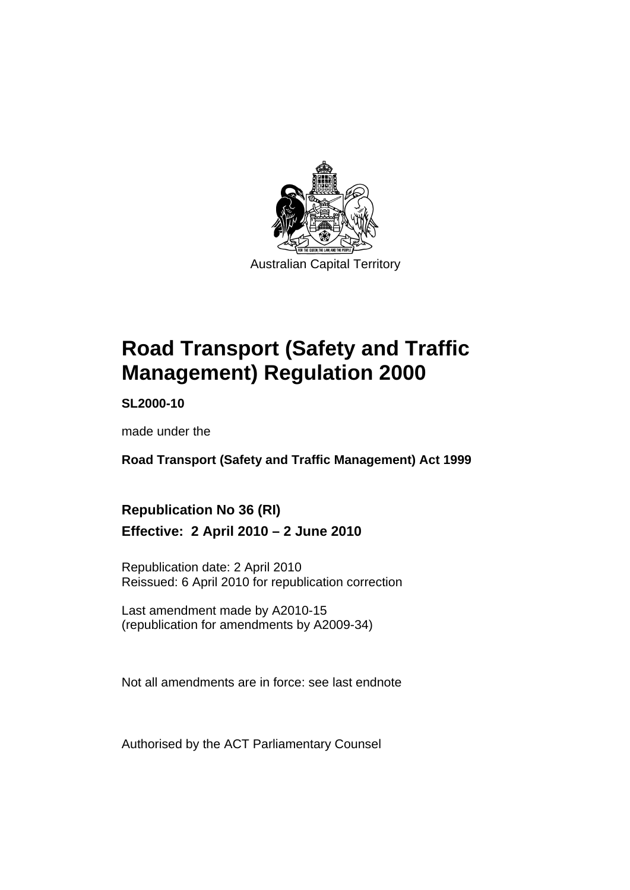

**[Road Transport \(Safety and Traffic](#page-10-0)  [Management\) Regulation 2000](#page-10-0)** 

**SL2000-10** 

made under the

**[Road Transport \(Safety and Traffic Management\) Act 1999](#page-10-0)** 

## **Republication No 36 (RI) Effective: 2 April 2010 – 2 June 2010**

Republication date: 2 April 2010 Reissued: 6 April 2010 for republication correction

Last amendment made by A2010-15 (republication for amendments by A2009-34)

Not all amendments are in force: see last endnote

Authorised by the ACT Parliamentary Counsel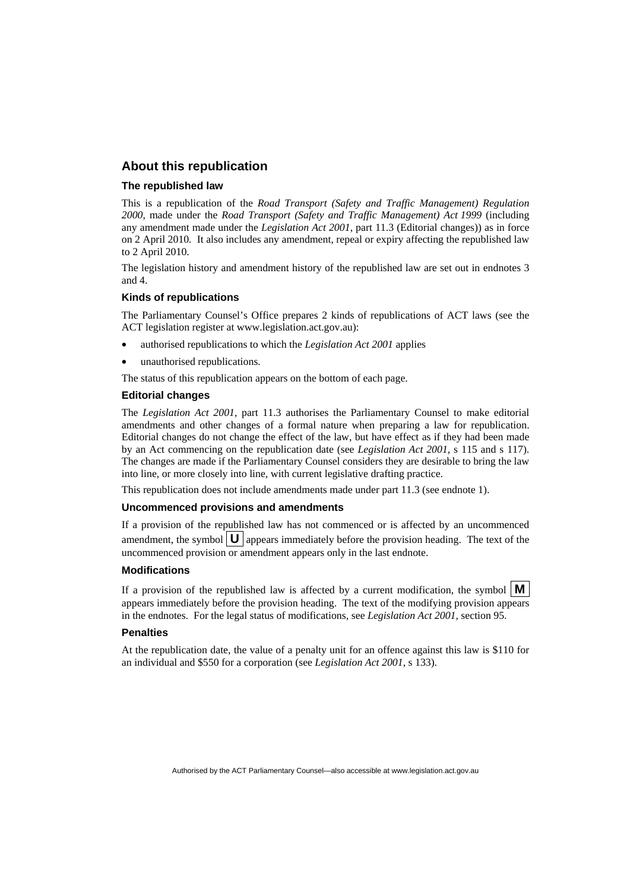#### **About this republication**

#### **The republished law**

This is a republication of the *Road Transport (Safety and Traffic Management) Regulation 2000*, made under the *[Road Transport \(Safety and Traffic Management\) Act 1999](#page-10-0)* (including any amendment made under the *Legislation Act 2001*, part 11.3 (Editorial changes)) as in force on 2 April 2010*.* It also includes any amendment, repeal or expiry affecting the republished law to 2 April 2010.

The legislation history and amendment history of the republished law are set out in endnotes 3 and 4.

#### **Kinds of republications**

The Parliamentary Counsel's Office prepares 2 kinds of republications of ACT laws (see the ACT legislation register at www.legislation.act.gov.au):

- authorised republications to which the *Legislation Act 2001* applies
- unauthorised republications.

The status of this republication appears on the bottom of each page.

#### **Editorial changes**

The *Legislation Act 2001*, part 11.3 authorises the Parliamentary Counsel to make editorial amendments and other changes of a formal nature when preparing a law for republication. Editorial changes do not change the effect of the law, but have effect as if they had been made by an Act commencing on the republication date (see *Legislation Act 2001*, s 115 and s 117). The changes are made if the Parliamentary Counsel considers they are desirable to bring the law into line, or more closely into line, with current legislative drafting practice.

This republication does not include amendments made under part 11.3 (see endnote 1).

#### **Uncommenced provisions and amendments**

If a provision of the republished law has not commenced or is affected by an uncommenced amendment, the symbol  $\mathbf{U}$  appears immediately before the provision heading. The text of the uncommenced provision or amendment appears only in the last endnote.

#### **Modifications**

If a provision of the republished law is affected by a current modification, the symbol  $\vert \mathbf{M} \vert$ appears immediately before the provision heading. The text of the modifying provision appears in the endnotes. For the legal status of modifications, see *Legislation Act 2001*, section 95.

#### **Penalties**

At the republication date, the value of a penalty unit for an offence against this law is \$110 for an individual and \$550 for a corporation (see *Legislation Act 2001*, s 133).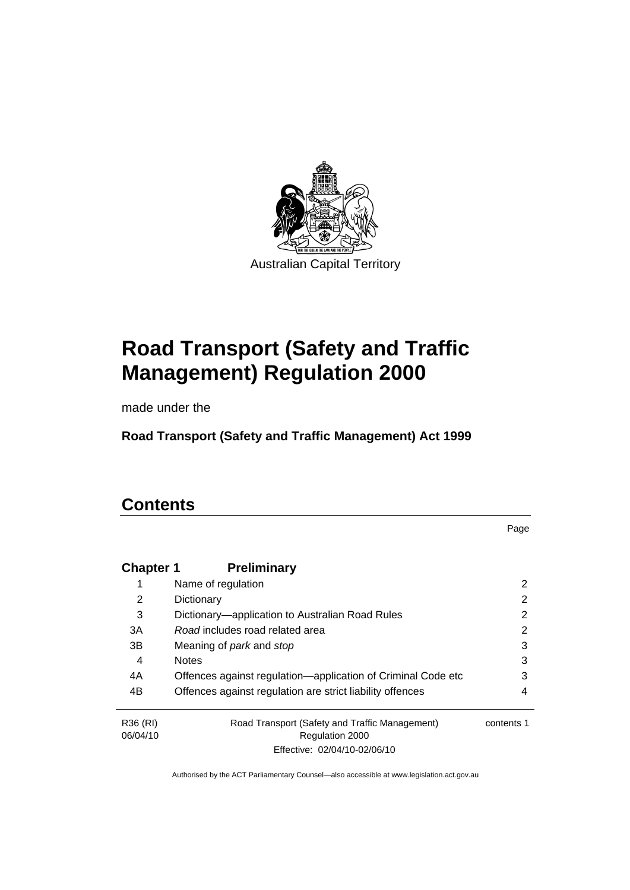

# **[Road Transport \(Safety and Traffic](#page-10-0)  [Management\) Regulation 2000](#page-10-0)**

made under the

**[Road Transport \(Safety and Traffic Management\) Act 1999](#page-10-0)** 

## **Contents**

Page

| <b>Chapter 1</b> | <b>Preliminary</b>                                           |            |
|------------------|--------------------------------------------------------------|------------|
|                  | Name of regulation                                           | 2          |
| 2                | Dictionary                                                   | 2          |
| 3                | Dictionary—application to Australian Road Rules              | 2          |
| 3A               | Road includes road related area                              | 2          |
| 3B               | Meaning of <i>park</i> and <i>stop</i>                       | 3          |
| 4                | <b>Notes</b>                                                 | 3          |
| 4A               | Offences against regulation-application of Criminal Code etc | 3          |
| 4B               | Offences against regulation are strict liability offences    | 4          |
| R36 (RI)         | Road Transport (Safety and Traffic Management)               | contents 1 |
| 06/04/10         | Regulation 2000                                              |            |
|                  | Effective: 02/04/10-02/06/10                                 |            |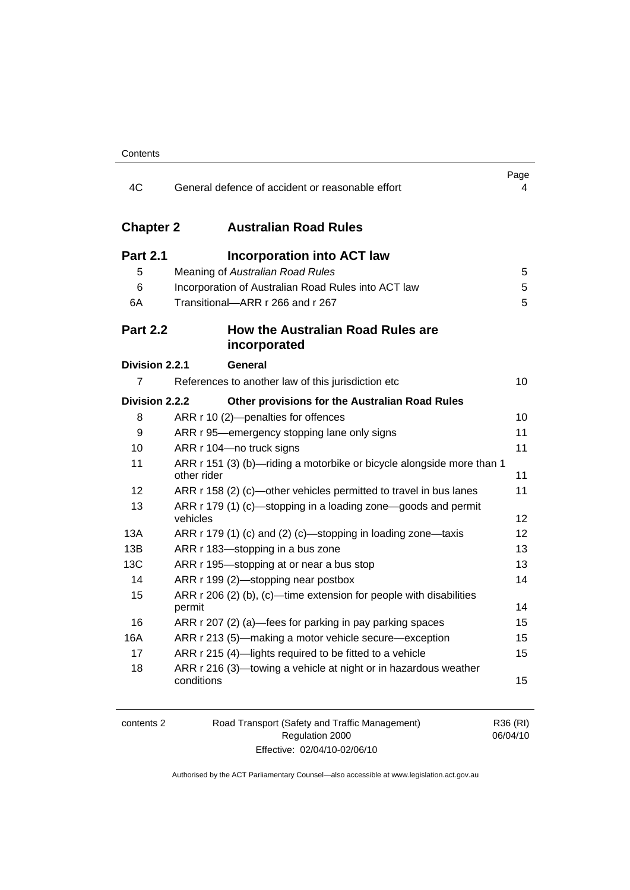| 4C               | General defence of accident or reasonable effort                                     | Page<br>4         |
|------------------|--------------------------------------------------------------------------------------|-------------------|
| <b>Chapter 2</b> | <b>Australian Road Rules</b>                                                         |                   |
| <b>Part 2.1</b>  | <b>Incorporation into ACT law</b>                                                    |                   |
| 5                | Meaning of Australian Road Rules                                                     | 5                 |
| 6                | Incorporation of Australian Road Rules into ACT law                                  | 5                 |
| 6A               | Transitional-ARR r 266 and r 267                                                     | 5                 |
| <b>Part 2.2</b>  | <b>How the Australian Road Rules are</b><br>incorporated                             |                   |
| Division 2.2.1   | General                                                                              |                   |
| 7                | References to another law of this jurisdiction etc                                   | 10                |
| Division 2.2.2   | Other provisions for the Australian Road Rules                                       |                   |
| 8                | ARR r 10 (2)-penalties for offences                                                  | 10 <sup>1</sup>   |
| 9                | ARR r 95—emergency stopping lane only signs                                          | 11                |
| 10               | ARR r 104-no truck signs                                                             | 11                |
| 11               | ARR r 151 (3) (b)-riding a motorbike or bicycle alongside more than 1<br>other rider | 11                |
| 12               | ARR r 158 (2) (c)-other vehicles permitted to travel in bus lanes                    | 11                |
| 13               | ARR r 179 (1) (c)—stopping in a loading zone—goods and permit<br>vehicles            | 12                |
| 13A              | ARR r 179 (1) (c) and (2) (c)—stopping in loading zone—taxis                         | $12 \overline{ }$ |
| 13B              | ARR r 183-stopping in a bus zone                                                     | 13                |
| 13C              | ARR r 195—stopping at or near a bus stop                                             | 13                |
| 14               | ARR r 199 (2)-stopping near postbox                                                  | 14                |
| 15               | ARR r 206 (2) (b), (c)—time extension for people with disabilities<br>permit         | 14                |
| 16               | ARR r 207 (2) (a)—fees for parking in pay parking spaces                             | 15                |
| 16A              | ARR r 213 (5)-making a motor vehicle secure-exception                                | 15                |
| 17               | ARR r 215 (4)-lights required to be fitted to a vehicle                              | 15                |
| 18               | ARR r 216 (3)—towing a vehicle at night or in hazardous weather<br>conditions        | 15                |

| contents 2 | Road Transport (Safety and Traffic Management) | R36 (RI) |
|------------|------------------------------------------------|----------|
|            | Regulation 2000                                | 06/04/10 |
|            | Effective: 02/04/10-02/06/10                   |          |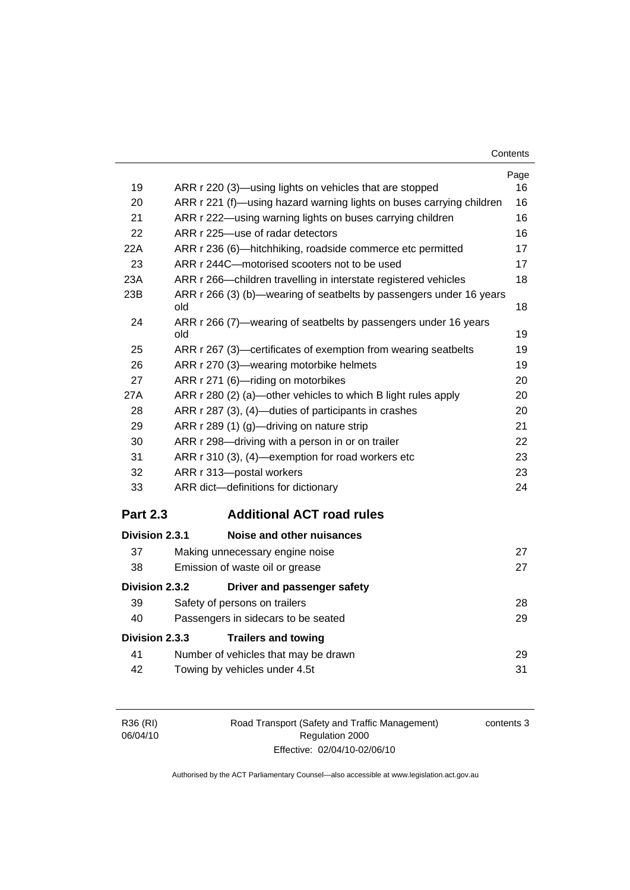| Contents |
|----------|
|----------|

|                 |                                                                            | Page |
|-----------------|----------------------------------------------------------------------------|------|
| 19              | ARR r 220 (3)—using lights on vehicles that are stopped                    | 16   |
| 20              | ARR r 221 (f)—using hazard warning lights on buses carrying children       | 16   |
| 21              | ARR r 222—using warning lights on buses carrying children                  | 16   |
| 22              | ARR r 225-use of radar detectors                                           | 16   |
| 22A             | ARR r 236 (6)-hitchhiking, roadside commerce etc permitted                 | 17   |
| 23              | ARR r 244C-motorised scooters not to be used                               | 17   |
| 23A             | ARR r 266—children travelling in interstate registered vehicles            | 18   |
| 23B             | ARR r 266 (3) (b)—wearing of seatbelts by passengers under 16 years<br>old | 18   |
| 24              | ARR r 266 (7)—wearing of seatbelts by passengers under 16 years<br>old     | 19   |
| 25              | ARR r 267 (3)—certificates of exemption from wearing seatbelts             | 19   |
| 26              | ARR r 270 (3)-wearing motorbike helmets                                    | 19   |
| 27              | ARR r 271 (6)-riding on motorbikes                                         | 20   |
| 27A             | ARR r 280 (2) (a)—other vehicles to which B light rules apply              | 20   |
| 28              | ARR r 287 (3), (4)-duties of participants in crashes                       | 20   |
| 29              | ARR r 289 (1) (g)-driving on nature strip                                  | 21   |
| 30              | ARR r 298-driving with a person in or on trailer                           | 22   |
| 31              | ARR r 310 (3), (4)—exemption for road workers etc                          | 23   |
| 32              | ARR r 313-postal workers                                                   | 23   |
| 33              | ARR dict-definitions for dictionary                                        | 24   |
| <b>Part 2.3</b> | <b>Additional ACT road rules</b>                                           |      |
| Division 2.3.1  | Noise and other nuisances                                                  |      |
| 37              | Making unnecessary engine noise                                            | 27   |
| 38              | Emission of waste oil or grease                                            | 27   |
| Division 2.3.2  | Driver and passenger safety                                                |      |
| 39              | Safety of persons on trailers                                              | 28   |
| 40              | Passengers in sidecars to be seated                                        | 29   |
| Division 2.3.3  | <b>Trailers and towing</b>                                                 |      |
| 41              | Number of vehicles that may be drawn                                       | 29   |
| 42              | Towing by vehicles under 4.5t                                              | 31   |

| R36 (RI) | Road Transport (Safety and Traffic Management) | contents 3 |
|----------|------------------------------------------------|------------|
| 06/04/10 | Regulation 2000                                |            |
|          | Effective: 02/04/10-02/06/10                   |            |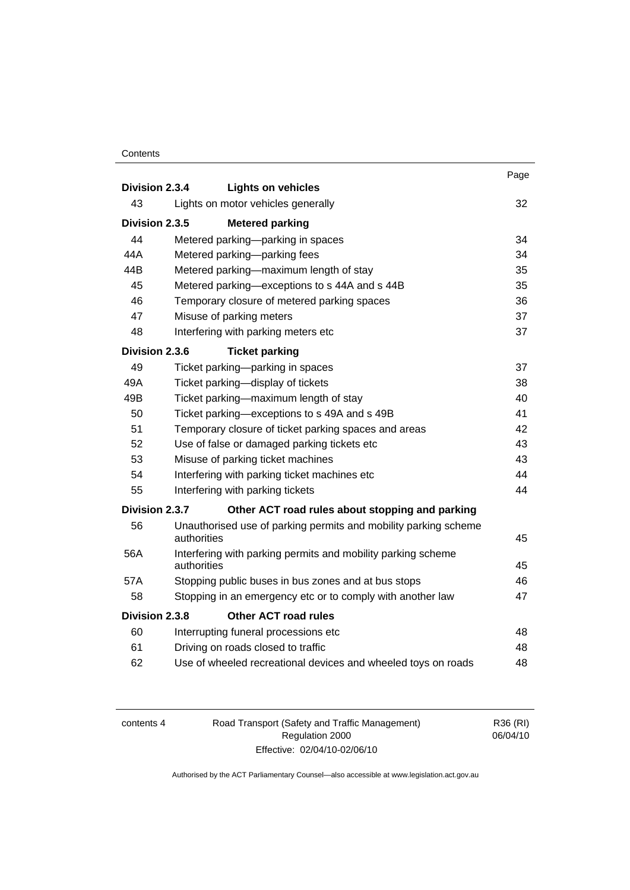#### **Contents**

|                |             |                                                                 | Page |
|----------------|-------------|-----------------------------------------------------------------|------|
| Division 2.3.4 |             | <b>Lights on vehicles</b>                                       |      |
| 43             |             | Lights on motor vehicles generally                              | 32   |
| Division 2.3.5 |             | <b>Metered parking</b>                                          |      |
| 44             |             | Metered parking-parking in spaces                               | 34   |
| 44A            |             | Metered parking-parking fees                                    | 34   |
| 44B            |             | Metered parking-maximum length of stay                          | 35   |
| 45             |             | Metered parking-exceptions to s 44A and s 44B                   | 35   |
| 46             |             | Temporary closure of metered parking spaces                     | 36   |
| 47             |             | Misuse of parking meters                                        | 37   |
| 48             |             | Interfering with parking meters etc                             | 37   |
| Division 2.3.6 |             | <b>Ticket parking</b>                                           |      |
| 49             |             | Ticket parking-parking in spaces                                | 37   |
| 49A            |             | Ticket parking-display of tickets                               | 38   |
| 49B            |             | Ticket parking-maximum length of stay                           | 40   |
| 50             |             | Ticket parking—exceptions to s 49A and s 49B                    | 41   |
| 51             |             | Temporary closure of ticket parking spaces and areas            | 42   |
| 52             |             | Use of false or damaged parking tickets etc                     | 43   |
| 53             |             | Misuse of parking ticket machines                               | 43   |
| 54             |             | Interfering with parking ticket machines etc                    | 44   |
| 55             |             | Interfering with parking tickets                                | 44   |
| Division 2.3.7 |             | Other ACT road rules about stopping and parking                 |      |
| 56             |             | Unauthorised use of parking permits and mobility parking scheme |      |
|                | authorities |                                                                 | 45   |
| 56A            | authorities | Interfering with parking permits and mobility parking scheme    | 45   |
| 57A            |             | Stopping public buses in bus zones and at bus stops             | 46   |
| 58             |             | Stopping in an emergency etc or to comply with another law      | 47   |
| Division 2.3.8 |             | <b>Other ACT road rules</b>                                     |      |
| 60             |             | Interrupting funeral processions etc                            | 48   |
| 61             |             | Driving on roads closed to traffic                              | 48   |
| 62             |             | Use of wheeled recreational devices and wheeled toys on roads   | 48   |
|                |             |                                                                 |      |

| contents 4 |  |
|------------|--|
|------------|--|

4 Road Transport (Safety and Traffic Management) Regulation 2000 Effective: 02/04/10-02/06/10

R36 (RI) 06/04/10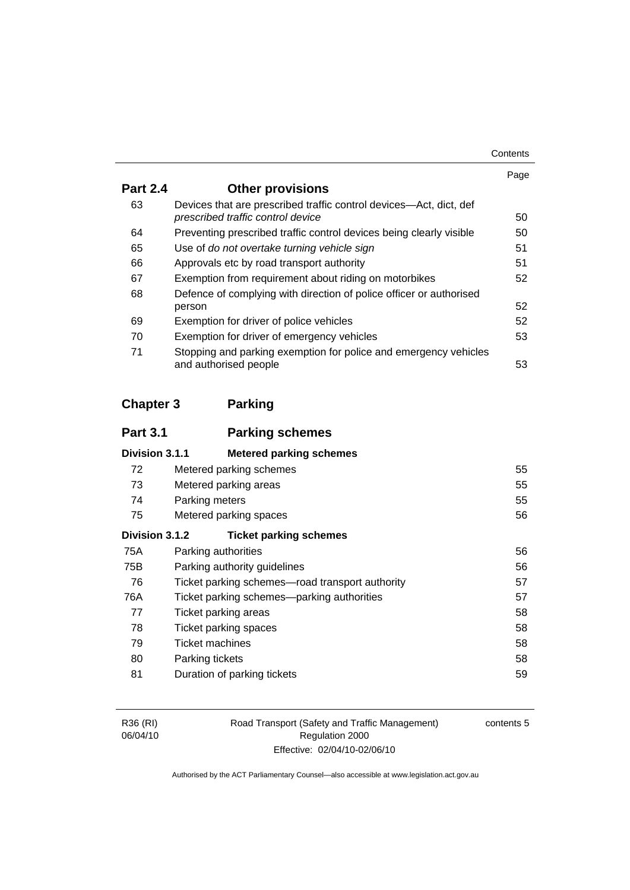| Contents |
|----------|
|----------|

|                 |                                                                                                         | Page |
|-----------------|---------------------------------------------------------------------------------------------------------|------|
| <b>Part 2.4</b> | <b>Other provisions</b>                                                                                 |      |
| 63              | Devices that are prescribed traffic control devices—Act, dict, def<br>prescribed traffic control device | 50   |
| 64              | Preventing prescribed traffic control devices being clearly visible                                     | 50   |
| 65              | Use of do not overtake turning vehicle sign                                                             | 51   |
| 66              | Approvals etc by road transport authority                                                               | 51   |
| 67              | Exemption from requirement about riding on motorbikes                                                   | 52   |
| 68              | Defence of complying with direction of police officer or authorised                                     |      |
|                 | person                                                                                                  | 52   |
| 69              | Exemption for driver of police vehicles                                                                 | 52   |
| 70              | Exemption for driver of emergency vehicles                                                              | 53   |
| 71              | Stopping and parking exemption for police and emergency vehicles<br>and authorised people               | 53   |

## **Chapter 3 Parking**

| <b>Part 3.1</b> | <b>Parking schemes</b>                          |    |
|-----------------|-------------------------------------------------|----|
| Division 3.1.1  | <b>Metered parking schemes</b>                  |    |
| 72              | Metered parking schemes                         | 55 |
| 73              | Metered parking areas                           | 55 |
| 74              | Parking meters                                  | 55 |
| 75              | Metered parking spaces                          | 56 |
| Division 3.1.2  | <b>Ticket parking schemes</b>                   |    |
| 75A             | Parking authorities                             | 56 |
| 75B             | Parking authority guidelines                    | 56 |
| 76              | Ticket parking schemes—road transport authority | 57 |
| 76A             | Ticket parking schemes—parking authorities      | 57 |
| 77              | Ticket parking areas                            | 58 |
| 78              | Ticket parking spaces                           | 58 |
| 79              | Ticket machines                                 | 58 |
| 80              | Parking tickets                                 | 58 |
| 81              | Duration of parking tickets                     | 59 |

| R36 (RI) |  |
|----------|--|
| 06/04/10 |  |

Road Transport (Safety and Traffic Management) Regulation 2000 Effective: 02/04/10-02/06/10

contents 5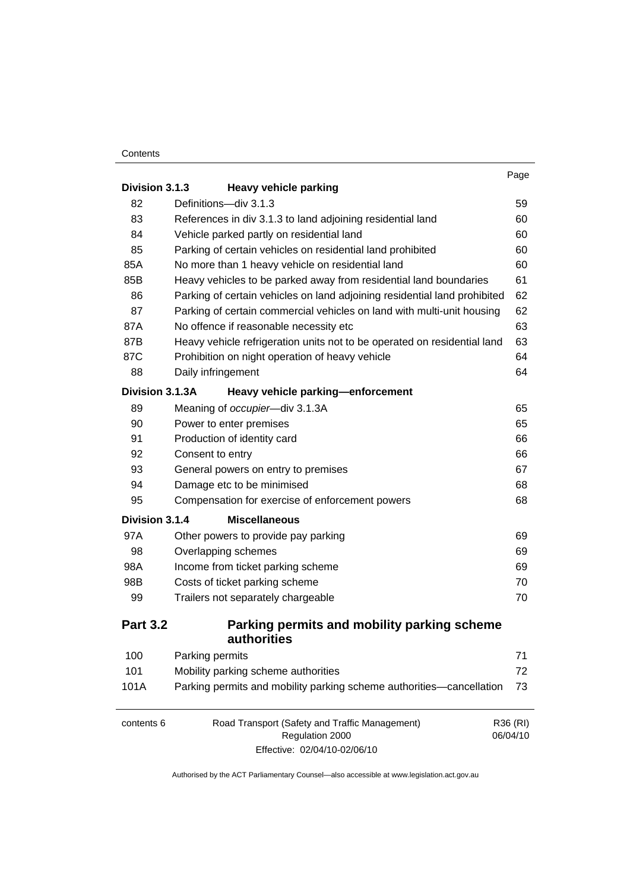#### **Contents**

|                 |                                                                           | Page     |
|-----------------|---------------------------------------------------------------------------|----------|
| Division 3.1.3  | <b>Heavy vehicle parking</b>                                              |          |
| 82              | Definitions-div 3.1.3                                                     | 59       |
| 83              | References in div 3.1.3 to land adjoining residential land                | 60       |
| 84              | Vehicle parked partly on residential land                                 | 60       |
| 85              | Parking of certain vehicles on residential land prohibited                | 60       |
| 85A             | No more than 1 heavy vehicle on residential land                          | 60       |
| 85B             | Heavy vehicles to be parked away from residential land boundaries         | 61       |
| 86              | Parking of certain vehicles on land adjoining residential land prohibited | 62       |
| 87              | Parking of certain commercial vehicles on land with multi-unit housing    | 62       |
| 87A             | No offence if reasonable necessity etc                                    | 63       |
| 87B             | Heavy vehicle refrigeration units not to be operated on residential land  | 63       |
| 87C             | Prohibition on night operation of heavy vehicle                           | 64       |
| 88              | Daily infringement                                                        | 64       |
| Division 3.1.3A | Heavy vehicle parking-enforcement                                         |          |
| 89              | Meaning of occupier-div 3.1.3A                                            | 65       |
| 90              | Power to enter premises                                                   | 65       |
| 91              | Production of identity card                                               | 66       |
| 92              | Consent to entry                                                          | 66       |
| 93              | General powers on entry to premises                                       | 67       |
| 94              | Damage etc to be minimised                                                | 68       |
| 95              | Compensation for exercise of enforcement powers                           | 68       |
| Division 3.1.4  | <b>Miscellaneous</b>                                                      |          |
| 97A             | Other powers to provide pay parking                                       | 69       |
| 98              | Overlapping schemes                                                       | 69       |
| 98A             | Income from ticket parking scheme                                         | 69       |
| 98B             | Costs of ticket parking scheme                                            | 70       |
| 99              | Trailers not separately chargeable                                        | 70       |
| <b>Part 3.2</b> | Parking permits and mobility parking scheme<br>authorities                |          |
| 100             | Parking permits                                                           | 71       |
| 101             | Mobility parking scheme authorities                                       | 72       |
| 101A            | Parking permits and mobility parking scheme authorities-cancellation      | 73       |
| contents 6      | Road Transport (Safety and Traffic Management)                            | R36 (RI) |
|                 | Regulation 2000                                                           | 06/04/10 |

Effective: 02/04/10-02/06/10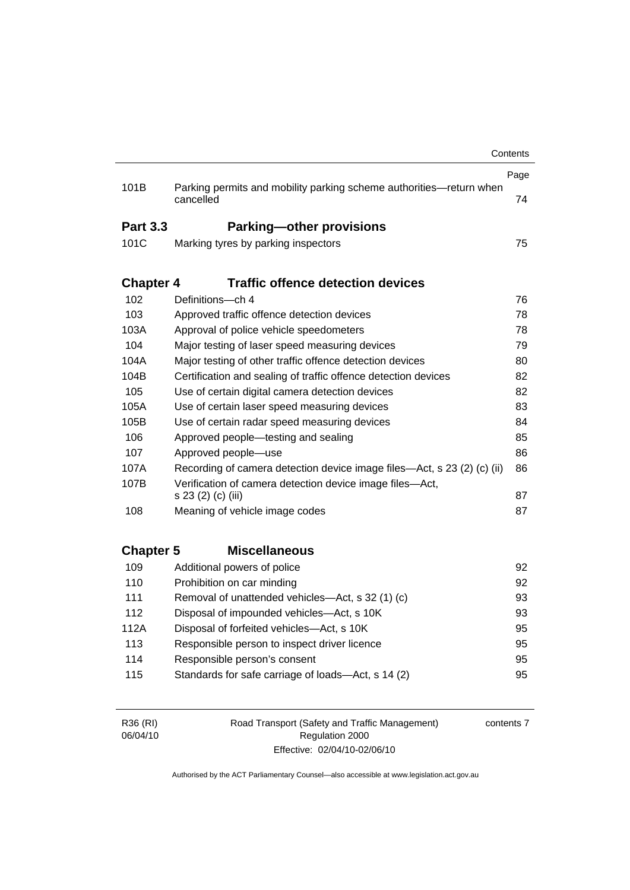|                  |                                                                                  | Contents |
|------------------|----------------------------------------------------------------------------------|----------|
|                  |                                                                                  | Page     |
| 101B             | Parking permits and mobility parking scheme authorities-return when<br>cancelled | 74       |
| <b>Part 3.3</b>  | <b>Parking-other provisions</b>                                                  |          |
| 101C             | Marking tyres by parking inspectors                                              | 75       |
|                  |                                                                                  |          |
| <b>Chapter 4</b> | <b>Traffic offence detection devices</b>                                         |          |
| 102              | Definitions-ch 4                                                                 | 76       |
| 103              | Approved traffic offence detection devices                                       | 78       |
| 103A             | Approval of police vehicle speedometers                                          | 78       |
| 104              | Major testing of laser speed measuring devices                                   | 79       |
| 104A             | Major testing of other traffic offence detection devices                         | 80       |
| 104B             | Certification and sealing of traffic offence detection devices                   | 82       |
| 105              | Use of certain digital camera detection devices                                  | 82       |
| 105A             | Use of certain laser speed measuring devices                                     | 83       |
| 105B             | Use of certain radar speed measuring devices                                     | 84       |
| 106              | Approved people-testing and sealing                                              | 85       |
| 107              | Approved people-use                                                              | 86       |
| 107A             | Recording of camera detection device image files—Act, s 23 (2) (c) (ii)          | 86       |
| 107B             | Verification of camera detection device image files-Act,<br>s 23 (2) (c) (iii)   | 87       |
| 108              | Meaning of vehicle image codes                                                   | 87       |
|                  |                                                                                  |          |
| <b>Chapter 5</b> | <b>Miscellaneous</b>                                                             |          |
| 109              | Additional powers of police                                                      | 92       |
| 110              | Prohibition on car minding                                                       | 92       |
| 111              | Removal of unattended vehicles—Act, s 32 (1) (c)                                 | 93       |
| 112              | Disposal of impounded vehicles-Act, s 10K                                        | 93       |
| 112A             | Disposal of forfeited vehicles-Act, s 10K                                        | 95       |
| 113              | Responsible person to inspect driver licence                                     | 95       |
| 114              | Responsible person's consent                                                     | 95       |
| 115              | Standards for safe carriage of loads-Act, s 14 (2)                               | 95       |
|                  |                                                                                  |          |
|                  |                                                                                  |          |

| R36 (RI) | Road Transport (Safety and Traffic Management) | contents 7 |
|----------|------------------------------------------------|------------|
| 06/04/10 | Regulation 2000                                |            |
|          | Effective: 02/04/10-02/06/10                   |            |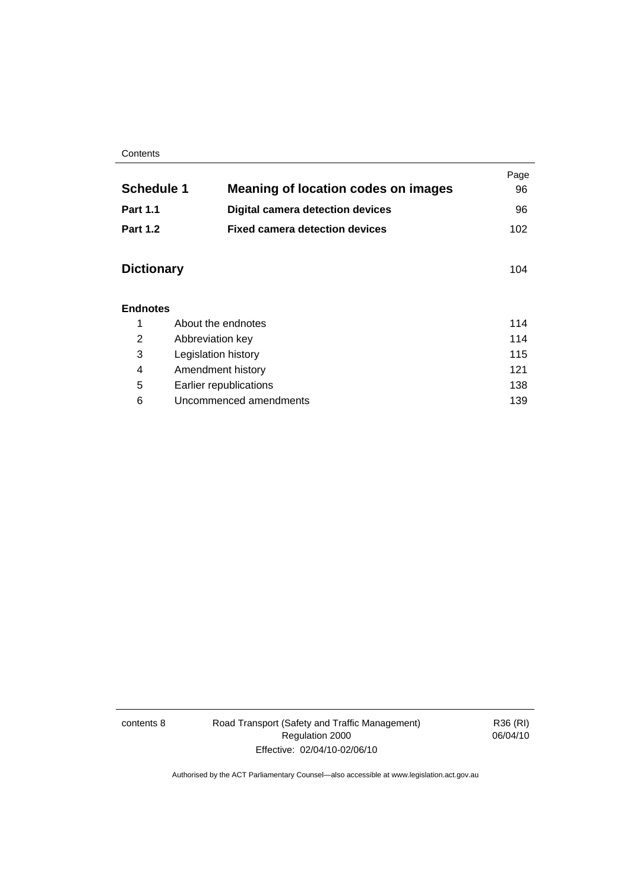#### **Contents**

|                   |                                            | Page |
|-------------------|--------------------------------------------|------|
| <b>Schedule 1</b> | <b>Meaning of location codes on images</b> | 96   |
| <b>Part 1.1</b>   | <b>Digital camera detection devices</b>    | 96   |
| <b>Part 1.2</b>   | <b>Fixed camera detection devices</b>      | 102  |
|                   |                                            |      |
| <b>Dictionary</b> |                                            | 104  |
| <b>Endnotes</b>   |                                            |      |
| 1                 | About the endnotes                         | 114  |
| 2                 | Abbreviation key                           | 114  |
| 3                 | Legislation history                        | 115  |
| 4                 | Amendment history                          | 121  |
| 5                 | Earlier republications                     | 138  |
| 6                 | Uncommenced amendments                     | 139  |

contents 8 Road Transport (Safety and Traffic Management) Regulation 2000 Effective: 02/04/10-02/06/10

R36 (RI) 06/04/10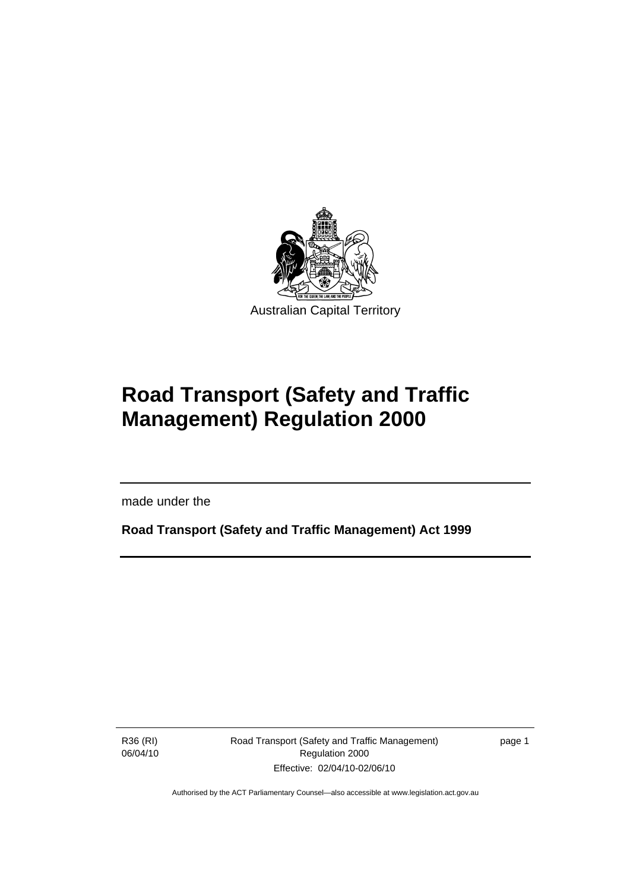<span id="page-10-0"></span>

# **Road Transport (Safety and Traffic Management) Regulation 2000**

made under the

**Road Transport (Safety and Traffic Management) Act 1999** 

R36 (RI) 06/04/10

l

Road Transport (Safety and Traffic Management) Regulation 2000 Effective: 02/04/10-02/06/10

page 1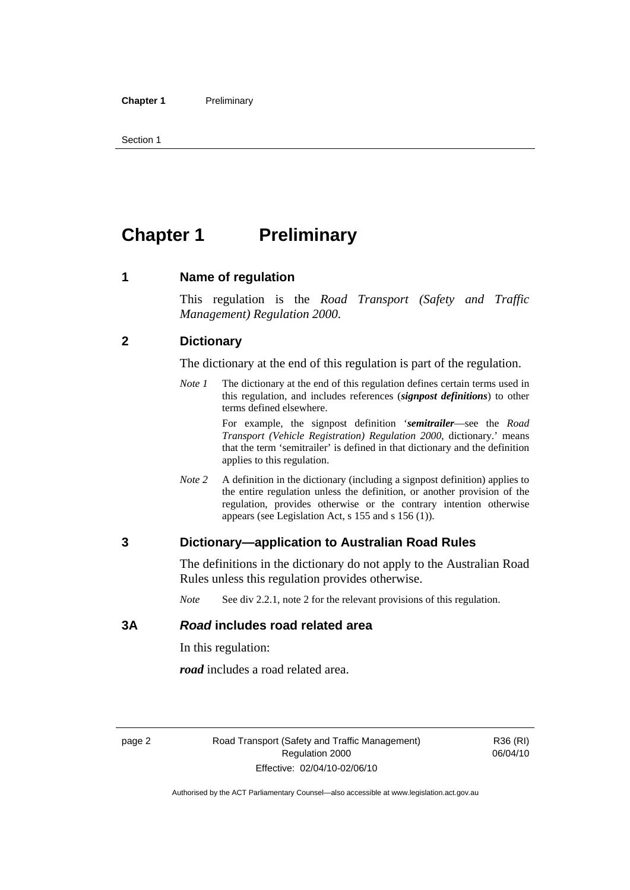<span id="page-11-0"></span>Section 1

## **Chapter 1** Preliminary

#### **1 Name of regulation**

This regulation is the *Road Transport (Safety and Traffic Management) Regulation 2000*.

#### **2 Dictionary**

The dictionary at the end of this regulation is part of the regulation.

*Note 1* The dictionary at the end of this regulation defines certain terms used in this regulation, and includes references (*signpost definitions*) to other terms defined elsewhere.

> For example, the signpost definition '*semitrailer*—see the *Road Transport (Vehicle Registration) Regulation 2000*, dictionary.' means that the term 'semitrailer' is defined in that dictionary and the definition applies to this regulation.

*Note 2* A definition in the dictionary (including a signpost definition) applies to the entire regulation unless the definition, or another provision of the regulation, provides otherwise or the contrary intention otherwise appears (see Legislation Act, s 155 and s 156 (1)).

#### **3 Dictionary—application to Australian Road Rules**

The definitions in the dictionary do not apply to the Australian Road Rules unless this regulation provides otherwise.

*Note* See div 2.2.1, note 2 for the relevant provisions of this regulation.

#### **3A** *Road* **includes road related area**

In this regulation:

*road* includes a road related area.

R36 (RI) 06/04/10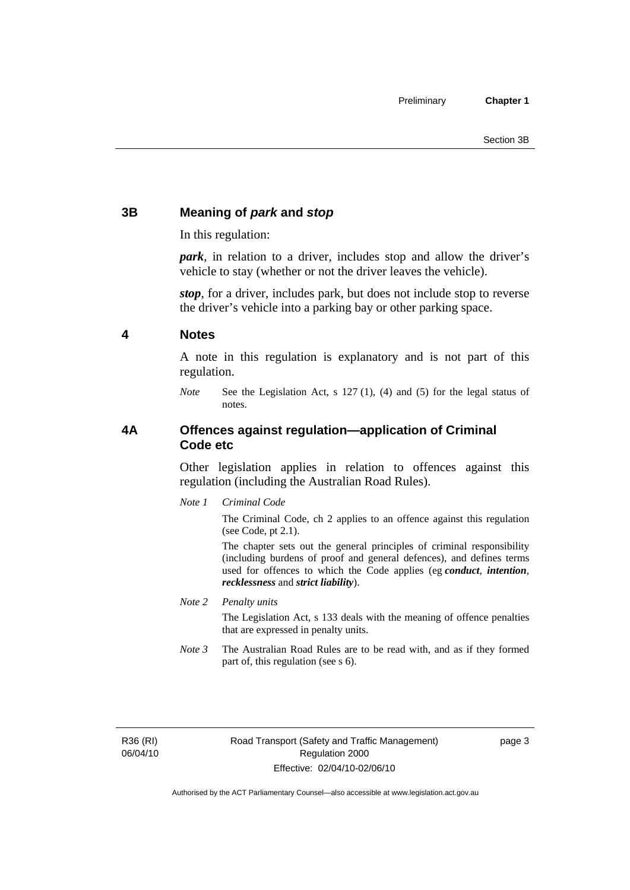#### <span id="page-12-0"></span>**3B Meaning of** *park* **and** *stop*

In this regulation:

*park*, in relation to a driver, includes stop and allow the driver's vehicle to stay (whether or not the driver leaves the vehicle).

*stop*, for a driver, includes park, but does not include stop to reverse the driver's vehicle into a parking bay or other parking space.

#### **4 Notes**

A note in this regulation is explanatory and is not part of this regulation.

*Note* See the Legislation Act, s 127 (1), (4) and (5) for the legal status of notes.

#### **4A Offences against regulation—application of Criminal Code etc**

Other legislation applies in relation to offences against this regulation (including the Australian Road Rules).

*Note 1 Criminal Code*

The Criminal Code, ch 2 applies to an offence against this regulation (see Code, pt 2.1).

The chapter sets out the general principles of criminal responsibility (including burdens of proof and general defences), and defines terms used for offences to which the Code applies (eg *conduct*, *intention*, *recklessness* and *strict liability*).

*Note 2 Penalty units* 

The Legislation Act, s 133 deals with the meaning of offence penalties that are expressed in penalty units.

*Note 3* The Australian Road Rules are to be read with, and as if they formed part of, this regulation (see s 6).

R36 (RI) 06/04/10 page 3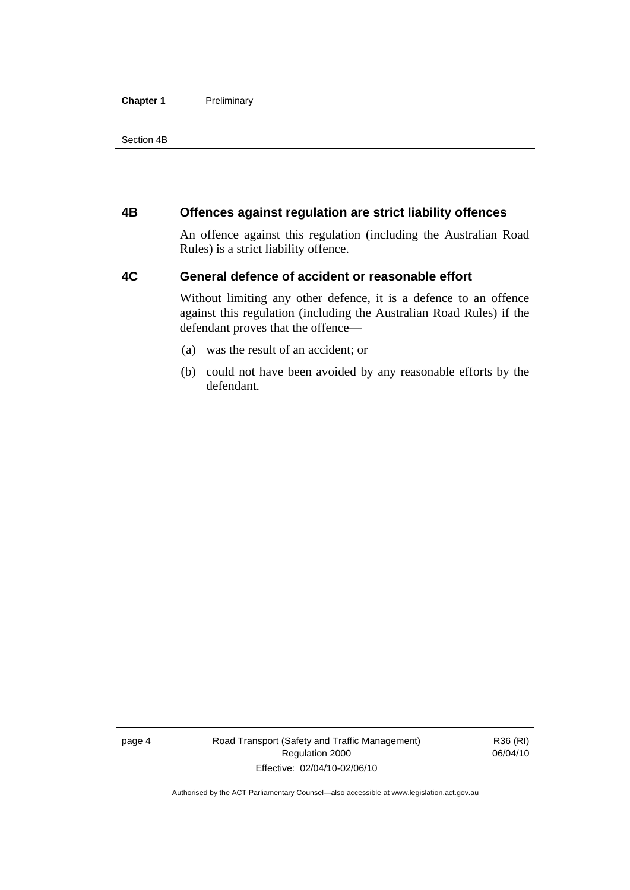#### <span id="page-13-0"></span>**Chapter 1** Preliminary

Section 4B

#### **4B Offences against regulation are strict liability offences**

An offence against this regulation (including the Australian Road Rules) is a strict liability offence.

#### **4C General defence of accident or reasonable effort**

Without limiting any other defence, it is a defence to an offence against this regulation (including the Australian Road Rules) if the defendant proves that the offence—

- (a) was the result of an accident; or
- (b) could not have been avoided by any reasonable efforts by the defendant.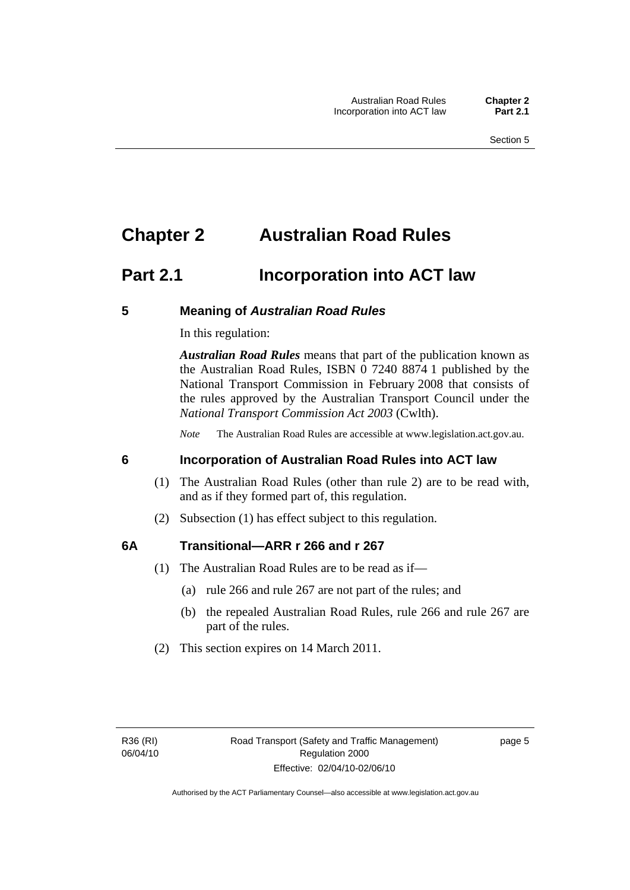## <span id="page-14-0"></span>**Chapter 2 Australian Road Rules**

## **Part 2.1 Incorporation into ACT law**

#### **5 Meaning of** *Australian Road Rules*

In this regulation:

*Australian Road Rules* means that part of the publication known as the Australian Road Rules, ISBN 0 7240 8874 1 published by the National Transport Commission in February 2008 that consists of the rules approved by the Australian Transport Council under the *National Transport Commission Act 2003* (Cwlth).

*Note* The Australian Road Rules are accessible at www.legislation.act.gov.au.

#### **6 Incorporation of Australian Road Rules into ACT law**

- (1) The Australian Road Rules (other than rule 2) are to be read with, and as if they formed part of, this regulation.
- (2) Subsection (1) has effect subject to this regulation.

#### **6A Transitional—ARR r 266 and r 267**

- (1) The Australian Road Rules are to be read as if—
	- (a) rule 266 and rule 267 are not part of the rules; and
	- (b) the repealed Australian Road Rules, rule 266 and rule 267 are part of the rules.
- (2) This section expires on 14 March 2011.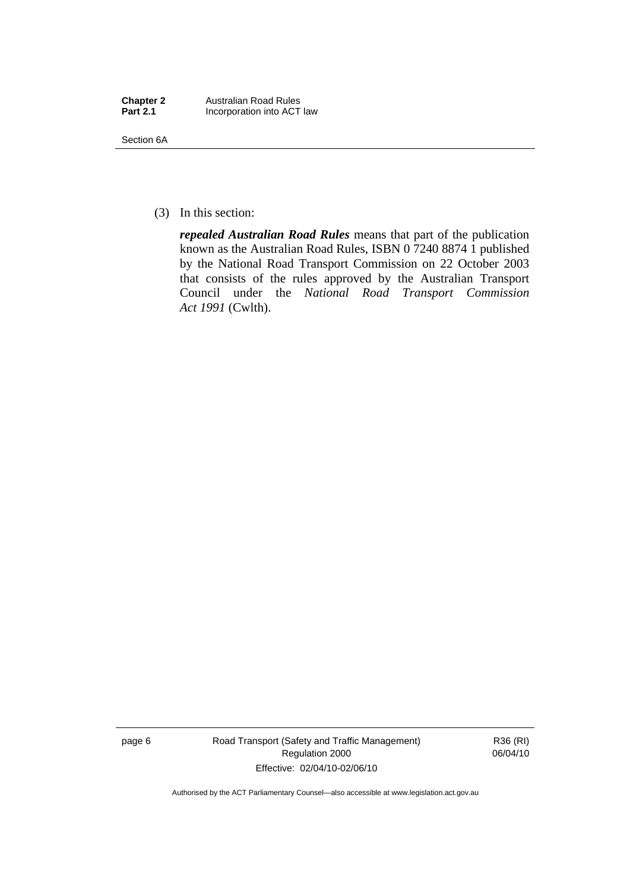| <b>Chapter 2</b> | <b>Australian Road Rules</b> |
|------------------|------------------------------|
| <b>Part 2.1</b>  | Incorporation into ACT law   |

Section 6A

(3) In this section:

*repealed Australian Road Rules* means that part of the publication known as the Australian Road Rules, ISBN 0 7240 8874 1 published by the National Road Transport Commission on 22 October 2003 that consists of the rules approved by the Australian Transport Council under the *National Road Transport Commission Act 1991* (Cwlth).

page 6 Road Transport (Safety and Traffic Management) Regulation 2000 Effective: 02/04/10-02/06/10

R36 (RI) 06/04/10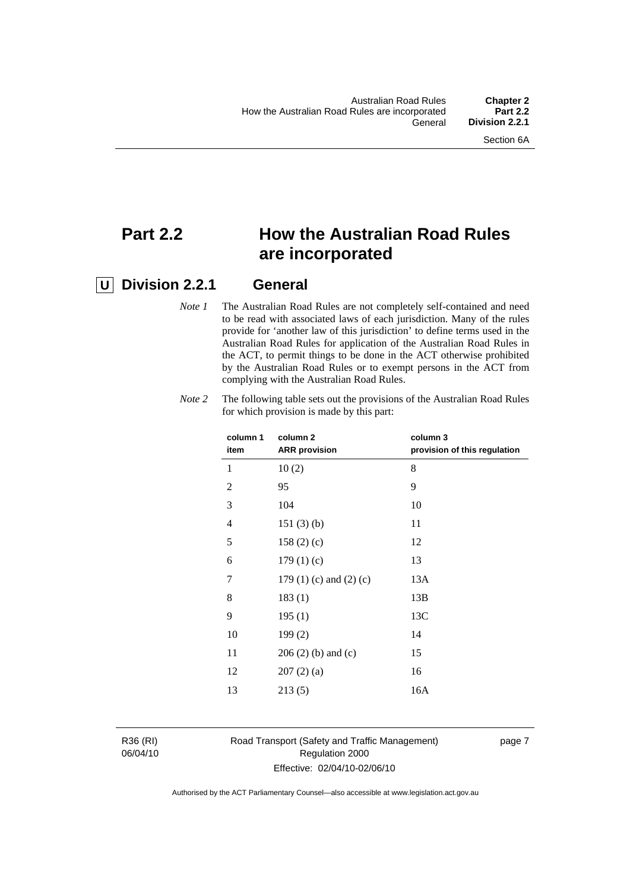## **Part 2.2 How the Australian Road Rules are incorporated**

### **U Division 2.2.1 General**

*Note 1* The Australian Road Rules are not completely self-contained and need to be read with associated laws of each jurisdiction. Many of the rules provide for 'another law of this jurisdiction' to define terms used in the Australian Road Rules for application of the Australian Road Rules in the ACT, to permit things to be done in the ACT otherwise prohibited by the Australian Road Rules or to exempt persons in the ACT from complying with the Australian Road Rules.

| column 1<br>item | column 2<br><b>ARR</b> provision | column 3<br>provision of this regulation |
|------------------|----------------------------------|------------------------------------------|
| 1                | 10(2)                            | 8                                        |
| $\overline{2}$   | 95                               | 9                                        |
| 3                | 104                              | 10                                       |
| 4                | 151(3)(b)                        | 11                                       |
| 5                | 158(2)(c)                        | 12                                       |
| 6                | 179(1)(c)                        | 13                                       |
| 7                | 179 $(1)$ $(c)$ and $(2)$ $(c)$  | 13A                                      |
| 8                | 183(1)                           | 13B                                      |
| 9                | 195(1)                           | 13C                                      |
| 10               | 199(2)                           | 14                                       |
| 11               | $206(2)$ (b) and (c)             | 15                                       |
| 12               | 207(2)(a)                        | 16                                       |
| 13               | 213(5)                           | 16A                                      |
|                  |                                  |                                          |

*Note 2* The following table sets out the provisions of the Australian Road Rules for which provision is made by this part:

R36 (RI) 06/04/10

#### Road Transport (Safety and Traffic Management) Regulation 2000 Effective: 02/04/10-02/06/10

page 7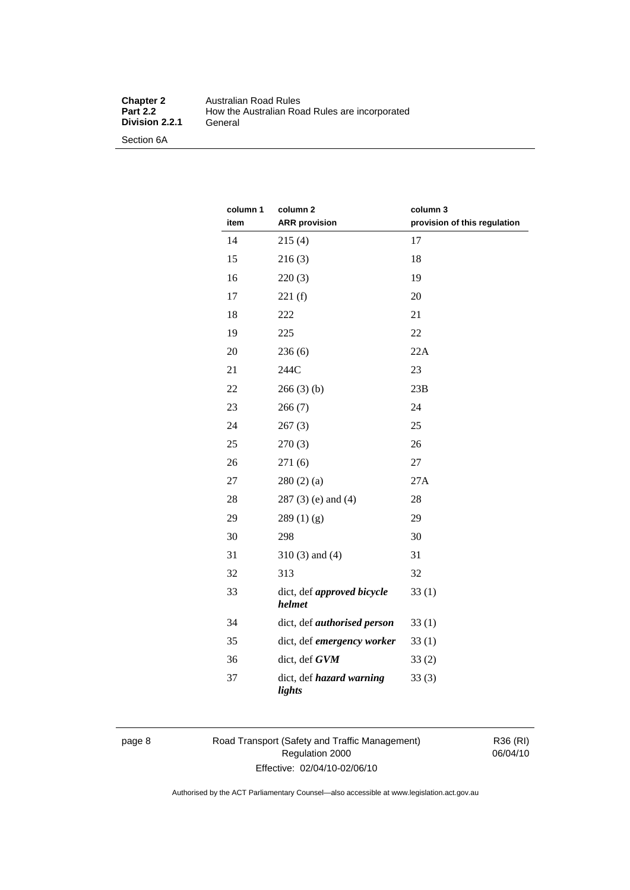#### **Chapter 2** Australian Road Rules<br>**Part 2.2** How the Australian Road How the Australian Road Rules are incorporated General **Division 2.2.1**

Section 6A

| column 1<br>item | column 2<br><b>ARR</b> provision          | column 3<br>provision of this regulation |
|------------------|-------------------------------------------|------------------------------------------|
| 14               | 215(4)                                    | 17                                       |
| 15               | 216(3)                                    | 18                                       |
| 16               | 220(3)                                    | 19                                       |
| 17               | 221(f)                                    | 20                                       |
| 18               | 222                                       | 21                                       |
| 19               | 225                                       | 22                                       |
| 20               | 236(6)                                    | 22A                                      |
| 21               | 244C                                      | 23                                       |
| 22               | 266(3)(b)                                 | 23B                                      |
| 23               | 266(7)                                    | 24                                       |
| 24               | 267(3)                                    | 25                                       |
| 25               | 270(3)                                    | 26                                       |
| 26               | 271 (6)                                   | 27                                       |
| 27               | 280(2)(a)                                 | 27A                                      |
| 28               | $287(3)$ (e) and (4)                      | 28                                       |
| 29               | 289(1)(g)                                 | 29                                       |
| 30               | 298                                       | 30                                       |
| 31               | $310(3)$ and $(4)$                        | 31                                       |
| 32               | 313                                       | 32                                       |
| 33               | dict, def approved bicycle<br>helmet      | 33(1)                                    |
| 34               | dict, def <i>authorised</i> person        | 33(1)                                    |
| 35               | dict, def emergency worker                | 33(1)                                    |
| 36               | dict, def GVM                             | 33(2)                                    |
| 37               | dict, def <i>hazard warning</i><br>lights | 33(3)                                    |

page 8 Road Transport (Safety and Traffic Management) Regulation 2000 Effective: 02/04/10-02/06/10

R36 (RI) 06/04/10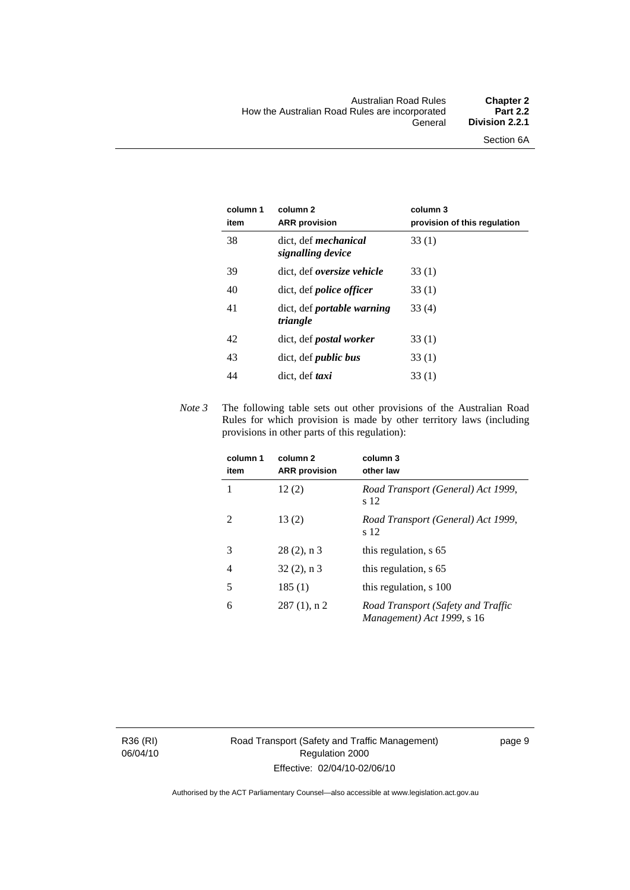| column 1<br>item | column 2<br><b>ARR</b> provision                 | column 3<br>provision of this regulation |
|------------------|--------------------------------------------------|------------------------------------------|
| 38               | dict, def <i>mechanical</i><br>signalling device | 33(1)                                    |
| 39               | dict, def <i>oversize</i> vehicle                | 33(1)                                    |
| 40               | dict, def <i>police officer</i>                  | 33(1)                                    |
| 41               | dict, def <i>portable</i> warning<br>triangle    | 33(4)                                    |
| 42               | dict, def postal worker                          | 33(1)                                    |
| 43               | dict, def <i>public bus</i>                      | 33 (1)                                   |
| 44               | dict, def <i>taxi</i>                            | 33(1)                                    |

*Note 3* The following table sets out other provisions of the Australian Road Rules for which provision is made by other territory laws (including provisions in other parts of this regulation):

| column 1<br>item | column <sub>2</sub><br><b>ARR</b> provision | column 3<br>other law                                            |
|------------------|---------------------------------------------|------------------------------------------------------------------|
|                  | 12(2)                                       | Road Transport (General) Act 1999,<br>s 12                       |
| 2                | 13(2)                                       | Road Transport (General) Act 1999,<br>s 12                       |
| 3                | $28(2)$ , n 3                               | this regulation, s 65                                            |
| 4                | $32(2)$ , n 3                               | this regulation, s 65                                            |
| 5                | 185(1)                                      | this regulation, s 100                                           |
| 6                | $287(1)$ , n 2                              | Road Transport (Safety and Traffic<br>Management) Act 1999, s 16 |

R36 (RI) 06/04/10 page 9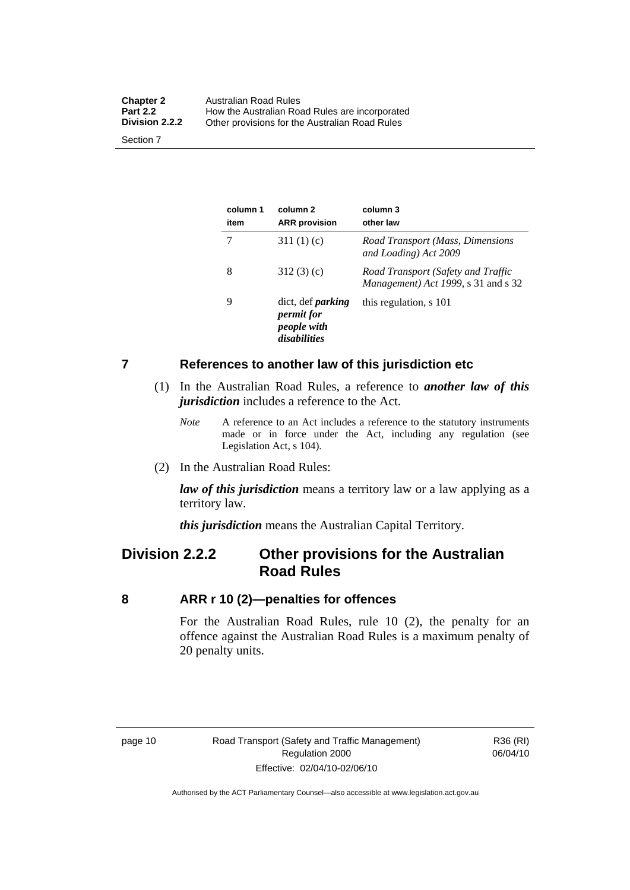<span id="page-19-0"></span>

| <b>Chapter 2</b><br><b>Part 2.2</b><br><b>Division 2.2.2</b> | Australian Road Rules<br>How the Australian Road Rules are incorporated |
|--------------------------------------------------------------|-------------------------------------------------------------------------|
| Section 7                                                    | Other provisions for the Australian Road Rules                          |

**column 1 item column 2 ARR provision column 3 other law**  7 311 (1) (c) *Road Transport (Mass, Dimensions and Loading) Act 2009*  8 312 (3) (c) *Road Transport (Safety and Traffic Management) Act 1999*, s 31 and s 32 9 dict, def *parking permit for people with disabilities* this regulation, s 101

#### **7 References to another law of this jurisdiction etc**

- (1) In the Australian Road Rules, a reference to *another law of this jurisdiction* includes a reference to the Act.
	- *Note* A reference to an Act includes a reference to the statutory instruments made or in force under the Act, including any regulation (see Legislation Act, s 104).
- (2) In the Australian Road Rules:

*law of this jurisdiction* means a territory law or a law applying as a territory law.

*this jurisdiction* means the Australian Capital Territory.

### **Division 2.2.2 Other provisions for the Australian Road Rules**

#### **8 ARR r 10 (2)—penalties for offences**

For the Australian Road Rules, rule 10 (2), the penalty for an offence against the Australian Road Rules is a maximum penalty of 20 penalty units.

R36 (RI) 06/04/10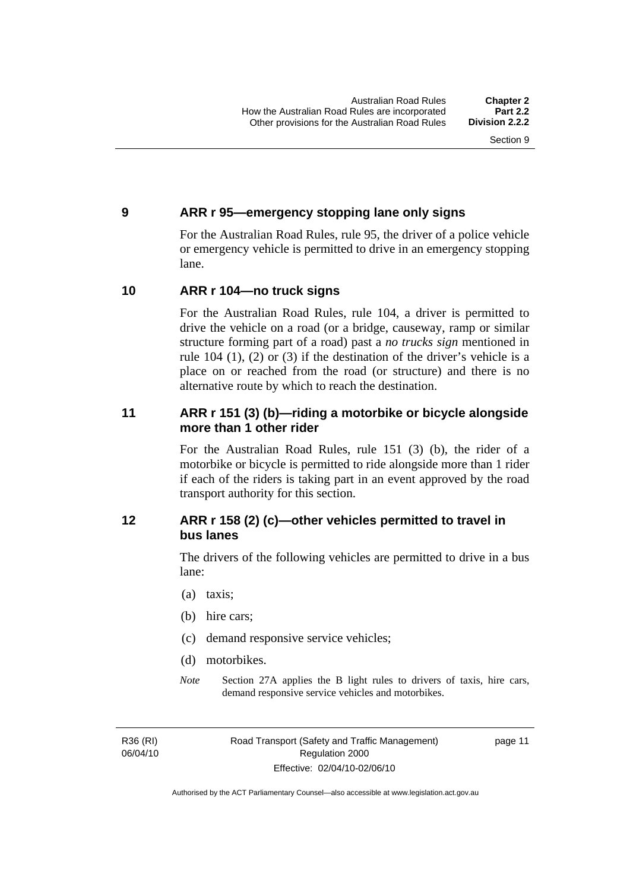#### <span id="page-20-0"></span>**9 ARR r 95—emergency stopping lane only signs**

For the Australian Road Rules, rule 95, the driver of a police vehicle or emergency vehicle is permitted to drive in an emergency stopping lane.

#### **10 ARR r 104—no truck signs**

For the Australian Road Rules, rule 104, a driver is permitted to drive the vehicle on a road (or a bridge, causeway, ramp or similar structure forming part of a road) past a *no trucks sign* mentioned in rule 104 (1), (2) or (3) if the destination of the driver's vehicle is a place on or reached from the road (or structure) and there is no alternative route by which to reach the destination.

#### **11 ARR r 151 (3) (b)—riding a motorbike or bicycle alongside more than 1 other rider**

For the Australian Road Rules, rule 151 (3) (b), the rider of a motorbike or bicycle is permitted to ride alongside more than 1 rider if each of the riders is taking part in an event approved by the road transport authority for this section.

#### **12 ARR r 158 (2) (c)—other vehicles permitted to travel in bus lanes**

The drivers of the following vehicles are permitted to drive in a bus lane:

- (a) taxis;
- (b) hire cars;
- (c) demand responsive service vehicles;
- (d) motorbikes.
- *Note* Section 27A applies the B light rules to drivers of taxis, hire cars, demand responsive service vehicles and motorbikes.

R36 (RI) 06/04/10 page 11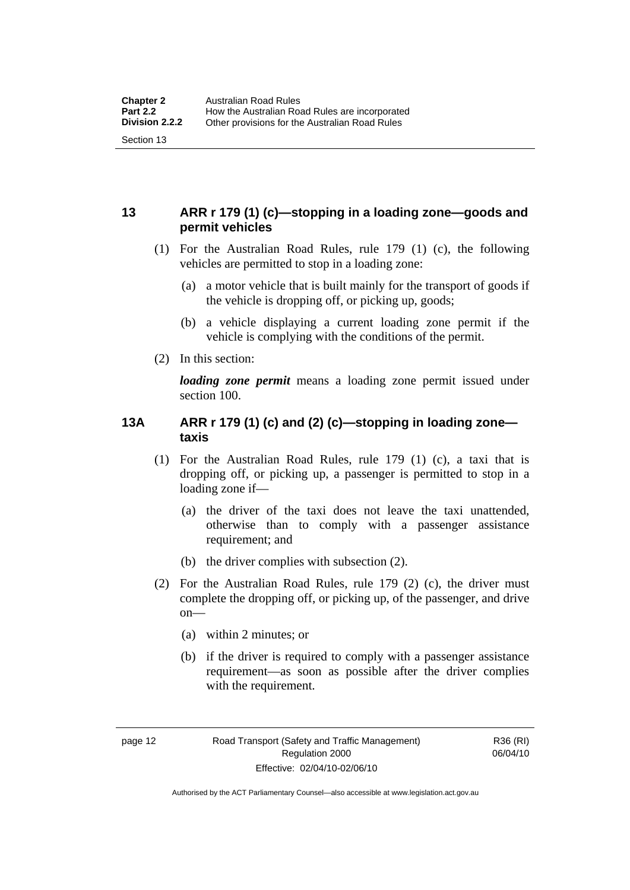#### <span id="page-21-0"></span>**13 ARR r 179 (1) (c)—stopping in a loading zone—goods and permit vehicles**

- (1) For the Australian Road Rules, rule 179 (1) (c), the following vehicles are permitted to stop in a loading zone:
	- (a) a motor vehicle that is built mainly for the transport of goods if the vehicle is dropping off, or picking up, goods;
	- (b) a vehicle displaying a current loading zone permit if the vehicle is complying with the conditions of the permit.
- (2) In this section:

*loading zone permit* means a loading zone permit issued under section 100.

#### **13A ARR r 179 (1) (c) and (2) (c)—stopping in loading zone taxis**

- (1) For the Australian Road Rules, rule 179 (1) (c), a taxi that is dropping off, or picking up, a passenger is permitted to stop in a loading zone if—
	- (a) the driver of the taxi does not leave the taxi unattended, otherwise than to comply with a passenger assistance requirement; and
	- (b) the driver complies with subsection (2).
- (2) For the Australian Road Rules, rule 179 (2) (c), the driver must complete the dropping off, or picking up, of the passenger, and drive  $on$ —
	- (a) within 2 minutes; or
	- (b) if the driver is required to comply with a passenger assistance requirement—as soon as possible after the driver complies with the requirement.

R36 (RI) 06/04/10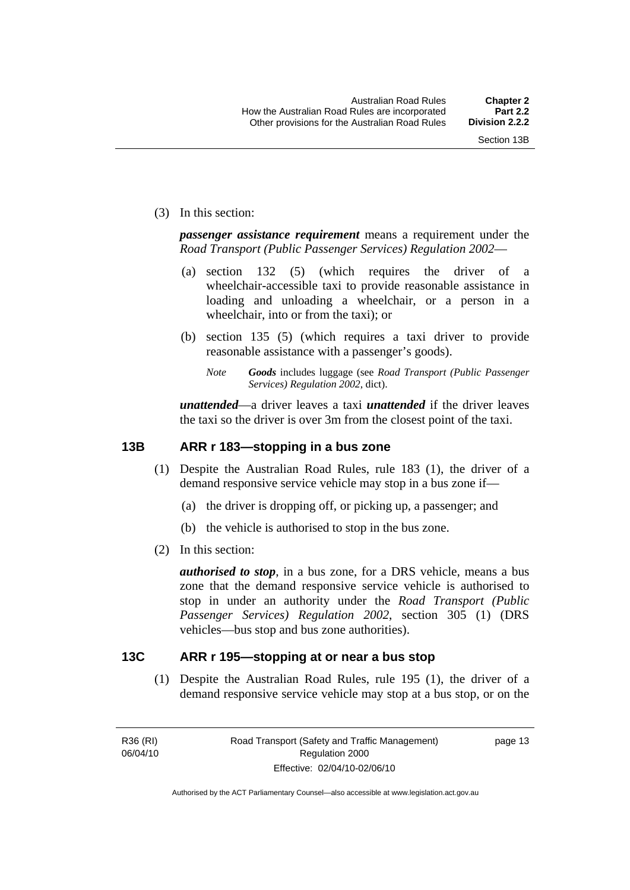<span id="page-22-0"></span>(3) In this section:

*passenger assistance requirement* means a requirement under the *Road Transport (Public Passenger Services) Regulation 2002*—

- (a) section 132 (5) (which requires the driver of a wheelchair-accessible taxi to provide reasonable assistance in loading and unloading a wheelchair, or a person in a wheelchair, into or from the taxi); or
- (b) section 135 (5) (which requires a taxi driver to provide reasonable assistance with a passenger's goods).
	- *Note Goods* includes luggage (see *Road Transport (Public Passenger Services) Regulation 2002*, dict).

*unattended*—a driver leaves a taxi *unattended* if the driver leaves the taxi so the driver is over 3m from the closest point of the taxi.

#### **13B ARR r 183—stopping in a bus zone**

- (1) Despite the Australian Road Rules, rule 183 (1), the driver of a demand responsive service vehicle may stop in a bus zone if—
	- (a) the driver is dropping off, or picking up, a passenger; and
	- (b) the vehicle is authorised to stop in the bus zone.
- (2) In this section:

*authorised to stop*, in a bus zone, for a DRS vehicle, means a bus zone that the demand responsive service vehicle is authorised to stop in under an authority under the *Road Transport (Public Passenger Services) Regulation 2002*, section 305 (1) (DRS vehicles—bus stop and bus zone authorities).

#### **13C ARR r 195—stopping at or near a bus stop**

 (1) Despite the Australian Road Rules, rule 195 (1), the driver of a demand responsive service vehicle may stop at a bus stop, or on the

R36 (RI) 06/04/10 page 13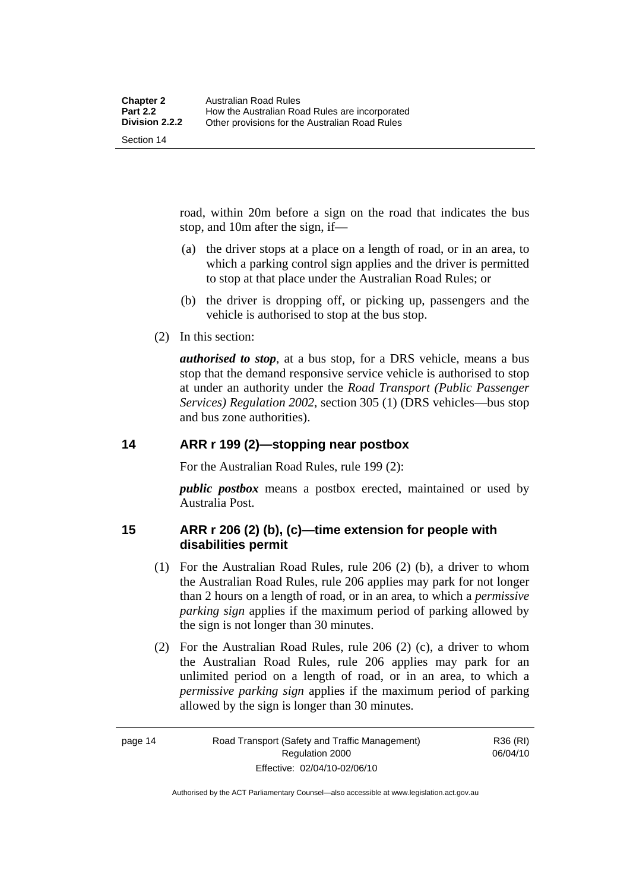<span id="page-23-0"></span>road, within 20m before a sign on the road that indicates the bus stop, and 10m after the sign, if—

- (a) the driver stops at a place on a length of road, or in an area, to which a parking control sign applies and the driver is permitted to stop at that place under the Australian Road Rules; or
- (b) the driver is dropping off, or picking up, passengers and the vehicle is authorised to stop at the bus stop.
- (2) In this section:

*authorised to stop*, at a bus stop, for a DRS vehicle, means a bus stop that the demand responsive service vehicle is authorised to stop at under an authority under the *Road Transport (Public Passenger Services) Regulation 2002*, section 305 (1) (DRS vehicles—bus stop and bus zone authorities).

#### **14 ARR r 199 (2)—stopping near postbox**

For the Australian Road Rules, rule 199 (2):

*public postbox* means a postbox erected, maintained or used by Australia Post.

#### **15 ARR r 206 (2) (b), (c)—time extension for people with disabilities permit**

- (1) For the Australian Road Rules, rule 206 (2) (b), a driver to whom the Australian Road Rules, rule 206 applies may park for not longer than 2 hours on a length of road, or in an area, to which a *permissive parking sign* applies if the maximum period of parking allowed by the sign is not longer than 30 minutes.
- (2) For the Australian Road Rules, rule 206 (2) (c), a driver to whom the Australian Road Rules, rule 206 applies may park for an unlimited period on a length of road, or in an area, to which a *permissive parking sign* applies if the maximum period of parking allowed by the sign is longer than 30 minutes.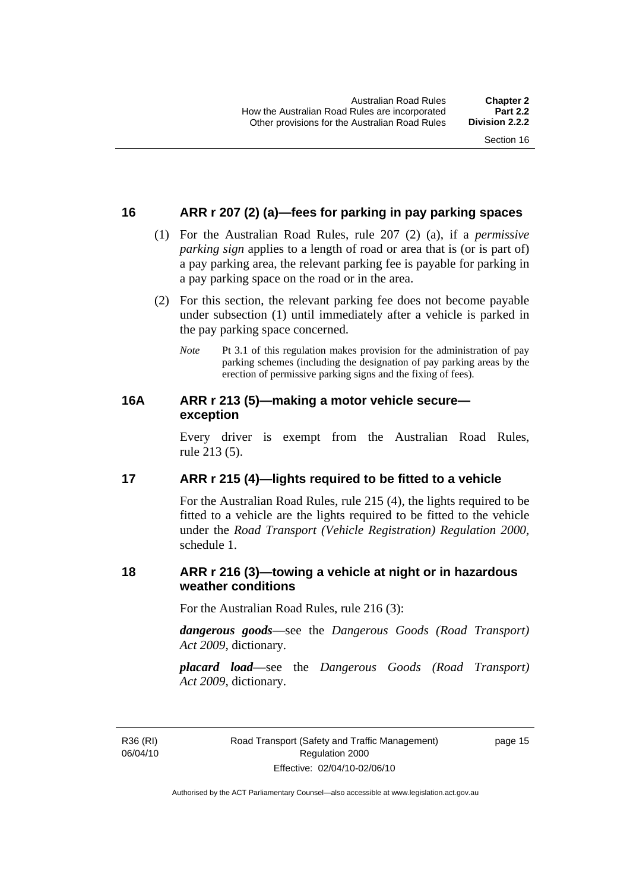#### <span id="page-24-0"></span>**16 ARR r 207 (2) (a)—fees for parking in pay parking spaces**

- (1) For the Australian Road Rules, rule 207 (2) (a), if a *permissive parking sign* applies to a length of road or area that is (or is part of) a pay parking area, the relevant parking fee is payable for parking in a pay parking space on the road or in the area.
- (2) For this section, the relevant parking fee does not become payable under subsection (1) until immediately after a vehicle is parked in the pay parking space concerned.
	- *Note* Pt 3.1 of this regulation makes provision for the administration of pay parking schemes (including the designation of pay parking areas by the erection of permissive parking signs and the fixing of fees).

#### **16A ARR r 213 (5)—making a motor vehicle secure exception**

Every driver is exempt from the Australian Road Rules, rule 213 (5).

#### **17 ARR r 215 (4)—lights required to be fitted to a vehicle**

For the Australian Road Rules, rule 215 (4), the lights required to be fitted to a vehicle are the lights required to be fitted to the vehicle under the *Road Transport (Vehicle Registration) Regulation 2000,*  schedule 1.

#### **18 ARR r 216 (3)—towing a vehicle at night or in hazardous weather conditions**

For the Australian Road Rules, rule 216 (3):

*dangerous goods*—see the *Dangerous Goods (Road Transport) Act 2009*, dictionary.

*placard load*—see the *Dangerous Goods (Road Transport) Act 2009*, dictionary.

R36 (RI) 06/04/10 page 15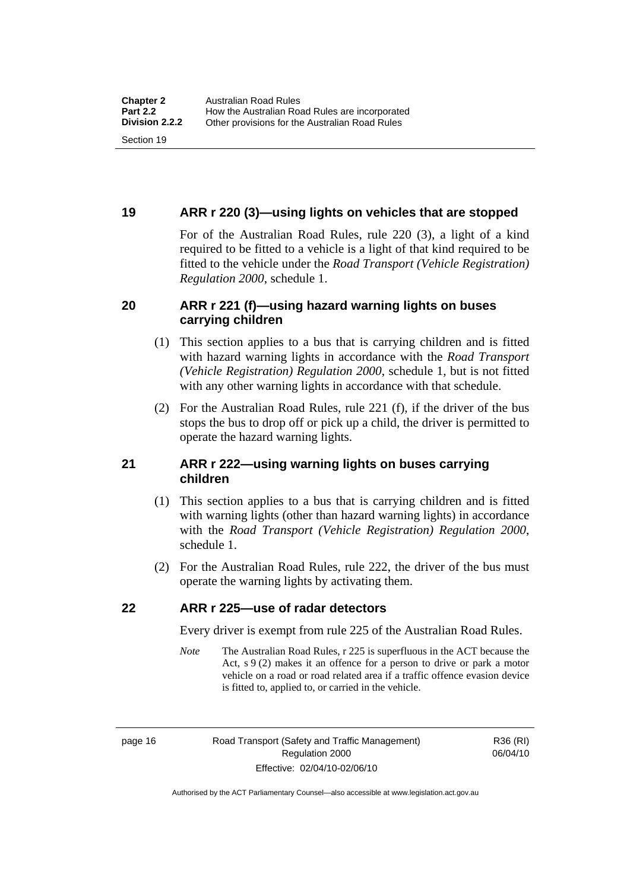#### <span id="page-25-0"></span>**19 ARR r 220 (3)—using lights on vehicles that are stopped**

For of the Australian Road Rules, rule 220 (3), a light of a kind required to be fitted to a vehicle is a light of that kind required to be fitted to the vehicle under the *Road Transport (Vehicle Registration) Regulation 2000*, schedule 1.

#### **20 ARR r 221 (f)—using hazard warning lights on buses carrying children**

- (1) This section applies to a bus that is carrying children and is fitted with hazard warning lights in accordance with the *Road Transport (Vehicle Registration) Regulation 2000*, schedule 1, but is not fitted with any other warning lights in accordance with that schedule.
- (2) For the Australian Road Rules, rule 221 (f), if the driver of the bus stops the bus to drop off or pick up a child, the driver is permitted to operate the hazard warning lights.

#### **21 ARR r 222—using warning lights on buses carrying children**

- (1) This section applies to a bus that is carrying children and is fitted with warning lights (other than hazard warning lights) in accordance with the *Road Transport (Vehicle Registration) Regulation 2000*, schedule 1.
- (2) For the Australian Road Rules, rule 222, the driver of the bus must operate the warning lights by activating them.

#### **22 ARR r 225—use of radar detectors**

Every driver is exempt from rule 225 of the Australian Road Rules.

*Note* The Australian Road Rules, r 225 is superfluous in the ACT because the Act, s 9 (2) makes it an offence for a person to drive or park a motor vehicle on a road or road related area if a traffic offence evasion device is fitted to, applied to, or carried in the vehicle.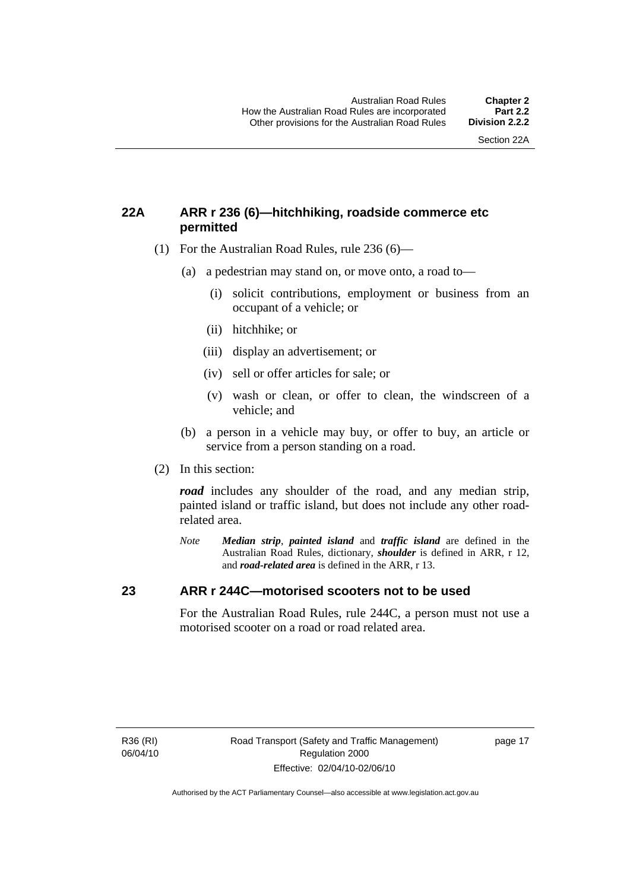#### <span id="page-26-0"></span>**22A ARR r 236 (6)—hitchhiking, roadside commerce etc permitted**

- (1) For the Australian Road Rules, rule 236 (6)—
	- (a) a pedestrian may stand on, or move onto, a road to—
		- (i) solicit contributions, employment or business from an occupant of a vehicle; or
		- (ii) hitchhike; or
		- (iii) display an advertisement; or
		- (iv) sell or offer articles for sale; or
		- (v) wash or clean, or offer to clean, the windscreen of a vehicle; and
	- (b) a person in a vehicle may buy, or offer to buy, an article or service from a person standing on a road.
- (2) In this section:

*road* includes any shoulder of the road, and any median strip, painted island or traffic island, but does not include any other roadrelated area.

*Note Median strip*, *painted island* and *traffic island* are defined in the Australian Road Rules, dictionary, *shoulder* is defined in ARR, r 12, and *road-related area* is defined in the ARR, r 13.

#### **23 ARR r 244C—motorised scooters not to be used**

For the Australian Road Rules, rule 244C, a person must not use a motorised scooter on a road or road related area.

R36 (RI) 06/04/10 page 17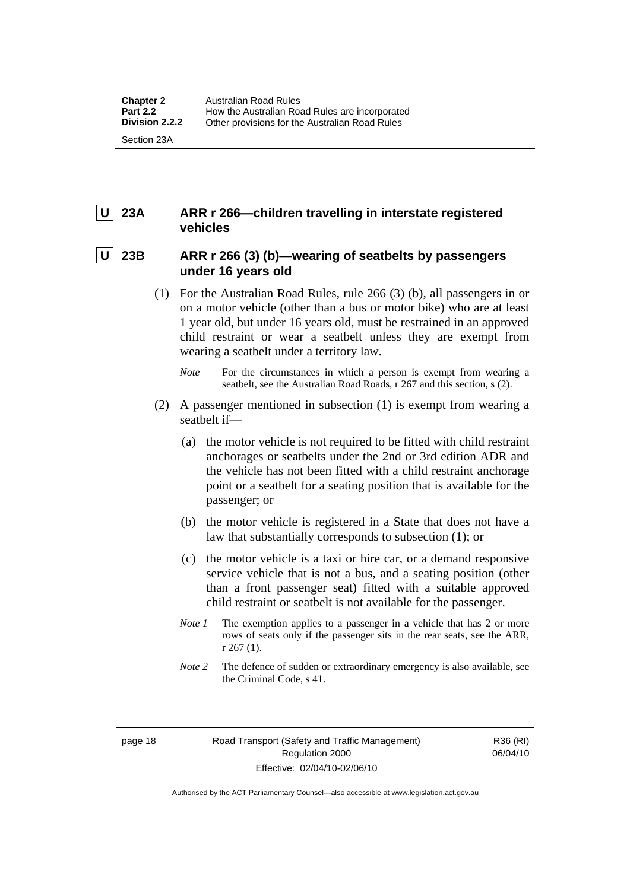### <span id="page-27-0"></span> **U 23A ARR r 266—children travelling in interstate registered vehicles**

#### 23B ARR r 266 (3) (b)—wearing of seatbelts by passengers **under 16 years old**

- (1) For the Australian Road Rules, rule 266 (3) (b), all passengers in or on a motor vehicle (other than a bus or motor bike) who are at least 1 year old, but under 16 years old, must be restrained in an approved child restraint or wear a seatbelt unless they are exempt from wearing a seatbelt under a territory law.
	- *Note* For the circumstances in which a person is exempt from wearing a seatbelt, see the Australian Road Roads, r 267 and this section, s (2).
- (2) A passenger mentioned in subsection (1) is exempt from wearing a seatbelt if—
	- (a) the motor vehicle is not required to be fitted with child restraint anchorages or seatbelts under the 2nd or 3rd edition ADR and the vehicle has not been fitted with a child restraint anchorage point or a seatbelt for a seating position that is available for the passenger; or
	- (b) the motor vehicle is registered in a State that does not have a law that substantially corresponds to subsection (1); or
	- (c) the motor vehicle is a taxi or hire car, or a demand responsive service vehicle that is not a bus, and a seating position (other than a front passenger seat) fitted with a suitable approved child restraint or seatbelt is not available for the passenger.
	- *Note 1* The exemption applies to a passenger in a vehicle that has 2 or more rows of seats only if the passenger sits in the rear seats, see the ARR, r 267 (1).
	- *Note* 2 The defence of sudden or extraordinary emergency is also available, see the Criminal Code, s 41.

R36 (RI) 06/04/10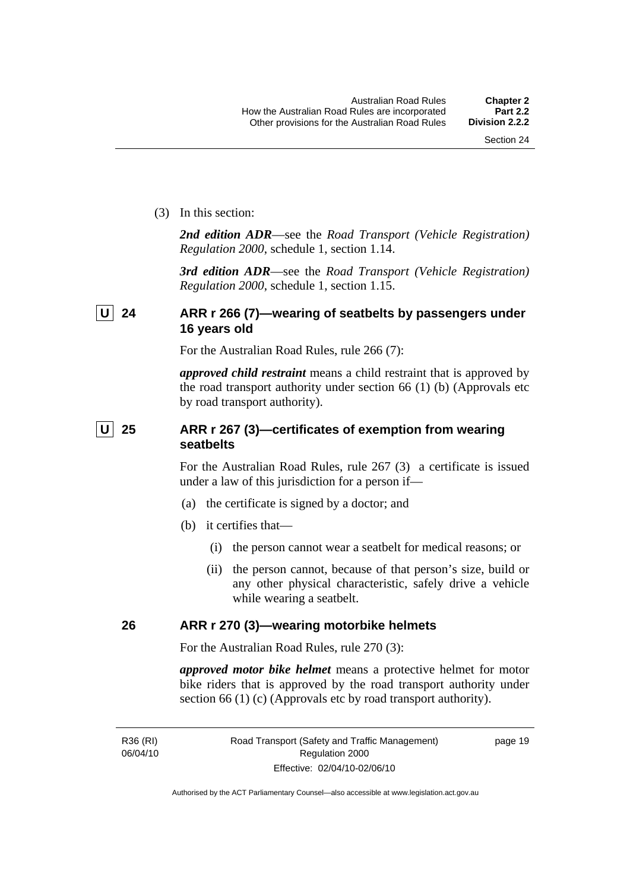<span id="page-28-0"></span>(3) In this section:

*2nd edition ADR*—see the *Road Transport (Vehicle Registration) Regulation 2000*, schedule 1, section 1.14.

*3rd edition ADR*—see the *Road Transport (Vehicle Registration) Regulation 2000*, schedule 1, section 1.15.

#### **U 24 ARR r 266 (7)—wearing of seatbelts by passengers under 16 years old**

For the Australian Road Rules, rule 266 (7):

*approved child restraint* means a child restraint that is approved by the road transport authority under section 66 (1) (b) (Approvals etc by road transport authority).

#### **U** 25 ARR r 267 (3)—certificates of exemption from wearing **seatbelts**

For the Australian Road Rules, rule 267 (3) a certificate is issued under a law of this jurisdiction for a person if—

- (a) the certificate is signed by a doctor; and
- (b) it certifies that—
	- (i) the person cannot wear a seatbelt for medical reasons; or
	- (ii) the person cannot, because of that person's size, build or any other physical characteristic, safely drive a vehicle while wearing a seatbelt.

#### **26 ARR r 270 (3)—wearing motorbike helmets**

For the Australian Road Rules, rule 270 (3):

*approved motor bike helmet* means a protective helmet for motor bike riders that is approved by the road transport authority under section 66 (1) (c) (Approvals etc by road transport authority).

R36 (RI) 06/04/10 page 19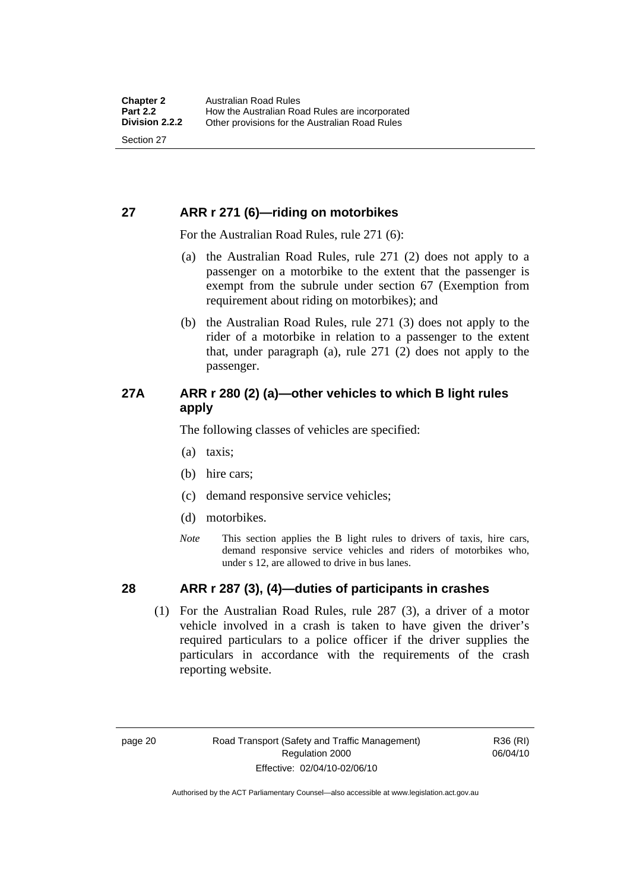#### <span id="page-29-0"></span>**27 ARR r 271 (6)—riding on motorbikes**

For the Australian Road Rules, rule 271 (6):

- (a) the Australian Road Rules, rule 271 (2) does not apply to a passenger on a motorbike to the extent that the passenger is exempt from the subrule under section 67 (Exemption from requirement about riding on motorbikes); and
- (b) the Australian Road Rules, rule 271 (3) does not apply to the rider of a motorbike in relation to a passenger to the extent that, under paragraph (a), rule 271 (2) does not apply to the passenger.

#### **27A ARR r 280 (2) (a)—other vehicles to which B light rules apply**

The following classes of vehicles are specified:

- (a) taxis;
- (b) hire cars;
- (c) demand responsive service vehicles;
- (d) motorbikes.
- *Note* This section applies the B light rules to drivers of taxis, hire cars, demand responsive service vehicles and riders of motorbikes who, under s 12, are allowed to drive in bus lanes.

#### **28 ARR r 287 (3), (4)—duties of participants in crashes**

 (1) For the Australian Road Rules, rule 287 (3), a driver of a motor vehicle involved in a crash is taken to have given the driver's required particulars to a police officer if the driver supplies the particulars in accordance with the requirements of the crash reporting website.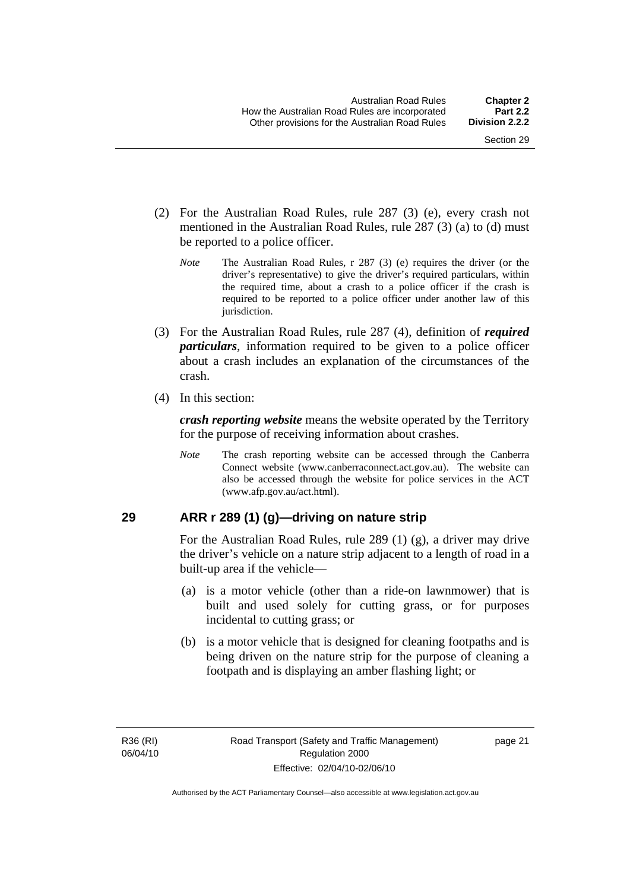- <span id="page-30-0"></span> (2) For the Australian Road Rules, rule 287 (3) (e), every crash not mentioned in the Australian Road Rules, rule 287 (3) (a) to (d) must be reported to a police officer.
	- *Note* The Australian Road Rules, r 287 (3) (e) requires the driver (or the driver's representative) to give the driver's required particulars, within the required time, about a crash to a police officer if the crash is required to be reported to a police officer under another law of this jurisdiction.
- (3) For the Australian Road Rules, rule 287 (4), definition of *required particulars*, information required to be given to a police officer about a crash includes an explanation of the circumstances of the crash.
- (4) In this section:

*crash reporting website* means the website operated by the Territory for the purpose of receiving information about crashes.

*Note* The crash reporting website can be accessed through the Canberra Connect website (www.canberraconnect.act.gov.au). The website can also be accessed through the website for police services in the ACT (www.afp.gov.au/act.html).

#### **29 ARR r 289 (1) (g)—driving on nature strip**

For the Australian Road Rules, rule 289 (1) (g), a driver may drive the driver's vehicle on a nature strip adjacent to a length of road in a built-up area if the vehicle—

- (a) is a motor vehicle (other than a ride-on lawnmower) that is built and used solely for cutting grass, or for purposes incidental to cutting grass; or
- (b) is a motor vehicle that is designed for cleaning footpaths and is being driven on the nature strip for the purpose of cleaning a footpath and is displaying an amber flashing light; or

page 21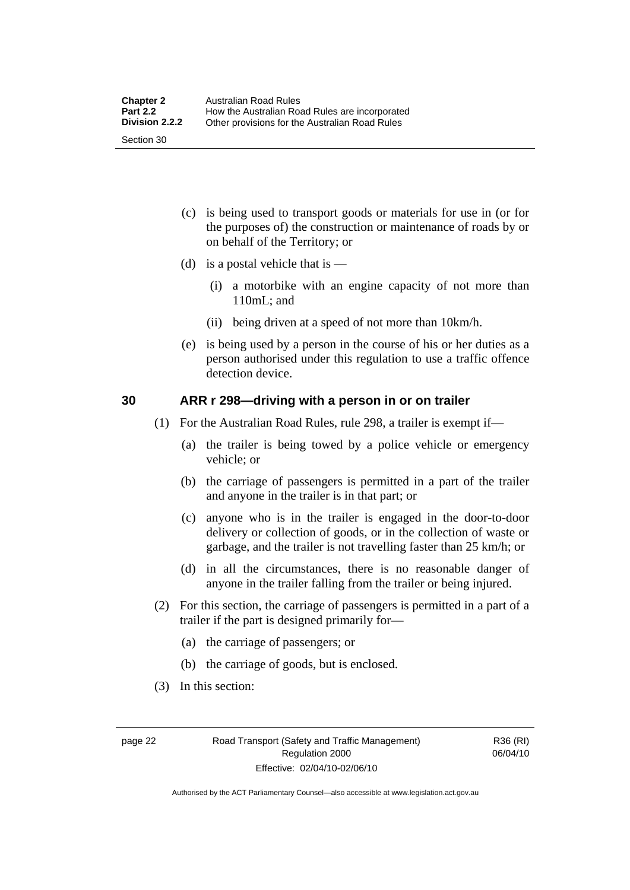- <span id="page-31-0"></span> (c) is being used to transport goods or materials for use in (or for the purposes of) the construction or maintenance of roads by or on behalf of the Territory; or
- (d) is a postal vehicle that is  $-$ 
	- (i) a motorbike with an engine capacity of not more than 110mL; and
	- (ii) being driven at a speed of not more than 10km/h.
- (e) is being used by a person in the course of his or her duties as a person authorised under this regulation to use a traffic offence detection device.

#### **30 ARR r 298—driving with a person in or on trailer**

- (1) For the Australian Road Rules, rule 298, a trailer is exempt if—
	- (a) the trailer is being towed by a police vehicle or emergency vehicle; or
	- (b) the carriage of passengers is permitted in a part of the trailer and anyone in the trailer is in that part; or
	- (c) anyone who is in the trailer is engaged in the door-to-door delivery or collection of goods, or in the collection of waste or garbage, and the trailer is not travelling faster than 25 km/h; or
	- (d) in all the circumstances, there is no reasonable danger of anyone in the trailer falling from the trailer or being injured.
- (2) For this section, the carriage of passengers is permitted in a part of a trailer if the part is designed primarily for—
	- (a) the carriage of passengers; or
	- (b) the carriage of goods, but is enclosed.
- (3) In this section:

R36 (RI) 06/04/10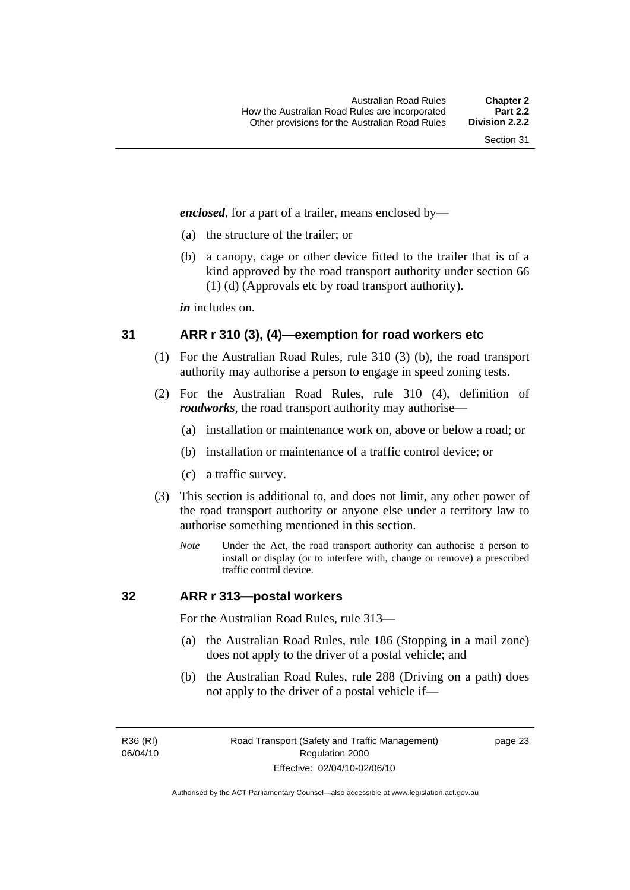<span id="page-32-0"></span>*enclosed*, for a part of a trailer, means enclosed by—

- (a) the structure of the trailer; or
- (b) a canopy, cage or other device fitted to the trailer that is of a kind approved by the road transport authority under section 66 (1) (d) (Approvals etc by road transport authority).

*in* includes on.

#### **31 ARR r 310 (3), (4)—exemption for road workers etc**

- (1) For the Australian Road Rules, rule 310 (3) (b), the road transport authority may authorise a person to engage in speed zoning tests.
- (2) For the Australian Road Rules, rule 310 (4), definition of *roadworks*, the road transport authority may authorise—
	- (a) installation or maintenance work on, above or below a road; or
	- (b) installation or maintenance of a traffic control device; or
	- (c) a traffic survey.
- (3) This section is additional to, and does not limit, any other power of the road transport authority or anyone else under a territory law to authorise something mentioned in this section.
	- *Note* Under the Act, the road transport authority can authorise a person to install or display (or to interfere with, change or remove) a prescribed traffic control device.

#### **32 ARR r 313—postal workers**

For the Australian Road Rules, rule 313—

- (a) the Australian Road Rules, rule 186 (Stopping in a mail zone) does not apply to the driver of a postal vehicle; and
- (b) the Australian Road Rules, rule 288 (Driving on a path) does not apply to the driver of a postal vehicle if—

R36 (RI) 06/04/10 page 23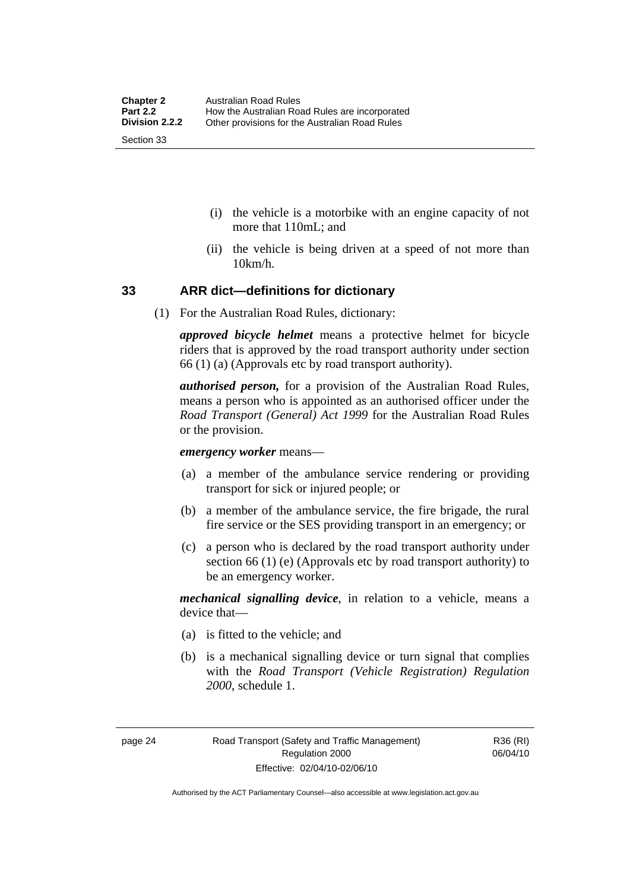- <span id="page-33-0"></span> (i) the vehicle is a motorbike with an engine capacity of not more that 110mL; and
- (ii) the vehicle is being driven at a speed of not more than 10km/h.

#### **33 ARR dict—definitions for dictionary**

(1) For the Australian Road Rules, dictionary:

*approved bicycle helmet* means a protective helmet for bicycle riders that is approved by the road transport authority under section 66 (1) (a) (Approvals etc by road transport authority).

*authorised person,* for a provision of the Australian Road Rules, means a person who is appointed as an authorised officer under the *Road Transport (General) Act 1999* for the Australian Road Rules or the provision.

*emergency worker* means—

- (a) a member of the ambulance service rendering or providing transport for sick or injured people; or
- (b) a member of the ambulance service, the fire brigade, the rural fire service or the SES providing transport in an emergency; or
- (c) a person who is declared by the road transport authority under section 66 (1) (e) (Approvals etc by road transport authority) to be an emergency worker.

*mechanical signalling device*, in relation to a vehicle, means a device that—

- (a) is fitted to the vehicle; and
- (b) is a mechanical signalling device or turn signal that complies with the *Road Transport (Vehicle Registration) Regulation 2000*, schedule 1.

Authorised by the ACT Parliamentary Counsel—also accessible at www.legislation.act.gov.au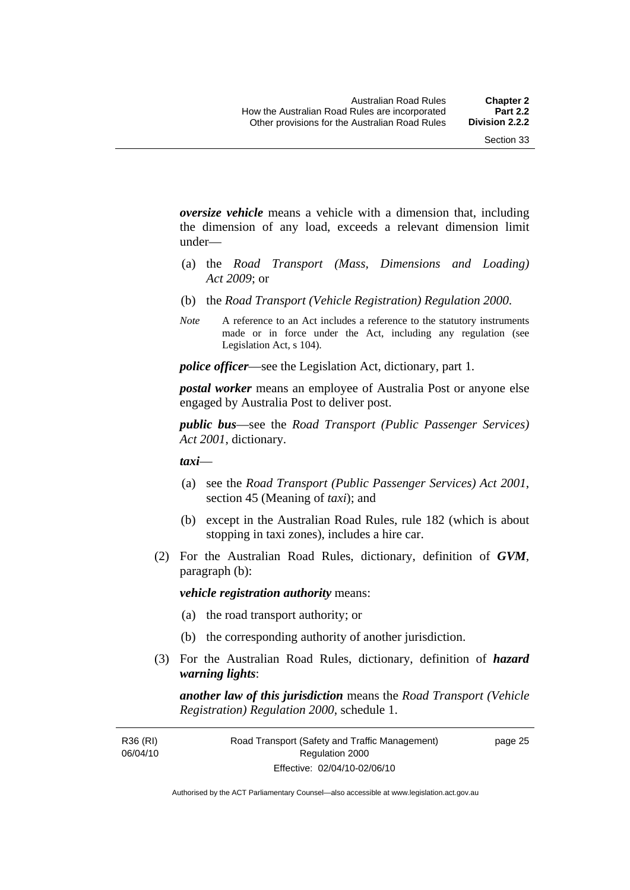*oversize vehicle* means a vehicle with a dimension that, including the dimension of any load, exceeds a relevant dimension limit under—

- (a) the *Road Transport (Mass, Dimensions and Loading) Act 2009*; or
- (b) the *Road Transport (Vehicle Registration) Regulation 2000*.
- *Note* A reference to an Act includes a reference to the statutory instruments made or in force under the Act, including any regulation (see Legislation Act, s 104).

*police officer*—see the Legislation Act, dictionary, part 1.

*postal worker* means an employee of Australia Post or anyone else engaged by Australia Post to deliver post.

*public bus*—see the *Road Transport (Public Passenger Services) Act 2001*, dictionary.

*taxi*—

- (a) see the *Road Transport (Public Passenger Services) Act 2001*, section 45 (Meaning of *taxi*); and
- (b) except in the Australian Road Rules, rule 182 (which is about stopping in taxi zones), includes a hire car.
- (2) For the Australian Road Rules, dictionary, definition of *GVM*, paragraph (b):

*vehicle registration authority* means:

- (a) the road transport authority; or
- (b) the corresponding authority of another jurisdiction.
- (3) For the Australian Road Rules, dictionary, definition of *hazard warning lights*:

*another law of this jurisdiction* means the *Road Transport (Vehicle Registration) Regulation 2000*, schedule 1.

R36 (RI) 06/04/10 page 25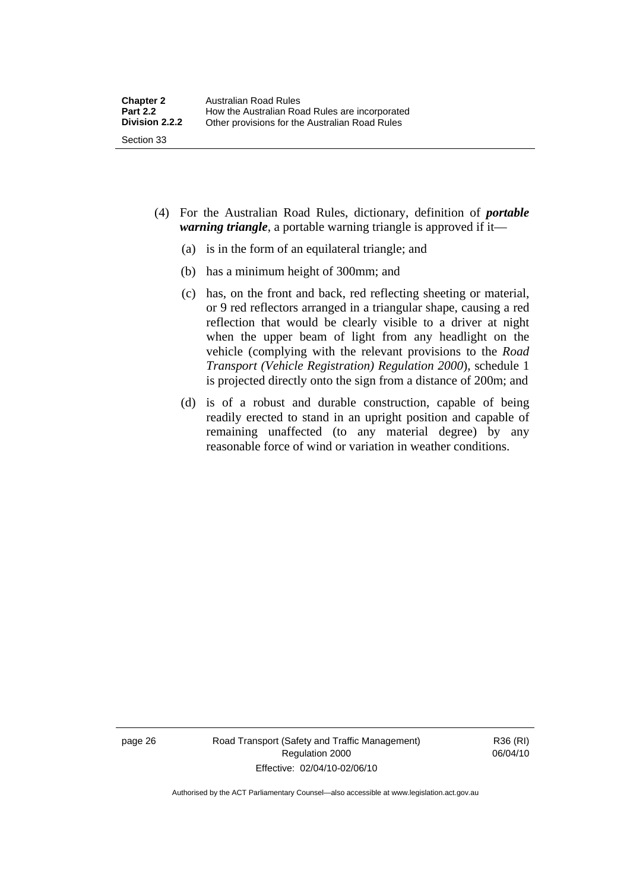- (4) For the Australian Road Rules, dictionary, definition of *portable warning triangle*, a portable warning triangle is approved if it—
	- (a) is in the form of an equilateral triangle; and
	- (b) has a minimum height of 300mm; and
	- (c) has, on the front and back, red reflecting sheeting or material, or 9 red reflectors arranged in a triangular shape, causing a red reflection that would be clearly visible to a driver at night when the upper beam of light from any headlight on the vehicle (complying with the relevant provisions to the *Road Transport (Vehicle Registration) Regulation 2000*), schedule 1 is projected directly onto the sign from a distance of 200m; and
	- (d) is of a robust and durable construction, capable of being readily erected to stand in an upright position and capable of remaining unaffected (to any material degree) by any reasonable force of wind or variation in weather conditions.

page 26 Road Transport (Safety and Traffic Management) Regulation 2000 Effective: 02/04/10-02/06/10

R36 (RI) 06/04/10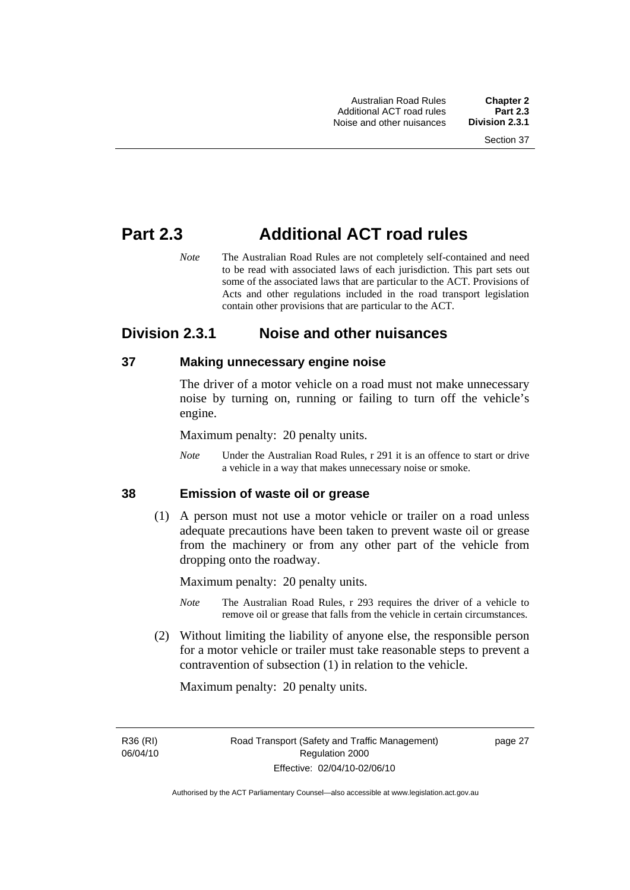# **Part 2.3 Additional ACT road rules**

*Note* The Australian Road Rules are not completely self-contained and need to be read with associated laws of each jurisdiction. This part sets out some of the associated laws that are particular to the ACT. Provisions of Acts and other regulations included in the road transport legislation contain other provisions that are particular to the ACT.

# **Division 2.3.1 Noise and other nuisances**

# **37 Making unnecessary engine noise**

The driver of a motor vehicle on a road must not make unnecessary noise by turning on, running or failing to turn off the vehicle's engine.

Maximum penalty: 20 penalty units.

*Note* Under the Australian Road Rules, r 291 it is an offence to start or drive a vehicle in a way that makes unnecessary noise or smoke.

### **38 Emission of waste oil or grease**

 (1) A person must not use a motor vehicle or trailer on a road unless adequate precautions have been taken to prevent waste oil or grease from the machinery or from any other part of the vehicle from dropping onto the roadway.

Maximum penalty: 20 penalty units.

- *Note* The Australian Road Rules, r 293 requires the driver of a vehicle to remove oil or grease that falls from the vehicle in certain circumstances.
- (2) Without limiting the liability of anyone else, the responsible person for a motor vehicle or trailer must take reasonable steps to prevent a contravention of subsection (1) in relation to the vehicle.

Maximum penalty: 20 penalty units.

R36 (RI) 06/04/10 page 27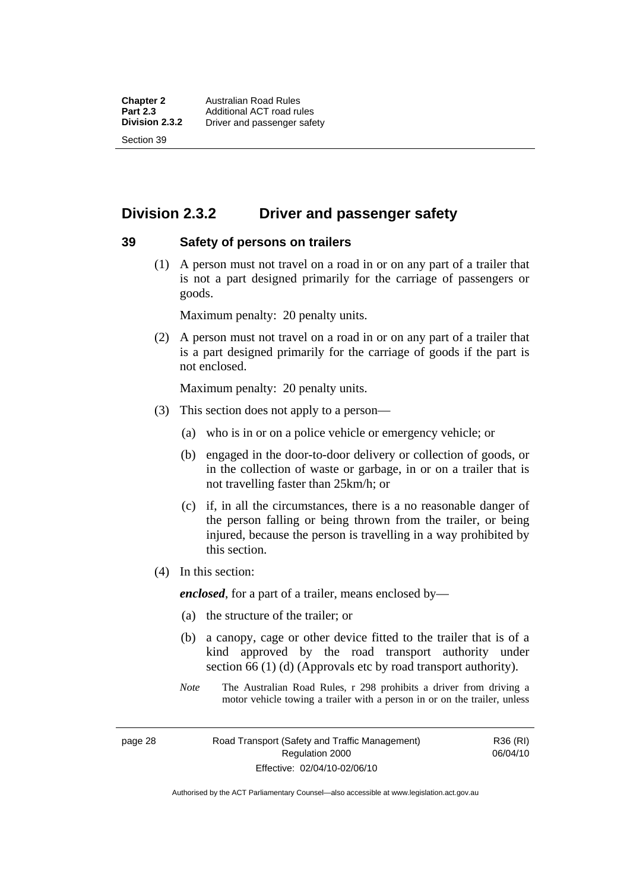# **Division 2.3.2 Driver and passenger safety**

#### **39 Safety of persons on trailers**

 (1) A person must not travel on a road in or on any part of a trailer that is not a part designed primarily for the carriage of passengers or goods.

Maximum penalty: 20 penalty units.

 (2) A person must not travel on a road in or on any part of a trailer that is a part designed primarily for the carriage of goods if the part is not enclosed.

Maximum penalty: 20 penalty units.

- (3) This section does not apply to a person—
	- (a) who is in or on a police vehicle or emergency vehicle; or
	- (b) engaged in the door-to-door delivery or collection of goods, or in the collection of waste or garbage, in or on a trailer that is not travelling faster than 25km/h; or
	- (c) if, in all the circumstances, there is a no reasonable danger of the person falling or being thrown from the trailer, or being injured, because the person is travelling in a way prohibited by this section.
- (4) In this section:

*enclosed*, for a part of a trailer, means enclosed by—

- (a) the structure of the trailer; or
- (b) a canopy, cage or other device fitted to the trailer that is of a kind approved by the road transport authority under section 66 (1) (d) (Approvals etc by road transport authority).
- *Note* The Australian Road Rules, r 298 prohibits a driver from driving a motor vehicle towing a trailer with a person in or on the trailer, unless

page 28 Road Transport (Safety and Traffic Management) Regulation 2000 Effective: 02/04/10-02/06/10

R36 (RI) 06/04/10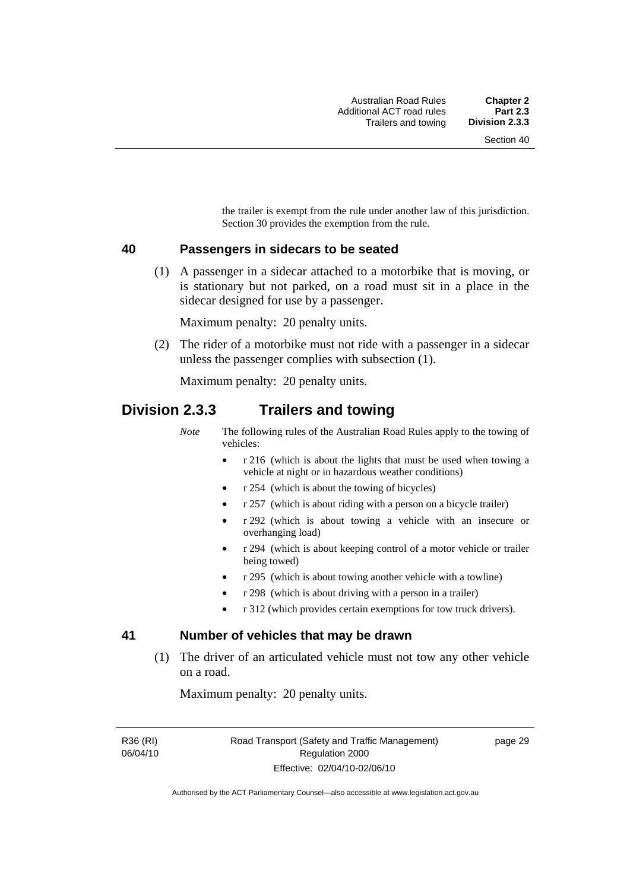the trailer is exempt from the rule under another law of this jurisdiction. Section 30 provides the exemption from the rule.

#### **40 Passengers in sidecars to be seated**

 (1) A passenger in a sidecar attached to a motorbike that is moving, or is stationary but not parked, on a road must sit in a place in the sidecar designed for use by a passenger.

Maximum penalty: 20 penalty units.

 (2) The rider of a motorbike must not ride with a passenger in a sidecar unless the passenger complies with subsection (1).

Maximum penalty: 20 penalty units.

# **Division 2.3.3 Trailers and towing**

*Note* The following rules of the Australian Road Rules apply to the towing of vehicles:

- r 216 (which is about the lights that must be used when towing a vehicle at night or in hazardous weather conditions)
- r 254 (which is about the towing of bicycles)
- r 257 (which is about riding with a person on a bicycle trailer)
- r 292 (which is about towing a vehicle with an insecure or overhanging load)
- r 294 (which is about keeping control of a motor vehicle or trailer being towed)
- r 295 (which is about towing another vehicle with a towline)
- r 298 (which is about driving with a person in a trailer)
- r 312 (which provides certain exemptions for tow truck drivers).

## **41 Number of vehicles that may be drawn**

 (1) The driver of an articulated vehicle must not tow any other vehicle on a road.

Maximum penalty: 20 penalty units.

R36 (RI) 06/04/10 page 29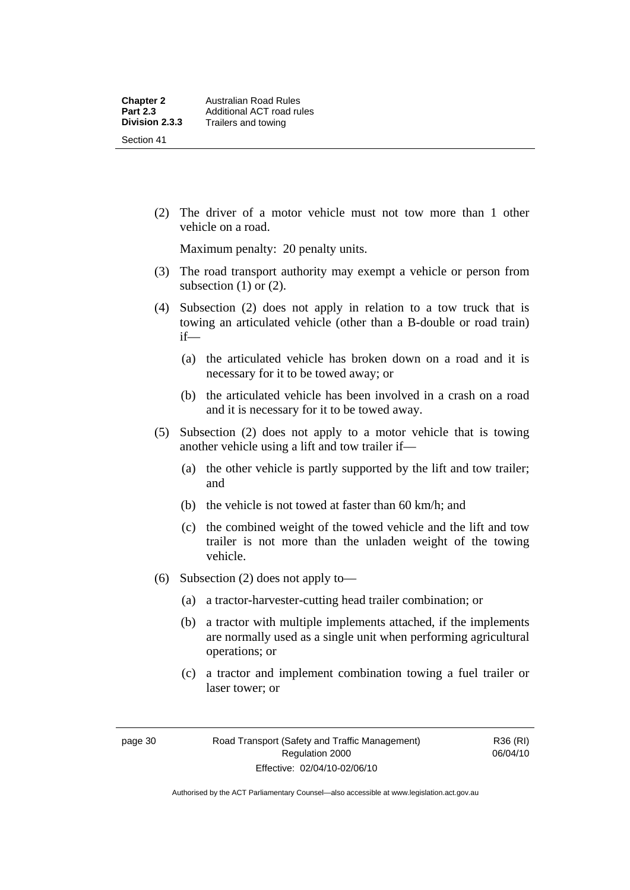(2) The driver of a motor vehicle must not tow more than 1 other vehicle on a road.

Maximum penalty: 20 penalty units.

- (3) The road transport authority may exempt a vehicle or person from subsection  $(1)$  or  $(2)$ .
- (4) Subsection (2) does not apply in relation to a tow truck that is towing an articulated vehicle (other than a B-double or road train) if—
	- (a) the articulated vehicle has broken down on a road and it is necessary for it to be towed away; or
	- (b) the articulated vehicle has been involved in a crash on a road and it is necessary for it to be towed away.
- (5) Subsection (2) does not apply to a motor vehicle that is towing another vehicle using a lift and tow trailer if—
	- (a) the other vehicle is partly supported by the lift and tow trailer; and
	- (b) the vehicle is not towed at faster than 60 km/h; and
	- (c) the combined weight of the towed vehicle and the lift and tow trailer is not more than the unladen weight of the towing vehicle.
- (6) Subsection (2) does not apply to—
	- (a) a tractor-harvester-cutting head trailer combination; or
	- (b) a tractor with multiple implements attached, if the implements are normally used as a single unit when performing agricultural operations; or
	- (c) a tractor and implement combination towing a fuel trailer or laser tower; or

R36 (RI) 06/04/10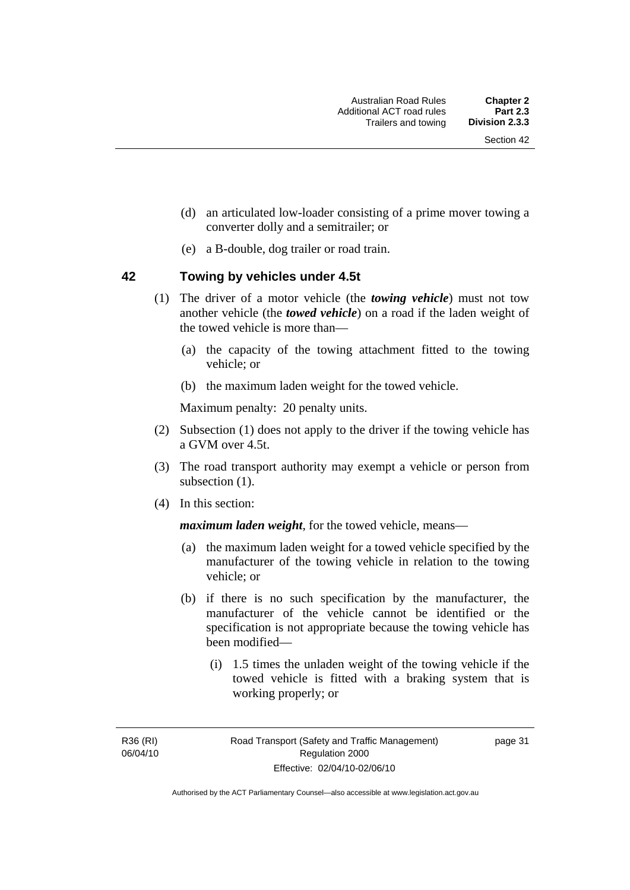- (d) an articulated low-loader consisting of a prime mover towing a converter dolly and a semitrailer; or
- (e) a B-double, dog trailer or road train.

### **42 Towing by vehicles under 4.5t**

- (1) The driver of a motor vehicle (the *towing vehicle*) must not tow another vehicle (the *towed vehicle*) on a road if the laden weight of the towed vehicle is more than—
	- (a) the capacity of the towing attachment fitted to the towing vehicle; or
	- (b) the maximum laden weight for the towed vehicle.

Maximum penalty: 20 penalty units.

- (2) Subsection (1) does not apply to the driver if the towing vehicle has a GVM over 4.5t.
- (3) The road transport authority may exempt a vehicle or person from subsection  $(1)$ .
- (4) In this section:

*maximum laden weight*, for the towed vehicle, means—

- (a) the maximum laden weight for a towed vehicle specified by the manufacturer of the towing vehicle in relation to the towing vehicle; or
- (b) if there is no such specification by the manufacturer, the manufacturer of the vehicle cannot be identified or the specification is not appropriate because the towing vehicle has been modified—
	- (i) 1.5 times the unladen weight of the towing vehicle if the towed vehicle is fitted with a braking system that is working properly; or

R36 (RI) 06/04/10 page 31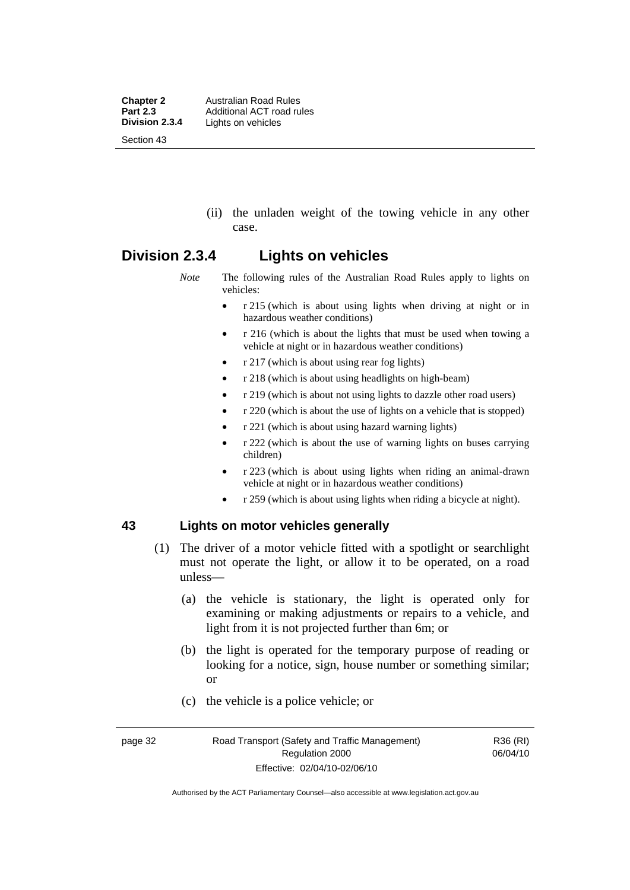**Chapter 2 Australian Road Rules**<br>**Part 2.3 Additional ACT road rules Part 2.3** Additional ACT road rules<br>**Division 2.3.4** Lights on vehicles Lights on vehicles Section 43

> (ii) the unladen weight of the towing vehicle in any other case.

# **Division 2.3.4 Lights on vehicles**

*Note* The following rules of the Australian Road Rules apply to lights on vehicles:

- r 215 (which is about using lights when driving at night or in hazardous weather conditions)
- r 216 (which is about the lights that must be used when towing a vehicle at night or in hazardous weather conditions)
- r 217 (which is about using rear fog lights)
- r 218 (which is about using headlights on high-beam)
- r 219 (which is about not using lights to dazzle other road users)
- r 220 (which is about the use of lights on a vehicle that is stopped)
- r 221 (which is about using hazard warning lights)
- r 222 (which is about the use of warning lights on buses carrying children)
- r 223 (which is about using lights when riding an animal-drawn vehicle at night or in hazardous weather conditions)
- r 259 (which is about using lights when riding a bicycle at night).

#### **43 Lights on motor vehicles generally**

- (1) The driver of a motor vehicle fitted with a spotlight or searchlight must not operate the light, or allow it to be operated, on a road unless—
	- (a) the vehicle is stationary, the light is operated only for examining or making adjustments or repairs to a vehicle, and light from it is not projected further than 6m; or
	- (b) the light is operated for the temporary purpose of reading or looking for a notice, sign, house number or something similar; or
	- (c) the vehicle is a police vehicle; or

R36 (RI) 06/04/10

Authorised by the ACT Parliamentary Counsel—also accessible at www.legislation.act.gov.au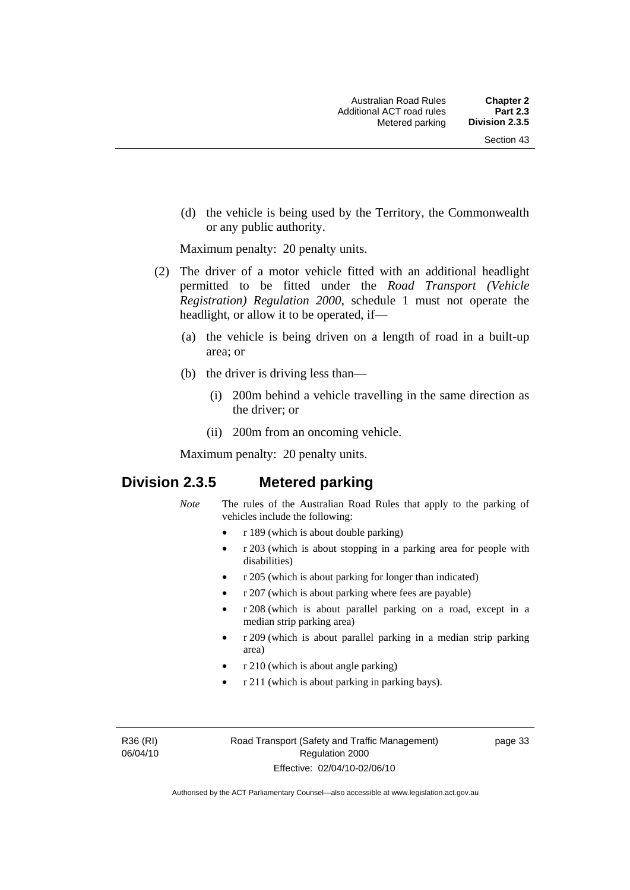(d) the vehicle is being used by the Territory, the Commonwealth or any public authority.

Maximum penalty: 20 penalty units.

- (2) The driver of a motor vehicle fitted with an additional headlight permitted to be fitted under the *Road Transport (Vehicle Registration) Regulation 2000*, schedule 1 must not operate the headlight, or allow it to be operated, if—
	- (a) the vehicle is being driven on a length of road in a built-up area; or
	- (b) the driver is driving less than—
		- (i) 200m behind a vehicle travelling in the same direction as the driver; or
		- (ii) 200m from an oncoming vehicle.

Maximum penalty: 20 penalty units.

# **Division 2.3.5 Metered parking**

- *Note* The rules of the Australian Road Rules that apply to the parking of vehicles include the following:
	- r 189 (which is about double parking)
	- r 203 (which is about stopping in a parking area for people with disabilities)
	- r 205 (which is about parking for longer than indicated)
	- r 207 (which is about parking where fees are payable)
	- r 208 (which is about parallel parking on a road, except in a median strip parking area)
	- r 209 (which is about parallel parking in a median strip parking area)
	- r 210 (which is about angle parking)
	- r 211 (which is about parking in parking bays).

R36 (RI) 06/04/10 page 33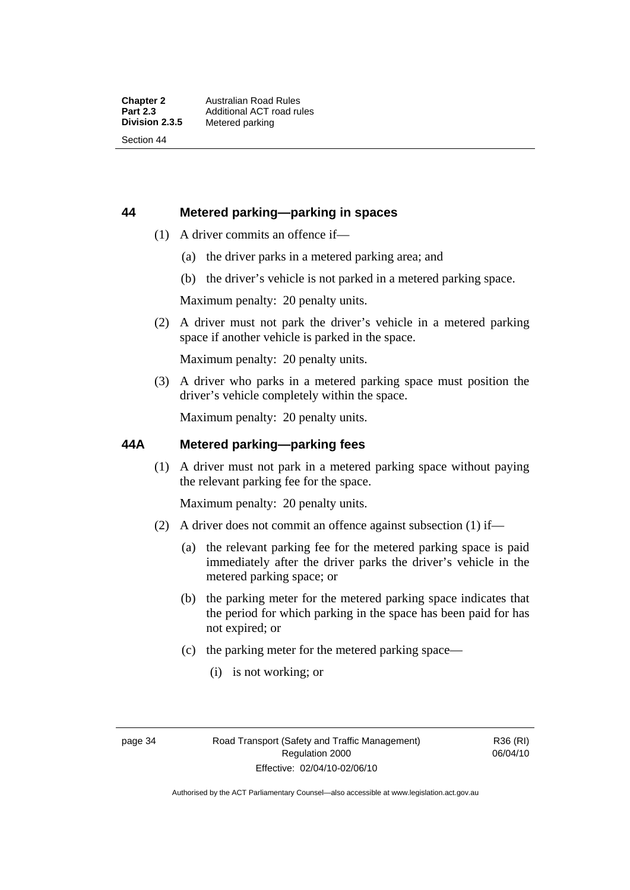# **44 Metered parking—parking in spaces**

- (1) A driver commits an offence if—
	- (a) the driver parks in a metered parking area; and
	- (b) the driver's vehicle is not parked in a metered parking space.

Maximum penalty: 20 penalty units.

 (2) A driver must not park the driver's vehicle in a metered parking space if another vehicle is parked in the space.

Maximum penalty: 20 penalty units.

 (3) A driver who parks in a metered parking space must position the driver's vehicle completely within the space.

Maximum penalty: 20 penalty units.

## **44A Metered parking—parking fees**

 (1) A driver must not park in a metered parking space without paying the relevant parking fee for the space.

Maximum penalty: 20 penalty units.

- (2) A driver does not commit an offence against subsection (1) if—
	- (a) the relevant parking fee for the metered parking space is paid immediately after the driver parks the driver's vehicle in the metered parking space; or
	- (b) the parking meter for the metered parking space indicates that the period for which parking in the space has been paid for has not expired; or
	- (c) the parking meter for the metered parking space—
		- (i) is not working; or

R36 (RI) 06/04/10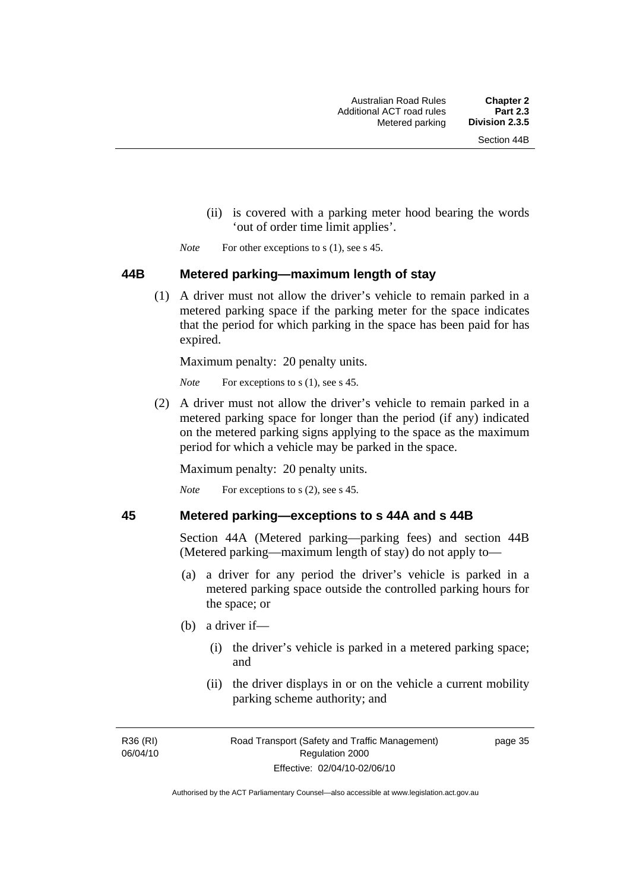- (ii) is covered with a parking meter hood bearing the words 'out of order time limit applies'.
- *Note* For other exceptions to s (1), see s 45.

#### **44B Metered parking—maximum length of stay**

 (1) A driver must not allow the driver's vehicle to remain parked in a metered parking space if the parking meter for the space indicates that the period for which parking in the space has been paid for has expired.

Maximum penalty: 20 penalty units.

*Note* For exceptions to s (1), see s 45.

 (2) A driver must not allow the driver's vehicle to remain parked in a metered parking space for longer than the period (if any) indicated on the metered parking signs applying to the space as the maximum period for which a vehicle may be parked in the space.

Maximum penalty: 20 penalty units.

*Note* For exceptions to s (2), see s 45.

### **45 Metered parking—exceptions to s 44A and s 44B**

Section 44A (Metered parking—parking fees) and section 44B (Metered parking—maximum length of stay) do not apply to—

- (a) a driver for any period the driver's vehicle is parked in a metered parking space outside the controlled parking hours for the space; or
- (b) a driver if—
	- (i) the driver's vehicle is parked in a metered parking space; and
	- (ii) the driver displays in or on the vehicle a current mobility parking scheme authority; and

R36 (RI) 06/04/10 page 35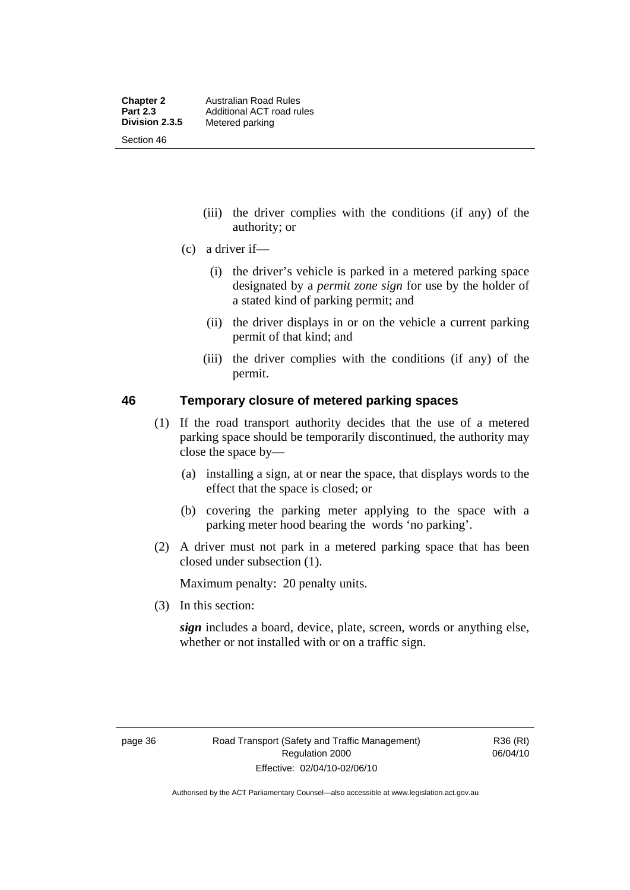- (iii) the driver complies with the conditions (if any) of the authority; or
- (c) a driver if—
	- (i) the driver's vehicle is parked in a metered parking space designated by a *permit zone sign* for use by the holder of a stated kind of parking permit; and
	- (ii) the driver displays in or on the vehicle a current parking permit of that kind; and
	- (iii) the driver complies with the conditions (if any) of the permit.

### **46 Temporary closure of metered parking spaces**

- (1) If the road transport authority decides that the use of a metered parking space should be temporarily discontinued, the authority may close the space by—
	- (a) installing a sign, at or near the space, that displays words to the effect that the space is closed; or
	- (b) covering the parking meter applying to the space with a parking meter hood bearing the words 'no parking'.
- (2) A driver must not park in a metered parking space that has been closed under subsection (1).

Maximum penalty: 20 penalty units.

(3) In this section:

*sign* includes a board, device, plate, screen, words or anything else, whether or not installed with or on a traffic sign.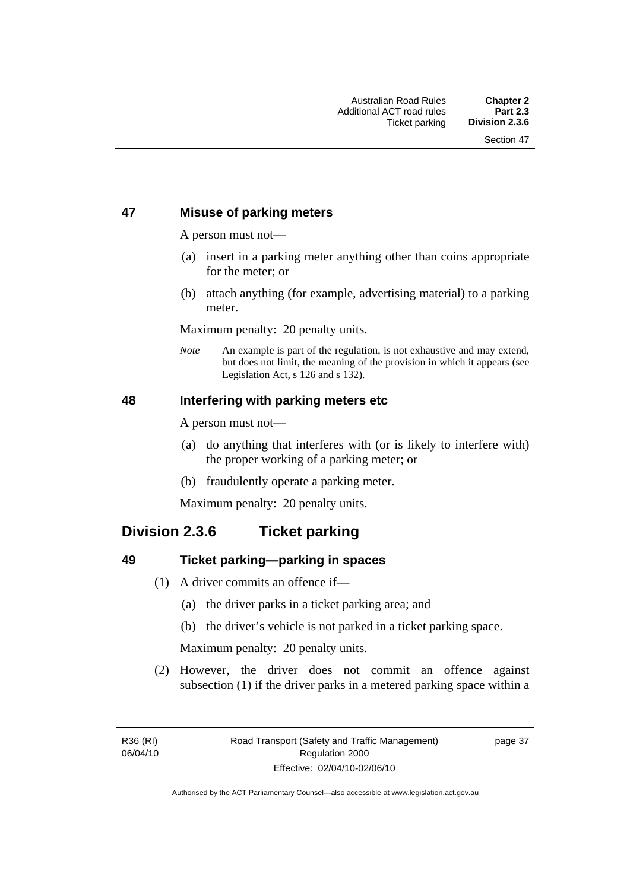# **47 Misuse of parking meters**

A person must not—

- (a) insert in a parking meter anything other than coins appropriate for the meter; or
- (b) attach anything (for example, advertising material) to a parking meter.

Maximum penalty: 20 penalty units.

*Note* An example is part of the regulation, is not exhaustive and may extend, but does not limit, the meaning of the provision in which it appears (see Legislation Act, s 126 and s 132).

### **48 Interfering with parking meters etc**

A person must not—

- (a) do anything that interferes with (or is likely to interfere with) the proper working of a parking meter; or
- (b) fraudulently operate a parking meter.

Maximum penalty: 20 penalty units.

# **Division 2.3.6 Ticket parking**

# **49 Ticket parking—parking in spaces**

- (1) A driver commits an offence if—
	- (a) the driver parks in a ticket parking area; and
	- (b) the driver's vehicle is not parked in a ticket parking space.

Maximum penalty: 20 penalty units.

 (2) However, the driver does not commit an offence against subsection (1) if the driver parks in a metered parking space within a

page 37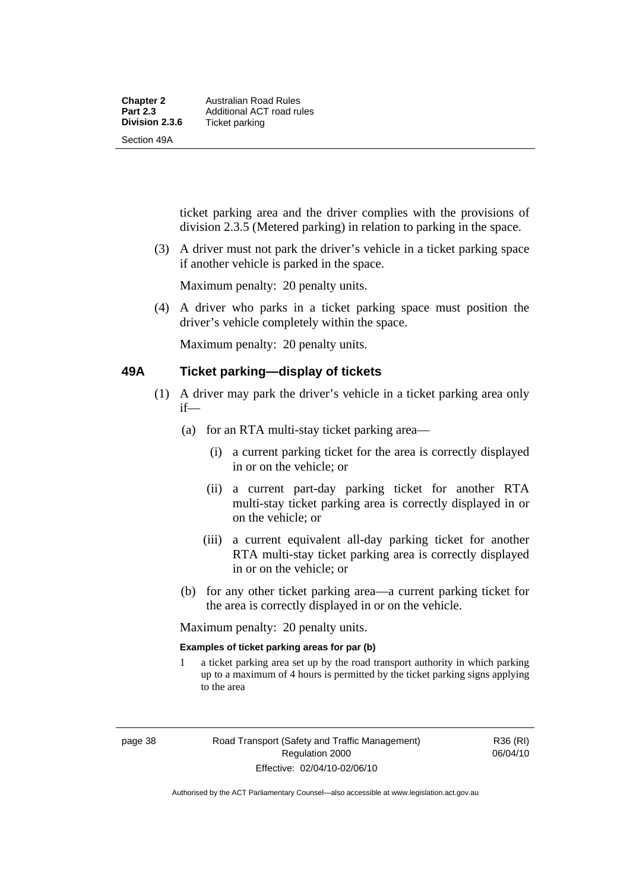| <b>Chapter 2</b> | Australian Road Rules     |
|------------------|---------------------------|
| <b>Part 2.3</b>  | Additional ACT road rules |
| Division 2.3.6   | Ticket parking            |
| Section 49A      |                           |

ticket parking area and the driver complies with the provisions of division 2.3.5 (Metered parking) in relation to parking in the space.

 (3) A driver must not park the driver's vehicle in a ticket parking space if another vehicle is parked in the space.

Maximum penalty: 20 penalty units.

 (4) A driver who parks in a ticket parking space must position the driver's vehicle completely within the space.

Maximum penalty: 20 penalty units.

#### **49A Ticket parking—display of tickets**

- (1) A driver may park the driver's vehicle in a ticket parking area only if—
	- (a) for an RTA multi-stay ticket parking area—
		- (i) a current parking ticket for the area is correctly displayed in or on the vehicle; or
		- (ii) a current part-day parking ticket for another RTA multi-stay ticket parking area is correctly displayed in or on the vehicle; or
		- (iii) a current equivalent all-day parking ticket for another RTA multi-stay ticket parking area is correctly displayed in or on the vehicle; or
	- (b) for any other ticket parking area—a current parking ticket for the area is correctly displayed in or on the vehicle.

Maximum penalty: 20 penalty units.

#### **Examples of ticket parking areas for par (b)**

1 a ticket parking area set up by the road transport authority in which parking up to a maximum of 4 hours is permitted by the ticket parking signs applying to the area

R36 (RI) 06/04/10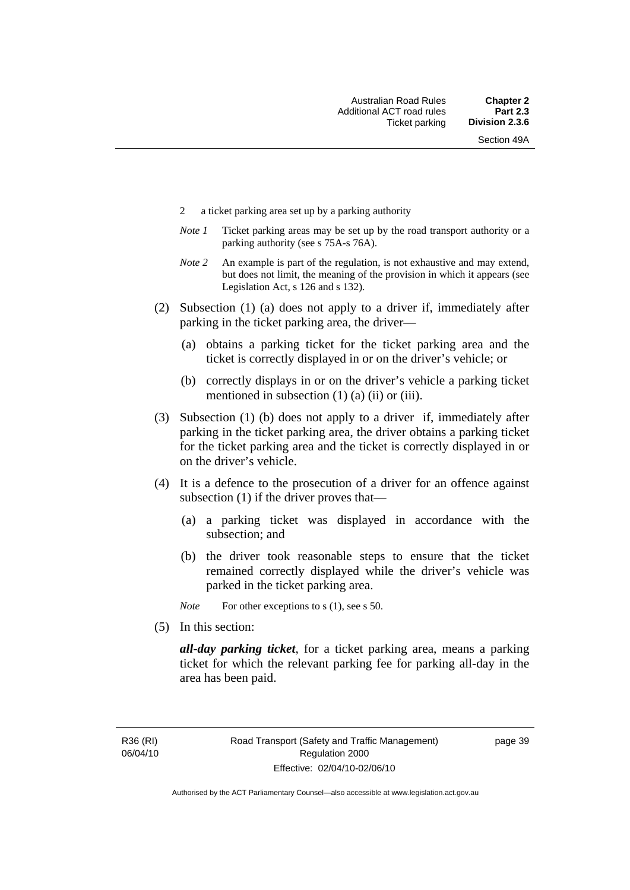- 2 a ticket parking area set up by a parking authority
- *Note 1* Ticket parking areas may be set up by the road transport authority or a parking authority (see s 75A-s 76A).
- *Note 2* An example is part of the regulation, is not exhaustive and may extend, but does not limit, the meaning of the provision in which it appears (see Legislation Act, s 126 and s 132).
- (2) Subsection (1) (a) does not apply to a driver if, immediately after parking in the ticket parking area, the driver—
	- (a) obtains a parking ticket for the ticket parking area and the ticket is correctly displayed in or on the driver's vehicle; or
	- (b) correctly displays in or on the driver's vehicle a parking ticket mentioned in subsection  $(1)$   $(a)$   $(ii)$  or  $(iii)$ .
- (3) Subsection (1) (b) does not apply to a driver if, immediately after parking in the ticket parking area, the driver obtains a parking ticket for the ticket parking area and the ticket is correctly displayed in or on the driver's vehicle.
- (4) It is a defence to the prosecution of a driver for an offence against subsection (1) if the driver proves that—
	- (a) a parking ticket was displayed in accordance with the subsection; and
	- (b) the driver took reasonable steps to ensure that the ticket remained correctly displayed while the driver's vehicle was parked in the ticket parking area.
	- *Note* For other exceptions to s (1), see s 50.
- (5) In this section:

*all-day parking ticket*, for a ticket parking area, means a parking ticket for which the relevant parking fee for parking all-day in the area has been paid.

R36 (RI) 06/04/10 page 39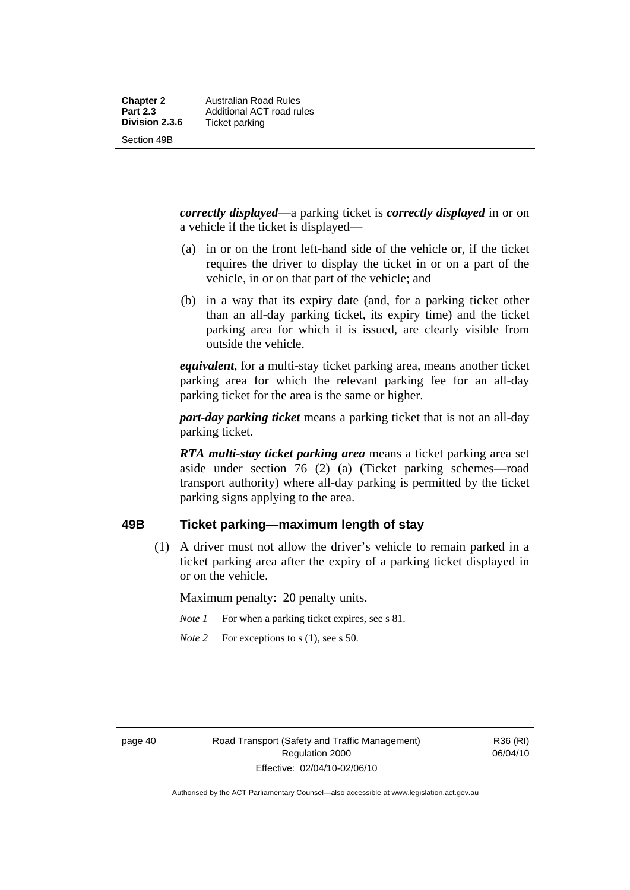*correctly displayed*—a parking ticket is *correctly displayed* in or on a vehicle if the ticket is displayed—

- (a) in or on the front left-hand side of the vehicle or, if the ticket requires the driver to display the ticket in or on a part of the vehicle, in or on that part of the vehicle; and
- (b) in a way that its expiry date (and, for a parking ticket other than an all-day parking ticket, its expiry time) and the ticket parking area for which it is issued, are clearly visible from outside the vehicle.

*equivalent*, for a multi-stay ticket parking area, means another ticket parking area for which the relevant parking fee for an all-day parking ticket for the area is the same or higher.

*part-day parking ticket* means a parking ticket that is not an all-day parking ticket.

*RTA multi-stay ticket parking area* means a ticket parking area set aside under section 76 (2) (a) (Ticket parking schemes—road transport authority) where all-day parking is permitted by the ticket parking signs applying to the area.

#### **49B Ticket parking—maximum length of stay**

 (1) A driver must not allow the driver's vehicle to remain parked in a ticket parking area after the expiry of a parking ticket displayed in or on the vehicle.

Maximum penalty: 20 penalty units.

- *Note 1* For when a parking ticket expires, see s 81.
- *Note* 2 For exceptions to s (1), see s 50.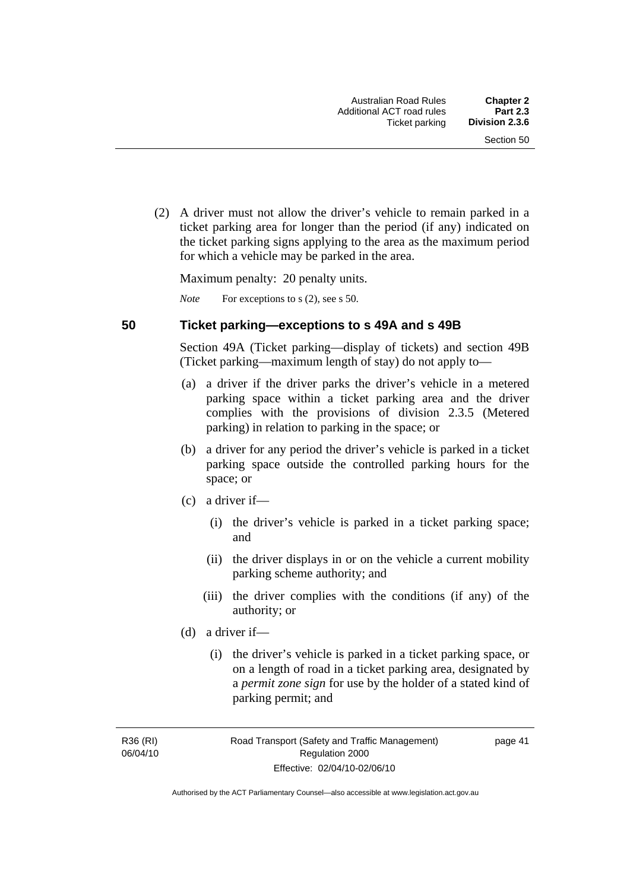(2) A driver must not allow the driver's vehicle to remain parked in a ticket parking area for longer than the period (if any) indicated on the ticket parking signs applying to the area as the maximum period for which a vehicle may be parked in the area.

Maximum penalty: 20 penalty units.

*Note* For exceptions to s (2), see s 50.

#### **50 Ticket parking—exceptions to s 49A and s 49B**

Section 49A (Ticket parking—display of tickets) and section 49B (Ticket parking—maximum length of stay) do not apply to—

- (a) a driver if the driver parks the driver's vehicle in a metered parking space within a ticket parking area and the driver complies with the provisions of division 2.3.5 (Metered parking) in relation to parking in the space; or
- (b) a driver for any period the driver's vehicle is parked in a ticket parking space outside the controlled parking hours for the space; or
- (c) a driver if—
	- (i) the driver's vehicle is parked in a ticket parking space; and
	- (ii) the driver displays in or on the vehicle a current mobility parking scheme authority; and
	- (iii) the driver complies with the conditions (if any) of the authority; or
- (d) a driver if—
	- (i) the driver's vehicle is parked in a ticket parking space, or on a length of road in a ticket parking area, designated by a *permit zone sign* for use by the holder of a stated kind of parking permit; and

R36 (RI) 06/04/10 page 41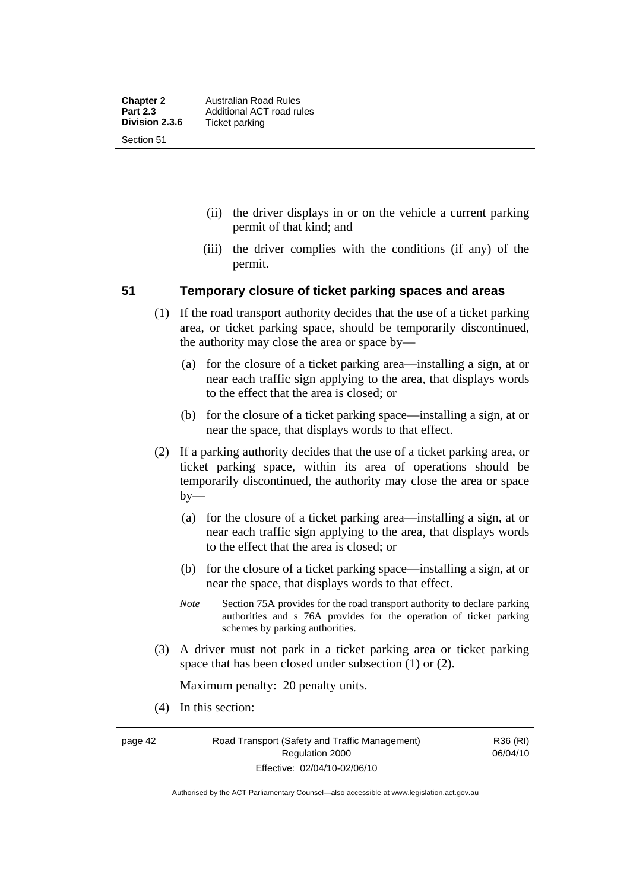- (ii) the driver displays in or on the vehicle a current parking permit of that kind; and
- (iii) the driver complies with the conditions (if any) of the permit.

### **51 Temporary closure of ticket parking spaces and areas**

- (1) If the road transport authority decides that the use of a ticket parking area, or ticket parking space, should be temporarily discontinued, the authority may close the area or space by—
	- (a) for the closure of a ticket parking area—installing a sign, at or near each traffic sign applying to the area, that displays words to the effect that the area is closed; or
	- (b) for the closure of a ticket parking space—installing a sign, at or near the space, that displays words to that effect.
- (2) If a parking authority decides that the use of a ticket parking area, or ticket parking space, within its area of operations should be temporarily discontinued, the authority may close the area or space by—
	- (a) for the closure of a ticket parking area—installing a sign, at or near each traffic sign applying to the area, that displays words to the effect that the area is closed; or
	- (b) for the closure of a ticket parking space—installing a sign, at or near the space, that displays words to that effect.
	- *Note* Section 75A provides for the road transport authority to declare parking authorities and s 76A provides for the operation of ticket parking schemes by parking authorities.
- (3) A driver must not park in a ticket parking area or ticket parking space that has been closed under subsection (1) or (2).

Maximum penalty: 20 penalty units.

(4) In this section:

Authorised by the ACT Parliamentary Counsel—also accessible at www.legislation.act.gov.au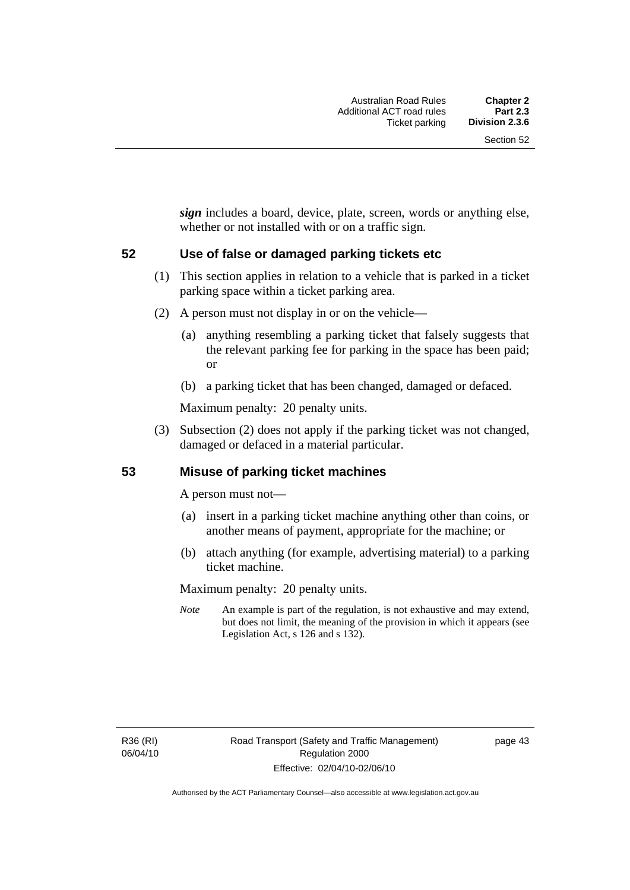*sign* includes a board, device, plate, screen, words or anything else, whether or not installed with or on a traffic sign.

### **52 Use of false or damaged parking tickets etc**

- (1) This section applies in relation to a vehicle that is parked in a ticket parking space within a ticket parking area.
- (2) A person must not display in or on the vehicle—
	- (a) anything resembling a parking ticket that falsely suggests that the relevant parking fee for parking in the space has been paid; or
	- (b) a parking ticket that has been changed, damaged or defaced.

Maximum penalty: 20 penalty units.

 (3) Subsection (2) does not apply if the parking ticket was not changed, damaged or defaced in a material particular.

### **53 Misuse of parking ticket machines**

A person must not—

- (a) insert in a parking ticket machine anything other than coins, or another means of payment, appropriate for the machine; or
- (b) attach anything (for example, advertising material) to a parking ticket machine.

Maximum penalty: 20 penalty units.

*Note* An example is part of the regulation, is not exhaustive and may extend, but does not limit, the meaning of the provision in which it appears (see Legislation Act, s 126 and s 132).

R36 (RI) 06/04/10 page 43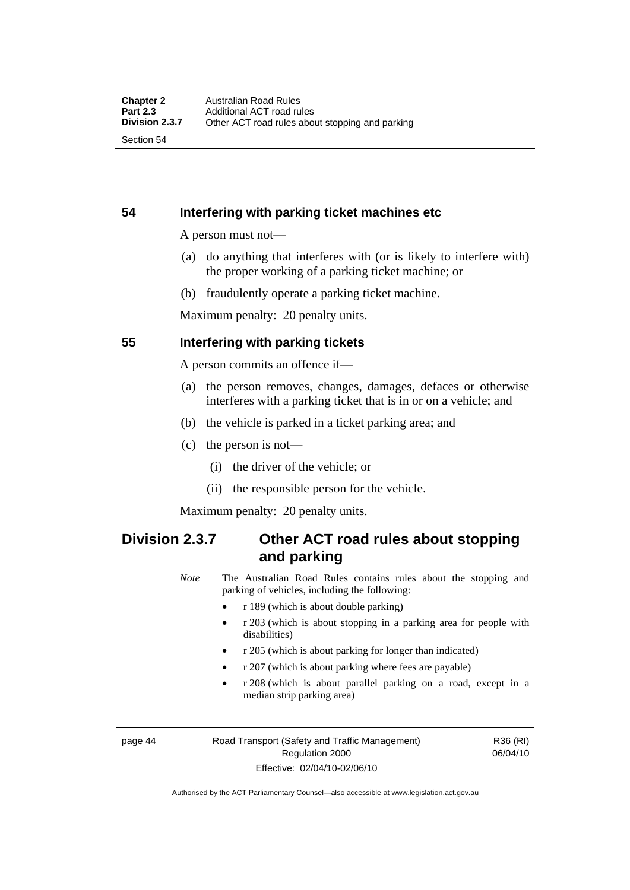Section 54

# **54 Interfering with parking ticket machines etc**

A person must not—

- (a) do anything that interferes with (or is likely to interfere with) the proper working of a parking ticket machine; or
- (b) fraudulently operate a parking ticket machine.

Maximum penalty: 20 penalty units.

## **55 Interfering with parking tickets**

A person commits an offence if—

- (a) the person removes, changes, damages, defaces or otherwise interferes with a parking ticket that is in or on a vehicle; and
- (b) the vehicle is parked in a ticket parking area; and
- (c) the person is not—
	- (i) the driver of the vehicle; or
	- (ii) the responsible person for the vehicle.

Maximum penalty: 20 penalty units.

# **Division 2.3.7 Other ACT road rules about stopping and parking**

*Note* The Australian Road Rules contains rules about the stopping and parking of vehicles, including the following:

- r 189 (which is about double parking)
- r 203 (which is about stopping in a parking area for people with disabilities)
- r 205 (which is about parking for longer than indicated)
- r 207 (which is about parking where fees are payable)
- r 208 (which is about parallel parking on a road, except in a median strip parking area)

page 44 Road Transport (Safety and Traffic Management) Regulation 2000 Effective: 02/04/10-02/06/10

R36 (RI) 06/04/10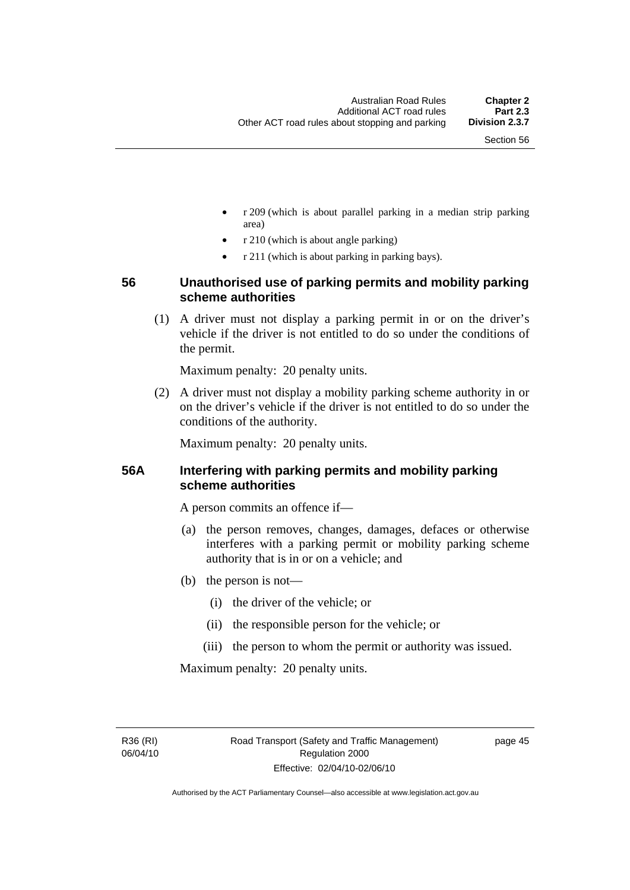- r 209 (which is about parallel parking in a median strip parking area)
- r 210 (which is about angle parking)
- r 211 (which is about parking in parking bays).

# **56 Unauthorised use of parking permits and mobility parking scheme authorities**

 (1) A driver must not display a parking permit in or on the driver's vehicle if the driver is not entitled to do so under the conditions of the permit.

Maximum penalty: 20 penalty units.

 (2) A driver must not display a mobility parking scheme authority in or on the driver's vehicle if the driver is not entitled to do so under the conditions of the authority.

Maximum penalty: 20 penalty units.

# **56A Interfering with parking permits and mobility parking scheme authorities**

A person commits an offence if—

- (a) the person removes, changes, damages, defaces or otherwise interferes with a parking permit or mobility parking scheme authority that is in or on a vehicle; and
- (b) the person is not—
	- (i) the driver of the vehicle; or
	- (ii) the responsible person for the vehicle; or
	- (iii) the person to whom the permit or authority was issued.

Maximum penalty: 20 penalty units.

R36 (RI) 06/04/10 page 45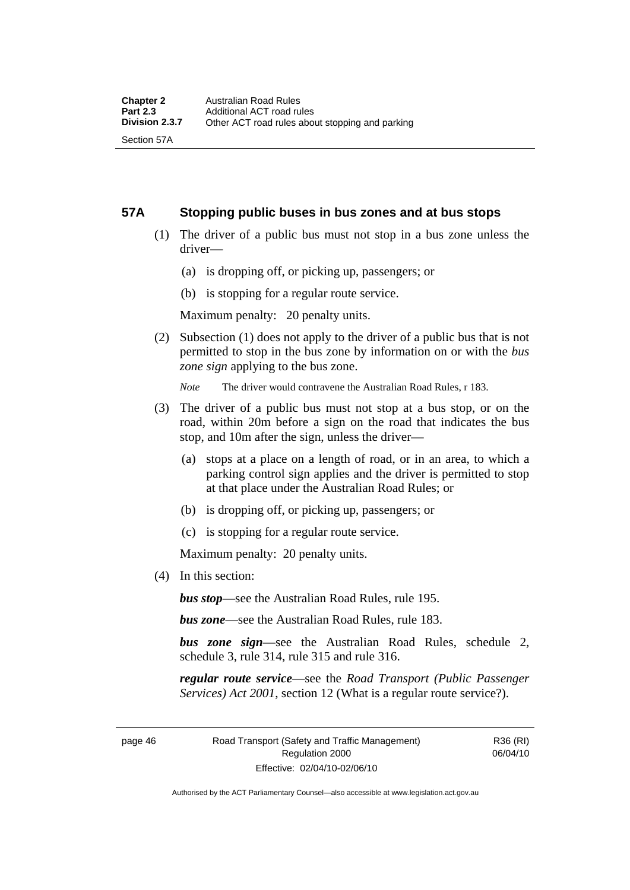#### **57A Stopping public buses in bus zones and at bus stops**

- (1) The driver of a public bus must not stop in a bus zone unless the driver—
	- (a) is dropping off, or picking up, passengers; or
	- (b) is stopping for a regular route service.

Maximum penalty: 20 penalty units.

 (2) Subsection (1) does not apply to the driver of a public bus that is not permitted to stop in the bus zone by information on or with the *bus zone sign* applying to the bus zone.

*Note* The driver would contravene the Australian Road Rules, r 183.

- (3) The driver of a public bus must not stop at a bus stop, or on the road, within 20m before a sign on the road that indicates the bus stop, and 10m after the sign, unless the driver—
	- (a) stops at a place on a length of road, or in an area, to which a parking control sign applies and the driver is permitted to stop at that place under the Australian Road Rules; or
	- (b) is dropping off, or picking up, passengers; or
	- (c) is stopping for a regular route service.

Maximum penalty: 20 penalty units.

(4) In this section:

*bus stop*—see the Australian Road Rules, rule 195.

*bus zone*—see the Australian Road Rules, rule 183.

*bus zone sign*—see the Australian Road Rules, schedule 2, schedule 3, rule 314, rule 315 and rule 316.

*regular route service*—see the *Road Transport (Public Passenger Services) Act 2001*, section 12 (What is a regular route service?).

page 46 Road Transport (Safety and Traffic Management) Regulation 2000 Effective: 02/04/10-02/06/10

R36 (RI) 06/04/10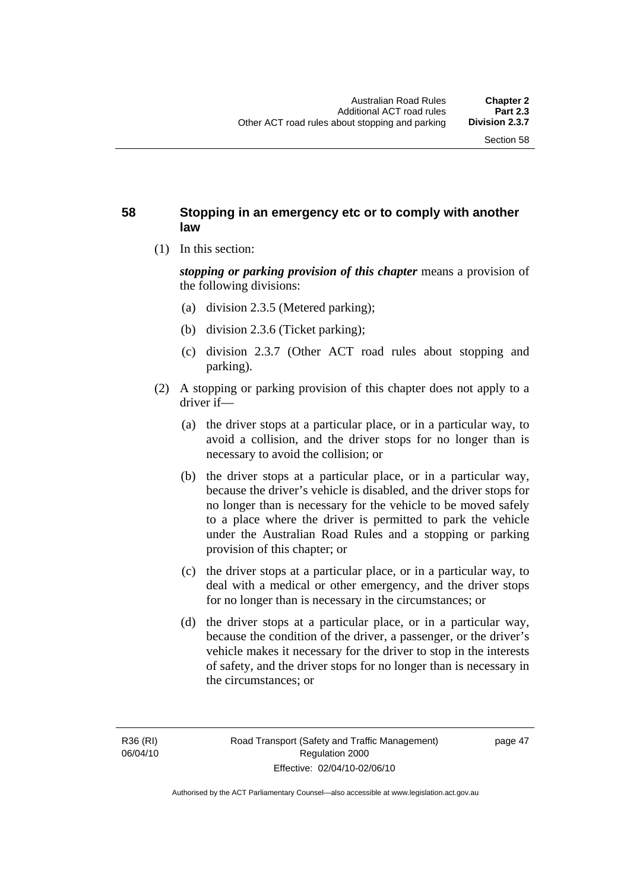## **58 Stopping in an emergency etc or to comply with another law**

(1) In this section:

*stopping or parking provision of this chapter* means a provision of the following divisions:

- (a) division 2.3.5 (Metered parking);
- (b) division 2.3.6 (Ticket parking);
- (c) division 2.3.7 (Other ACT road rules about stopping and parking).
- (2) A stopping or parking provision of this chapter does not apply to a driver if—
	- (a) the driver stops at a particular place, or in a particular way, to avoid a collision, and the driver stops for no longer than is necessary to avoid the collision; or
	- (b) the driver stops at a particular place, or in a particular way, because the driver's vehicle is disabled, and the driver stops for no longer than is necessary for the vehicle to be moved safely to a place where the driver is permitted to park the vehicle under the Australian Road Rules and a stopping or parking provision of this chapter; or
	- (c) the driver stops at a particular place, or in a particular way, to deal with a medical or other emergency, and the driver stops for no longer than is necessary in the circumstances; or
	- (d) the driver stops at a particular place, or in a particular way, because the condition of the driver, a passenger, or the driver's vehicle makes it necessary for the driver to stop in the interests of safety, and the driver stops for no longer than is necessary in the circumstances; or

page 47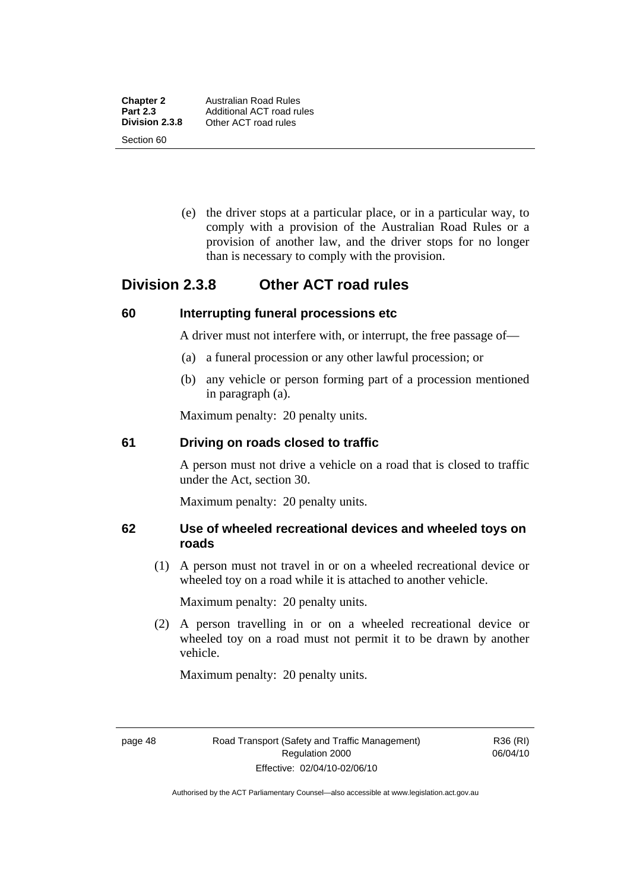Section 60

 (e) the driver stops at a particular place, or in a particular way, to comply with a provision of the Australian Road Rules or a provision of another law, and the driver stops for no longer than is necessary to comply with the provision.

# **Division 2.3.8 Other ACT road rules**

## **60 Interrupting funeral processions etc**

A driver must not interfere with, or interrupt, the free passage of—

- (a) a funeral procession or any other lawful procession; or
- (b) any vehicle or person forming part of a procession mentioned in paragraph (a).

Maximum penalty: 20 penalty units.

## **61 Driving on roads closed to traffic**

A person must not drive a vehicle on a road that is closed to traffic under the Act, section 30.

Maximum penalty: 20 penalty units.

# **62 Use of wheeled recreational devices and wheeled toys on roads**

 (1) A person must not travel in or on a wheeled recreational device or wheeled toy on a road while it is attached to another vehicle.

Maximum penalty: 20 penalty units.

 (2) A person travelling in or on a wheeled recreational device or wheeled toy on a road must not permit it to be drawn by another vehicle.

Maximum penalty: 20 penalty units.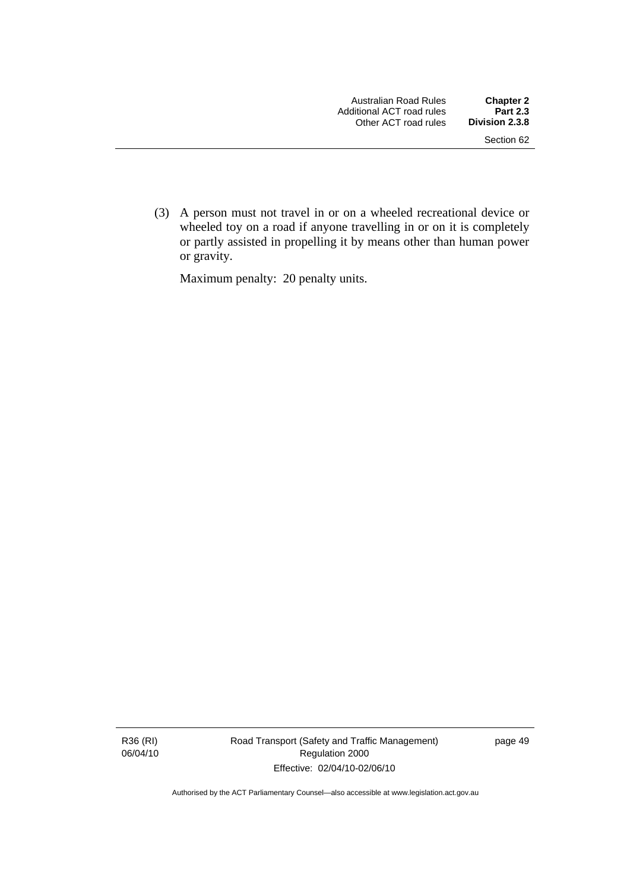(3) A person must not travel in or on a wheeled recreational device or wheeled toy on a road if anyone travelling in or on it is completely or partly assisted in propelling it by means other than human power or gravity.

Maximum penalty: 20 penalty units.

R36 (RI) 06/04/10 Road Transport (Safety and Traffic Management) Regulation 2000 Effective: 02/04/10-02/06/10

page 49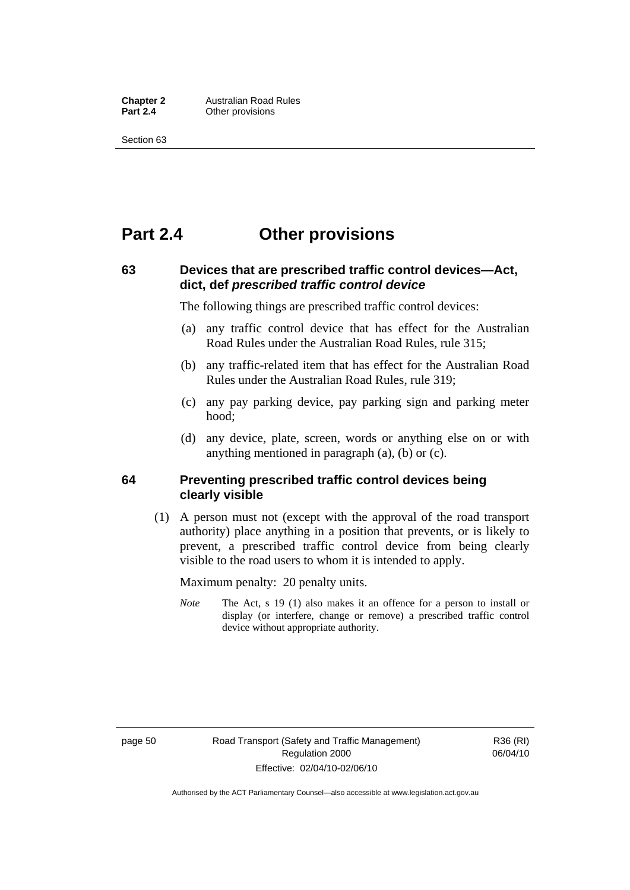**Chapter 2** Australian Road Rules<br>**Part 2.4** Other provisions **Other provisions** 

Section 63

# **Part 2.4 Other provisions**

# **63 Devices that are prescribed traffic control devices—Act, dict, def** *prescribed traffic control device*

The following things are prescribed traffic control devices:

- (a) any traffic control device that has effect for the Australian Road Rules under the Australian Road Rules, rule 315;
- (b) any traffic-related item that has effect for the Australian Road Rules under the Australian Road Rules, rule 319;
- (c) any pay parking device, pay parking sign and parking meter hood;
- (d) any device, plate, screen, words or anything else on or with anything mentioned in paragraph (a), (b) or (c).

### **64 Preventing prescribed traffic control devices being clearly visible**

 (1) A person must not (except with the approval of the road transport authority) place anything in a position that prevents, or is likely to prevent, a prescribed traffic control device from being clearly visible to the road users to whom it is intended to apply.

Maximum penalty: 20 penalty units.

*Note* The Act, s 19 (1) also makes it an offence for a person to install or display (or interfere, change or remove) a prescribed traffic control device without appropriate authority.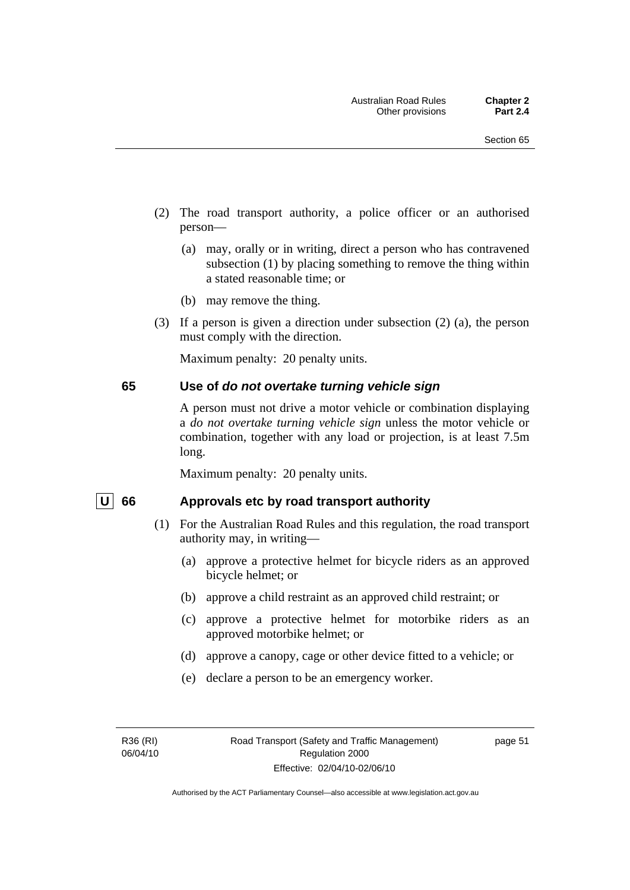- (2) The road transport authority, a police officer or an authorised person—
	- (a) may, orally or in writing, direct a person who has contravened subsection (1) by placing something to remove the thing within a stated reasonable time; or
	- (b) may remove the thing.
- (3) If a person is given a direction under subsection (2) (a), the person must comply with the direction.

Maximum penalty: 20 penalty units.

#### **65 Use of** *do not overtake turning vehicle sign*

A person must not drive a motor vehicle or combination displaying a *do not overtake turning vehicle sign* unless the motor vehicle or combination, together with any load or projection, is at least 7.5m long.

Maximum penalty: 20 penalty units.

#### U 66 Approvals etc by road transport authority

- (1) For the Australian Road Rules and this regulation, the road transport authority may, in writing—
	- (a) approve a protective helmet for bicycle riders as an approved bicycle helmet; or
	- (b) approve a child restraint as an approved child restraint; or
	- (c) approve a protective helmet for motorbike riders as an approved motorbike helmet; or
	- (d) approve a canopy, cage or other device fitted to a vehicle; or
	- (e) declare a person to be an emergency worker.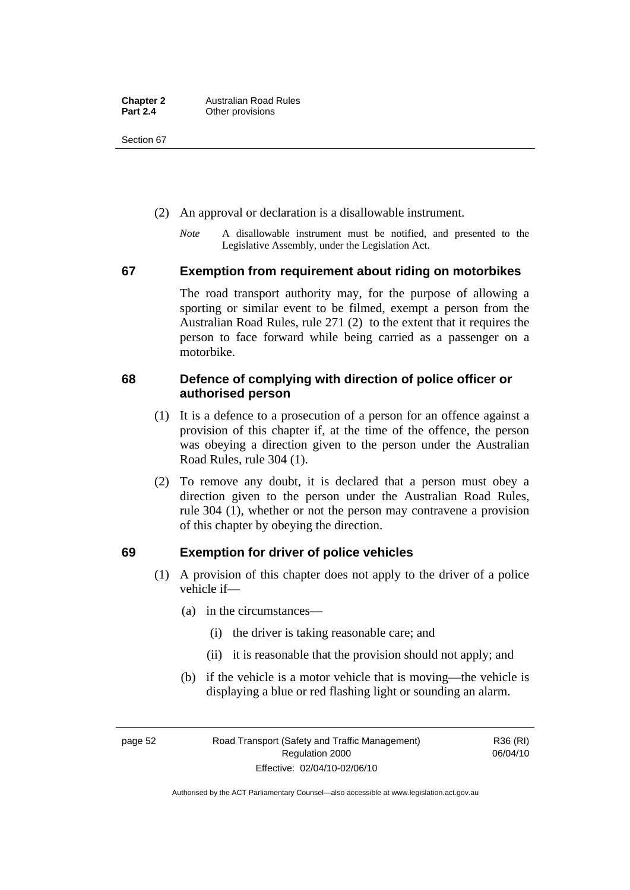Section 67

- (2) An approval or declaration is a disallowable instrument.
	- *Note* A disallowable instrument must be notified, and presented to the Legislative Assembly, under the Legislation Act.

### **67 Exemption from requirement about riding on motorbikes**

The road transport authority may, for the purpose of allowing a sporting or similar event to be filmed, exempt a person from the Australian Road Rules, rule 271 (2) to the extent that it requires the person to face forward while being carried as a passenger on a motorbike.

# **68 Defence of complying with direction of police officer or authorised person**

- (1) It is a defence to a prosecution of a person for an offence against a provision of this chapter if, at the time of the offence, the person was obeying a direction given to the person under the Australian Road Rules, rule 304 (1).
- (2) To remove any doubt, it is declared that a person must obey a direction given to the person under the Australian Road Rules, rule 304 (1), whether or not the person may contravene a provision of this chapter by obeying the direction.

# **69 Exemption for driver of police vehicles**

- (1) A provision of this chapter does not apply to the driver of a police vehicle if—
	- (a) in the circumstances—
		- (i) the driver is taking reasonable care; and
		- (ii) it is reasonable that the provision should not apply; and
	- (b) if the vehicle is a motor vehicle that is moving—the vehicle is displaying a blue or red flashing light or sounding an alarm.

page 52 Road Transport (Safety and Traffic Management) Regulation 2000 Effective: 02/04/10-02/06/10

R36 (RI) 06/04/10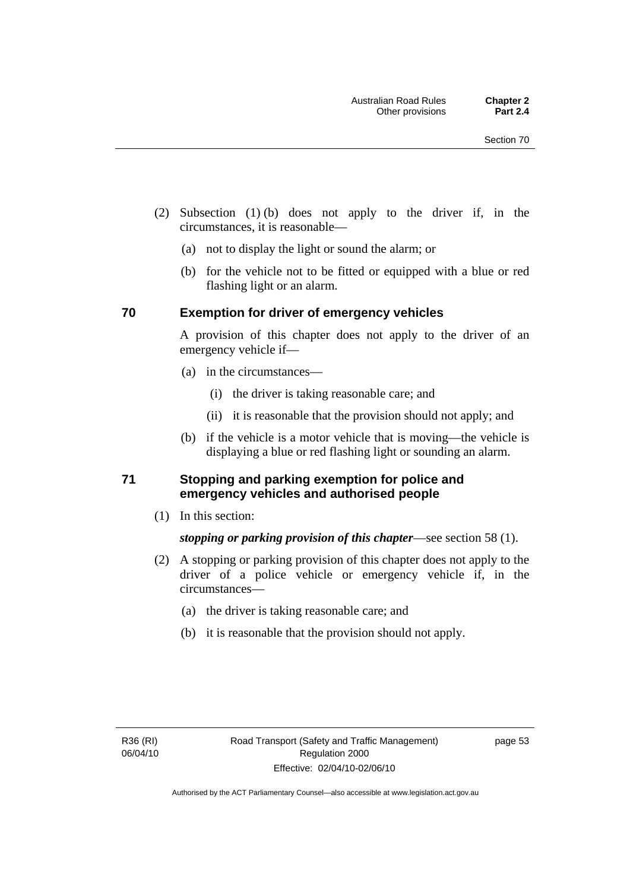- (2) Subsection (1) (b) does not apply to the driver if, in the circumstances, it is reasonable—
	- (a) not to display the light or sound the alarm; or
	- (b) for the vehicle not to be fitted or equipped with a blue or red flashing light or an alarm.

### **70 Exemption for driver of emergency vehicles**

A provision of this chapter does not apply to the driver of an emergency vehicle if—

- (a) in the circumstances—
	- (i) the driver is taking reasonable care; and
	- (ii) it is reasonable that the provision should not apply; and
- (b) if the vehicle is a motor vehicle that is moving—the vehicle is displaying a blue or red flashing light or sounding an alarm.

## **71 Stopping and parking exemption for police and emergency vehicles and authorised people**

(1) In this section:

# *stopping or parking provision of this chapter*—see section 58 (1).

- (2) A stopping or parking provision of this chapter does not apply to the driver of a police vehicle or emergency vehicle if, in the circumstances—
	- (a) the driver is taking reasonable care; and
	- (b) it is reasonable that the provision should not apply.

page 53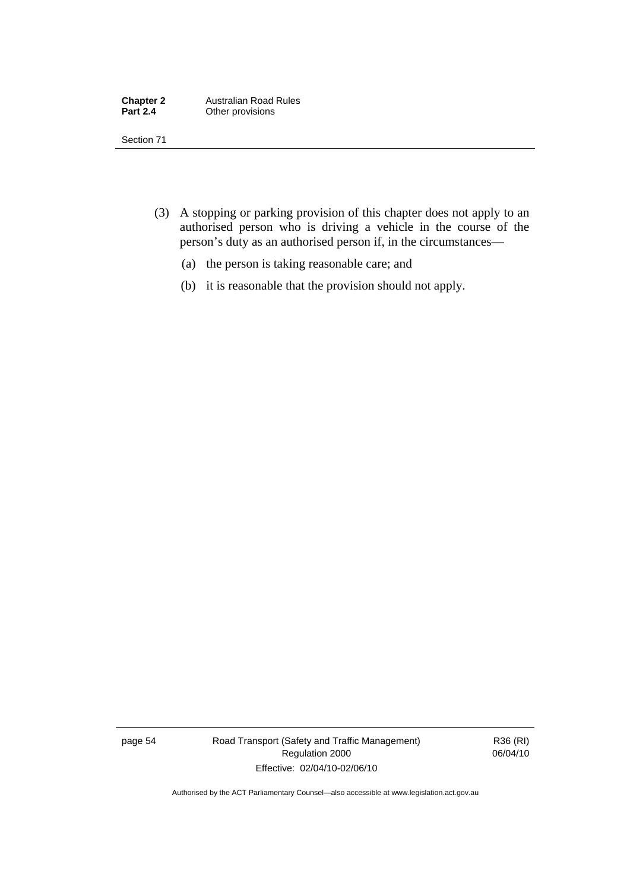| <b>Chapter 2</b> | <b>Australian Road Rules</b> |
|------------------|------------------------------|
| <b>Part 2.4</b>  | Other provisions             |

Section 71

- (3) A stopping or parking provision of this chapter does not apply to an authorised person who is driving a vehicle in the course of the person's duty as an authorised person if, in the circumstances—
	- (a) the person is taking reasonable care; and
	- (b) it is reasonable that the provision should not apply.

page 54 Road Transport (Safety and Traffic Management) Regulation 2000 Effective: 02/04/10-02/06/10

R36 (RI) 06/04/10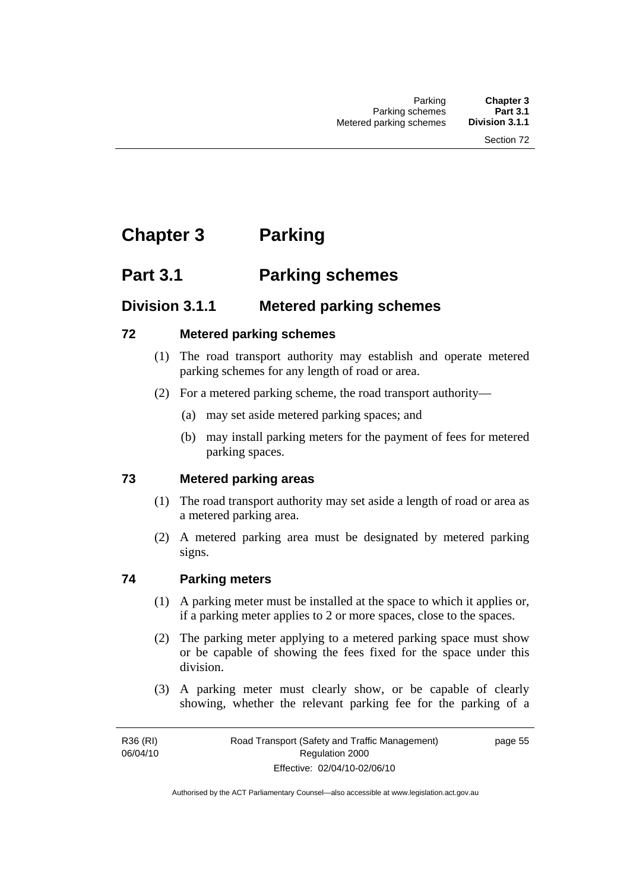# **Chapter 3 Parking**

# **Part 3.1 Parking schemes**

# **Division 3.1.1 Metered parking schemes**

# **72 Metered parking schemes**

- (1) The road transport authority may establish and operate metered parking schemes for any length of road or area.
- (2) For a metered parking scheme, the road transport authority—
	- (a) may set aside metered parking spaces; and
	- (b) may install parking meters for the payment of fees for metered parking spaces.

# **73 Metered parking areas**

- (1) The road transport authority may set aside a length of road or area as a metered parking area.
- (2) A metered parking area must be designated by metered parking signs.

# **74 Parking meters**

- (1) A parking meter must be installed at the space to which it applies or, if a parking meter applies to 2 or more spaces, close to the spaces.
- (2) The parking meter applying to a metered parking space must show or be capable of showing the fees fixed for the space under this division.
- (3) A parking meter must clearly show, or be capable of clearly showing, whether the relevant parking fee for the parking of a

R36 (RI) 06/04/10 page 55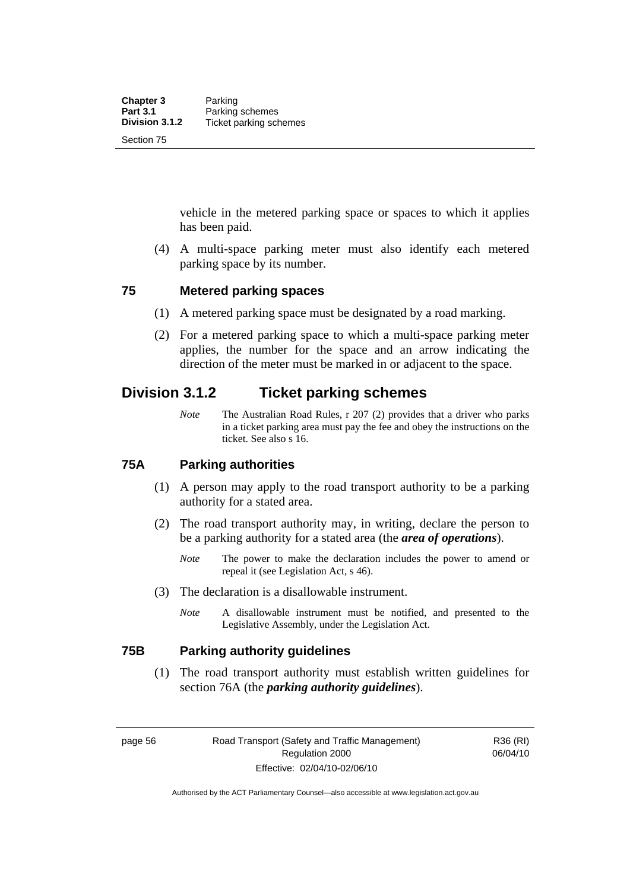vehicle in the metered parking space or spaces to which it applies has been paid.

 (4) A multi-space parking meter must also identify each metered parking space by its number.

### **75 Metered parking spaces**

- (1) A metered parking space must be designated by a road marking.
- (2) For a metered parking space to which a multi-space parking meter applies, the number for the space and an arrow indicating the direction of the meter must be marked in or adjacent to the space.

# **Division 3.1.2 Ticket parking schemes**

*Note* The Australian Road Rules, r 207 (2) provides that a driver who parks in a ticket parking area must pay the fee and obey the instructions on the ticket. See also s 16.

### **75A Parking authorities**

- (1) A person may apply to the road transport authority to be a parking authority for a stated area.
- (2) The road transport authority may, in writing, declare the person to be a parking authority for a stated area (the *area of operations*).
	- *Note* The power to make the declaration includes the power to amend or repeal it (see Legislation Act, s 46).
- (3) The declaration is a disallowable instrument.
	- *Note* A disallowable instrument must be notified, and presented to the Legislative Assembly, under the Legislation Act.

### **75B Parking authority guidelines**

 (1) The road transport authority must establish written guidelines for section 76A (the *parking authority guidelines*).

R36 (RI) 06/04/10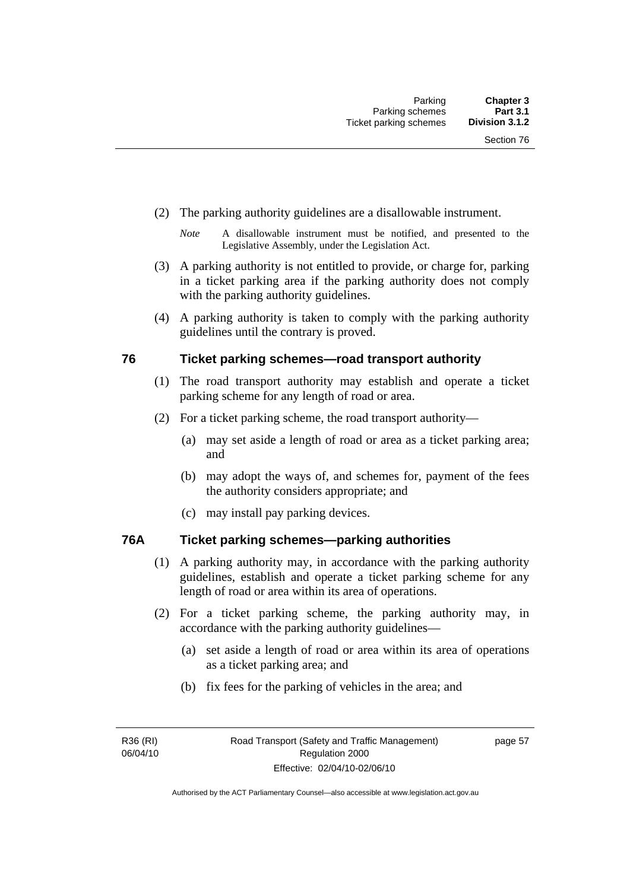- (2) The parking authority guidelines are a disallowable instrument.
	- *Note* A disallowable instrument must be notified, and presented to the Legislative Assembly, under the Legislation Act.
- (3) A parking authority is not entitled to provide, or charge for, parking in a ticket parking area if the parking authority does not comply with the parking authority guidelines.
- (4) A parking authority is taken to comply with the parking authority guidelines until the contrary is proved.

## **76 Ticket parking schemes—road transport authority**

- (1) The road transport authority may establish and operate a ticket parking scheme for any length of road or area.
- (2) For a ticket parking scheme, the road transport authority—
	- (a) may set aside a length of road or area as a ticket parking area; and
	- (b) may adopt the ways of, and schemes for, payment of the fees the authority considers appropriate; and
	- (c) may install pay parking devices.

# **76A Ticket parking schemes—parking authorities**

- (1) A parking authority may, in accordance with the parking authority guidelines, establish and operate a ticket parking scheme for any length of road or area within its area of operations.
- (2) For a ticket parking scheme, the parking authority may, in accordance with the parking authority guidelines—
	- (a) set aside a length of road or area within its area of operations as a ticket parking area; and
	- (b) fix fees for the parking of vehicles in the area; and

page 57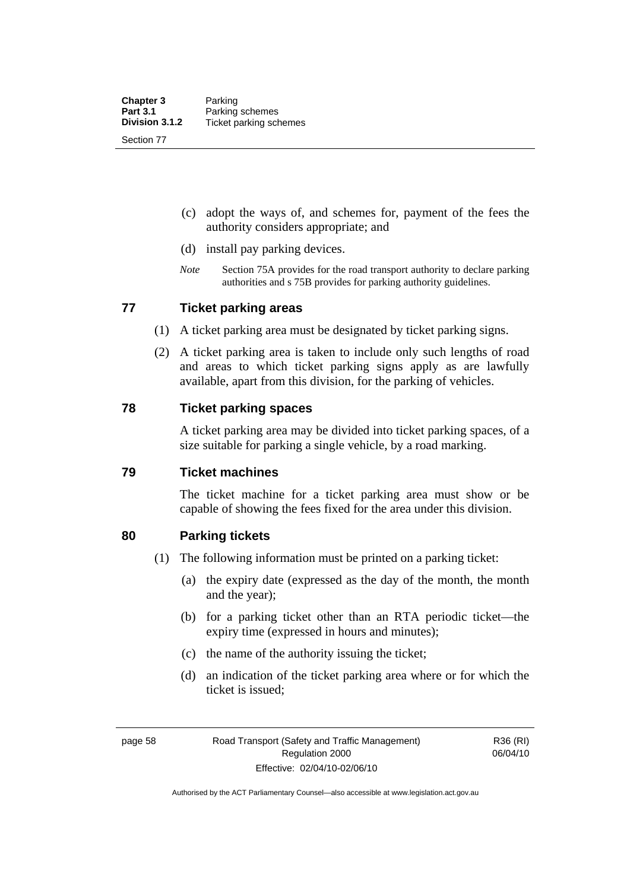- (c) adopt the ways of, and schemes for, payment of the fees the authority considers appropriate; and
- (d) install pay parking devices.
- *Note* Section 75A provides for the road transport authority to declare parking authorities and s 75B provides for parking authority guidelines.

### **77 Ticket parking areas**

- (1) A ticket parking area must be designated by ticket parking signs.
- (2) A ticket parking area is taken to include only such lengths of road and areas to which ticket parking signs apply as are lawfully available, apart from this division, for the parking of vehicles.

#### **78 Ticket parking spaces**

A ticket parking area may be divided into ticket parking spaces, of a size suitable for parking a single vehicle, by a road marking.

#### **79 Ticket machines**

The ticket machine for a ticket parking area must show or be capable of showing the fees fixed for the area under this division.

### **80 Parking tickets**

- (1) The following information must be printed on a parking ticket:
	- (a) the expiry date (expressed as the day of the month, the month and the year);
	- (b) for a parking ticket other than an RTA periodic ticket—the expiry time (expressed in hours and minutes);
	- (c) the name of the authority issuing the ticket;
	- (d) an indication of the ticket parking area where or for which the ticket is issued;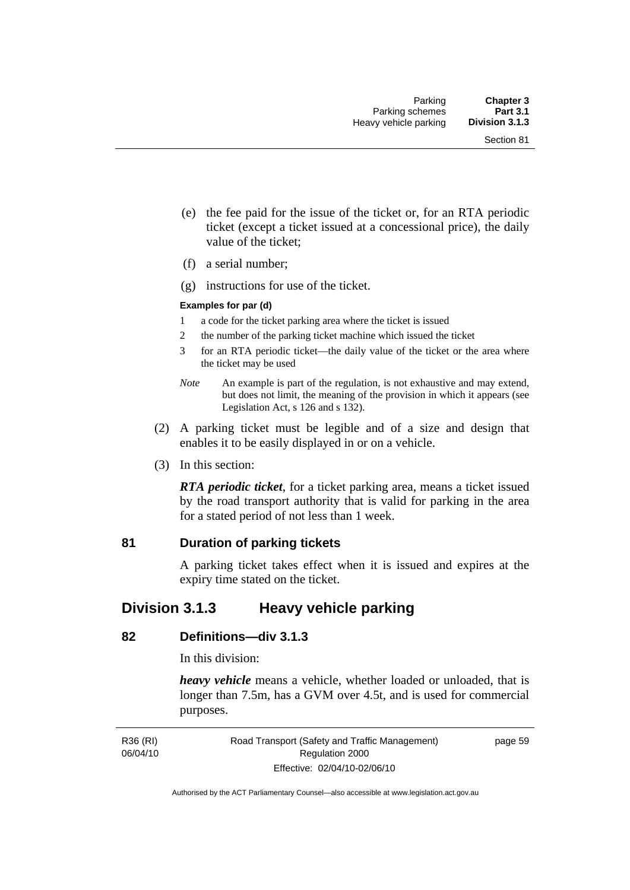- (e) the fee paid for the issue of the ticket or, for an RTA periodic ticket (except a ticket issued at a concessional price), the daily value of the ticket;
- (f) a serial number;
- (g) instructions for use of the ticket.

#### **Examples for par (d)**

- 1 a code for the ticket parking area where the ticket is issued
- 2 the number of the parking ticket machine which issued the ticket
- 3 for an RTA periodic ticket—the daily value of the ticket or the area where the ticket may be used
- *Note* An example is part of the regulation, is not exhaustive and may extend, but does not limit, the meaning of the provision in which it appears (see Legislation Act, s 126 and s 132).
- (2) A parking ticket must be legible and of a size and design that enables it to be easily displayed in or on a vehicle.
- (3) In this section:

*RTA periodic ticket*, for a ticket parking area, means a ticket issued by the road transport authority that is valid for parking in the area for a stated period of not less than 1 week.

#### **81 Duration of parking tickets**

A parking ticket takes effect when it is issued and expires at the expiry time stated on the ticket.

# **Division 3.1.3 Heavy vehicle parking**

#### **82 Definitions—div 3.1.3**

In this division:

*heavy vehicle* means a vehicle, whether loaded or unloaded, that is longer than 7.5m, has a GVM over 4.5t, and is used for commercial purposes.

R36 (RI) 06/04/10 page 59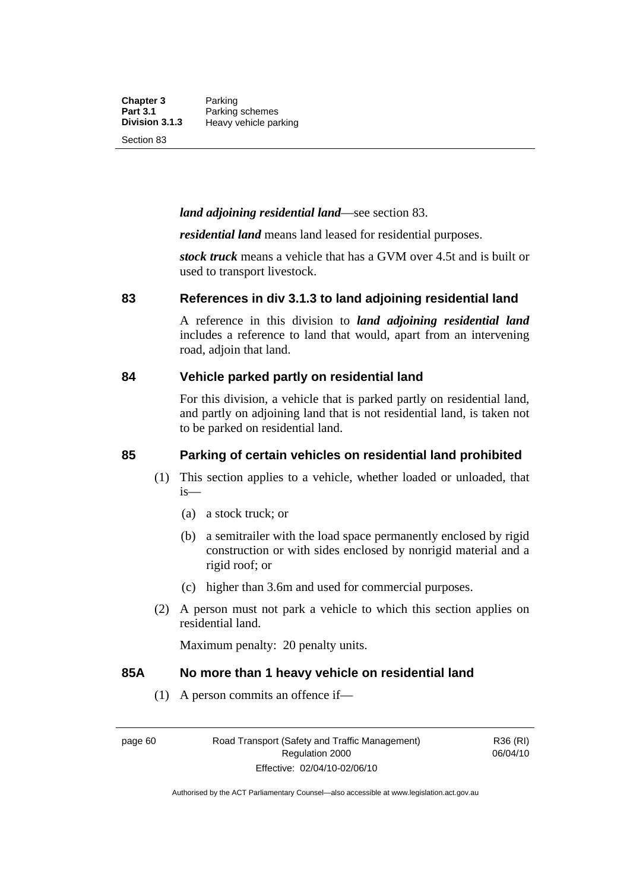**Chapter 3** Parking<br>**Part 3.1** Parking **Part 3.1 Parking schemes**<br>**Division 3.1.3 Heavy vehicle pa Division 3.1.3** Heavy vehicle parking

Section 83

#### *land adjoining residential land*—see section 83.

*residential land* means land leased for residential purposes.

*stock truck* means a vehicle that has a GVM over 4.5t and is built or used to transport livestock.

#### **83 References in div 3.1.3 to land adjoining residential land**

A reference in this division to *land adjoining residential land* includes a reference to land that would, apart from an intervening road, adjoin that land.

#### **84 Vehicle parked partly on residential land**

For this division, a vehicle that is parked partly on residential land, and partly on adjoining land that is not residential land, is taken not to be parked on residential land.

### **85 Parking of certain vehicles on residential land prohibited**

- (1) This section applies to a vehicle, whether loaded or unloaded, that is—
	- (a) a stock truck; or
	- (b) a semitrailer with the load space permanently enclosed by rigid construction or with sides enclosed by nonrigid material and a rigid roof; or
	- (c) higher than 3.6m and used for commercial purposes.
- (2) A person must not park a vehicle to which this section applies on residential land.

Maximum penalty: 20 penalty units.

#### **85A No more than 1 heavy vehicle on residential land**

(1) A person commits an offence if—

R36 (RI) 06/04/10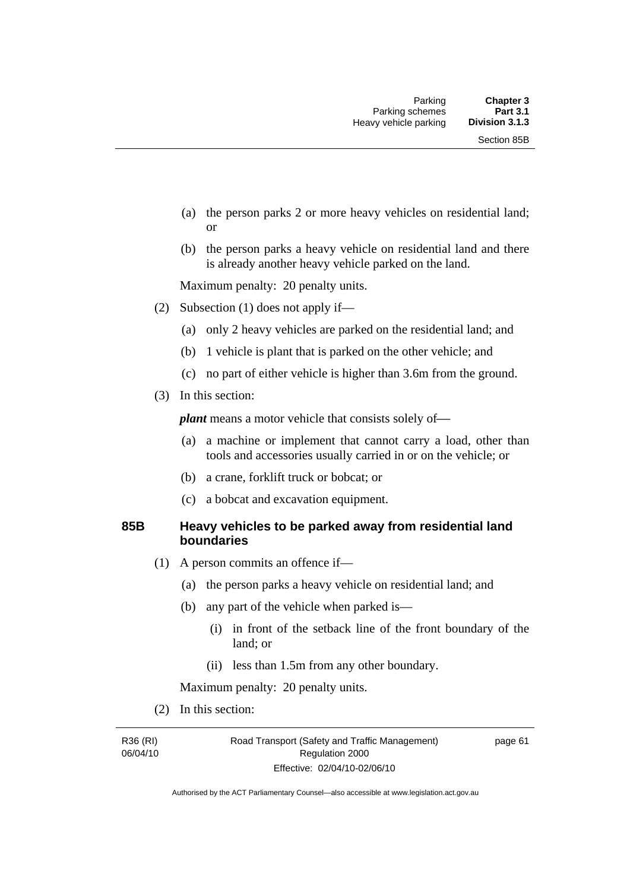- (a) the person parks 2 or more heavy vehicles on residential land; or
- (b) the person parks a heavy vehicle on residential land and there is already another heavy vehicle parked on the land.

Maximum penalty: 20 penalty units.

- (2) Subsection (1) does not apply if—
	- (a) only 2 heavy vehicles are parked on the residential land; and
	- (b) 1 vehicle is plant that is parked on the other vehicle; and
	- (c) no part of either vehicle is higher than 3.6m from the ground.
- (3) In this section:

*plant* means a motor vehicle that consists solely of—

- (a) a machine or implement that cannot carry a load, other than tools and accessories usually carried in or on the vehicle; or
- (b) a crane, forklift truck or bobcat; or
- (c) a bobcat and excavation equipment.

#### **85B Heavy vehicles to be parked away from residential land boundaries**

- (1) A person commits an offence if—
	- (a) the person parks a heavy vehicle on residential land; and
	- (b) any part of the vehicle when parked is—
		- (i) in front of the setback line of the front boundary of the land; or
		- (ii) less than 1.5m from any other boundary.

Maximum penalty: 20 penalty units.

(2) In this section:

R36 (RI) 06/04/10 page 61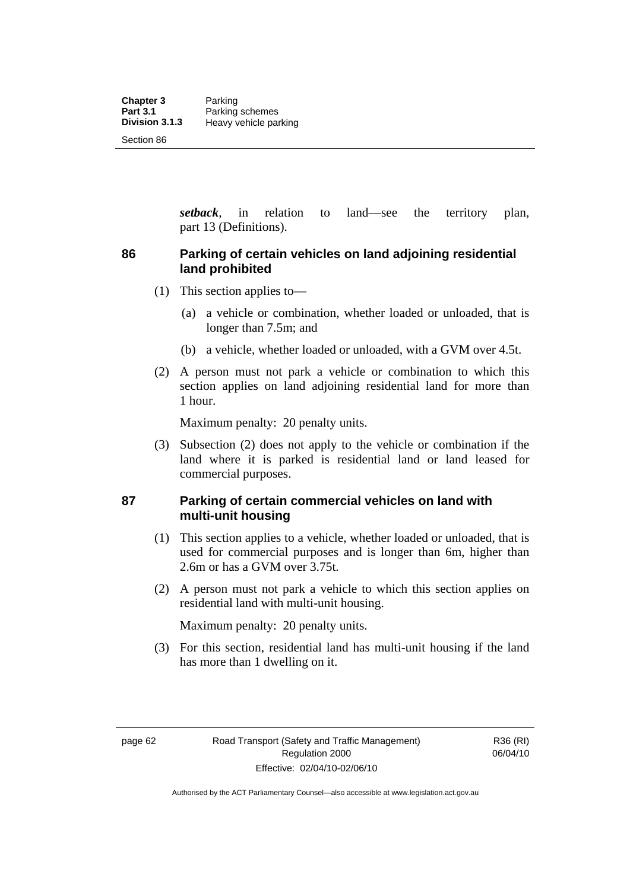*setback*, in relation to land—see the territory plan, part 13 (Definitions).

# **86 Parking of certain vehicles on land adjoining residential land prohibited**

- (1) This section applies to—
	- (a) a vehicle or combination, whether loaded or unloaded, that is longer than 7.5m; and
	- (b) a vehicle, whether loaded or unloaded, with a GVM over 4.5t.
- (2) A person must not park a vehicle or combination to which this section applies on land adjoining residential land for more than 1 hour.

Maximum penalty: 20 penalty units.

 (3) Subsection (2) does not apply to the vehicle or combination if the land where it is parked is residential land or land leased for commercial purposes.

## **87 Parking of certain commercial vehicles on land with multi-unit housing**

- (1) This section applies to a vehicle, whether loaded or unloaded, that is used for commercial purposes and is longer than 6m, higher than 2.6m or has a GVM over 3.75t.
- (2) A person must not park a vehicle to which this section applies on residential land with multi-unit housing.

Maximum penalty: 20 penalty units.

 (3) For this section, residential land has multi-unit housing if the land has more than 1 dwelling on it.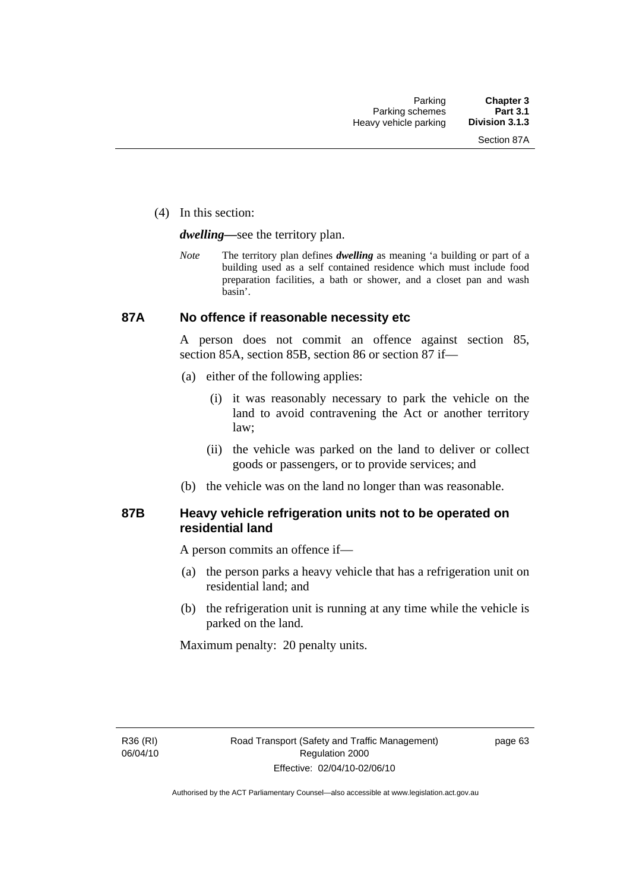(4) In this section:

*dwelling—*see the territory plan.

*Note* The territory plan defines *dwelling* as meaning 'a building or part of a building used as a self contained residence which must include food preparation facilities, a bath or shower, and a closet pan and wash basin'.

# **87A No offence if reasonable necessity etc**

A person does not commit an offence against section 85, section 85A, section 85B, section 86 or section 87 if—

- (a) either of the following applies:
	- (i) it was reasonably necessary to park the vehicle on the land to avoid contravening the Act or another territory law;
	- (ii) the vehicle was parked on the land to deliver or collect goods or passengers, or to provide services; and
- (b) the vehicle was on the land no longer than was reasonable.

# **87B Heavy vehicle refrigeration units not to be operated on residential land**

A person commits an offence if—

- (a) the person parks a heavy vehicle that has a refrigeration unit on residential land; and
- (b) the refrigeration unit is running at any time while the vehicle is parked on the land.

Maximum penalty: 20 penalty units.

R36 (RI) 06/04/10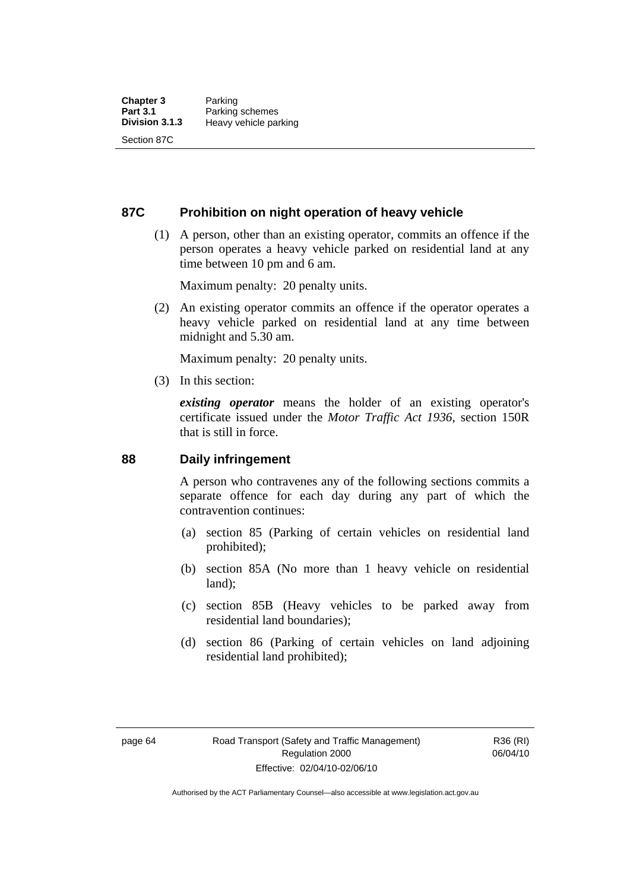# **87C Prohibition on night operation of heavy vehicle**

 (1) A person, other than an existing operator, commits an offence if the person operates a heavy vehicle parked on residential land at any time between 10 pm and 6 am.

Maximum penalty: 20 penalty units.

 (2) An existing operator commits an offence if the operator operates a heavy vehicle parked on residential land at any time between midnight and 5.30 am.

Maximum penalty: 20 penalty units.

(3) In this section:

*existing operator* means the holder of an existing operator's certificate issued under the *Motor Traffic Act 1936*, section 150R that is still in force.

# **88 Daily infringement**

A person who contravenes any of the following sections commits a separate offence for each day during any part of which the contravention continues:

- (a) section 85 (Parking of certain vehicles on residential land prohibited);
- (b) section 85A (No more than 1 heavy vehicle on residential land);
- (c) section 85B (Heavy vehicles to be parked away from residential land boundaries);
- (d) section 86 (Parking of certain vehicles on land adjoining residential land prohibited);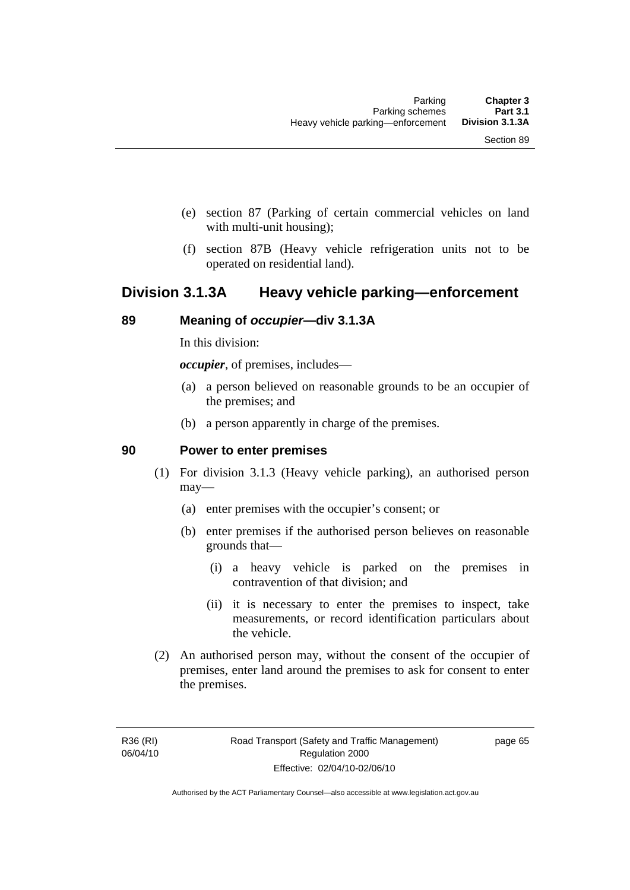- (e) section 87 (Parking of certain commercial vehicles on land with multi-unit housing);
- (f) section 87B (Heavy vehicle refrigeration units not to be operated on residential land).

# **Division 3.1.3A Heavy vehicle parking—enforcement**

# **89 Meaning of** *occupier***—div 3.1.3A**

In this division:

*occupier*, of premises, includes—

- (a) a person believed on reasonable grounds to be an occupier of the premises; and
- (b) a person apparently in charge of the premises.

# **90 Power to enter premises**

- (1) For division 3.1.3 (Heavy vehicle parking), an authorised person may—
	- (a) enter premises with the occupier's consent; or
	- (b) enter premises if the authorised person believes on reasonable grounds that—
		- (i) a heavy vehicle is parked on the premises in contravention of that division; and
		- (ii) it is necessary to enter the premises to inspect, take measurements, or record identification particulars about the vehicle.
- (2) An authorised person may, without the consent of the occupier of premises, enter land around the premises to ask for consent to enter the premises.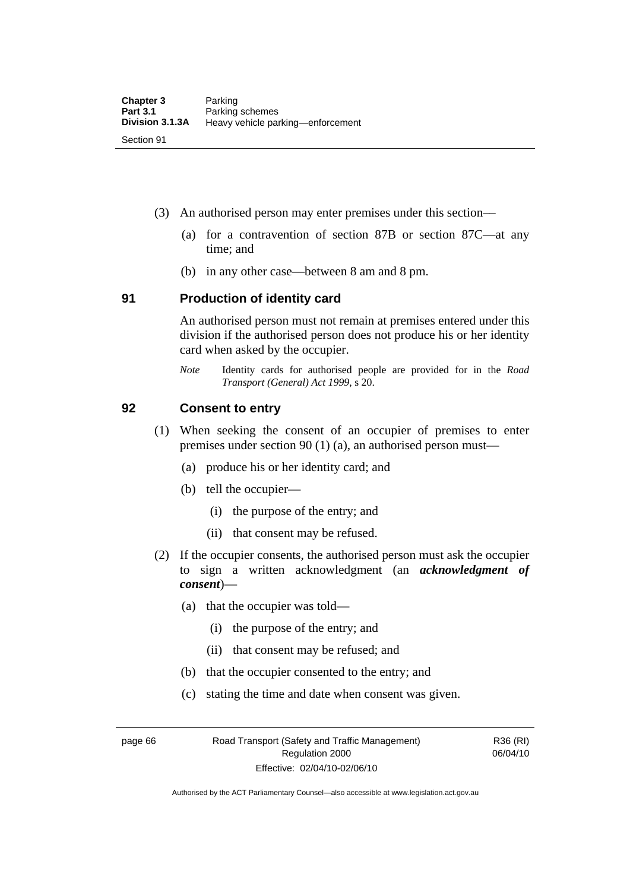- (3) An authorised person may enter premises under this section––
	- (a) for a contravention of section 87B or section 87C––at any time; and
	- (b) in any other case––between 8 am and 8 pm.

### **91 Production of identity card**

An authorised person must not remain at premises entered under this division if the authorised person does not produce his or her identity card when asked by the occupier.

*Note* Identity cards for authorised people are provided for in the *Road Transport (General) Act 1999*, s 20.

# **92 Consent to entry**

- (1) When seeking the consent of an occupier of premises to enter premises under section 90 (1) (a), an authorised person must—
	- (a) produce his or her identity card; and
	- (b) tell the occupier—
		- (i) the purpose of the entry; and
		- (ii) that consent may be refused.
- (2) If the occupier consents, the authorised person must ask the occupier to sign a written acknowledgment (an *acknowledgment of consent*)—
	- (a) that the occupier was told—
		- (i) the purpose of the entry; and
		- (ii) that consent may be refused; and
	- (b) that the occupier consented to the entry; and
	- (c) stating the time and date when consent was given.

page 66 Road Transport (Safety and Traffic Management) Regulation 2000 Effective: 02/04/10-02/06/10

R36 (RI) 06/04/10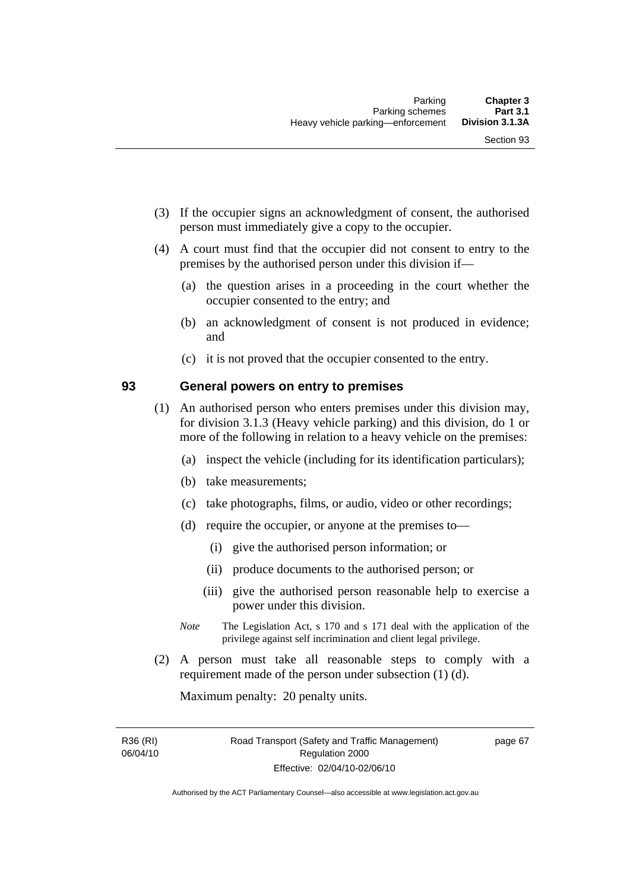- (3) If the occupier signs an acknowledgment of consent, the authorised person must immediately give a copy to the occupier.
- (4) A court must find that the occupier did not consent to entry to the premises by the authorised person under this division if—
	- (a) the question arises in a proceeding in the court whether the occupier consented to the entry; and
	- (b) an acknowledgment of consent is not produced in evidence; and
	- (c) it is not proved that the occupier consented to the entry.

## **93 General powers on entry to premises**

- (1) An authorised person who enters premises under this division may, for division 3.1.3 (Heavy vehicle parking) and this division, do 1 or more of the following in relation to a heavy vehicle on the premises:
	- (a) inspect the vehicle (including for its identification particulars);
	- (b) take measurements;
	- (c) take photographs, films, or audio, video or other recordings;
	- (d) require the occupier, or anyone at the premises to—
		- (i) give the authorised person information; or
		- (ii) produce documents to the authorised person; or
		- (iii) give the authorised person reasonable help to exercise a power under this division.
	- *Note* The Legislation Act, s 170 and s 171 deal with the application of the privilege against self incrimination and client legal privilege.
- (2) A person must take all reasonable steps to comply with a requirement made of the person under subsection (1) (d).

Maximum penalty: 20 penalty units.

R36 (RI) 06/04/10 page 67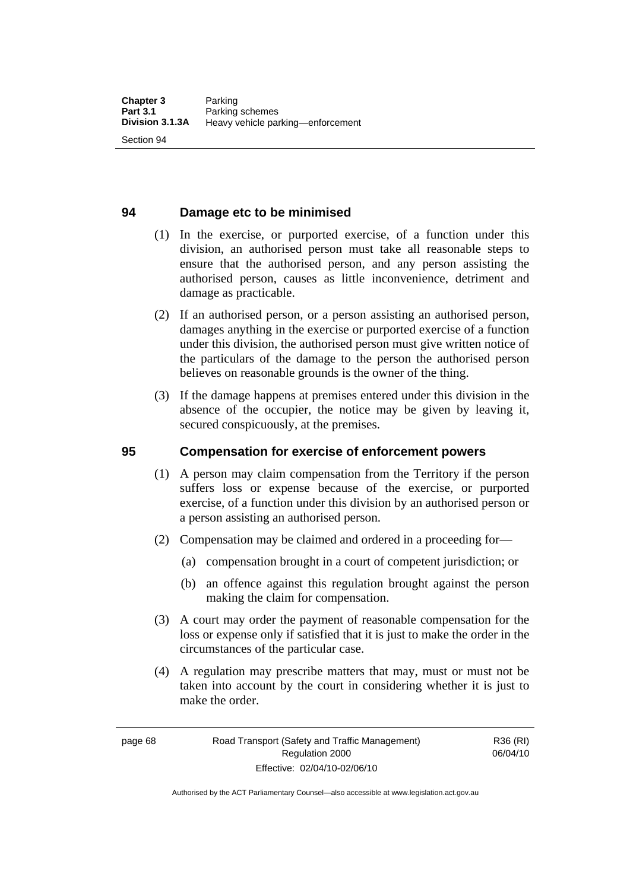# **94 Damage etc to be minimised**

- (1) In the exercise, or purported exercise, of a function under this division, an authorised person must take all reasonable steps to ensure that the authorised person, and any person assisting the authorised person, causes as little inconvenience, detriment and damage as practicable.
- (2) If an authorised person, or a person assisting an authorised person, damages anything in the exercise or purported exercise of a function under this division, the authorised person must give written notice of the particulars of the damage to the person the authorised person believes on reasonable grounds is the owner of the thing.
- (3) If the damage happens at premises entered under this division in the absence of the occupier, the notice may be given by leaving it, secured conspicuously, at the premises.

### **95 Compensation for exercise of enforcement powers**

- (1) A person may claim compensation from the Territory if the person suffers loss or expense because of the exercise, or purported exercise, of a function under this division by an authorised person or a person assisting an authorised person.
- (2) Compensation may be claimed and ordered in a proceeding for—
	- (a) compensation brought in a court of competent jurisdiction; or
	- (b) an offence against this regulation brought against the person making the claim for compensation.
- (3) A court may order the payment of reasonable compensation for the loss or expense only if satisfied that it is just to make the order in the circumstances of the particular case.
- (4) A regulation may prescribe matters that may, must or must not be taken into account by the court in considering whether it is just to make the order.

R36 (RI) 06/04/10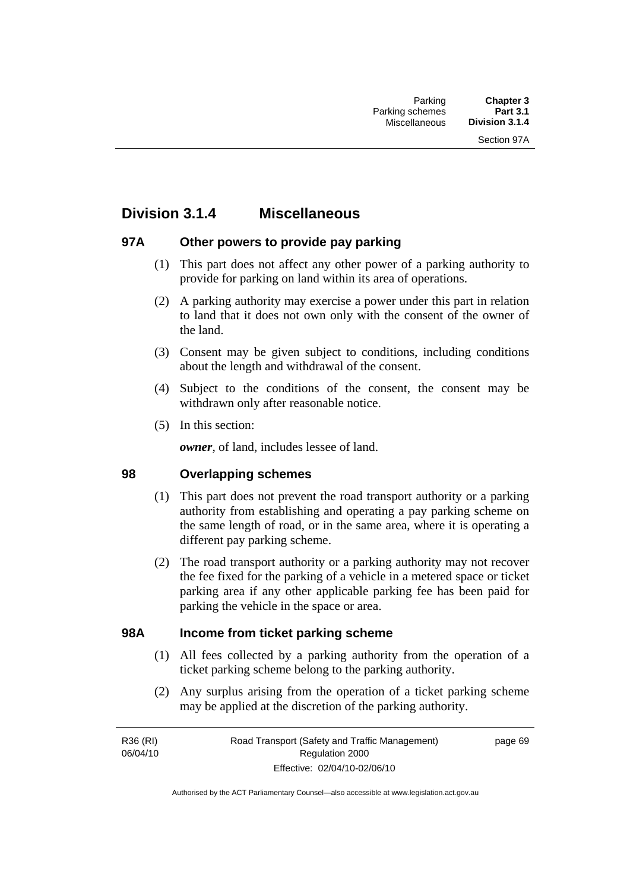# **Division 3.1.4 Miscellaneous**

# **97A Other powers to provide pay parking**

- (1) This part does not affect any other power of a parking authority to provide for parking on land within its area of operations.
- (2) A parking authority may exercise a power under this part in relation to land that it does not own only with the consent of the owner of the land.
- (3) Consent may be given subject to conditions, including conditions about the length and withdrawal of the consent.
- (4) Subject to the conditions of the consent, the consent may be withdrawn only after reasonable notice.
- (5) In this section:

*owner*, of land, includes lessee of land.

# **98 Overlapping schemes**

- (1) This part does not prevent the road transport authority or a parking authority from establishing and operating a pay parking scheme on the same length of road, or in the same area, where it is operating a different pay parking scheme.
- (2) The road transport authority or a parking authority may not recover the fee fixed for the parking of a vehicle in a metered space or ticket parking area if any other applicable parking fee has been paid for parking the vehicle in the space or area.

# **98A Income from ticket parking scheme**

- (1) All fees collected by a parking authority from the operation of a ticket parking scheme belong to the parking authority.
- (2) Any surplus arising from the operation of a ticket parking scheme may be applied at the discretion of the parking authority.

R36 (RI) 06/04/10 page 69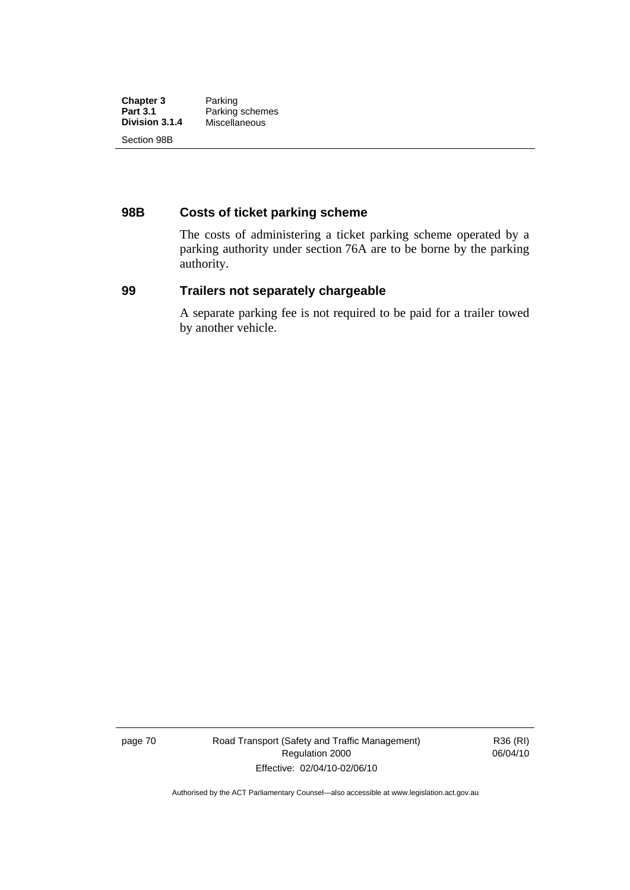| <b>Chapter 3</b> | Parking         |
|------------------|-----------------|
| <b>Part 3.1</b>  | Parking schemes |
| Division 3.1.4   | Miscellaneous   |
| Section 98B      |                 |

# **98B Costs of ticket parking scheme**

The costs of administering a ticket parking scheme operated by a parking authority under section 76A are to be borne by the parking authority.

# **99 Trailers not separately chargeable**

A separate parking fee is not required to be paid for a trailer towed by another vehicle.

page 70 Road Transport (Safety and Traffic Management) Regulation 2000 Effective: 02/04/10-02/06/10

R36 (RI) 06/04/10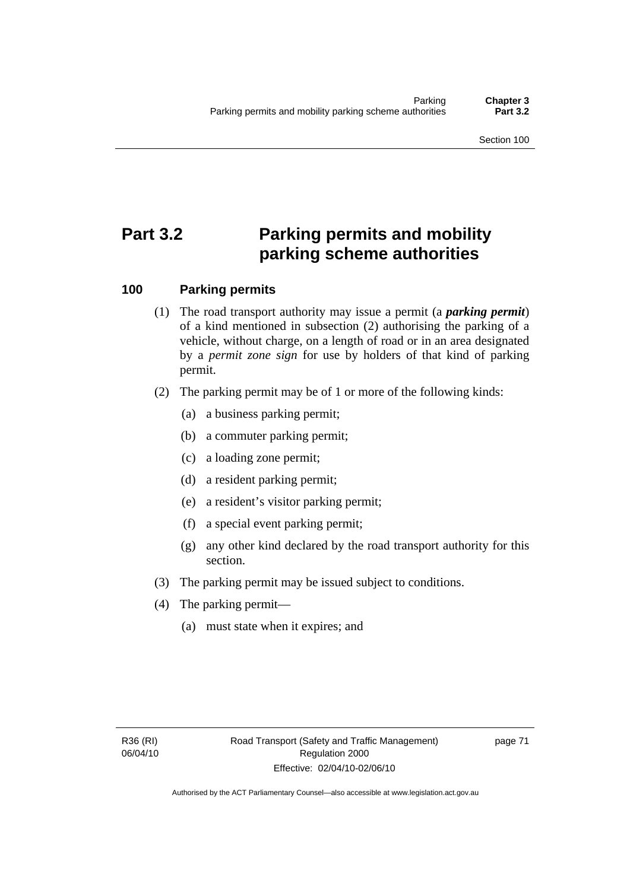# **Part 3.2 Parking permits and mobility parking scheme authorities**

# **100 Parking permits**

- (1) The road transport authority may issue a permit (a *parking permit*) of a kind mentioned in subsection (2) authorising the parking of a vehicle, without charge, on a length of road or in an area designated by a *permit zone sign* for use by holders of that kind of parking permit.
- (2) The parking permit may be of 1 or more of the following kinds:
	- (a) a business parking permit;
	- (b) a commuter parking permit;
	- (c) a loading zone permit;
	- (d) a resident parking permit;
	- (e) a resident's visitor parking permit;
	- (f) a special event parking permit;
	- (g) any other kind declared by the road transport authority for this section.
- (3) The parking permit may be issued subject to conditions.
- (4) The parking permit—
	- (a) must state when it expires; and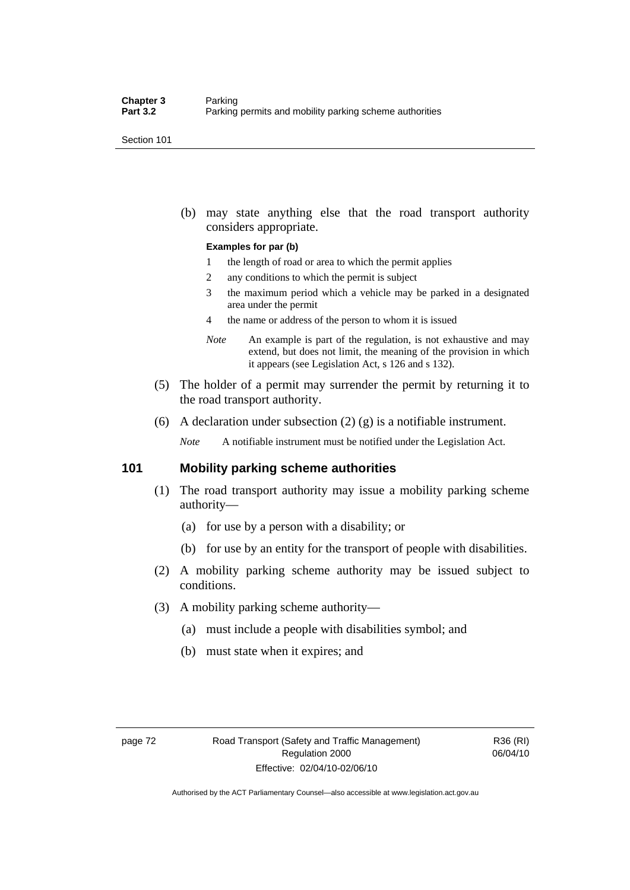Section 101

 (b) may state anything else that the road transport authority considers appropriate.

#### **Examples for par (b)**

- 1 the length of road or area to which the permit applies
- 2 any conditions to which the permit is subject
- 3 the maximum period which a vehicle may be parked in a designated area under the permit
- 4 the name or address of the person to whom it is issued
- *Note* An example is part of the regulation, is not exhaustive and may extend, but does not limit, the meaning of the provision in which it appears (see Legislation Act, s 126 and s 132).
- (5) The holder of a permit may surrender the permit by returning it to the road transport authority.
- (6) A declaration under subsection  $(2)$   $(g)$  is a notifiable instrument.

*Note* A notifiable instrument must be notified under the Legislation Act.

# **101 Mobility parking scheme authorities**

- (1) The road transport authority may issue a mobility parking scheme authority—
	- (a) for use by a person with a disability; or
	- (b) for use by an entity for the transport of people with disabilities.
- (2) A mobility parking scheme authority may be issued subject to conditions.
- (3) A mobility parking scheme authority—
	- (a) must include a people with disabilities symbol; and
	- (b) must state when it expires; and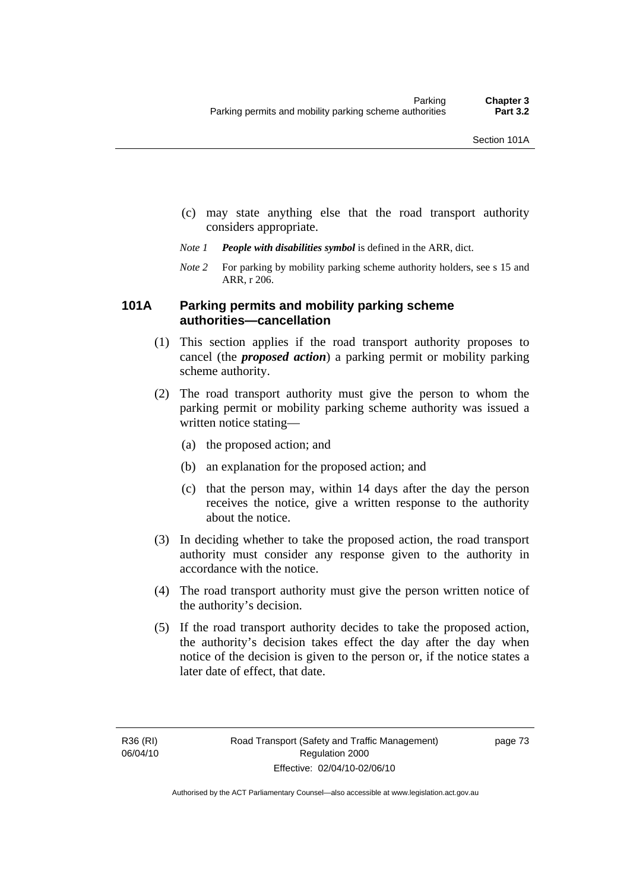- (c) may state anything else that the road transport authority
- *Note 1 People with disabilities symbol* is defined in the ARR, dict.
- *Note 2* For parking by mobility parking scheme authority holders, see s 15 and ARR, r 206.

# **101A Parking permits and mobility parking scheme authorities—cancellation**

considers appropriate.

- (1) This section applies if the road transport authority proposes to cancel (the *proposed action*) a parking permit or mobility parking scheme authority.
- (2) The road transport authority must give the person to whom the parking permit or mobility parking scheme authority was issued a written notice stating—
	- (a) the proposed action; and
	- (b) an explanation for the proposed action; and
	- (c) that the person may, within 14 days after the day the person receives the notice, give a written response to the authority about the notice.
- (3) In deciding whether to take the proposed action, the road transport authority must consider any response given to the authority in accordance with the notice.
- (4) The road transport authority must give the person written notice of the authority's decision.
- (5) If the road transport authority decides to take the proposed action, the authority's decision takes effect the day after the day when notice of the decision is given to the person or, if the notice states a later date of effect, that date.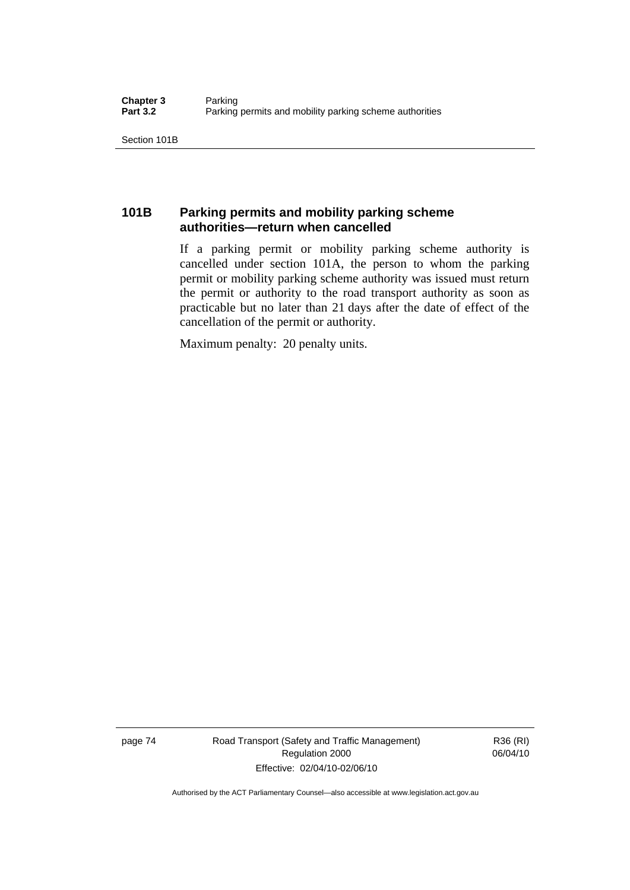Section 101B

# **101B Parking permits and mobility parking scheme authorities—return when cancelled**

If a parking permit or mobility parking scheme authority is cancelled under section 101A, the person to whom the parking permit or mobility parking scheme authority was issued must return the permit or authority to the road transport authority as soon as practicable but no later than 21 days after the date of effect of the cancellation of the permit or authority.

Maximum penalty: 20 penalty units.

page 74 Road Transport (Safety and Traffic Management) Regulation 2000 Effective: 02/04/10-02/06/10

R36 (RI) 06/04/10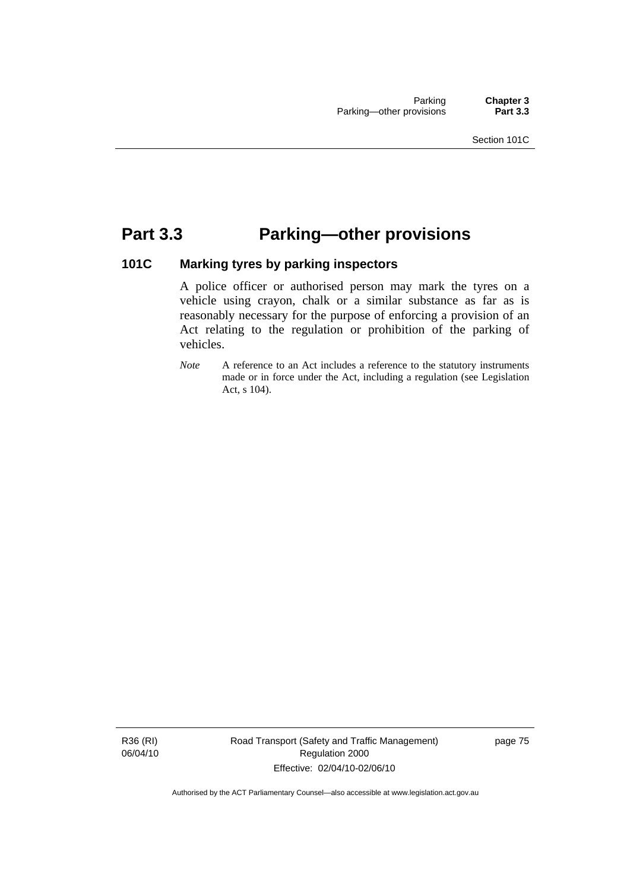# **Part 3.3 Parking—other provisions**

# **101C Marking tyres by parking inspectors**

A police officer or authorised person may mark the tyres on a vehicle using crayon, chalk or a similar substance as far as is reasonably necessary for the purpose of enforcing a provision of an Act relating to the regulation or prohibition of the parking of vehicles.

*Note* A reference to an Act includes a reference to the statutory instruments made or in force under the Act, including a regulation (see Legislation Act, s 104).

R36 (RI) 06/04/10 Road Transport (Safety and Traffic Management) Regulation 2000 Effective: 02/04/10-02/06/10

page 75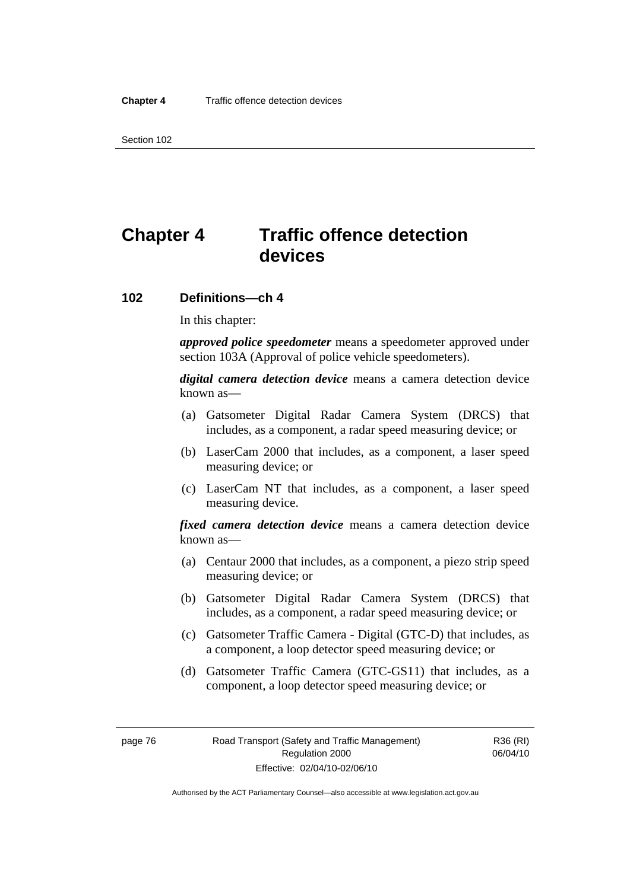Section 102

# **Chapter 4 Traffic offence detection devices**

## **102 Definitions—ch 4**

In this chapter:

*approved police speedometer* means a speedometer approved under section 103A (Approval of police vehicle speedometers).

*digital camera detection device* means a camera detection device known as—

- (a) Gatsometer Digital Radar Camera System (DRCS) that includes, as a component, a radar speed measuring device; or
- (b) LaserCam 2000 that includes, as a component, a laser speed measuring device; or
- (c) LaserCam NT that includes, as a component, a laser speed measuring device.

*fixed camera detection device* means a camera detection device known as—

- (a) Centaur 2000 that includes, as a component, a piezo strip speed measuring device; or
- (b) Gatsometer Digital Radar Camera System (DRCS) that includes, as a component, a radar speed measuring device; or
- (c) Gatsometer Traffic Camera Digital (GTC-D) that includes, as a component, a loop detector speed measuring device; or
- (d) Gatsometer Traffic Camera (GTC-GS11) that includes, as a component, a loop detector speed measuring device; or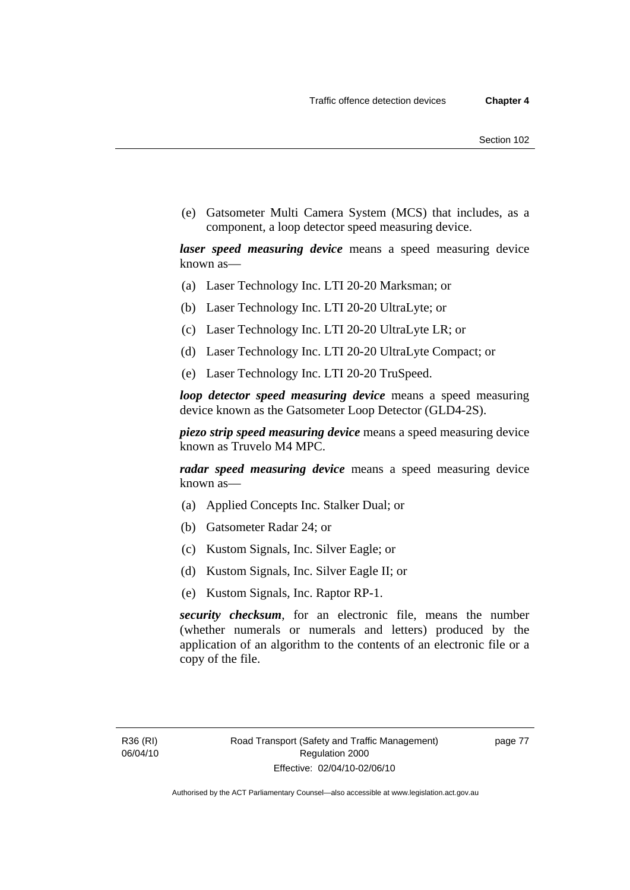(e) Gatsometer Multi Camera System (MCS) that includes, as a component, a loop detector speed measuring device.

*laser speed measuring device* means a speed measuring device known as—

- (a) Laser Technology Inc. LTI 20-20 Marksman; or
- (b) Laser Technology Inc. LTI 20-20 UltraLyte; or
- (c) Laser Technology Inc. LTI 20-20 UltraLyte LR; or
- (d) Laser Technology Inc. LTI 20-20 UltraLyte Compact; or
- (e) Laser Technology Inc. LTI 20-20 TruSpeed.

*loop detector speed measuring device* means a speed measuring device known as the Gatsometer Loop Detector (GLD4-2S).

*piezo strip speed measuring device* means a speed measuring device known as Truvelo M4 MPC.

*radar speed measuring device* means a speed measuring device known as—

- (a) Applied Concepts Inc. Stalker Dual; or
- (b) Gatsometer Radar 24; or
- (c) Kustom Signals, Inc. Silver Eagle; or
- (d) Kustom Signals, Inc. Silver Eagle II; or
- (e) Kustom Signals, Inc. Raptor RP-1.

*security checksum*, for an electronic file, means the number (whether numerals or numerals and letters) produced by the application of an algorithm to the contents of an electronic file or a copy of the file.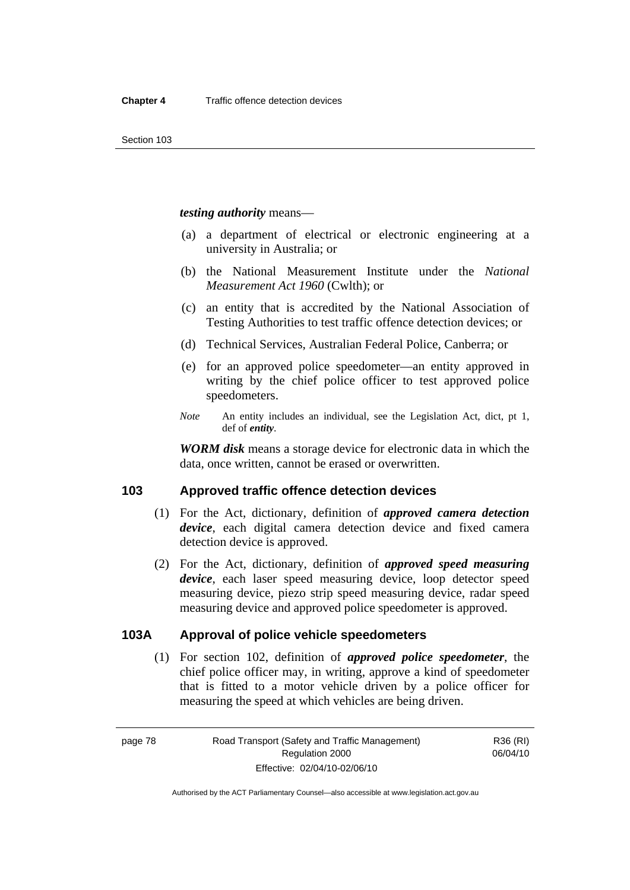*testing authority* means—

- (a) a department of electrical or electronic engineering at a university in Australia; or
- (b) the National Measurement Institute under the *National Measurement Act 1960* (Cwlth); or
- (c) an entity that is accredited by the National Association of Testing Authorities to test traffic offence detection devices; or
- (d) Technical Services, Australian Federal Police, Canberra; or
- (e) for an approved police speedometer—an entity approved in writing by the chief police officer to test approved police speedometers.
- *Note* An entity includes an individual, see the Legislation Act, dict, pt 1, def of *entity*.

*WORM disk* means a storage device for electronic data in which the data, once written, cannot be erased or overwritten.

# **103 Approved traffic offence detection devices**

- (1) For the Act, dictionary, definition of *approved camera detection device*, each digital camera detection device and fixed camera detection device is approved.
- (2) For the Act, dictionary, definition of *approved speed measuring device*, each laser speed measuring device, loop detector speed measuring device, piezo strip speed measuring device, radar speed measuring device and approved police speedometer is approved.

# **103A Approval of police vehicle speedometers**

 (1) For section 102, definition of *approved police speedometer*, the chief police officer may, in writing, approve a kind of speedometer that is fitted to a motor vehicle driven by a police officer for measuring the speed at which vehicles are being driven.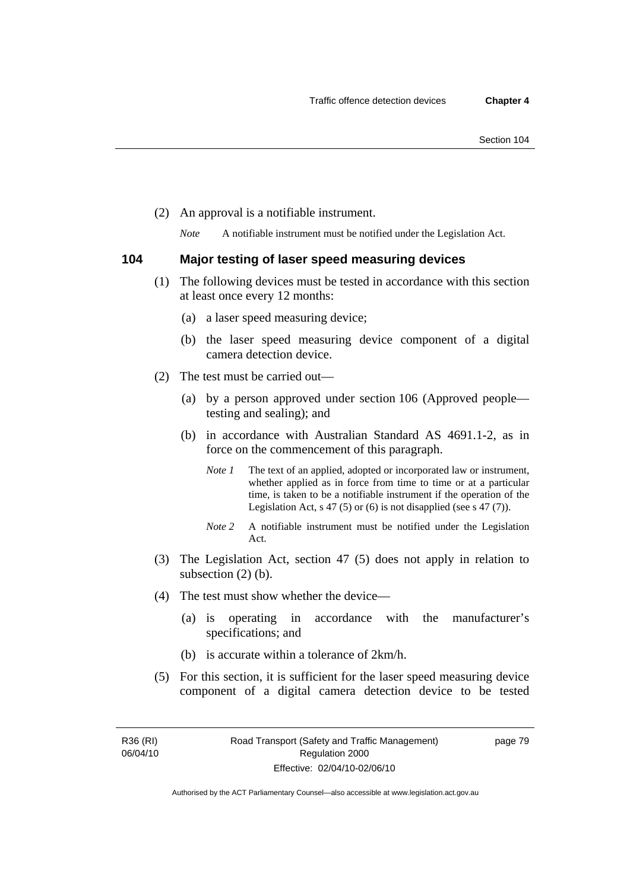(2) An approval is a notifiable instrument.

*Note* A notifiable instrument must be notified under the Legislation Act.

# **104 Major testing of laser speed measuring devices**

- (1) The following devices must be tested in accordance with this section at least once every 12 months:
	- (a) a laser speed measuring device;
	- (b) the laser speed measuring device component of a digital camera detection device.
- (2) The test must be carried out—
	- (a) by a person approved under section 106 (Approved people testing and sealing); and
	- (b) in accordance with Australian Standard AS 4691.1-2, as in force on the commencement of this paragraph.
		- *Note 1* The text of an applied, adopted or incorporated law or instrument, whether applied as in force from time to time or at a particular time, is taken to be a notifiable instrument if the operation of the Legislation Act,  $s$  47 (5) or (6) is not disapplied (see s 47 (7)).
		- *Note 2* A notifiable instrument must be notified under the Legislation Act.
- (3) The Legislation Act, section 47 (5) does not apply in relation to subsection (2) (b).
- (4) The test must show whether the device—
	- (a) is operating in accordance with the manufacturer's specifications; and
	- (b) is accurate within a tolerance of 2km/h.
- (5) For this section, it is sufficient for the laser speed measuring device component of a digital camera detection device to be tested

R36 (RI) 06/04/10

Authorised by the ACT Parliamentary Counsel—also accessible at www.legislation.act.gov.au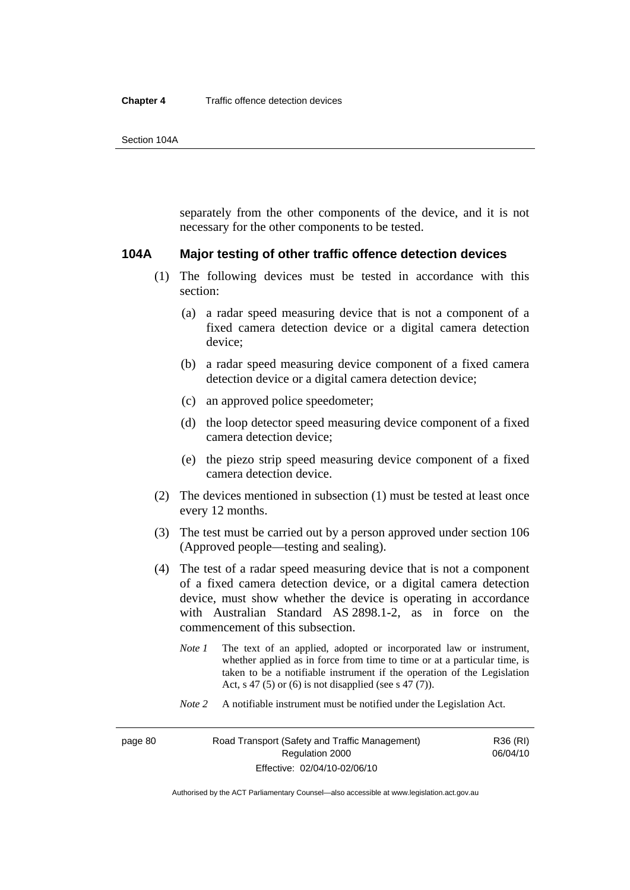separately from the other components of the device, and it is not necessary for the other components to be tested.

### **104A Major testing of other traffic offence detection devices**

- (1) The following devices must be tested in accordance with this section:
	- (a) a radar speed measuring device that is not a component of a fixed camera detection device or a digital camera detection device;
	- (b) a radar speed measuring device component of a fixed camera detection device or a digital camera detection device;
	- (c) an approved police speedometer;
	- (d) the loop detector speed measuring device component of a fixed camera detection device;
	- (e) the piezo strip speed measuring device component of a fixed camera detection device.
- (2) The devices mentioned in subsection (1) must be tested at least once every 12 months.
- (3) The test must be carried out by a person approved under section 106 (Approved people—testing and sealing).
- (4) The test of a radar speed measuring device that is not a component of a fixed camera detection device, or a digital camera detection device, must show whether the device is operating in accordance with Australian Standard AS 2898.1-2, as in force on the commencement of this subsection.
	- *Note 1* The text of an applied, adopted or incorporated law or instrument, whether applied as in force from time to time or at a particular time, is taken to be a notifiable instrument if the operation of the Legislation Act, s 47 (5) or (6) is not disapplied (see s 47 (7)).
	- *Note 2* A notifiable instrument must be notified under the Legislation Act.

R36 (RI) 06/04/10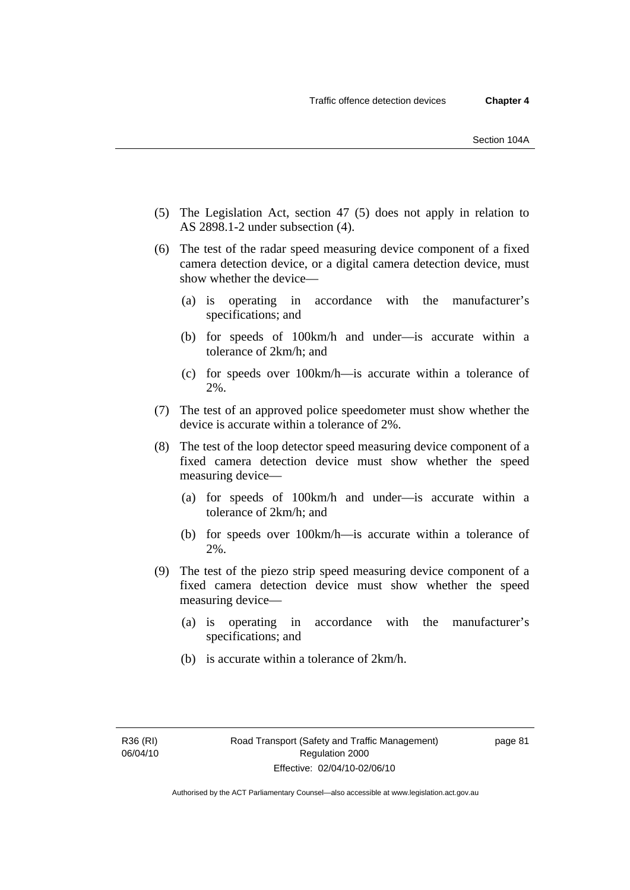- (5) The Legislation Act, section 47 (5) does not apply in relation to AS 2898.1-2 under subsection (4).
- (6) The test of the radar speed measuring device component of a fixed camera detection device, or a digital camera detection device, must show whether the device—
	- (a) is operating in accordance with the manufacturer's specifications; and
	- (b) for speeds of 100km/h and under—is accurate within a tolerance of 2km/h; and
	- (c) for speeds over 100km/h—is accurate within a tolerance of 2%.
- (7) The test of an approved police speedometer must show whether the device is accurate within a tolerance of 2%.
- (8) The test of the loop detector speed measuring device component of a fixed camera detection device must show whether the speed measuring device—
	- (a) for speeds of 100km/h and under—is accurate within a tolerance of 2km/h; and
	- (b) for speeds over 100km/h—is accurate within a tolerance of 2%.
- (9) The test of the piezo strip speed measuring device component of a fixed camera detection device must show whether the speed measuring device—
	- (a) is operating in accordance with the manufacturer's specifications; and
	- (b) is accurate within a tolerance of 2km/h.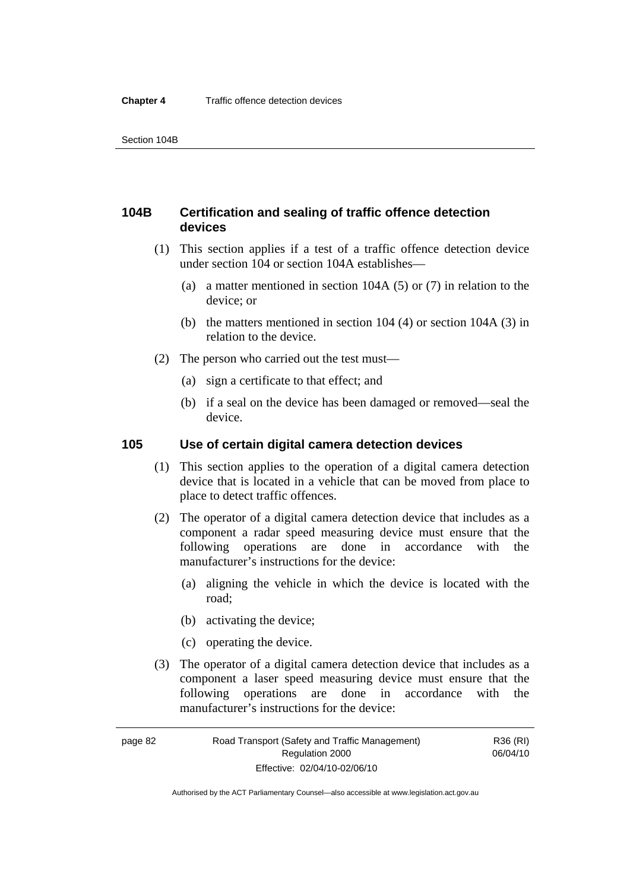# **104B Certification and sealing of traffic offence detection devices**

- (1) This section applies if a test of a traffic offence detection device under section 104 or section 104A establishes—
	- (a) a matter mentioned in section 104A (5) or (7) in relation to the device; or
	- (b) the matters mentioned in section 104 (4) or section 104A (3) in relation to the device.
- (2) The person who carried out the test must—
	- (a) sign a certificate to that effect; and
	- (b) if a seal on the device has been damaged or removed—seal the device.

# **105 Use of certain digital camera detection devices**

- (1) This section applies to the operation of a digital camera detection device that is located in a vehicle that can be moved from place to place to detect traffic offences.
- (2) The operator of a digital camera detection device that includes as a component a radar speed measuring device must ensure that the following operations are done in accordance with the manufacturer's instructions for the device:
	- (a) aligning the vehicle in which the device is located with the road;
	- (b) activating the device;
	- (c) operating the device.
- (3) The operator of a digital camera detection device that includes as a component a laser speed measuring device must ensure that the following operations are done in accordance with the manufacturer's instructions for the device:

page 82 Road Transport (Safety and Traffic Management) Regulation 2000 Effective: 02/04/10-02/06/10

R36 (RI) 06/04/10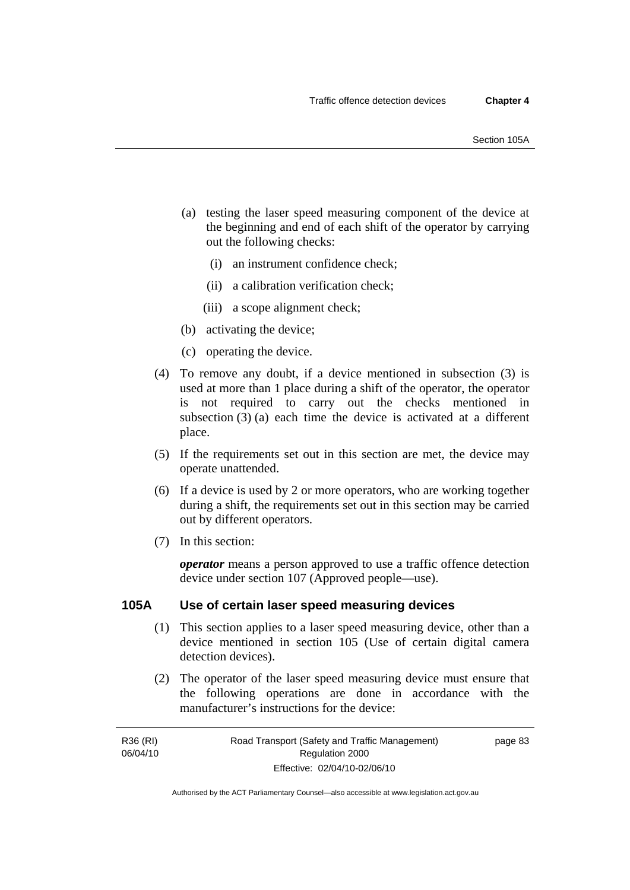- (a) testing the laser speed measuring component of the device at the beginning and end of each shift of the operator by carrying out the following checks:
	- (i) an instrument confidence check;
	- (ii) a calibration verification check;
	- (iii) a scope alignment check;
- (b) activating the device;
- (c) operating the device.
- (4) To remove any doubt, if a device mentioned in subsection (3) is used at more than 1 place during a shift of the operator, the operator is not required to carry out the checks mentioned in subsection (3) (a) each time the device is activated at a different place.
- (5) If the requirements set out in this section are met, the device may operate unattended.
- (6) If a device is used by 2 or more operators, who are working together during a shift, the requirements set out in this section may be carried out by different operators.
- (7) In this section:

*operator* means a person approved to use a traffic offence detection device under section 107 (Approved people—use).

### **105A Use of certain laser speed measuring devices**

- (1) This section applies to a laser speed measuring device, other than a device mentioned in section 105 (Use of certain digital camera detection devices).
- (2) The operator of the laser speed measuring device must ensure that the following operations are done in accordance with the manufacturer's instructions for the device:

R36 (RI) 06/04/10 page 83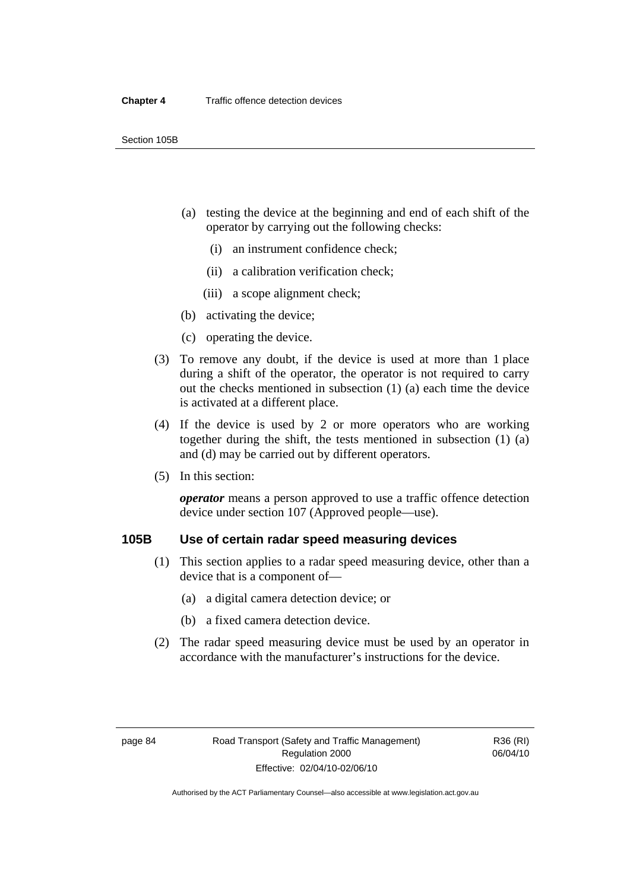- (a) testing the device at the beginning and end of each shift of the operator by carrying out the following checks:
	- (i) an instrument confidence check;
	- (ii) a calibration verification check;
	- (iii) a scope alignment check;
- (b) activating the device;
- (c) operating the device.
- (3) To remove any doubt, if the device is used at more than 1 place during a shift of the operator, the operator is not required to carry out the checks mentioned in subsection (1) (a) each time the device is activated at a different place.
- (4) If the device is used by 2 or more operators who are working together during the shift, the tests mentioned in subsection (1) (a) and (d) may be carried out by different operators.
- (5) In this section:

*operator* means a person approved to use a traffic offence detection device under section 107 (Approved people—use).

# **105B Use of certain radar speed measuring devices**

- (1) This section applies to a radar speed measuring device, other than a device that is a component of—
	- (a) a digital camera detection device; or
	- (b) a fixed camera detection device.
- (2) The radar speed measuring device must be used by an operator in accordance with the manufacturer's instructions for the device.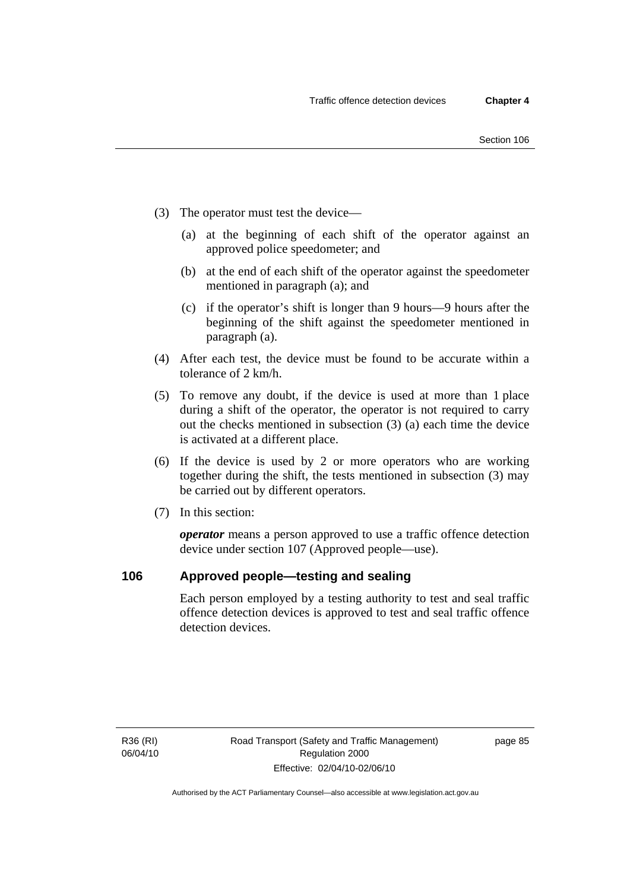- (3) The operator must test the device—
	- (a) at the beginning of each shift of the operator against an approved police speedometer; and
	- (b) at the end of each shift of the operator against the speedometer mentioned in paragraph (a); and
	- (c) if the operator's shift is longer than 9 hours—9 hours after the beginning of the shift against the speedometer mentioned in paragraph (a).
- (4) After each test, the device must be found to be accurate within a tolerance of 2 km/h.
- (5) To remove any doubt, if the device is used at more than 1 place during a shift of the operator, the operator is not required to carry out the checks mentioned in subsection (3) (a) each time the device is activated at a different place.
- (6) If the device is used by 2 or more operators who are working together during the shift, the tests mentioned in subsection (3) may be carried out by different operators.
- (7) In this section:

*operator* means a person approved to use a traffic offence detection device under section 107 (Approved people—use).

# **106 Approved people—testing and sealing**

Each person employed by a testing authority to test and seal traffic offence detection devices is approved to test and seal traffic offence detection devices.

R36 (RI) 06/04/10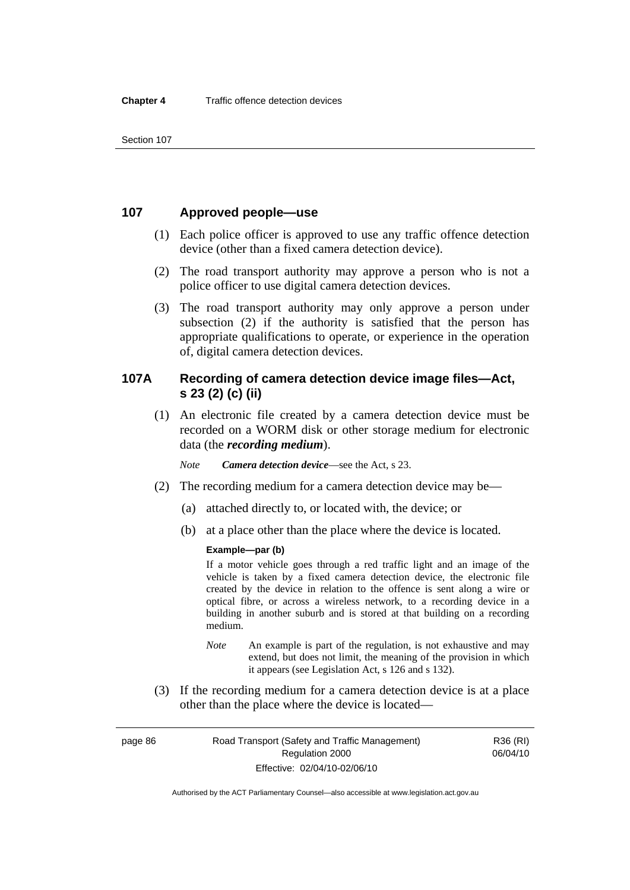# **107 Approved people—use**

- (1) Each police officer is approved to use any traffic offence detection device (other than a fixed camera detection device).
- (2) The road transport authority may approve a person who is not a police officer to use digital camera detection devices.
- (3) The road transport authority may only approve a person under subsection (2) if the authority is satisfied that the person has appropriate qualifications to operate, or experience in the operation of, digital camera detection devices.

# **107A Recording of camera detection device image files—Act, s 23 (2) (c) (ii)**

 (1) An electronic file created by a camera detection device must be recorded on a WORM disk or other storage medium for electronic data (the *recording medium*).

*Note Camera detection device*—see the Act, s 23.

- (2) The recording medium for a camera detection device may be—
	- (a) attached directly to, or located with, the device; or
	- (b) at a place other than the place where the device is located.

### **Example—par (b)**

If a motor vehicle goes through a red traffic light and an image of the vehicle is taken by a fixed camera detection device, the electronic file created by the device in relation to the offence is sent along a wire or optical fibre, or across a wireless network, to a recording device in a building in another suburb and is stored at that building on a recording medium.

- *Note* An example is part of the regulation, is not exhaustive and may extend, but does not limit, the meaning of the provision in which it appears (see Legislation Act, s 126 and s 132).
- (3) If the recording medium for a camera detection device is at a place other than the place where the device is located—

page 86 Road Transport (Safety and Traffic Management) Regulation 2000 Effective: 02/04/10-02/06/10

R36 (RI) 06/04/10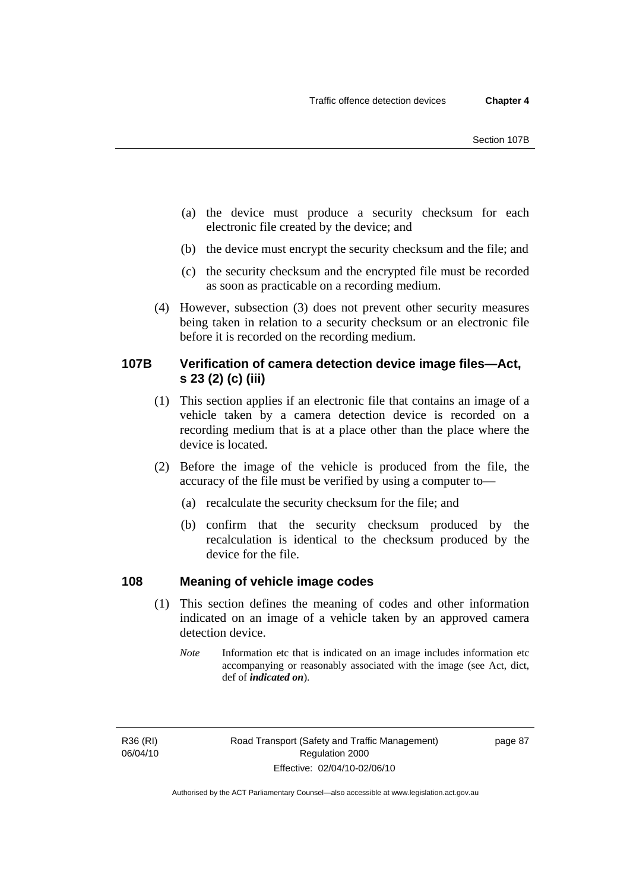- (a) the device must produce a security checksum for each electronic file created by the device; and
- (b) the device must encrypt the security checksum and the file; and
- (c) the security checksum and the encrypted file must be recorded as soon as practicable on a recording medium.
- (4) However, subsection (3) does not prevent other security measures being taken in relation to a security checksum or an electronic file before it is recorded on the recording medium.

# **107B Verification of camera detection device image files—Act, s 23 (2) (c) (iii)**

- (1) This section applies if an electronic file that contains an image of a vehicle taken by a camera detection device is recorded on a recording medium that is at a place other than the place where the device is located.
- (2) Before the image of the vehicle is produced from the file, the accuracy of the file must be verified by using a computer to—
	- (a) recalculate the security checksum for the file; and
	- (b) confirm that the security checksum produced by the recalculation is identical to the checksum produced by the device for the file.

# **108 Meaning of vehicle image codes**

- (1) This section defines the meaning of codes and other information indicated on an image of a vehicle taken by an approved camera detection device.
	- *Note* Information etc that is indicated on an image includes information etc accompanying or reasonably associated with the image (see Act, dict, def of *indicated on*).

R36 (RI) 06/04/10 page 87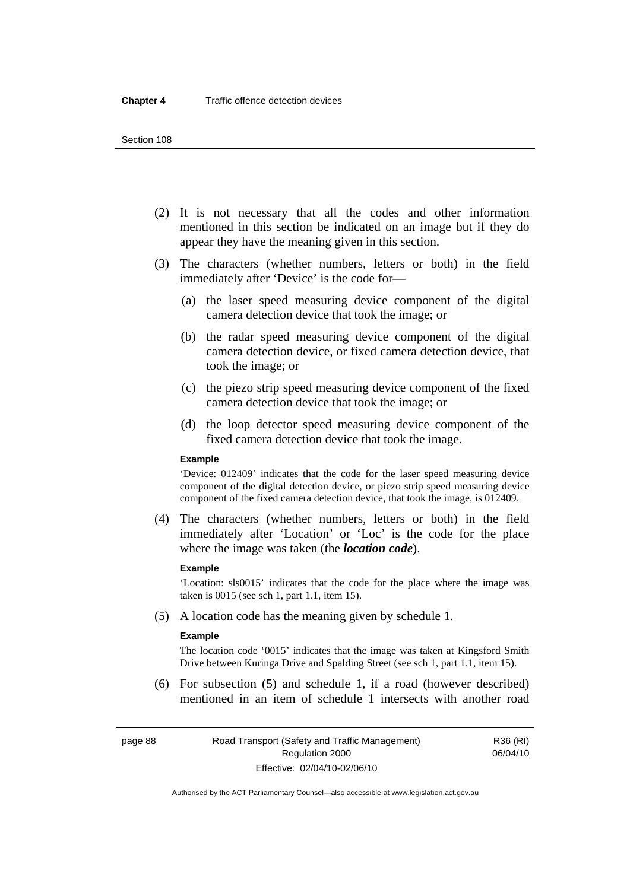#### Section 108

- (2) It is not necessary that all the codes and other information mentioned in this section be indicated on an image but if they do appear they have the meaning given in this section.
- (3) The characters (whether numbers, letters or both) in the field immediately after 'Device' is the code for—
	- (a) the laser speed measuring device component of the digital camera detection device that took the image; or
	- (b) the radar speed measuring device component of the digital camera detection device, or fixed camera detection device, that took the image; or
	- (c) the piezo strip speed measuring device component of the fixed camera detection device that took the image; or
	- (d) the loop detector speed measuring device component of the fixed camera detection device that took the image.

#### **Example**

'Device: 012409' indicates that the code for the laser speed measuring device component of the digital detection device, or piezo strip speed measuring device component of the fixed camera detection device, that took the image, is 012409.

 (4) The characters (whether numbers, letters or both) in the field immediately after 'Location' or 'Loc' is the code for the place where the image was taken (the *location code*).

#### **Example**

'Location: sls0015' indicates that the code for the place where the image was taken is 0015 (see sch 1, part 1.1, item 15).

(5) A location code has the meaning given by schedule 1.

#### **Example**

The location code '0015' indicates that the image was taken at Kingsford Smith Drive between Kuringa Drive and Spalding Street (see sch 1, part 1.1, item 15).

 (6) For subsection (5) and schedule 1, if a road (however described) mentioned in an item of schedule 1 intersects with another road

Authorised by the ACT Parliamentary Counsel—also accessible at www.legislation.act.gov.au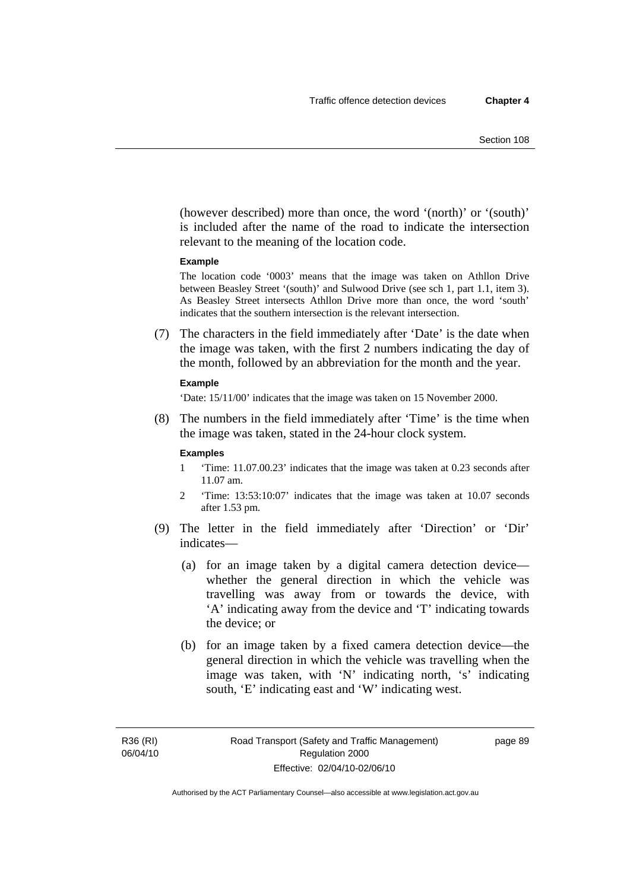(however described) more than once, the word '(north)' or '(south)' is included after the name of the road to indicate the intersection relevant to the meaning of the location code.

#### **Example**

The location code '0003' means that the image was taken on Athllon Drive between Beasley Street '(south)' and Sulwood Drive (see sch 1, part 1.1, item 3). As Beasley Street intersects Athllon Drive more than once, the word 'south' indicates that the southern intersection is the relevant intersection.

 (7) The characters in the field immediately after 'Date' is the date when the image was taken, with the first 2 numbers indicating the day of the month, followed by an abbreviation for the month and the year.

#### **Example**

'Date: 15/11/00' indicates that the image was taken on 15 November 2000.

 (8) The numbers in the field immediately after 'Time' is the time when the image was taken, stated in the 24-hour clock system.

#### **Examples**

- 1 'Time: 11.07.00.23' indicates that the image was taken at 0.23 seconds after 11.07 am.
- 2 'Time: 13:53:10:07' indicates that the image was taken at 10.07 seconds after 1.53 pm.
- (9) The letter in the field immediately after 'Direction' or 'Dir' indicates—
	- (a) for an image taken by a digital camera detection device whether the general direction in which the vehicle was travelling was away from or towards the device, with 'A' indicating away from the device and 'T' indicating towards the device; or
	- (b) for an image taken by a fixed camera detection device—the general direction in which the vehicle was travelling when the image was taken, with 'N' indicating north, 's' indicating south, 'E' indicating east and 'W' indicating west.

Authorised by the ACT Parliamentary Counsel—also accessible at www.legislation.act.gov.au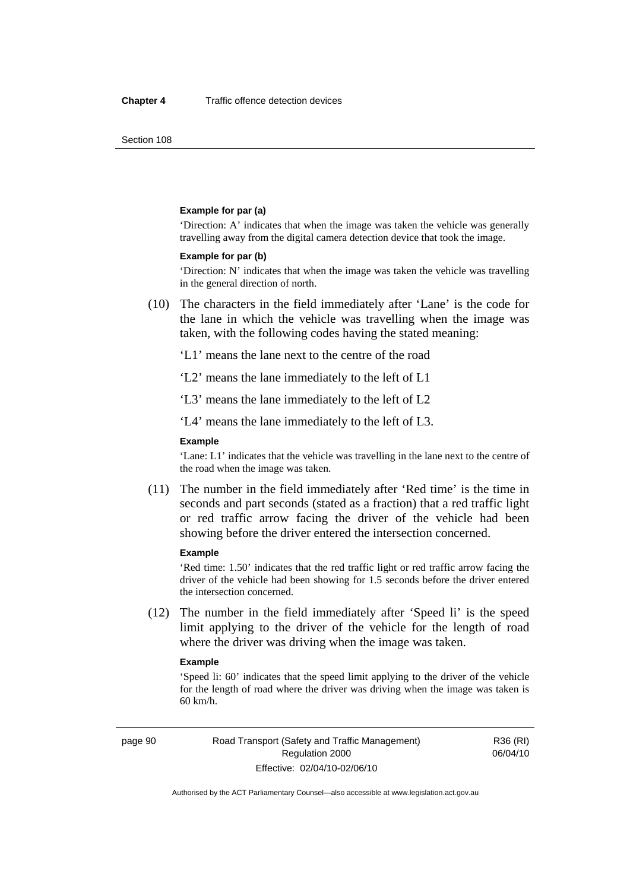Section 108

#### **Example for par (a)**

'Direction: A' indicates that when the image was taken the vehicle was generally travelling away from the digital camera detection device that took the image.

#### **Example for par (b)**

'Direction: N' indicates that when the image was taken the vehicle was travelling in the general direction of north.

 (10) The characters in the field immediately after 'Lane' is the code for the lane in which the vehicle was travelling when the image was taken, with the following codes having the stated meaning:

'L1' means the lane next to the centre of the road

'L2' means the lane immediately to the left of L1

'L3' means the lane immediately to the left of L2

'L4' means the lane immediately to the left of L3.

#### **Example**

'Lane: L1' indicates that the vehicle was travelling in the lane next to the centre of the road when the image was taken.

 (11) The number in the field immediately after 'Red time' is the time in seconds and part seconds (stated as a fraction) that a red traffic light or red traffic arrow facing the driver of the vehicle had been showing before the driver entered the intersection concerned.

#### **Example**

'Red time: 1.50' indicates that the red traffic light or red traffic arrow facing the driver of the vehicle had been showing for 1.5 seconds before the driver entered the intersection concerned.

 (12) The number in the field immediately after 'Speed li' is the speed limit applying to the driver of the vehicle for the length of road where the driver was driving when the image was taken.

#### **Example**

'Speed li: 60' indicates that the speed limit applying to the driver of the vehicle for the length of road where the driver was driving when the image was taken is 60 km/h.

R36 (RI) 06/04/10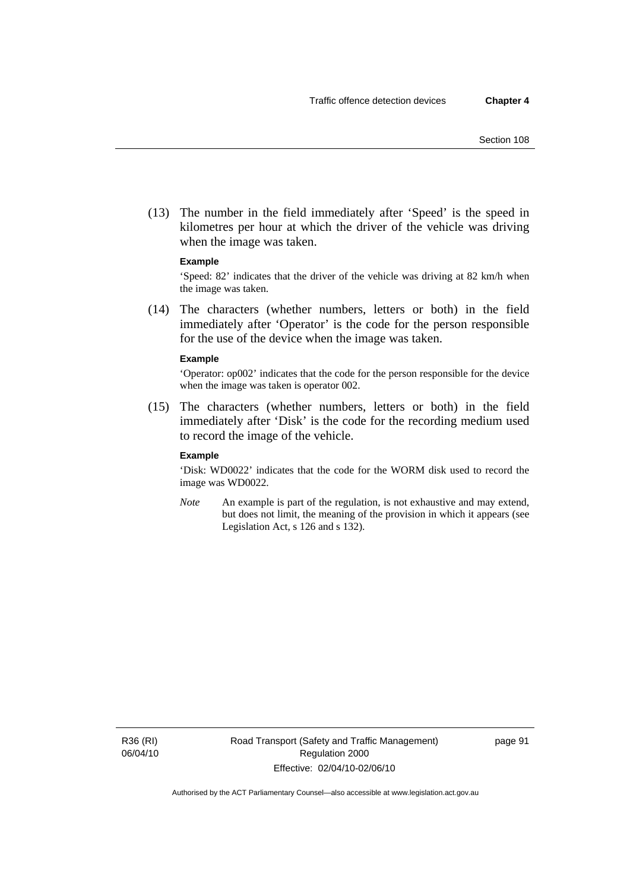(13) The number in the field immediately after 'Speed' is the speed in kilometres per hour at which the driver of the vehicle was driving when the image was taken.

#### **Example**

'Speed: 82' indicates that the driver of the vehicle was driving at 82 km/h when the image was taken.

 (14) The characters (whether numbers, letters or both) in the field immediately after 'Operator' is the code for the person responsible for the use of the device when the image was taken.

#### **Example**

'Operator: op002' indicates that the code for the person responsible for the device when the image was taken is operator 002.

 (15) The characters (whether numbers, letters or both) in the field immediately after 'Disk' is the code for the recording medium used to record the image of the vehicle.

#### **Example**

'Disk: WD0022' indicates that the code for the WORM disk used to record the image was WD0022.

*Note* An example is part of the regulation, is not exhaustive and may extend, but does not limit, the meaning of the provision in which it appears (see Legislation Act, s 126 and s 132).

R36 (RI) 06/04/10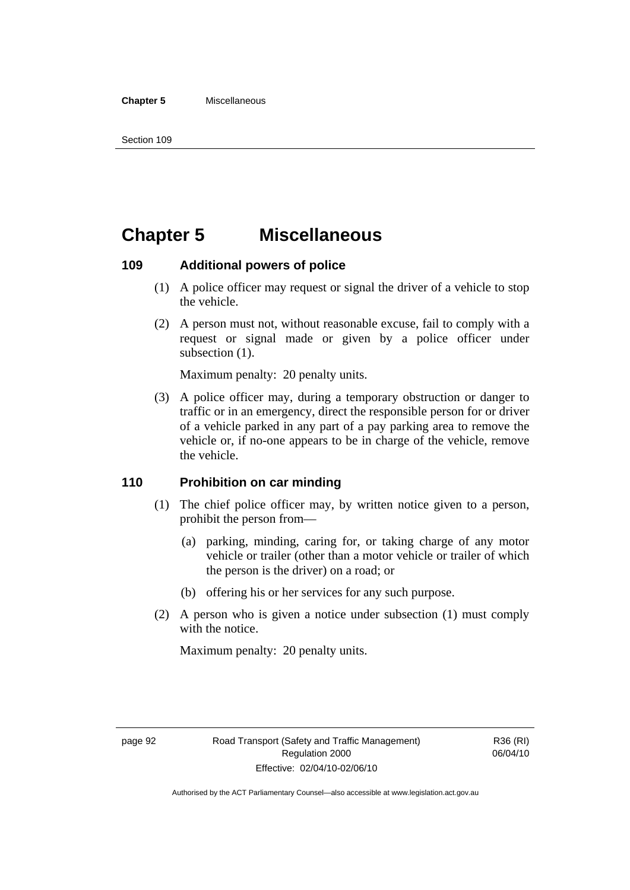#### **Chapter 5** Miscellaneous

# **Chapter 5 Miscellaneous**

# **109 Additional powers of police**

- (1) A police officer may request or signal the driver of a vehicle to stop the vehicle.
- (2) A person must not, without reasonable excuse, fail to comply with a request or signal made or given by a police officer under subsection  $(1)$ .

Maximum penalty: 20 penalty units.

 (3) A police officer may, during a temporary obstruction or danger to traffic or in an emergency, direct the responsible person for or driver of a vehicle parked in any part of a pay parking area to remove the vehicle or, if no-one appears to be in charge of the vehicle, remove the vehicle.

# **110 Prohibition on car minding**

- (1) The chief police officer may, by written notice given to a person, prohibit the person from—
	- (a) parking, minding, caring for, or taking charge of any motor vehicle or trailer (other than a motor vehicle or trailer of which the person is the driver) on a road; or
	- (b) offering his or her services for any such purpose.
- (2) A person who is given a notice under subsection (1) must comply with the notice.

Maximum penalty: 20 penalty units.

R36 (RI) 06/04/10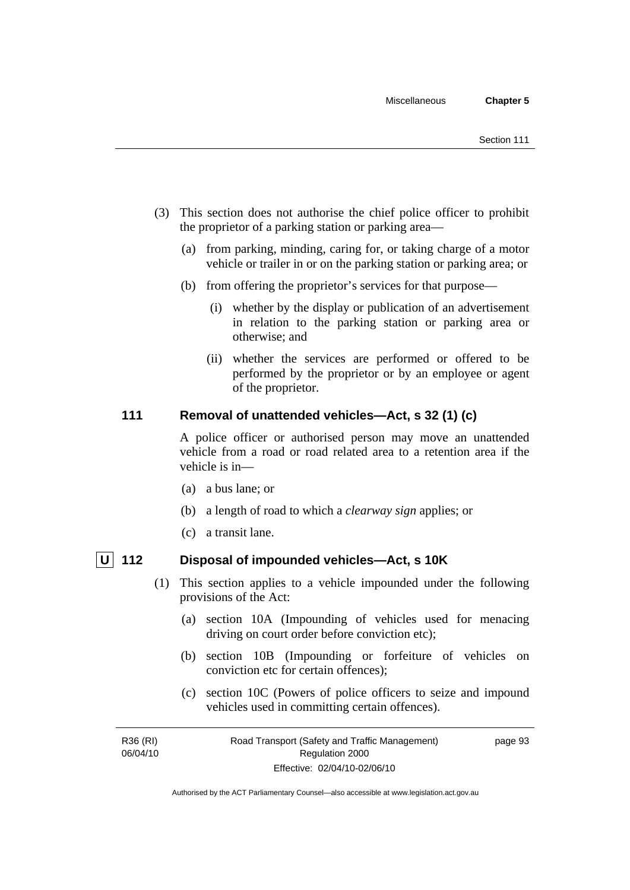- (3) This section does not authorise the chief police officer to prohibit the proprietor of a parking station or parking area—
	- (a) from parking, minding, caring for, or taking charge of a motor vehicle or trailer in or on the parking station or parking area; or
	- (b) from offering the proprietor's services for that purpose—
		- (i) whether by the display or publication of an advertisement in relation to the parking station or parking area or otherwise; and
		- (ii) whether the services are performed or offered to be performed by the proprietor or by an employee or agent of the proprietor.

# **111 Removal of unattended vehicles—Act, s 32 (1) (c)**

A police officer or authorised person may move an unattended vehicle from a road or road related area to a retention area if the vehicle is in—

- (a) a bus lane; or
- (b) a length of road to which a *clearway sign* applies; or
- (c) a transit lane.

- **U 112 Disposal of impounded vehicles—Act, s 10K** 
	- (1) This section applies to a vehicle impounded under the following provisions of the Act:
		- (a) section 10A (Impounding of vehicles used for menacing driving on court order before conviction etc);
		- (b) section 10B (Impounding or forfeiture of vehicles on conviction etc for certain offences);
		- (c) section 10C (Powers of police officers to seize and impound vehicles used in committing certain offences).

R36 (RI) 06/04/10 Road Transport (Safety and Traffic Management) Regulation 2000 Effective: 02/04/10-02/06/10 page 93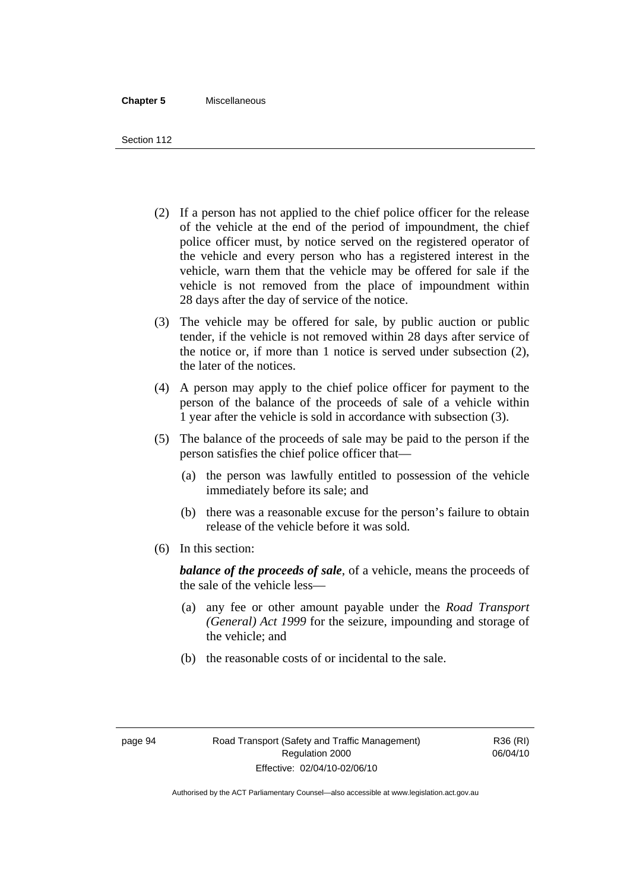#### **Chapter 5** Miscellaneous

Section 112

- (2) If a person has not applied to the chief police officer for the release of the vehicle at the end of the period of impoundment, the chief police officer must, by notice served on the registered operator of the vehicle and every person who has a registered interest in the vehicle, warn them that the vehicle may be offered for sale if the vehicle is not removed from the place of impoundment within 28 days after the day of service of the notice.
- (3) The vehicle may be offered for sale, by public auction or public tender, if the vehicle is not removed within 28 days after service of the notice or, if more than 1 notice is served under subsection (2), the later of the notices.
- (4) A person may apply to the chief police officer for payment to the person of the balance of the proceeds of sale of a vehicle within 1 year after the vehicle is sold in accordance with subsection (3).
- (5) The balance of the proceeds of sale may be paid to the person if the person satisfies the chief police officer that—
	- (a) the person was lawfully entitled to possession of the vehicle immediately before its sale; and
	- (b) there was a reasonable excuse for the person's failure to obtain release of the vehicle before it was sold.
- (6) In this section:

*balance of the proceeds of sale*, of a vehicle, means the proceeds of the sale of the vehicle less—

- (a) any fee or other amount payable under the *Road Transport (General) Act 1999* for the seizure, impounding and storage of the vehicle; and
- (b) the reasonable costs of or incidental to the sale.

R36 (RI) 06/04/10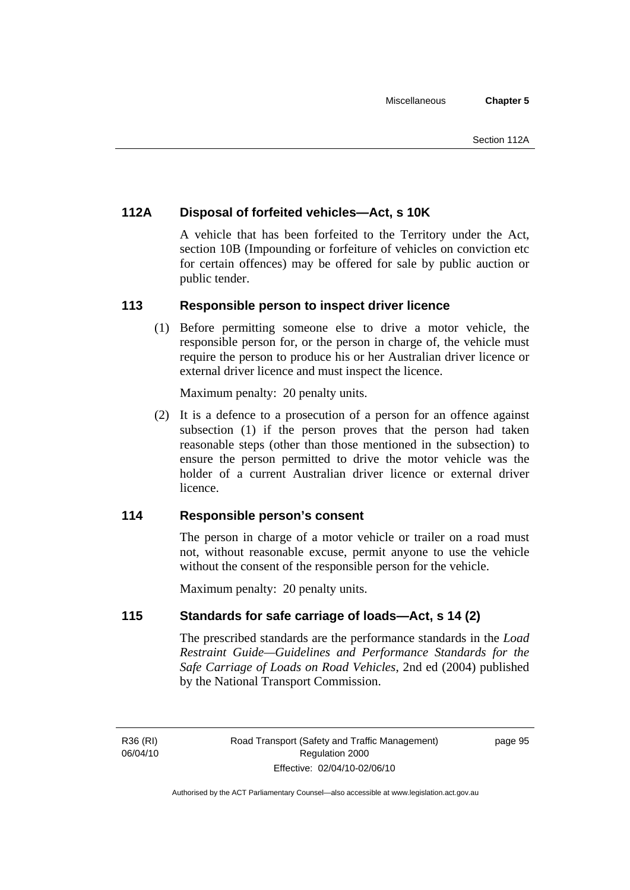# **112A Disposal of forfeited vehicles—Act, s 10K**

A vehicle that has been forfeited to the Territory under the Act, section 10B (Impounding or forfeiture of vehicles on conviction etc for certain offences) may be offered for sale by public auction or public tender.

# **113 Responsible person to inspect driver licence**

 (1) Before permitting someone else to drive a motor vehicle, the responsible person for, or the person in charge of, the vehicle must require the person to produce his or her Australian driver licence or external driver licence and must inspect the licence.

Maximum penalty: 20 penalty units.

 (2) It is a defence to a prosecution of a person for an offence against subsection (1) if the person proves that the person had taken reasonable steps (other than those mentioned in the subsection) to ensure the person permitted to drive the motor vehicle was the holder of a current Australian driver licence or external driver licence.

# **114 Responsible person's consent**

The person in charge of a motor vehicle or trailer on a road must not, without reasonable excuse, permit anyone to use the vehicle without the consent of the responsible person for the vehicle.

Maximum penalty: 20 penalty units.

# **115 Standards for safe carriage of loads—Act, s 14 (2)**

The prescribed standards are the performance standards in the *Load Restraint Guide—Guidelines and Performance Standards for the Safe Carriage of Loads on Road Vehicles*, 2nd ed (2004) published by the National Transport Commission.

R36 (RI) 06/04/10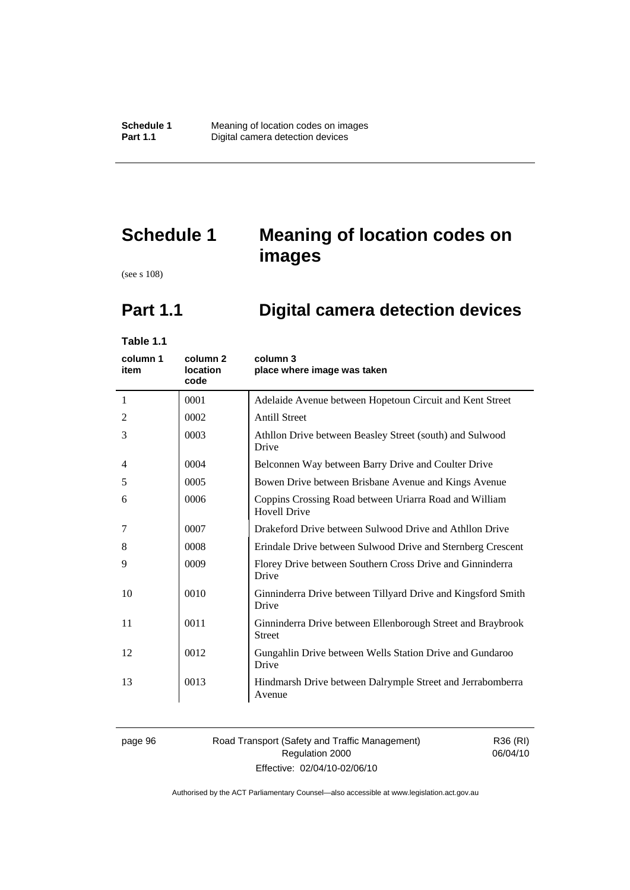# **Schedule 1 Meaning of location codes on images**

(see s 108)

# **Part 1.1 Digital camera detection devices**

**Table 1.1** 

| column 1<br>item | column 2<br>location<br>code | column 3<br>place where image was taken                                       |
|------------------|------------------------------|-------------------------------------------------------------------------------|
| 1                | 0001                         | Adelaide Avenue between Hopetoun Circuit and Kent Street                      |
| 2                | 0002                         | <b>Antill Street</b>                                                          |
| 3                | 0003                         | Athllon Drive between Beasley Street (south) and Sulwood<br>Drive             |
| 4                | 0004                         | Belconnen Way between Barry Drive and Coulter Drive                           |
| 5                | 0005                         | Bowen Drive between Brisbane Avenue and Kings Avenue                          |
| 6                | 0006                         | Coppins Crossing Road between Uriarra Road and William<br><b>Hovell Drive</b> |
| 7                | 0007                         | Drakeford Drive between Sulwood Drive and Athllon Drive                       |
| 8                | 0008                         | Erindale Drive between Sulwood Drive and Sternberg Crescent                   |
| 9                | 0009                         | Florey Drive between Southern Cross Drive and Ginninderra<br>Drive            |
| 10               | 0010                         | Ginninderra Drive between Tillyard Drive and Kingsford Smith<br>Drive         |
| 11               | 0011                         | Ginninderra Drive between Ellenborough Street and Braybrook<br><b>Street</b>  |
| 12               | 0012                         | Gungahlin Drive between Wells Station Drive and Gundaroo<br>Drive             |
| 13               | 0013                         | Hindmarsh Drive between Dalrymple Street and Jerrabomberra<br>Avenue          |

### page 96 Road Transport (Safety and Traffic Management) Regulation 2000 Effective: 02/04/10-02/06/10

R36 (RI) 06/04/10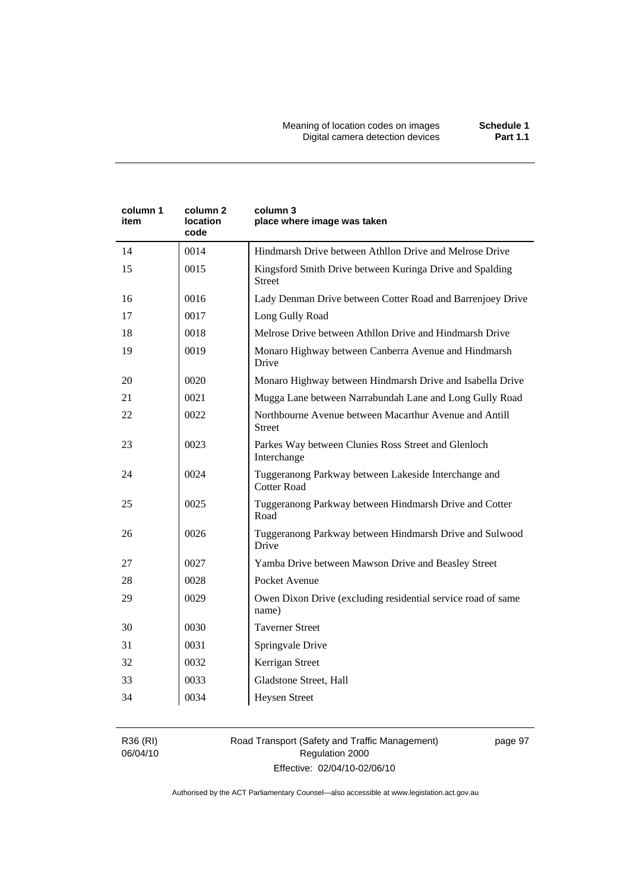| column 1<br>item | column 2<br>location<br>code | column 3<br>place where image was taken                                    |
|------------------|------------------------------|----------------------------------------------------------------------------|
| 14               | 0014                         | Hindmarsh Drive between Athllon Drive and Melrose Drive                    |
| 15               | 0015                         | Kingsford Smith Drive between Kuringa Drive and Spalding<br><b>Street</b>  |
| 16               | 0016                         | Lady Denman Drive between Cotter Road and Barrenjoey Drive                 |
| 17               | 0017                         | Long Gully Road                                                            |
| 18               | 0018                         | Melrose Drive between Athllon Drive and Hindmarsh Drive                    |
| 19               | 0019                         | Monaro Highway between Canberra Avenue and Hindmarsh<br>Drive              |
| 20               | 0020                         | Monaro Highway between Hindmarsh Drive and Isabella Drive                  |
| 21               | 0021                         | Mugga Lane between Narrabundah Lane and Long Gully Road                    |
| 22               | 0022                         | Northbourne Avenue between Macarthur Avenue and Antill<br><b>Street</b>    |
| 23               | 0023                         | Parkes Way between Clunies Ross Street and Glenloch<br>Interchange         |
| 24               | 0024                         | Tuggeranong Parkway between Lakeside Interchange and<br><b>Cotter Road</b> |
| 25               | 0025                         | Tuggeranong Parkway between Hindmarsh Drive and Cotter<br>Road             |
| 26               | 0026                         | Tuggeranong Parkway between Hindmarsh Drive and Sulwood<br>Drive           |
| 27               | 0027                         | Yamba Drive between Mawson Drive and Beasley Street                        |
| 28               | 0028                         | Pocket Avenue                                                              |
| 29               | 0029                         | Owen Dixon Drive (excluding residential service road of same<br>name)      |
| 30               | 0030                         | <b>Taverner Street</b>                                                     |
| 31               | 0031                         | Springvale Drive                                                           |
| 32               | 0032                         | Kerrigan Street                                                            |
| 33               | 0033                         | Gladstone Street, Hall                                                     |
| 34               | 0034                         | <b>Heysen Street</b>                                                       |

R36 (RI) 06/04/10

## Road Transport (Safety and Traffic Management) Regulation 2000 Effective: 02/04/10-02/06/10

page 97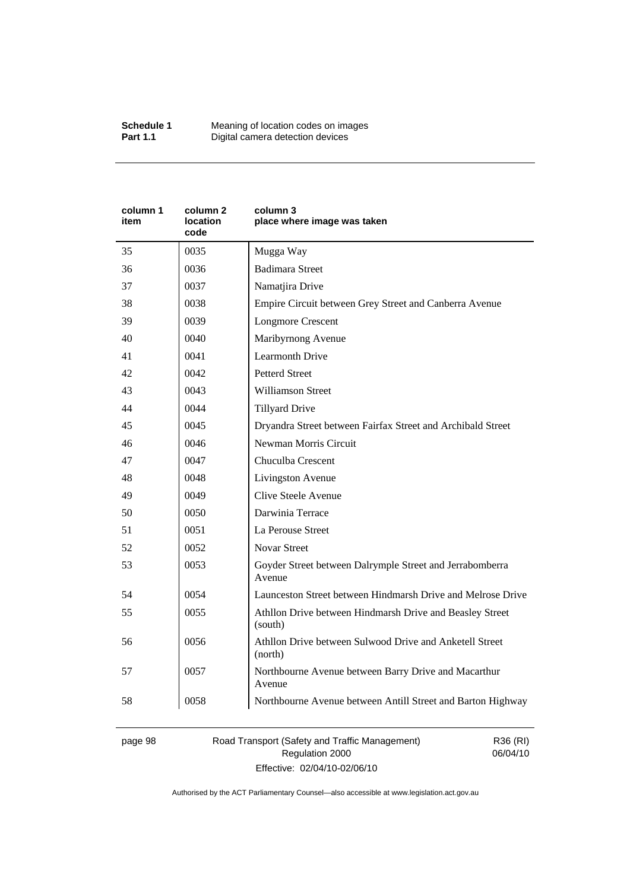| column 1<br>item | column <sub>2</sub><br><b>location</b><br>code | column 3<br>place where image was taken                             |
|------------------|------------------------------------------------|---------------------------------------------------------------------|
| 35               | 0035                                           | Mugga Way                                                           |
| 36               | 0036                                           | <b>Badimara Street</b>                                              |
| 37               | 0037                                           | Namatjira Drive                                                     |
| 38               | 0038                                           | Empire Circuit between Grey Street and Canberra Avenue              |
| 39               | 0039                                           | <b>Longmore Crescent</b>                                            |
| 40               | 0040                                           | Maribyrnong Avenue                                                  |
| 41               | 0041                                           | <b>Learmonth Drive</b>                                              |
| 42               | 0042                                           | <b>Petterd Street</b>                                               |
| 43               | 0043                                           | <b>Williamson Street</b>                                            |
| 44               | 0044                                           | <b>Tillyard Drive</b>                                               |
| 45               | 0045                                           | Dryandra Street between Fairfax Street and Archibald Street         |
| 46               | 0046                                           | Newman Morris Circuit                                               |
| 47               | 0047                                           | Chuculba Crescent                                                   |
| 48               | 0048                                           | Livingston Avenue                                                   |
| 49               | 0049                                           | Clive Steele Avenue                                                 |
| 50               | 0050                                           | Darwinia Terrace                                                    |
| 51               | 0051                                           | La Perouse Street                                                   |
| 52               | 0052                                           | <b>Novar Street</b>                                                 |
| 53               | 0053                                           | Goyder Street between Dalrymple Street and Jerrabomberra<br>Avenue  |
| 54               | 0054                                           | Launceston Street between Hindmarsh Drive and Melrose Drive         |
| 55               | 0055                                           | Athllon Drive between Hindmarsh Drive and Beasley Street<br>(south) |
| 56               | 0056                                           | Athllon Drive between Sulwood Drive and Anketell Street<br>(north)  |
| 57               | 0057                                           | Northbourne Avenue between Barry Drive and Macarthur<br>Avenue      |
| 58               | 0058                                           | Northbourne Avenue between Antill Street and Barton Highway         |

page 98 Road Transport (Safety and Traffic Management) Regulation 2000 Effective: 02/04/10-02/06/10

R36 (RI) 06/04/10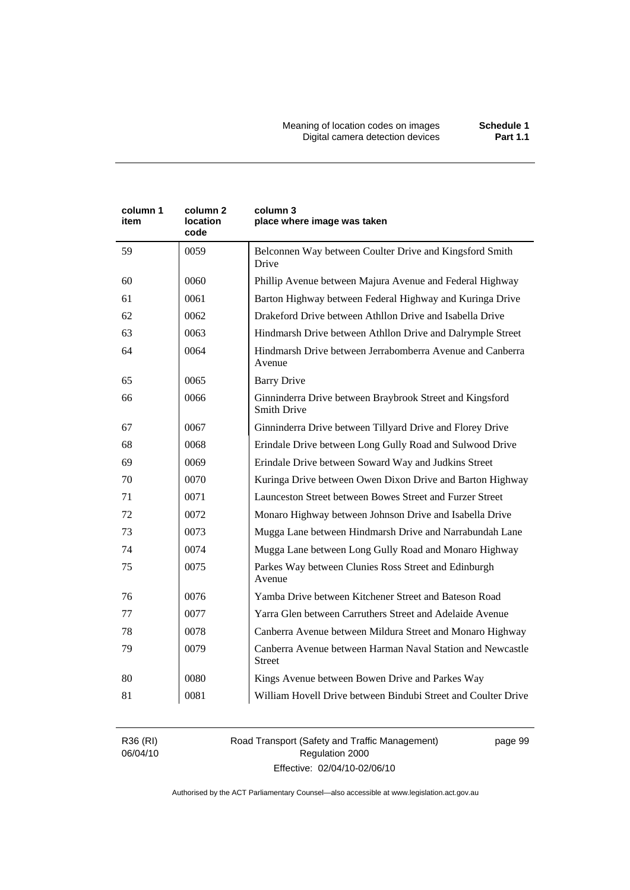| column 1<br>item | column 2<br>location<br>code | column 3<br>place where image was taken                                        |  |
|------------------|------------------------------|--------------------------------------------------------------------------------|--|
| 59               | 0059                         | Belconnen Way between Coulter Drive and Kingsford Smith<br>Drive               |  |
| 60               | 0060                         | Phillip Avenue between Majura Avenue and Federal Highway                       |  |
| 61               | 0061                         | Barton Highway between Federal Highway and Kuringa Drive                       |  |
| 62               | 0062                         | Drakeford Drive between Athllon Drive and Isabella Drive                       |  |
| 63               | 0063                         | Hindmarsh Drive between Athllon Drive and Dalrymple Street                     |  |
| 64               | 0064                         | Hindmarsh Drive between Jerrabomberra Avenue and Canberra<br>Avenue            |  |
| 65               | 0065                         | <b>Barry Drive</b>                                                             |  |
| 66               | 0066                         | Ginninderra Drive between Braybrook Street and Kingsford<br><b>Smith Drive</b> |  |
| 67               | 0067                         | Ginninderra Drive between Tillyard Drive and Florey Drive                      |  |
| 68               | 0068                         | Erindale Drive between Long Gully Road and Sulwood Drive                       |  |
| 69               | 0069                         | Erindale Drive between Soward Way and Judkins Street                           |  |
| 70               | 0070                         | Kuringa Drive between Owen Dixon Drive and Barton Highway                      |  |
| 71               | 0071                         | Launceston Street between Bowes Street and Furzer Street                       |  |
| 72               | 0072                         | Monaro Highway between Johnson Drive and Isabella Drive                        |  |
| 73               | 0073                         | Mugga Lane between Hindmarsh Drive and Narrabundah Lane                        |  |
| 74               | 0074                         | Mugga Lane between Long Gully Road and Monaro Highway                          |  |
| 75               | 0075                         | Parkes Way between Clunies Ross Street and Edinburgh<br>Avenue                 |  |
| 76               | 0076                         | Yamba Drive between Kitchener Street and Bateson Road                          |  |
| 77               | 0077                         | Yarra Glen between Carruthers Street and Adelaide Avenue                       |  |
| 78               | 0078                         | Canberra Avenue between Mildura Street and Monaro Highway                      |  |
| 79               | 0079                         | Canberra Avenue between Harman Naval Station and Newcastle<br><b>Street</b>    |  |
| 80               | 0080                         | Kings Avenue between Bowen Drive and Parkes Way                                |  |
| 81               | 0081                         | William Hovell Drive between Bindubi Street and Coulter Drive                  |  |

R36 (RI) 06/04/10 Road Transport (Safety and Traffic Management) Regulation 2000 Effective: 02/04/10-02/06/10

page 99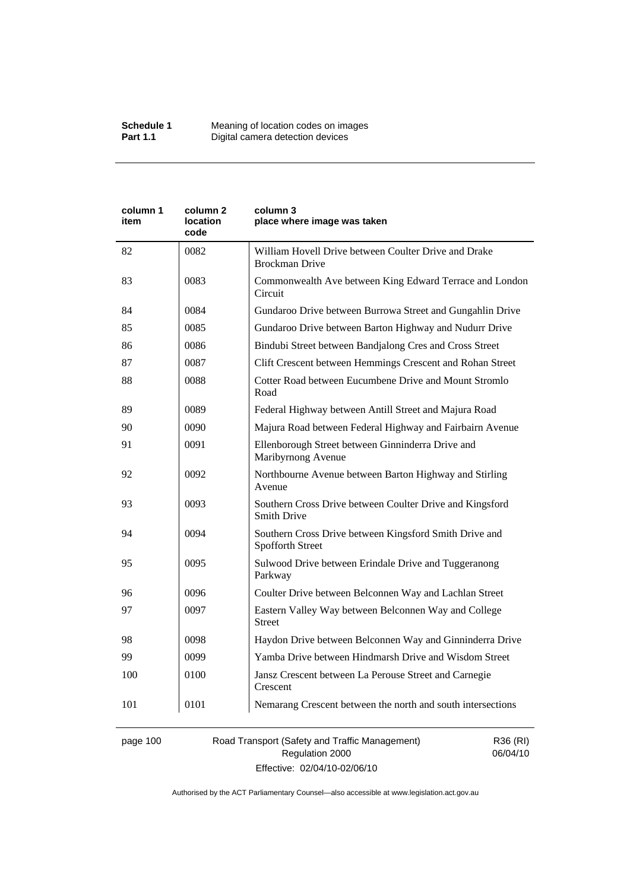| column 1<br>item | column 2<br>location<br>code | column 3<br>place where image was taken                                        |
|------------------|------------------------------|--------------------------------------------------------------------------------|
| 82               | 0082                         | William Hovell Drive between Coulter Drive and Drake<br><b>Brockman Drive</b>  |
| 83               | 0083                         | Commonwealth Ave between King Edward Terrace and London<br>Circuit             |
| 84               | 0084                         | Gundaroo Drive between Burrowa Street and Gungahlin Drive                      |
| 85               | 0085                         | Gundaroo Drive between Barton Highway and Nudurr Drive                         |
| 86               | 0086                         | Bindubi Street between Bandjalong Cres and Cross Street                        |
| 87               | 0087                         | Clift Crescent between Hemmings Crescent and Rohan Street                      |
| 88               | 0088                         | Cotter Road between Eucumbene Drive and Mount Stromlo<br>Road                  |
| 89               | 0089                         | Federal Highway between Antill Street and Majura Road                          |
| 90               | 0090                         | Majura Road between Federal Highway and Fairbairn Avenue                       |
| 91               | 0091                         | Ellenborough Street between Ginninderra Drive and<br>Maribyrnong Avenue        |
| 92               | 0092                         | Northbourne Avenue between Barton Highway and Stirling<br>Avenue               |
| 93               | 0093                         | Southern Cross Drive between Coulter Drive and Kingsford<br><b>Smith Drive</b> |
| 94               | 0094                         | Southern Cross Drive between Kingsford Smith Drive and<br>Spofforth Street     |
| 95               | 0095                         | Sulwood Drive between Erindale Drive and Tuggeranong<br>Parkway                |
| 96               | 0096                         | Coulter Drive between Belconnen Way and Lachlan Street                         |
| 97               | 0097                         | Eastern Valley Way between Belconnen Way and College<br><b>Street</b>          |
| 98               | 0098                         | Haydon Drive between Belconnen Way and Ginninderra Drive                       |
| 99               | 0099                         | Yamba Drive between Hindmarsh Drive and Wisdom Street                          |
| 100              | 0100                         | Jansz Crescent between La Perouse Street and Carnegie<br>Crescent              |
| 101              | 0101                         | Nemarang Crescent between the north and south intersections                    |
|                  |                              |                                                                                |

page 100 Road Transport (Safety and Traffic Management) Regulation 2000 Effective: 02/04/10-02/06/10

R36 (RI) 06/04/10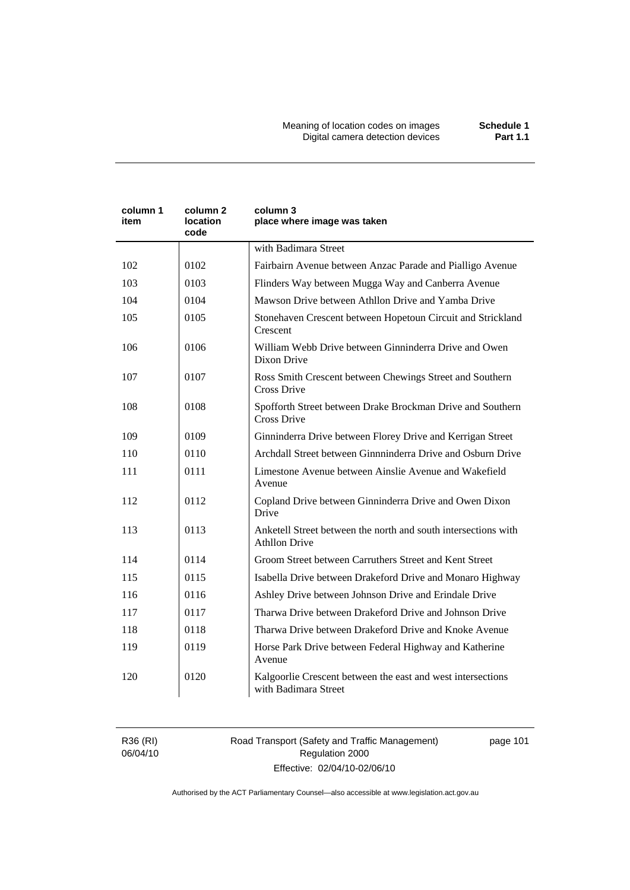Meaning of location codes on images **Schedule 1**  Digital camera detection devices **Part 1.1** 

| column 1<br>item | column 2<br>location<br>code | column 3<br>place where image was taken                                                |  |
|------------------|------------------------------|----------------------------------------------------------------------------------------|--|
|                  |                              | with Badimara Street                                                                   |  |
| 102              | 0102                         | Fairbairn Avenue between Anzac Parade and Pialligo Avenue                              |  |
| 103              | 0103                         | Flinders Way between Mugga Way and Canberra Avenue                                     |  |
| 104              | 0104                         | Mawson Drive between Athllon Drive and Yamba Drive                                     |  |
| 105              | 0105                         | Stonehaven Crescent between Hopetoun Circuit and Strickland<br>Crescent                |  |
| 106              | 0106                         | William Webb Drive between Ginninderra Drive and Owen<br>Dixon Drive                   |  |
| 107              | 0107                         | Ross Smith Crescent between Chewings Street and Southern<br>Cross Drive                |  |
| 108              | 0108                         | Spofforth Street between Drake Brockman Drive and Southern<br><b>Cross Drive</b>       |  |
| 109              | 0109                         | Ginninderra Drive between Florey Drive and Kerrigan Street                             |  |
| 110              | 0110                         | Archdall Street between Ginnninderra Drive and Osburn Drive                            |  |
| 111              | 0111                         | Limestone Avenue between Ainslie Avenue and Wakefield<br>Avenue                        |  |
| 112              | 0112                         | Copland Drive between Ginninderra Drive and Owen Dixon<br>Drive                        |  |
| 113              | 0113                         | Anketell Street between the north and south intersections with<br><b>Athllon Drive</b> |  |
| 114              | 0114                         | Groom Street between Carruthers Street and Kent Street                                 |  |
| 115              | 0115                         | Isabella Drive between Drakeford Drive and Monaro Highway                              |  |
| 116              | 0116                         | Ashley Drive between Johnson Drive and Erindale Drive                                  |  |
| 117              | 0117                         | Tharwa Drive between Drakeford Drive and Johnson Drive                                 |  |
| 118              | 0118                         | Tharwa Drive between Drakeford Drive and Knoke Avenue                                  |  |
| 119              | 0119                         | Horse Park Drive between Federal Highway and Katherine<br>Avenue                       |  |
| 120              | 0120                         | Kalgoorlie Crescent between the east and west intersections<br>with Badimara Street    |  |

R36 (RI) 06/04/10 Road Transport (Safety and Traffic Management) Regulation 2000 Effective: 02/04/10-02/06/10

page 101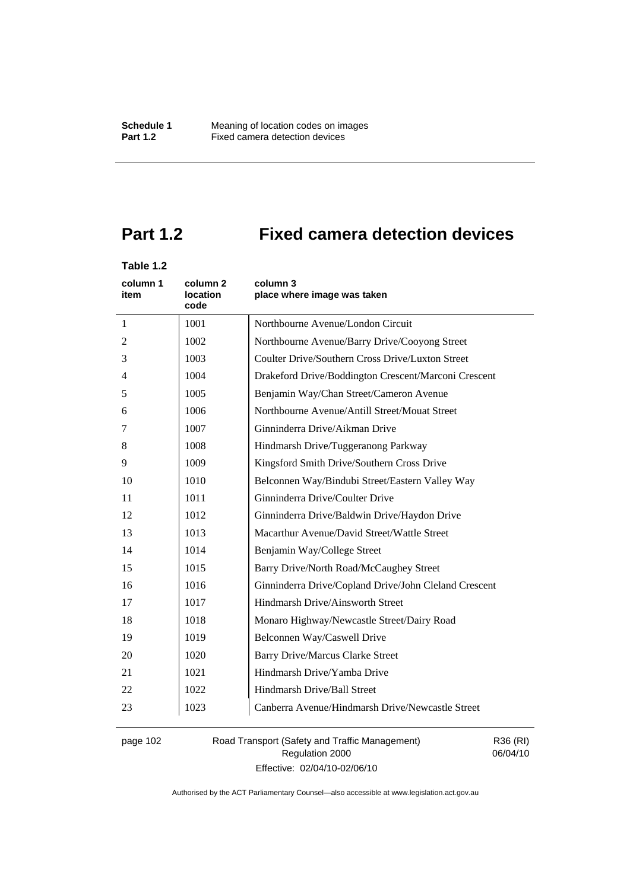# **Part 1.2 Fixed camera detection devices**

# **Table 1.2**

| column 1<br>item | column 2<br><b>location</b><br>code | column 3<br>place where image was taken               |  |
|------------------|-------------------------------------|-------------------------------------------------------|--|
| 1                | 1001                                | Northbourne Avenue/London Circuit                     |  |
| 2                | 1002                                | Northbourne Avenue/Barry Drive/Cooyong Street         |  |
| 3                | 1003                                | Coulter Drive/Southern Cross Drive/Luxton Street      |  |
| $\overline{4}$   | 1004                                | Drakeford Drive/Boddington Crescent/Marconi Crescent  |  |
| 5                | 1005                                | Benjamin Way/Chan Street/Cameron Avenue               |  |
| 6                | 1006                                | Northbourne Avenue/Antill Street/Mouat Street         |  |
| 7                | 1007                                | Ginninderra Drive/Aikman Drive                        |  |
| 8                | 1008                                | Hindmarsh Drive/Tuggeranong Parkway                   |  |
| 9                | 1009                                | Kingsford Smith Drive/Southern Cross Drive            |  |
| 10               | 1010                                | Belconnen Way/Bindubi Street/Eastern Valley Way       |  |
| 11               | 1011                                | Ginninderra Drive/Coulter Drive                       |  |
| 12               | 1012                                | Ginninderra Drive/Baldwin Drive/Haydon Drive          |  |
| 13               | 1013                                | Macarthur Avenue/David Street/Wattle Street           |  |
| 14               | 1014                                | Benjamin Way/College Street                           |  |
| 15               | 1015                                | Barry Drive/North Road/McCaughey Street               |  |
| 16               | 1016                                | Ginninderra Drive/Copland Drive/John Cleland Crescent |  |
| 17               | 1017                                | Hindmarsh Drive/Ainsworth Street                      |  |
| 18               | 1018                                | Monaro Highway/Newcastle Street/Dairy Road            |  |
| 19               | 1019                                | Belconnen Way/Caswell Drive                           |  |
| 20               | 1020                                | <b>Barry Drive/Marcus Clarke Street</b>               |  |
| 21               | 1021                                | Hindmarsh Drive/Yamba Drive                           |  |
| 22               | 1022                                | Hindmarsh Drive/Ball Street                           |  |
| 23               | 1023                                | Canberra Avenue/Hindmarsh Drive/Newcastle Street      |  |

page 102 Road Transport (Safety and Traffic Management) Regulation 2000 Effective: 02/04/10-02/06/10

R36 (RI) 06/04/10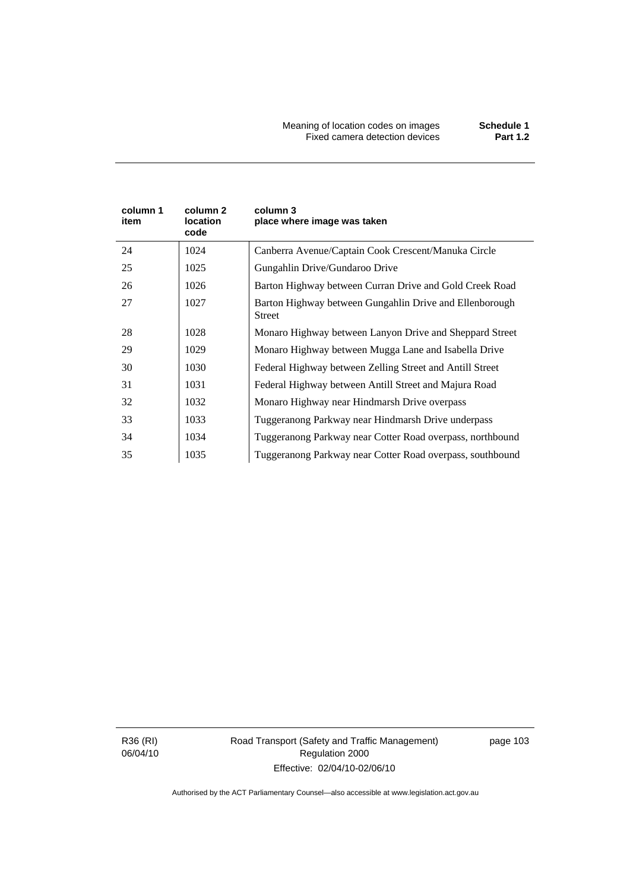| column 1<br>item | column 2<br>location<br>code | column 3<br>place where image was taken                           |
|------------------|------------------------------|-------------------------------------------------------------------|
| 24               | 1024                         | Canberra Avenue/Captain Cook Crescent/Manuka Circle               |
| 25               | 1025                         | Gungahlin Drive/Gundaroo Drive                                    |
| 26               | 1026                         | Barton Highway between Curran Drive and Gold Creek Road           |
| 27               | 1027                         | Barton Highway between Gungahlin Drive and Ellenborough<br>Street |
| 28               | 1028                         | Monaro Highway between Lanyon Drive and Sheppard Street           |
| 29               | 1029                         | Monaro Highway between Mugga Lane and Isabella Drive              |
| 30               | 1030                         | Federal Highway between Zelling Street and Antill Street          |
| 31               | 1031                         | Federal Highway between Antill Street and Majura Road             |
| 32               | 1032                         | Monaro Highway near Hindmarsh Drive overpass                      |
| 33               | 1033                         | Tuggeranong Parkway near Hindmarsh Drive underpass                |
| 34               | 1034                         | Tuggeranong Parkway near Cotter Road overpass, northbound         |
| 35               | 1035                         | Tuggeranong Parkway near Cotter Road overpass, southbound         |

R36 (RI) 06/04/10 Road Transport (Safety and Traffic Management) Regulation 2000 Effective: 02/04/10-02/06/10

page 103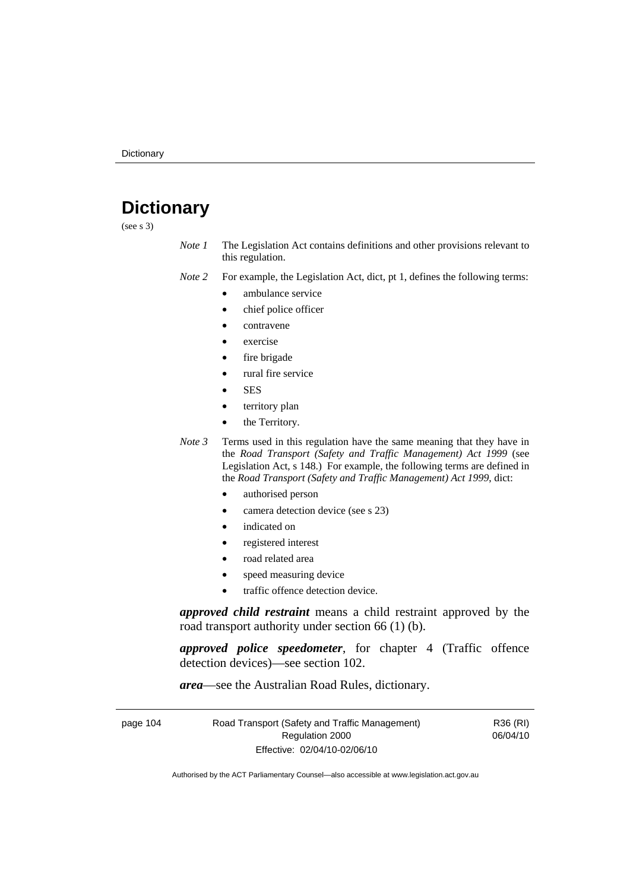# **Dictionary**

(see s 3)

*Note 1* The Legislation Act contains definitions and other provisions relevant to this regulation.

*Note 2* For example, the Legislation Act, dict, pt 1, defines the following terms:

- ambulance service
	- chief police officer
- contravene
- exercise
- fire brigade
- rural fire service
- SES
- territory plan
- the Territory.
- *Note 3* Terms used in this regulation have the same meaning that they have in the *Road Transport (Safety and Traffic Management) Act 1999* (see Legislation Act, s 148.) For example, the following terms are defined in the *Road Transport (Safety and Traffic Management) Act 1999*, dict:
	- authorised person
	- camera detection device (see s 23)
	- indicated on
	- registered interest
	- road related area
	- speed measuring device
	- traffic offence detection device.

*approved child restraint* means a child restraint approved by the road transport authority under section 66 (1) (b).

*approved police speedometer*, for chapter 4 (Traffic offence detection devices)—see section 102.

*area*—see the Australian Road Rules, dictionary.

| page 104 | Road Transport (Safety and Traffic Management) | R36 (RI) |
|----------|------------------------------------------------|----------|
|          | Regulation 2000                                | 06/04/10 |
|          | Effective: 02/04/10-02/06/10                   |          |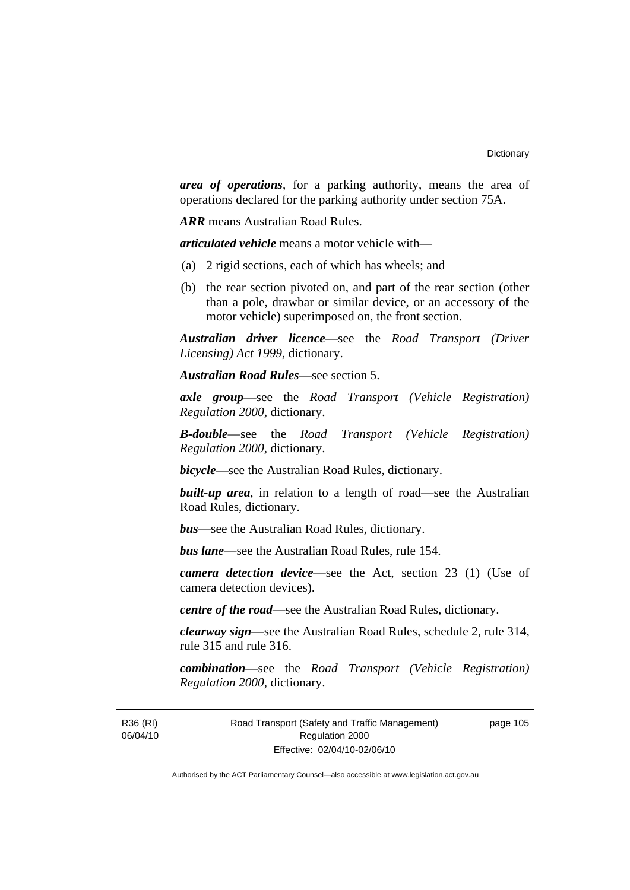*area of operations*, for a parking authority, means the area of operations declared for the parking authority under section 75A.

*ARR* means Australian Road Rules.

*articulated vehicle* means a motor vehicle with—

- (a) 2 rigid sections, each of which has wheels; and
- (b) the rear section pivoted on, and part of the rear section (other than a pole, drawbar or similar device, or an accessory of the motor vehicle) superimposed on, the front section.

*Australian driver licence*—see the *Road Transport (Driver Licensing) Act 1999*, dictionary.

*Australian Road Rules*—see section 5.

*axle group*—see the *Road Transport (Vehicle Registration) Regulation 2000*, dictionary.

*B-double*—see the *Road Transport (Vehicle Registration) Regulation 2000*, dictionary.

*bicycle*—see the Australian Road Rules, dictionary.

**built-up area**, in relation to a length of road—see the Australian Road Rules, dictionary.

*bus*—see the Australian Road Rules, dictionary.

*bus lane*—see the Australian Road Rules, rule 154.

*camera detection device*—see the Act, section 23 (1) (Use of camera detection devices).

*centre of the road*—see the Australian Road Rules, dictionary.

*clearway sign*—see the Australian Road Rules, schedule 2, rule 314, rule 315 and rule 316.

*combination*—see the *Road Transport (Vehicle Registration) Regulation 2000*, dictionary.

R36 (RI) 06/04/10 Road Transport (Safety and Traffic Management) Regulation 2000 Effective: 02/04/10-02/06/10

page 105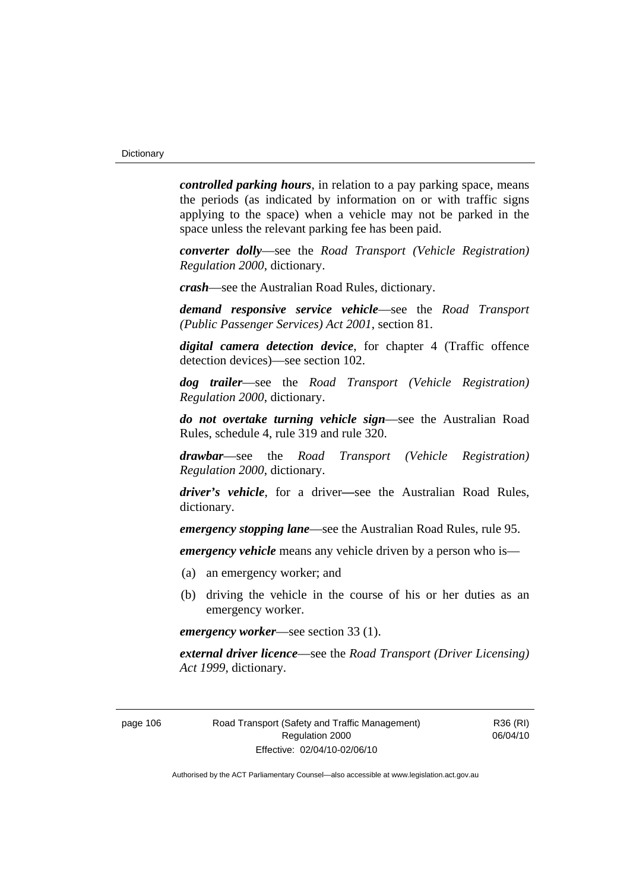*controlled parking hours*, in relation to a pay parking space, means the periods (as indicated by information on or with traffic signs applying to the space) when a vehicle may not be parked in the space unless the relevant parking fee has been paid.

*converter dolly*—see the *Road Transport (Vehicle Registration) Regulation 2000*, dictionary.

*crash*—see the Australian Road Rules, dictionary.

*demand responsive service vehicle*—see the *Road Transport (Public Passenger Services) Act 2001*, section 81.

*digital camera detection device*, for chapter 4 (Traffic offence detection devices)—see section 102.

*dog trailer*—see the *Road Transport (Vehicle Registration) Regulation 2000*, dictionary.

*do not overtake turning vehicle sign*—see the Australian Road Rules, schedule 4, rule 319 and rule 320.

*drawbar*—see the *Road Transport (Vehicle Registration) Regulation 2000*, dictionary.

*driver's vehicle*, for a driver*—*see the Australian Road Rules, dictionary.

*emergency stopping lane*—see the Australian Road Rules, rule 95.

*emergency vehicle* means any vehicle driven by a person who is—

- (a) an emergency worker; and
- (b) driving the vehicle in the course of his or her duties as an emergency worker.

*emergency worker*—see section 33 (1).

*external driver licence*—see the *Road Transport (Driver Licensing) Act 1999*, dictionary.

page 106 Road Transport (Safety and Traffic Management) Regulation 2000 Effective: 02/04/10-02/06/10

R36 (RI) 06/04/10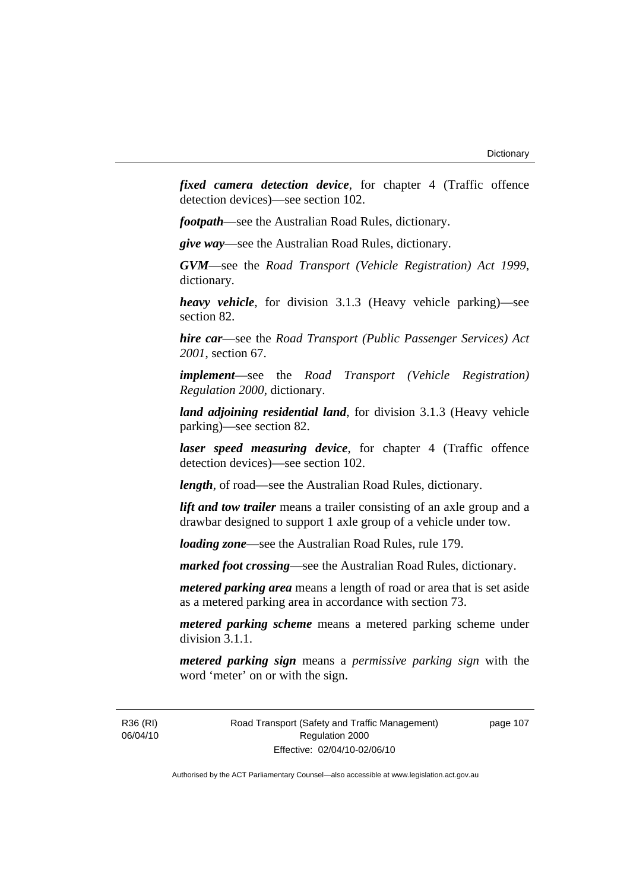*fixed camera detection device*, for chapter 4 (Traffic offence detection devices)—see section 102.

*footpath*—see the Australian Road Rules, dictionary.

*give way*—see the Australian Road Rules, dictionary.

*GVM*—see the *Road Transport (Vehicle Registration) Act 1999*, dictionary.

*heavy vehicle*, for division 3.1.3 (Heavy vehicle parking)—see section 82.

*hire car*—see the *Road Transport (Public Passenger Services) Act 2001*, section 67.

*implement*—see the *Road Transport (Vehicle Registration) Regulation 2000*, dictionary.

*land adjoining residential land*, for division 3.1.3 (Heavy vehicle parking)—see section 82.

*laser speed measuring device*, for chapter 4 (Traffic offence detection devices)—see section 102.

*length*, of road—see the Australian Road Rules, dictionary.

*lift and tow trailer* means a trailer consisting of an axle group and a drawbar designed to support 1 axle group of a vehicle under tow.

*loading zone*—see the Australian Road Rules, rule 179.

*marked foot crossing*—see the Australian Road Rules, dictionary.

*metered parking area* means a length of road or area that is set aside as a metered parking area in accordance with section 73.

*metered parking scheme* means a metered parking scheme under division 3.1.1.

*metered parking sign* means a *permissive parking sign* with the word 'meter' on or with the sign.

R36 (RI) 06/04/10 Road Transport (Safety and Traffic Management) Regulation 2000 Effective: 02/04/10-02/06/10

page 107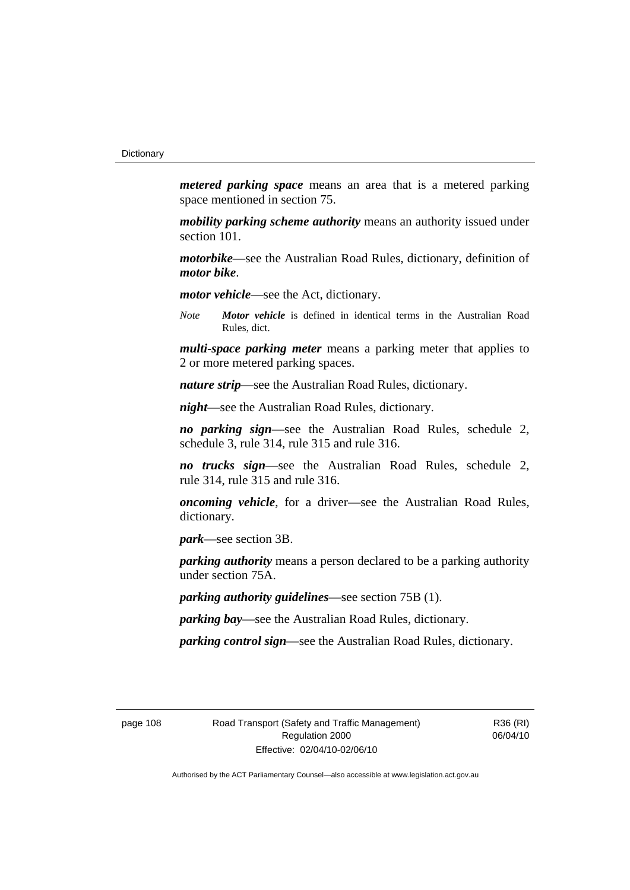*metered parking space* means an area that is a metered parking space mentioned in section 75.

*mobility parking scheme authority* means an authority issued under section 101.

*motorbike*—see the Australian Road Rules, dictionary, definition of *motor bike*.

*motor vehicle*—see the Act, dictionary.

*Note Motor vehicle* is defined in identical terms in the Australian Road Rules, dict.

*multi-space parking meter* means a parking meter that applies to 2 or more metered parking spaces.

*nature strip*—see the Australian Road Rules, dictionary.

*night*—see the Australian Road Rules, dictionary.

*no parking sign*—see the Australian Road Rules, schedule 2, schedule 3, rule 314, rule 315 and rule 316.

*no trucks sign*—see the Australian Road Rules, schedule 2, rule 314, rule 315 and rule 316.

*oncoming vehicle*, for a driver—see the Australian Road Rules, dictionary.

*park*—see section 3B.

*parking authority* means a person declared to be a parking authority under section 75A.

*parking authority guidelines*—see section 75B (1).

*parking bay*—see the Australian Road Rules, dictionary.

*parking control sign*—see the Australian Road Rules, dictionary.

page 108 Road Transport (Safety and Traffic Management) Regulation 2000 Effective: 02/04/10-02/06/10

R36 (RI) 06/04/10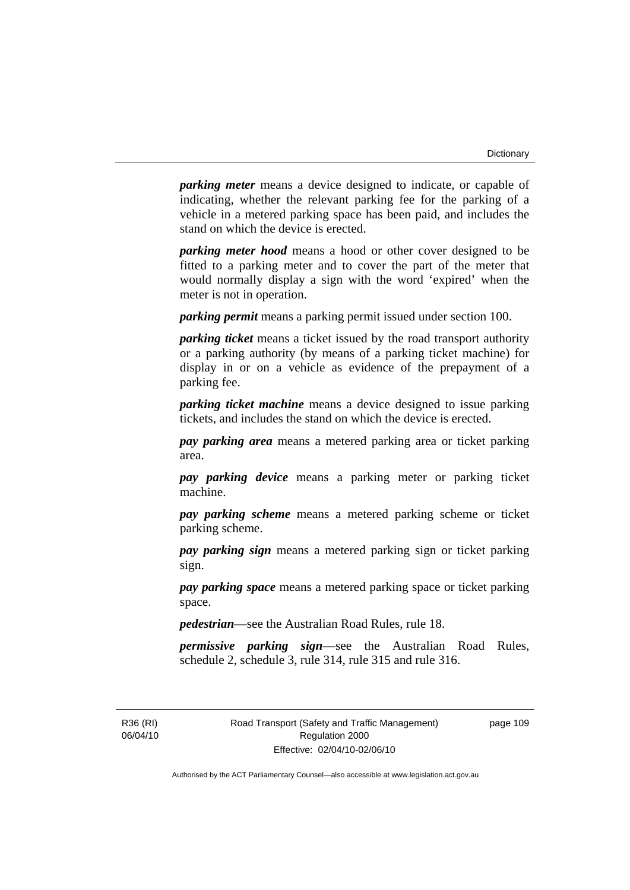*parking meter* means a device designed to indicate, or capable of indicating, whether the relevant parking fee for the parking of a vehicle in a metered parking space has been paid, and includes the stand on which the device is erected.

*parking meter hood* means a hood or other cover designed to be fitted to a parking meter and to cover the part of the meter that would normally display a sign with the word 'expired' when the meter is not in operation.

*parking permit* means a parking permit issued under section 100.

*parking ticket* means a ticket issued by the road transport authority or a parking authority (by means of a parking ticket machine) for display in or on a vehicle as evidence of the prepayment of a parking fee.

*parking ticket machine* means a device designed to issue parking tickets, and includes the stand on which the device is erected.

*pay parking area* means a metered parking area or ticket parking area.

*pay parking device* means a parking meter or parking ticket machine.

*pay parking scheme* means a metered parking scheme or ticket parking scheme.

*pay parking sign* means a metered parking sign or ticket parking sign.

*pay parking space* means a metered parking space or ticket parking space.

*pedestrian*—see the Australian Road Rules, rule 18.

*permissive parking sign*—see the Australian Road Rules, schedule 2, schedule 3, rule 314, rule 315 and rule 316.

R36 (RI) 06/04/10 page 109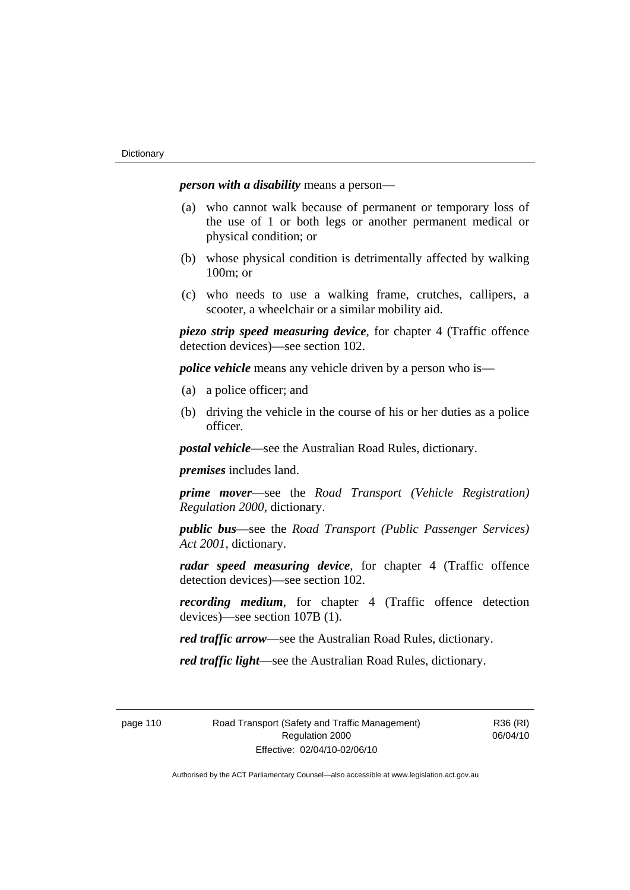*person with a disability* means a person—

- (a) who cannot walk because of permanent or temporary loss of the use of 1 or both legs or another permanent medical or physical condition; or
- (b) whose physical condition is detrimentally affected by walking 100m; or
- (c) who needs to use a walking frame, crutches, callipers, a scooter, a wheelchair or a similar mobility aid.

*piezo strip speed measuring device*, for chapter 4 (Traffic offence detection devices)—see section 102.

*police vehicle* means any vehicle driven by a person who is—

- (a) a police officer; and
- (b) driving the vehicle in the course of his or her duties as a police officer.

*postal vehicle*—see the Australian Road Rules, dictionary.

*premises* includes land.

*prime mover*—see the *Road Transport (Vehicle Registration) Regulation 2000*, dictionary.

*public bus*—see the *Road Transport (Public Passenger Services) Act 2001*, dictionary.

*radar speed measuring device*, for chapter 4 (Traffic offence detection devices)—see section 102.

*recording medium*, for chapter 4 (Traffic offence detection devices)—see section 107B (1).

*red traffic arrow*—see the Australian Road Rules, dictionary.

*red traffic light*—see the Australian Road Rules, dictionary.

page 110 Road Transport (Safety and Traffic Management) Regulation 2000 Effective: 02/04/10-02/06/10

R36 (RI) 06/04/10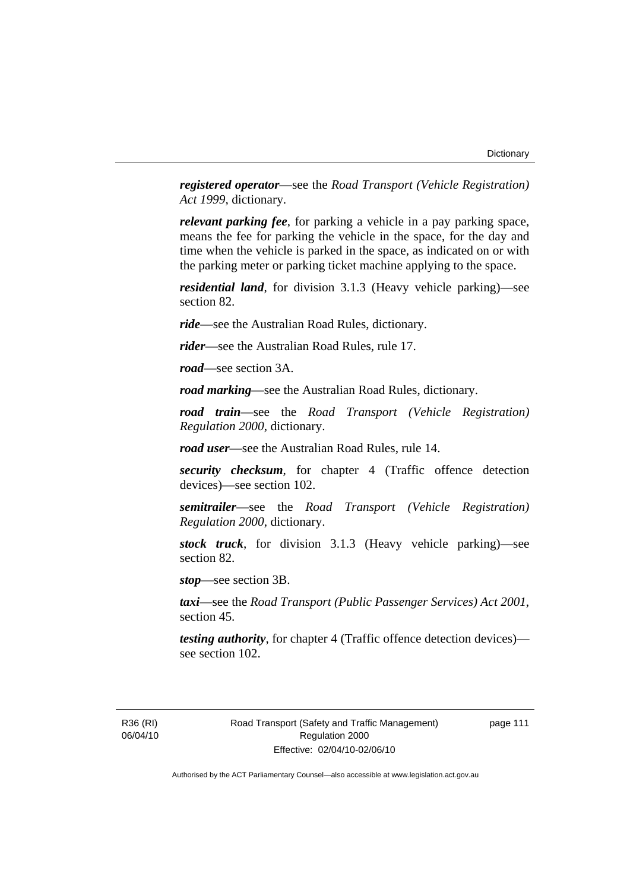*registered operator*—see the *Road Transport (Vehicle Registration) Act 1999*, dictionary.

*relevant parking fee*, for parking a vehicle in a pay parking space, means the fee for parking the vehicle in the space, for the day and time when the vehicle is parked in the space, as indicated on or with the parking meter or parking ticket machine applying to the space.

*residential land*, for division 3.1.3 (Heavy vehicle parking)—see section 82.

*ride*—see the Australian Road Rules, dictionary.

*rider*—see the Australian Road Rules, rule 17.

*road*—see section 3A.

*road marking*—see the Australian Road Rules, dictionary.

*road train*—see the *Road Transport (Vehicle Registration) Regulation 2000*, dictionary.

*road user*—see the Australian Road Rules, rule 14.

*security checksum*, for chapter 4 (Traffic offence detection devices)—see section 102.

*semitrailer*—see the *Road Transport (Vehicle Registration) Regulation 2000*, dictionary.

*stock truck*, for division 3.1.3 (Heavy vehicle parking)—see section 82.

*stop*—see section 3B.

*taxi*—see the *Road Transport (Public Passenger Services) Act 2001*, section 45.

*testing authority*, for chapter 4 (Traffic offence detection devices) see section 102.

R36 (RI) 06/04/10 page 111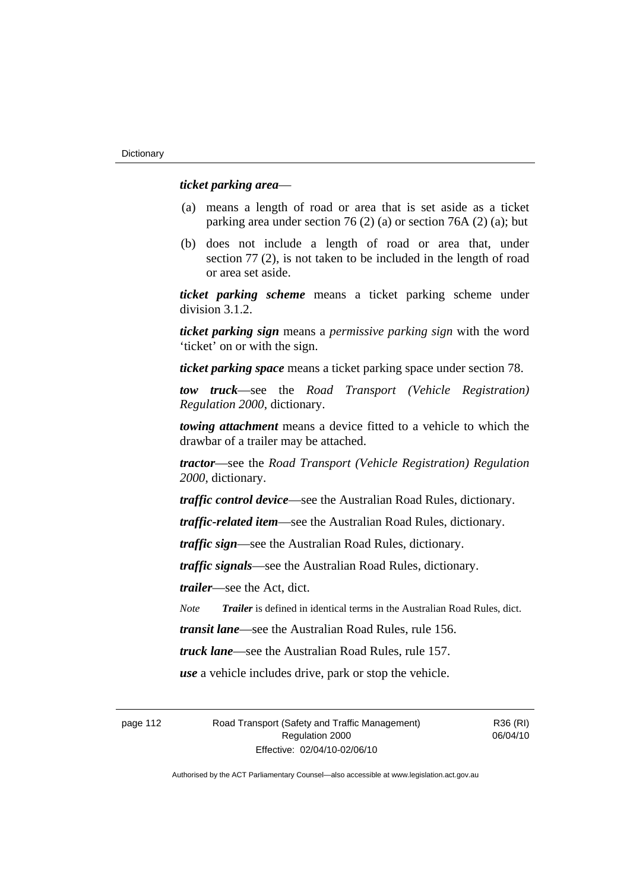#### *ticket parking area*—

- (a) means a length of road or area that is set aside as a ticket parking area under section 76 (2) (a) or section 76A (2) (a); but
- (b) does not include a length of road or area that, under section 77 (2), is not taken to be included in the length of road or area set aside.

*ticket parking scheme* means a ticket parking scheme under division 3.1.2.

*ticket parking sign* means a *permissive parking sign* with the word 'ticket' on or with the sign.

*ticket parking space* means a ticket parking space under section 78.

*tow truck*—see the *Road Transport (Vehicle Registration) Regulation 2000*, dictionary.

*towing attachment* means a device fitted to a vehicle to which the drawbar of a trailer may be attached.

*tractor*—see the *Road Transport (Vehicle Registration) Regulation 2000*, dictionary.

*traffic control device*—see the Australian Road Rules, dictionary.

*traffic-related item*—see the Australian Road Rules, dictionary.

*traffic sign*—see the Australian Road Rules, dictionary.

*traffic signals*—see the Australian Road Rules, dictionary.

*trailer*—see the Act, dict.

*Note Trailer* is defined in identical terms in the Australian Road Rules, dict.

*transit lane*—see the Australian Road Rules, rule 156.

*truck lane*—see the Australian Road Rules, rule 157.

*use* a vehicle includes drive, park or stop the vehicle.

page 112 Road Transport (Safety and Traffic Management) Regulation 2000 Effective: 02/04/10-02/06/10

R36 (RI) 06/04/10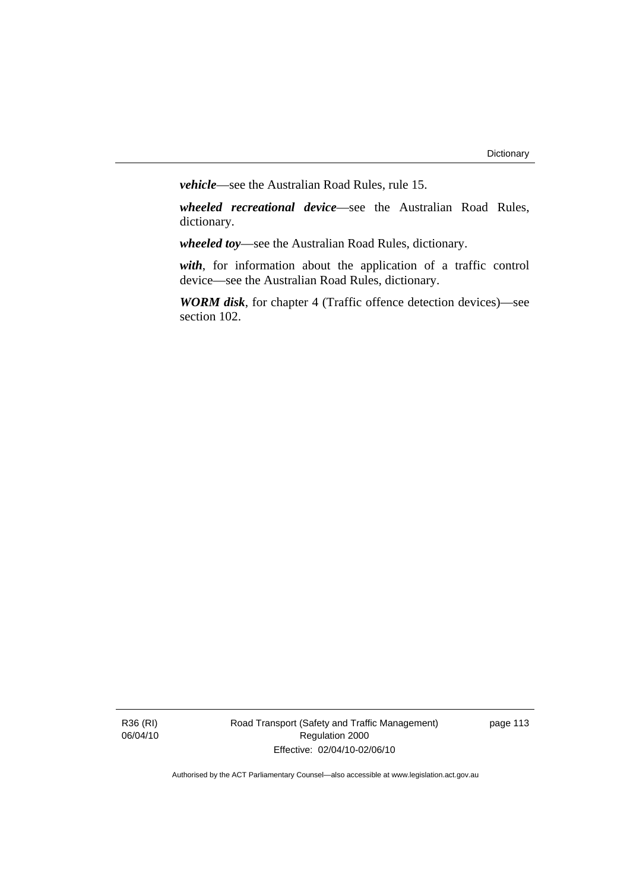*vehicle*—see the Australian Road Rules, rule 15.

*wheeled recreational device*—see the Australian Road Rules, dictionary.

*wheeled toy*—see the Australian Road Rules, dictionary.

*with*, for information about the application of a traffic control device—see the Australian Road Rules, dictionary.

*WORM disk*, for chapter 4 (Traffic offence detection devices)—see section 102.

R36 (RI) 06/04/10 Road Transport (Safety and Traffic Management) Regulation 2000 Effective: 02/04/10-02/06/10

page 113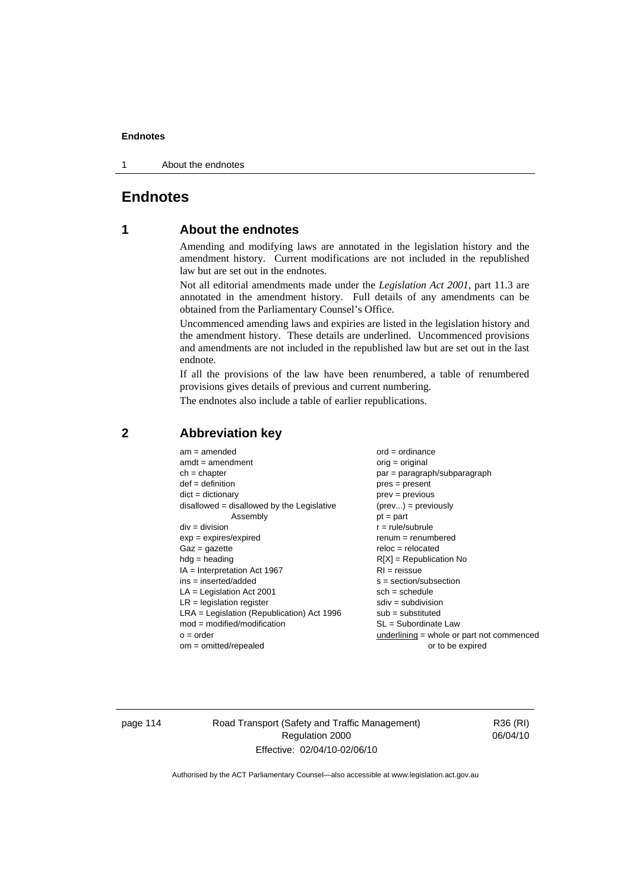1 About the endnotes

# **Endnotes**

# **1 About the endnotes**

Amending and modifying laws are annotated in the legislation history and the amendment history. Current modifications are not included in the republished law but are set out in the endnotes.

Not all editorial amendments made under the *Legislation Act 2001*, part 11.3 are annotated in the amendment history. Full details of any amendments can be obtained from the Parliamentary Counsel's Office.

Uncommenced amending laws and expiries are listed in the legislation history and the amendment history. These details are underlined. Uncommenced provisions and amendments are not included in the republished law but are set out in the last endnote.

If all the provisions of the law have been renumbered, a table of renumbered provisions gives details of previous and current numbering.

The endnotes also include a table of earlier republications.

| $am = amended$                               | $ord = ordinance$                         |
|----------------------------------------------|-------------------------------------------|
| $amdt = amendment$                           |                                           |
|                                              | $orig = original$                         |
| $ch = chapter$                               | $par = paragraph/subparagraph$            |
| $def = definition$                           | $pres = present$                          |
| $dict = dictionary$                          | $prev = previous$                         |
| disallowed = disallowed by the Legislative   | $(\text{prev}) = \text{previously}$       |
| Assembly                                     | $pt = part$                               |
| $div = division$                             | $r = rule/subrule$                        |
| $exp = expires/expired$                      | $remum = renumbered$                      |
| $Gaz = gazette$                              | $reloc = relocated$                       |
| $hdg =$ heading                              | $R[X]$ = Republication No                 |
| $IA = Interpretation Act 1967$               | $RI = reissue$                            |
| $ins = inserted/added$                       | $s = section/subsection$                  |
| $LA =$ Legislation Act 2001                  | $sch = schedule$                          |
| $LR =$ legislation register                  | $sdiv = subdivision$                      |
| $LRA =$ Legislation (Republication) Act 1996 | $sub = substituted$                       |
| $mod = modified/modification$                | $SL = Subordinate$ Law                    |
| $o = order$                                  | underlining = whole or part not commenced |
| $om = omitted/repealed$                      | or to be expired                          |
|                                              |                                           |

# **2 Abbreviation key**

page 114 Road Transport (Safety and Traffic Management) Regulation 2000 Effective: 02/04/10-02/06/10

R36 (RI) 06/04/10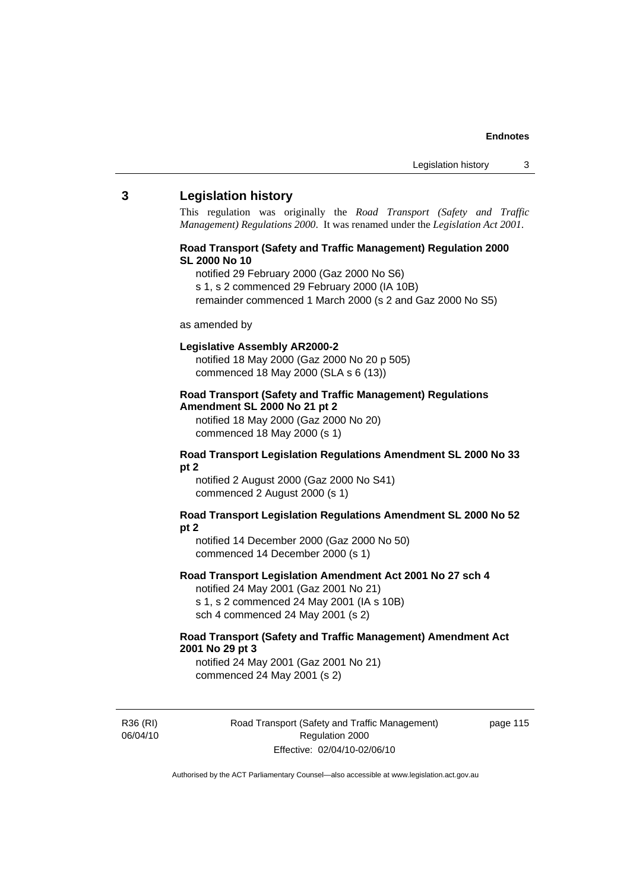#### **3 Legislation history**

This regulation was originally the *Road Transport (Safety and Traffic Management) Regulations 2000*. It was renamed under the *Legislation Act 2001*.

#### **Road Transport (Safety and Traffic Management) Regulation 2000 SL 2000 No 10**

- notified 29 February 2000 (Gaz 2000 No S6)
- s 1, s 2 commenced 29 February 2000 (IA 10B)
- remainder commenced 1 March 2000 (s 2 and Gaz 2000 No S5)

#### as amended by

#### **Legislative Assembly AR2000-2**

notified 18 May 2000 (Gaz 2000 No 20 p 505) commenced 18 May 2000 (SLA s 6 (13))

#### **Road Transport (Safety and Traffic Management) Regulations Amendment SL 2000 No 21 pt 2**

notified 18 May 2000 (Gaz 2000 No 20) commenced 18 May 2000 (s 1)

#### **Road Transport Legislation Regulations Amendment SL 2000 No 33 pt 2**

notified 2 August 2000 (Gaz 2000 No S41) commenced 2 August 2000 (s 1)

#### **Road Transport Legislation Regulations Amendment SL 2000 No 52 pt 2**

notified 14 December 2000 (Gaz 2000 No 50) commenced 14 December 2000 (s 1)

#### **Road Transport Legislation Amendment Act 2001 No 27 sch 4**

notified 24 May 2001 (Gaz 2001 No 21) s 1, s 2 commenced 24 May 2001 (IA s 10B) sch 4 commenced 24 May 2001 (s 2)

#### **Road Transport (Safety and Traffic Management) Amendment Act 2001 No 29 pt 3**

notified 24 May 2001 (Gaz 2001 No 21) commenced 24 May 2001 (s 2)

R36 (RI) 06/04/10 Road Transport (Safety and Traffic Management) Regulation 2000 Effective: 02/04/10-02/06/10

page 115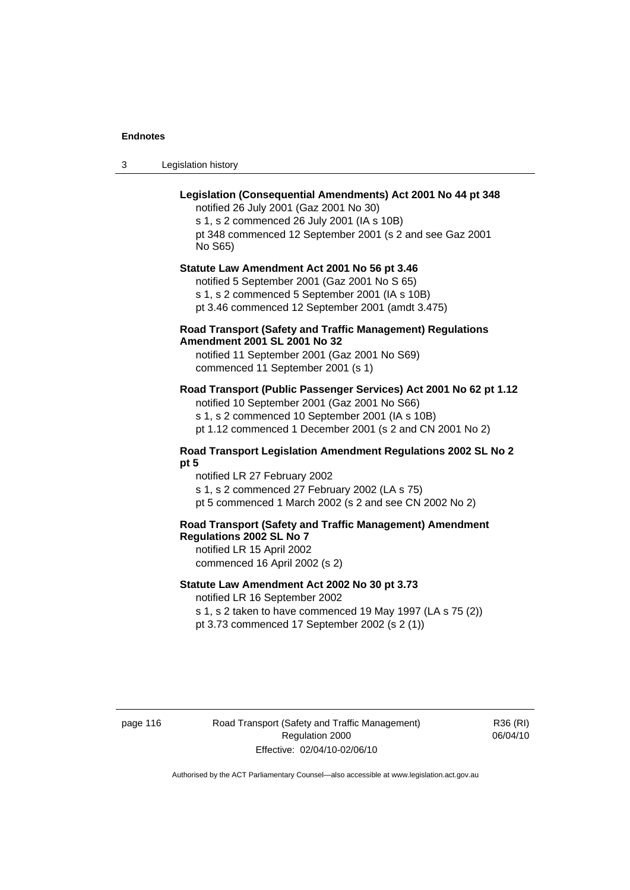3 Legislation history

## **Legislation (Consequential Amendments) Act 2001 No 44 pt 348**

notified 26 July 2001 (Gaz 2001 No 30) s 1, s 2 commenced 26 July 2001 (IA s 10B) pt 348 commenced 12 September 2001 (s 2 and see Gaz 2001 No S65)

# **Statute Law Amendment Act 2001 No 56 pt 3.46**

notified 5 September 2001 (Gaz 2001 No S 65) s 1, s 2 commenced 5 September 2001 (IA s 10B) pt 3.46 commenced 12 September 2001 (amdt 3.475)

#### **Road Transport (Safety and Traffic Management) Regulations Amendment 2001 SL 2001 No 32**

notified 11 September 2001 (Gaz 2001 No S69) commenced 11 September 2001 (s 1)

### **Road Transport (Public Passenger Services) Act 2001 No 62 pt 1.12**

notified 10 September 2001 (Gaz 2001 No S66) s 1, s 2 commenced 10 September 2001 (IA s 10B)

pt 1.12 commenced 1 December 2001 (s 2 and CN 2001 No 2)

#### **Road Transport Legislation Amendment Regulations 2002 SL No 2 pt 5**

notified LR 27 February 2002 s 1, s 2 commenced 27 February 2002 (LA s 75) pt 5 commenced 1 March 2002 (s 2 and see CN 2002 No 2)

# **Road Transport (Safety and Traffic Management) Amendment Regulations 2002 SL No 7**

notified LR 15 April 2002 commenced 16 April 2002 (s 2)

#### **Statute Law Amendment Act 2002 No 30 pt 3.73**

notified LR 16 September 2002

s 1, s 2 taken to have commenced 19 May 1997 (LA s 75 (2)) pt 3.73 commenced 17 September 2002 (s 2 (1))

page 116 Road Transport (Safety and Traffic Management) Regulation 2000 Effective: 02/04/10-02/06/10

R36 (RI) 06/04/10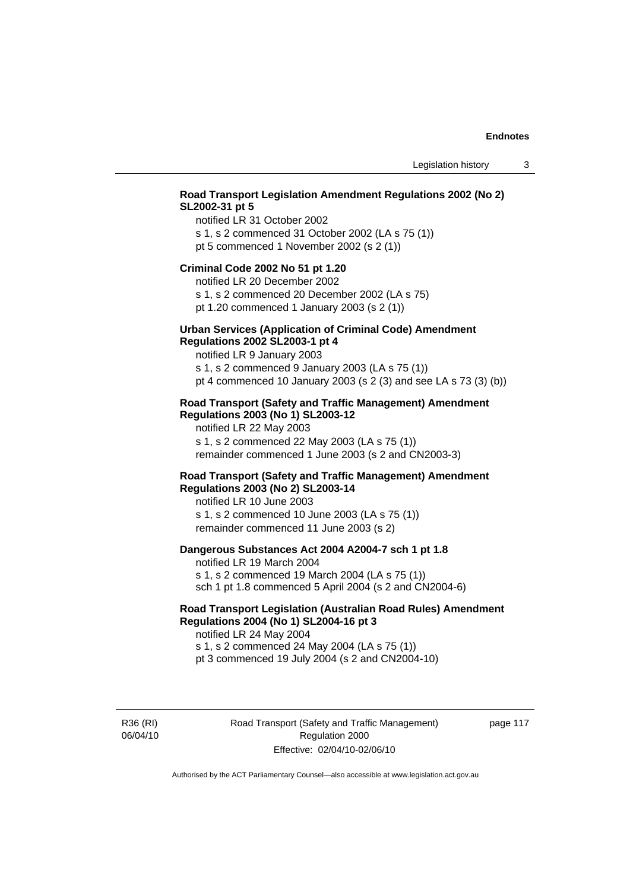## **Road Transport Legislation Amendment Regulations 2002 (No 2) SL2002-31 pt 5**

notified LR 31 October 2002 s 1, s 2 commenced 31 October 2002 (LA s 75 (1)) pt 5 commenced 1 November 2002 (s 2 (1))

#### **Criminal Code 2002 No 51 pt 1.20**

notified LR 20 December 2002

s 1, s 2 commenced 20 December 2002 (LA s 75) pt 1.20 commenced 1 January 2003 (s 2 (1))

# **Urban Services (Application of Criminal Code) Amendment**

#### **Regulations 2002 SL2003-1 pt 4**

notified LR 9 January 2003

s 1, s 2 commenced 9 January 2003 (LA s 75 (1)) pt 4 commenced 10 January 2003 (s 2 (3) and see LA s 73 (3) (b))

#### **Road Transport (Safety and Traffic Management) Amendment Regulations 2003 (No 1) SL2003-12**

notified LR 22 May 2003 s 1, s 2 commenced 22 May 2003 (LA s 75 (1)) remainder commenced 1 June 2003 (s 2 and CN2003-3)

#### **Road Transport (Safety and Traffic Management) Amendment Regulations 2003 (No 2) SL2003-14**

notified LR 10 June 2003 s 1, s 2 commenced 10 June 2003 (LA s 75 (1)) remainder commenced 11 June 2003 (s 2)

#### **Dangerous Substances Act 2004 A2004-7 sch 1 pt 1.8**

notified LR 19 March 2004 s 1, s 2 commenced 19 March 2004 (LA s 75 (1)) sch 1 pt 1.8 commenced 5 April 2004 (s 2 and CN2004-6)

### **Road Transport Legislation (Australian Road Rules) Amendment Regulations 2004 (No 1) SL2004-16 pt 3**

notified LR 24 May 2004 s 1, s 2 commenced 24 May 2004 (LA s 75 (1)) pt 3 commenced 19 July 2004 (s 2 and CN2004-10)

R36 (RI) 06/04/10 Road Transport (Safety and Traffic Management) Regulation 2000 Effective: 02/04/10-02/06/10

page 117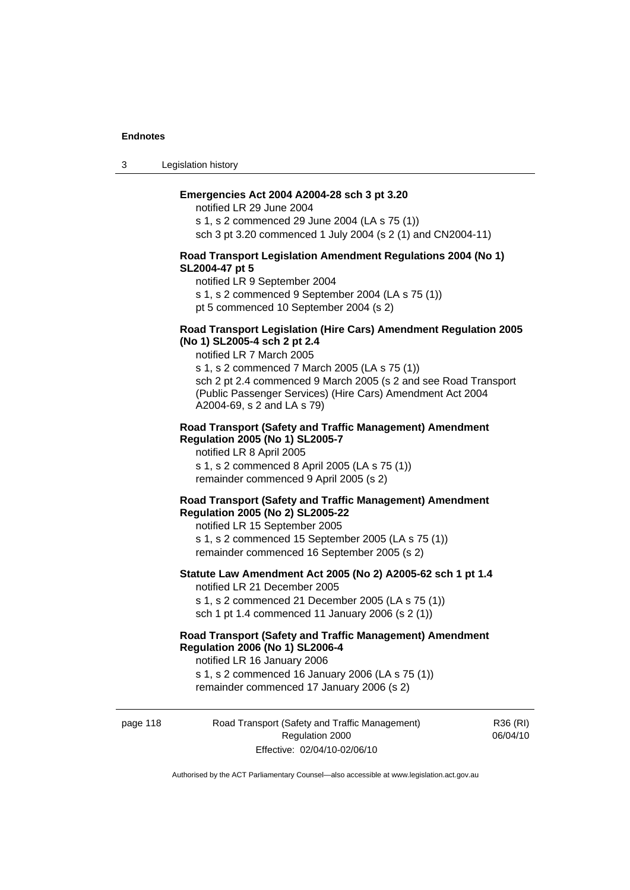3 Legislation history

#### **Emergencies Act 2004 A2004-28 sch 3 pt 3.20**

notified LR 29 June 2004 s 1, s 2 commenced 29 June 2004 (LA s 75 (1)) sch 3 pt 3.20 commenced 1 July 2004 (s 2 (1) and CN2004-11)

#### **Road Transport Legislation Amendment Regulations 2004 (No 1) SL2004-47 pt 5**

notified LR 9 September 2004

s 1, s 2 commenced 9 September 2004 (LA s 75 (1))

pt 5 commenced 10 September 2004 (s 2)

#### **Road Transport Legislation (Hire Cars) Amendment Regulation 2005 (No 1) SL2005-4 sch 2 pt 2.4**

notified LR 7 March 2005

s 1, s 2 commenced 7 March 2005 (LA s 75 (1)) sch 2 pt 2.4 commenced 9 March 2005 (s 2 and see Road Transport (Public Passenger Services) (Hire Cars) Amendment Act 2004 A2004-69, s 2 and LA s 79)

#### **Road Transport (Safety and Traffic Management) Amendment Regulation 2005 (No 1) SL2005-7**

notified LR 8 April 2005 s 1, s 2 commenced 8 April 2005 (LA s 75 (1)) remainder commenced 9 April 2005 (s 2)

#### **Road Transport (Safety and Traffic Management) Amendment Regulation 2005 (No 2) SL2005-22**

notified LR 15 September 2005 s 1, s 2 commenced 15 September 2005 (LA s 75 (1)) remainder commenced 16 September 2005 (s 2)

#### **Statute Law Amendment Act 2005 (No 2) A2005-62 sch 1 pt 1.4**  notified LR 21 December 2005

s 1, s 2 commenced 21 December 2005 (LA s 75 (1)) sch 1 pt 1.4 commenced 11 January 2006 (s 2 (1))

# **Road Transport (Safety and Traffic Management) Amendment Regulation 2006 (No 1) SL2006-4**

notified LR 16 January 2006 s 1, s 2 commenced 16 January 2006 (LA s 75 (1)) remainder commenced 17 January 2006 (s 2)

page 118 Road Transport (Safety and Traffic Management) Regulation 2000 Effective: 02/04/10-02/06/10

R36 (RI) 06/04/10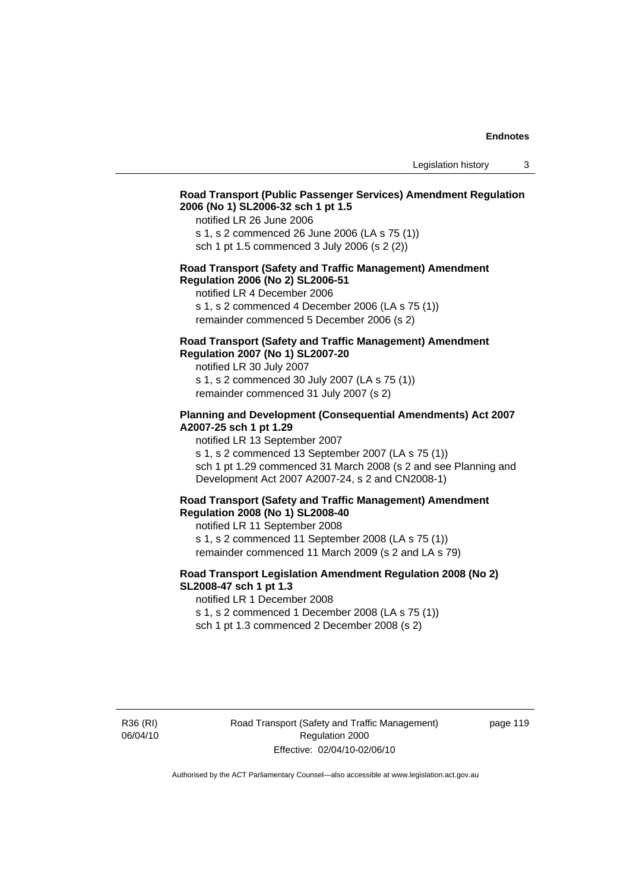# **Road Transport (Public Passenger Services) Amendment Regulation 2006 (No 1) SL2006-32 sch 1 pt 1.5**

notified LR 26 June 2006

s 1, s 2 commenced 26 June 2006 (LA s 75 (1)) sch 1 pt 1.5 commenced 3 July 2006 (s 2 (2))

#### **Road Transport (Safety and Traffic Management) Amendment Regulation 2006 (No 2) SL2006-51**

notified LR 4 December 2006

s 1, s 2 commenced 4 December 2006 (LA s 75 (1)) remainder commenced 5 December 2006 (s 2)

#### **Road Transport (Safety and Traffic Management) Amendment Regulation 2007 (No 1) SL2007-20**

notified LR 30 July 2007 s 1, s 2 commenced 30 July 2007 (LA s 75 (1)) remainder commenced 31 July 2007 (s 2)

#### **Planning and Development (Consequential Amendments) Act 2007 A2007-25 sch 1 pt 1.29**

notified LR 13 September 2007

s 1, s 2 commenced 13 September 2007 (LA s 75 (1)) sch 1 pt 1.29 commenced 31 March 2008 (s 2 and see Planning and Development Act 2007 A2007-24, s 2 and CN2008-1)

#### **Road Transport (Safety and Traffic Management) Amendment Regulation 2008 (No 1) SL2008-40**

notified LR 11 September 2008 s 1, s 2 commenced 11 September 2008 (LA s 75 (1)) remainder commenced 11 March 2009 (s 2 and LA s 79)

#### **Road Transport Legislation Amendment Regulation 2008 (No 2) SL2008-47 sch 1 pt 1.3**

notified LR 1 December 2008 s 1, s 2 commenced 1 December 2008 (LA s 75 (1)) sch 1 pt 1.3 commenced 2 December 2008 (s 2)

R36 (RI) 06/04/10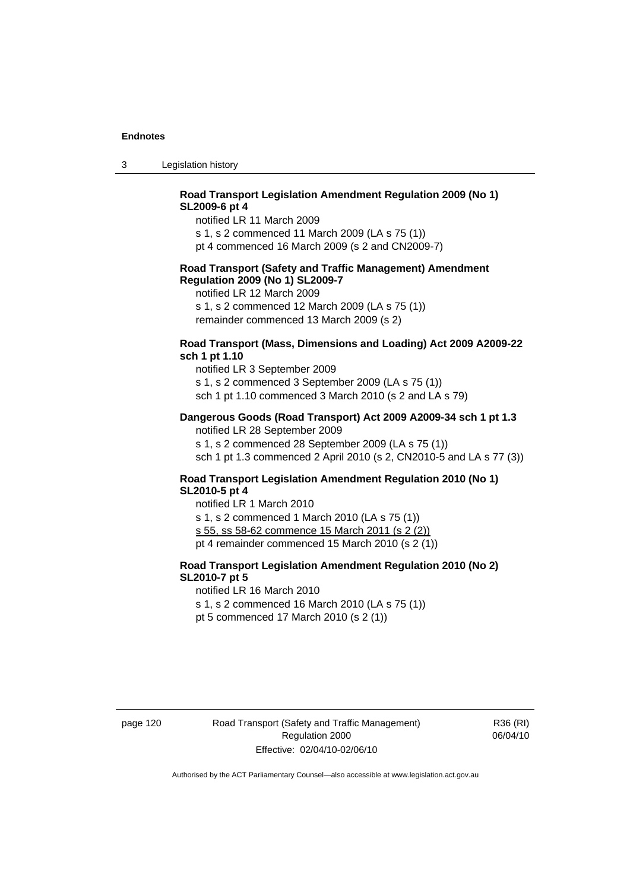3 Legislation history

## **Road Transport Legislation Amendment Regulation 2009 (No 1) SL2009-6 pt 4**

notified LR 11 March 2009

s 1, s 2 commenced 11 March 2009 (LA s 75 (1))

pt 4 commenced 16 March 2009 (s 2 and CN2009-7)

#### **Road Transport (Safety and Traffic Management) Amendment Regulation 2009 (No 1) SL2009-7**

notified LR 12 March 2009

s 1, s 2 commenced 12 March 2009 (LA s 75 (1)) remainder commenced 13 March 2009 (s 2)

#### **Road Transport (Mass, Dimensions and Loading) Act 2009 A2009-22 sch 1 pt 1.10**

notified LR 3 September 2009 s 1, s 2 commenced 3 September 2009 (LA s 75 (1)) sch 1 pt 1.10 commenced 3 March 2010 (s 2 and LA s 79)

#### **Dangerous Goods (Road Transport) Act 2009 A2009-34 sch 1 pt 1.3**

notified LR 28 September 2009 s 1, s 2 commenced 28 September 2009 (LA s 75 (1)) sch 1 pt 1.3 commenced 2 April 2010 (s 2, CN2010-5 and LA s 77 (3))

#### **Road Transport Legislation Amendment Regulation 2010 (No 1) SL2010-5 pt 4**

notified LR 1 March 2010 s 1, s 2 commenced 1 March 2010 (LA s 75 (1)) s 55, ss 58-62 commence 15 March 2011 (s 2 (2)) pt 4 remainder commenced 15 March 2010 (s 2 (1))

## **Road Transport Legislation Amendment Regulation 2010 (No 2) SL2010-7 pt 5**

notified LR 16 March 2010

s 1, s 2 commenced 16 March 2010 (LA s 75 (1))

pt 5 commenced 17 March 2010 (s 2 (1))

page 120 Road Transport (Safety and Traffic Management) Regulation 2000 Effective: 02/04/10-02/06/10

R36 (RI) 06/04/10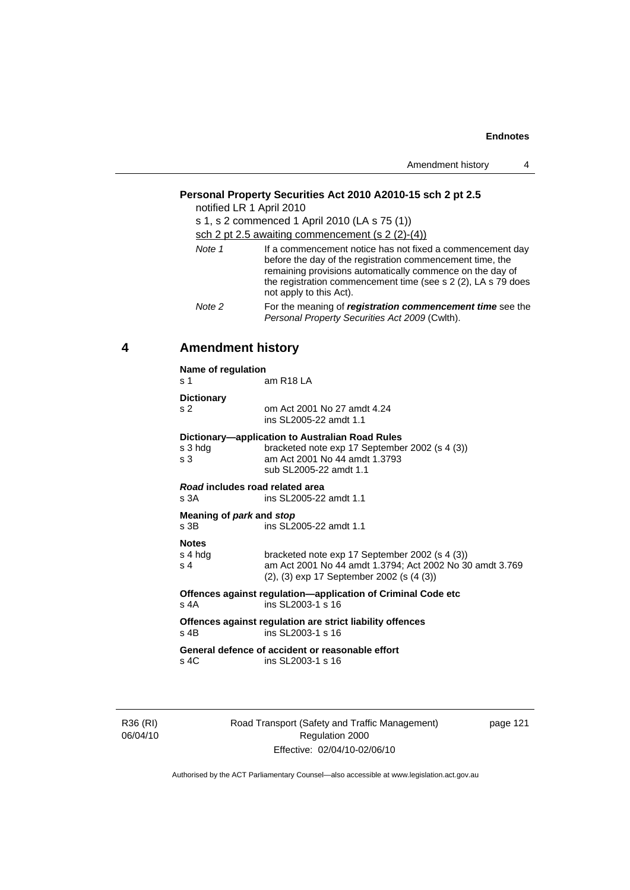| Amendment history |  |
|-------------------|--|
|-------------------|--|

# **Personal Property Securities Act 2010 A2010-15 sch 2 pt 2.5**

notified LR 1 April 2010

| s 1, s 2 commenced 1 April 2010 (LA s 75 (1))<br>sch 2 pt 2.5 awaiting commencement (s $2(2)-(4)$ ) |                                                                                                                                                                                                                                                                                 |  |  |
|-----------------------------------------------------------------------------------------------------|---------------------------------------------------------------------------------------------------------------------------------------------------------------------------------------------------------------------------------------------------------------------------------|--|--|
| Note 1                                                                                              | If a commencement notice has not fixed a commencement day<br>before the day of the registration commencement time, the<br>remaining provisions automatically commence on the day of<br>the registration commencement time (see s 2 (2), LA s 79 does<br>not apply to this Act). |  |  |
| Note 2                                                                                              | For the meaning of registration commencement time see the<br>Personal Property Securities Act 2009 (Cwlth).                                                                                                                                                                     |  |  |

# **4 Amendment history**

**Name of regulation** 

| s 1                                     | am R <sub>18</sub> LA                                                                                                                                            |
|-----------------------------------------|------------------------------------------------------------------------------------------------------------------------------------------------------------------|
| <b>Dictionary</b>                       |                                                                                                                                                                  |
| s <sub>2</sub>                          | om Act 2001 No 27 amdt 4.24<br>ins SL2005-22 amdt 1.1                                                                                                            |
| s 3 hdg<br>s 3                          | Dictionary—application to Australian Road Rules<br>bracketed note exp 17 September 2002 (s 4 (3))<br>am Act 2001 No 44 amdt 1.3793<br>sub SL2005-22 amdt 1.1     |
| Road includes road related area<br>s 3A | ins SL 2005-22 amdt 1.1                                                                                                                                          |
| Meaning of park and stop<br>s 3B        | ins SL2005-22 amdt 1.1                                                                                                                                           |
| <b>Notes</b><br>s 4 hdg<br>s 4          | bracketed note exp 17 September 2002 (s 4 (3))<br>am Act 2001 No 44 amdt 1.3794; Act 2002 No 30 amdt 3.769<br>$(2)$ , $(3)$ exp 17 September 2002 (s $(4 \ (3))$ |
| s 4A                                    | Offences against regulation—application of Criminal Code etc<br>ins SL2003-1 s 16                                                                                |
| s 4B                                    | Offences against regulation are strict liability offences<br>ins SL2003-1 s 16                                                                                   |
|                                         | General defence of accident or reasonable effort                                                                                                                 |

s 4C ins SL2003-1 s 16

R36 (RI) 06/04/10 Road Transport (Safety and Traffic Management) Regulation 2000 Effective: 02/04/10-02/06/10

page 121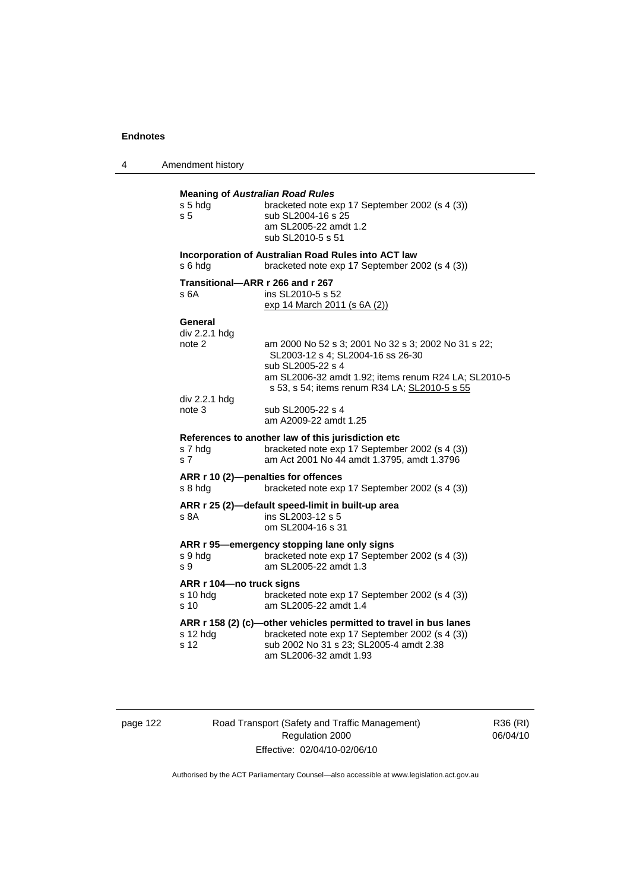4 Amendment history

| <b>Meaning of Australian Road Rules</b><br>s 5 hdg<br>s <sub>5</sub> | bracketed note exp 17 September 2002 (s 4 (3))<br>sub SL2004-16 s 25<br>am SL2005-22 amdt 1.2<br>sub SL2010-5 s 51                                                                                                     |
|----------------------------------------------------------------------|------------------------------------------------------------------------------------------------------------------------------------------------------------------------------------------------------------------------|
| s 6 hdg                                                              | Incorporation of Australian Road Rules into ACT law<br>bracketed note exp 17 September 2002 (s 4 (3))                                                                                                                  |
| Transitional—ARR r 266 and r 267<br>s 6A                             | ins SL2010-5 s 52<br>exp 14 March 2011 (s 6A (2))                                                                                                                                                                      |
| General<br>div 2.2.1 hdg<br>note 2                                   | am 2000 No 52 s 3; 2001 No 32 s 3; 2002 No 31 s 22;<br>SL2003-12 s 4; SL2004-16 ss 26-30<br>sub SL2005-22 s 4<br>am SL2006-32 amdt 1.92; items renum R24 LA; SL2010-5<br>s 53, s 54; items renum R34 LA; SL2010-5 s 55 |
| div 2.2.1 hdg<br>note 3                                              | sub SL2005-22 s 4<br>am A2009-22 amdt 1.25                                                                                                                                                                             |
| s 7 hdg<br>s <sub>7</sub>                                            | References to another law of this jurisdiction etc<br>bracketed note exp 17 September 2002 (s 4 (3))<br>am Act 2001 No 44 amdt 1.3795, amdt 1.3796                                                                     |
| ARR r 10 (2)-penalties for offences<br>s 8 hda                       | bracketed note exp 17 September 2002 (s 4 (3))                                                                                                                                                                         |
| s 8A                                                                 | ARR r 25 (2)-default speed-limit in built-up area<br>ins SL2003-12 s 5<br>om SL2004-16 s 31                                                                                                                            |
| s 9 hdg<br>s 9                                                       | ARR r 95—emergency stopping lane only signs<br>bracketed note exp 17 September 2002 (s 4 (3))<br>am SL2005-22 amdt 1.3                                                                                                 |
| ARR r 104-no truck signs<br>$s$ 10 hdg<br>s 10                       | bracketed note exp 17 September 2002 (s 4 (3))<br>am SL2005-22 amdt 1.4                                                                                                                                                |
| s 12 hdg<br>s 12                                                     | ARR r 158 (2) (c)-other vehicles permitted to travel in bus lanes<br>bracketed note exp 17 September 2002 (s 4 (3))<br>sub 2002 No 31 s 23; SL2005-4 amdt 2.38<br>am SL2006-32 amdt 1.93                               |

page 122 Road Transport (Safety and Traffic Management) Regulation 2000 Effective: 02/04/10-02/06/10

R36 (RI) 06/04/10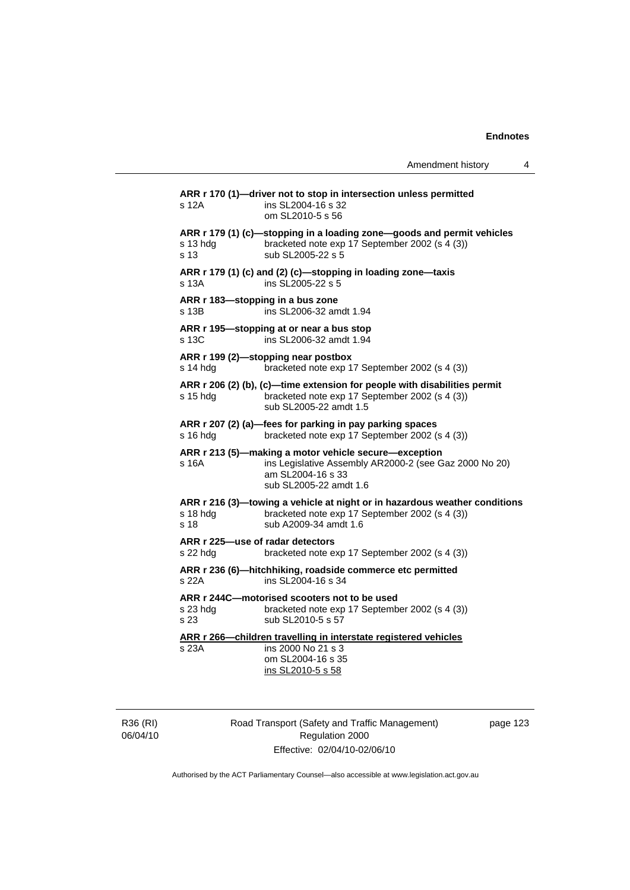| Amendment history |  |  |
|-------------------|--|--|
|-------------------|--|--|

**ARR r 170 (1)—driver not to stop in intersection unless permitted**  s 12A ins SL2004-16 s 32 om SL2010-5 s 56 **ARR r 179 (1) (c)—stopping in a loading zone—goods and permit vehicles** s 13 hdq bracketed note exp 17 September 2002 (s 4 (3)) bracketed note exp 17 September 2002 (s 4 (3)) s 13 sub SL2005-22 s 5 **ARR r 179 (1) (c) and (2) (c)—stopping in loading zone—taxis**  s 13A ins SL2005-22 s 5 **ARR r 183—stopping in a bus zone**  s 13B ins SL2006-32 amdt 1.94 **ARR r 195—stopping at or near a bus stop**  s 13C ins SL2006-32 amdt 1.94 **ARR r 199 (2)—stopping near postbox**  s 14 hdg bracketed note exp 17 September 2002 (s 4 (3)) **ARR r 206 (2) (b), (c)—time extension for people with disabilities permit**  s 15 hdg bracketed note exp 17 September 2002 (s 4 (3)) sub SL2005-22 amdt 1.5 **ARR r 207 (2) (a)—fees for parking in pay parking spaces**  s 16 hdg bracketed note exp 17 September 2002 (s 4 (3)) **ARR r 213 (5)—making a motor vehicle secure—exception**  s 16A ins Legislative Assembly AR2000-2 (see Gaz 2000 No 20) am SL2004-16 s 33 sub SL2005-22 amdt 1.6 **ARR r 216 (3)—towing a vehicle at night or in hazardous weather conditions**  s 18 hdg bracketed note exp 17 September 2002 (s 4 (3)) s 18 sub A2009-34 amdt 1.6 **ARR r 225—use of radar detectors**  s 22 hdg bracketed note exp 17 September 2002 (s 4 (3)) **ARR r 236 (6)—hitchhiking, roadside commerce etc permitted**  s 22A ins SL2004-16 s 34 **ARR r 244C—motorised scooters not to be used**  s 23 hdg bracketed note exp 17 September 2002 (s 4 (3))<br>s 23 sub SL2010-5 s 57 sub SL2010-5 s 57 **ARR r 266—children travelling in interstate registered vehicles** s 23A ins 2000 No 21 s 3 om SL2004-16 s 35 ins SL2010-5 s 58

R36 (RI) 06/04/10 Road Transport (Safety and Traffic Management) Regulation 2000 Effective: 02/04/10-02/06/10

page 123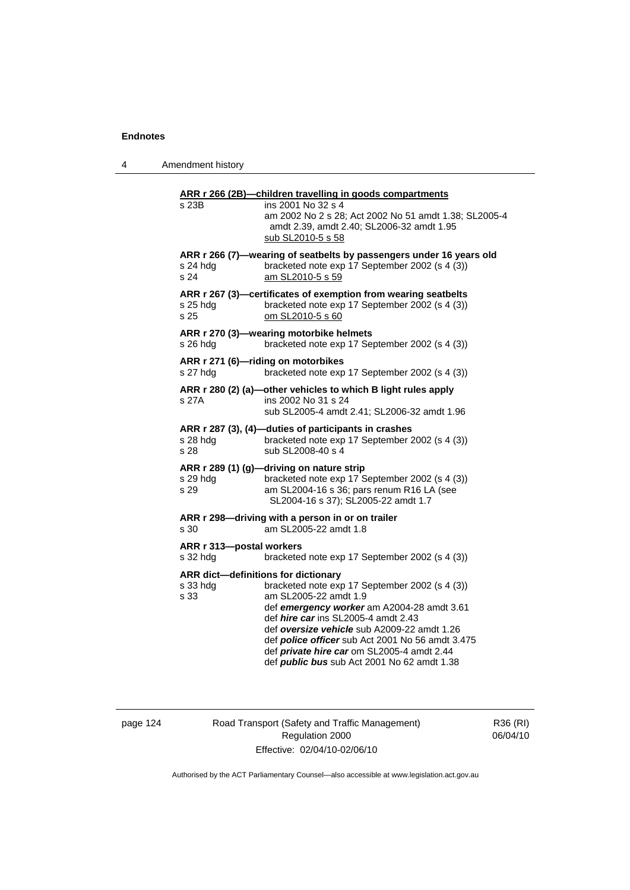| 4 | Amendment history |
|---|-------------------|
|---|-------------------|

|                                      | ARR r 266 (2B)-children travelling in goods compartments<br>ins 2001 No 32 s 4                                                                                                  |
|--------------------------------------|---------------------------------------------------------------------------------------------------------------------------------------------------------------------------------|
| s 23B                                | am 2002 No 2 s 28; Act 2002 No 51 amdt 1.38; SL2005-4<br>amdt 2.39, amdt 2.40; SL2006-32 amdt 1.95<br>sub SL2010-5 s 58                                                         |
|                                      | ARR r 266 (7)—wearing of seatbelts by passengers under 16 years old                                                                                                             |
| s 24 hdg<br>s 24                     | bracketed note exp 17 September 2002 (s 4 (3))<br>am SL2010-5 s 59                                                                                                              |
| s 25 hdg<br>s 25                     | ARR r 267 (3)-certificates of exemption from wearing seatbelts<br>bracketed note exp 17 September 2002 (s 4 (3))<br>om SL2010-5 s 60                                            |
| s 26 hdg                             | ARR r 270 (3)-wearing motorbike helmets<br>bracketed note exp 17 September 2002 (s 4 (3))                                                                                       |
| s 27 hdg                             | ARR r 271 (6)-riding on motorbikes<br>bracketed note exp 17 September 2002 (s 4 (3))                                                                                            |
|                                      | ARR r 280 (2) (a)-other vehicles to which B light rules apply                                                                                                                   |
| s 27A                                | ins 2002 No 31 s 24<br>sub SL2005-4 amdt 2.41; SL2006-32 amdt 1.96                                                                                                              |
| s 28 hdg<br>s 28                     | ARR r 287 (3), (4)-duties of participants in crashes<br>bracketed note exp 17 September 2002 (s 4 (3))<br>sub SL2008-40 s 4                                                     |
| s 29 hdg<br>s 29                     | ARR r 289 (1) (g)-driving on nature strip<br>bracketed note exp 17 September 2002 (s 4 (3))<br>am SL2004-16 s 36; pars renum R16 LA (see<br>SL2004-16 s 37); SL2005-22 amdt 1.7 |
| s 30                                 | ARR r 298-driving with a person in or on trailer<br>am SL2005-22 amdt 1.8                                                                                                       |
| ARR r 313-postal workers<br>s 32 hdg | bracketed note exp 17 September 2002 (s 4 (3))                                                                                                                                  |
|                                      | ARR dict-definitions for dictionary                                                                                                                                             |
| s 33 hda<br>s 33                     | bracketed note exp 17 September 2002 (s 4 (3))<br>am SL2005-22 amdt 1.9                                                                                                         |
|                                      | def emergency worker am A2004-28 amdt 3.61                                                                                                                                      |
|                                      | def hire car ins SL2005-4 amdt 2.43                                                                                                                                             |
|                                      | def oversize vehicle sub A2009-22 amdt 1.26<br>def police officer sub Act 2001 No 56 amdt 3.475                                                                                 |
|                                      | def private hire car om SL2005-4 amdt 2.44<br>def <i>public bus</i> sub Act 2001 No 62 amdt 1.38                                                                                |
|                                      |                                                                                                                                                                                 |

# page 124 Road Transport (Safety and Traffic Management) Regulation 2000 Effective: 02/04/10-02/06/10

R36 (RI) 06/04/10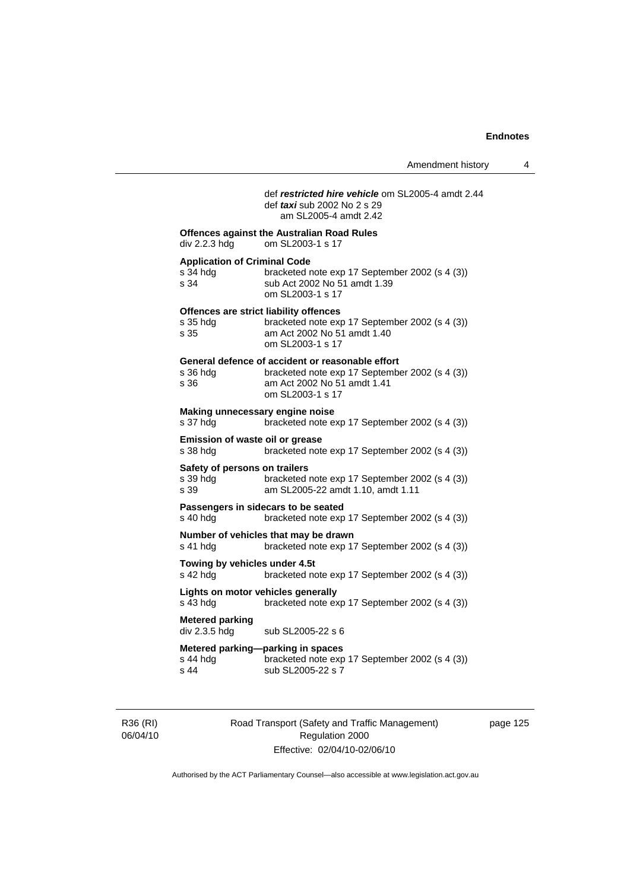# def *restricted hire vehicle* om SL2005-4 amdt 2.44 def *taxi* sub 2002 No 2 s 29 am SL2005-4 amdt 2.42

| div 2.2.3 hdg                                           | <b>Offences against the Australian Road Rules</b><br>om SL2003-1 s 17                                                                                 |
|---------------------------------------------------------|-------------------------------------------------------------------------------------------------------------------------------------------------------|
| <b>Application of Criminal Code</b><br>s 34 hdg<br>s 34 | bracketed note exp 17 September 2002 (s 4 (3))<br>sub Act 2002 No 51 amdt 1.39<br>om SL2003-1 s 17                                                    |
| s 35 hdg<br>s 35                                        | Offences are strict liability offences<br>bracketed note exp 17 September 2002 (s 4 (3))<br>am Act 2002 No 51 amdt 1.40<br>om SL2003-1 s 17           |
| s 36 hdg<br>s 36                                        | General defence of accident or reasonable effort<br>bracketed note exp 17 September 2002 (s 4 (3))<br>am Act 2002 No 51 amdt 1.41<br>om SL2003-1 s 17 |
| Making unnecessary engine noise<br>s 37 hdg             | bracketed note exp 17 September 2002 (s 4 (3))                                                                                                        |
| Emission of waste oil or grease<br>s 38 hdg             | bracketed note exp 17 September 2002 (s 4 (3))                                                                                                        |
| Safety of persons on trailers<br>s 39 hdq<br>s 39       | bracketed note exp 17 September 2002 (s 4 (3))<br>am SL2005-22 amdt 1.10, amdt 1.11                                                                   |
| s 40 hdg                                                | Passengers in sidecars to be seated<br>bracketed note exp 17 September 2002 (s 4 (3))                                                                 |
| s 41 hdg                                                | Number of vehicles that may be drawn<br>bracketed note exp 17 September 2002 (s 4 (3))                                                                |
| Towing by vehicles under 4.5t<br>s 42 hdg               | bracketed note exp 17 September 2002 (s 4 (3))                                                                                                        |
| Lights on motor vehicles generally<br>s 43 hdg          | bracketed note exp 17 September 2002 (s 4 (3))                                                                                                        |
| <b>Metered parking</b><br>div 2.3.5 hdg                 | sub SL2005-22 s 6                                                                                                                                     |
| s 44 hdg<br>s 44                                        | Metered parking-parking in spaces<br>bracketed note exp 17 September 2002 (s 4 (3))<br>sub SL2005-22 s 7                                              |

R36 (RI) 06/04/10 Road Transport (Safety and Traffic Management) Regulation 2000 Effective: 02/04/10-02/06/10

page 125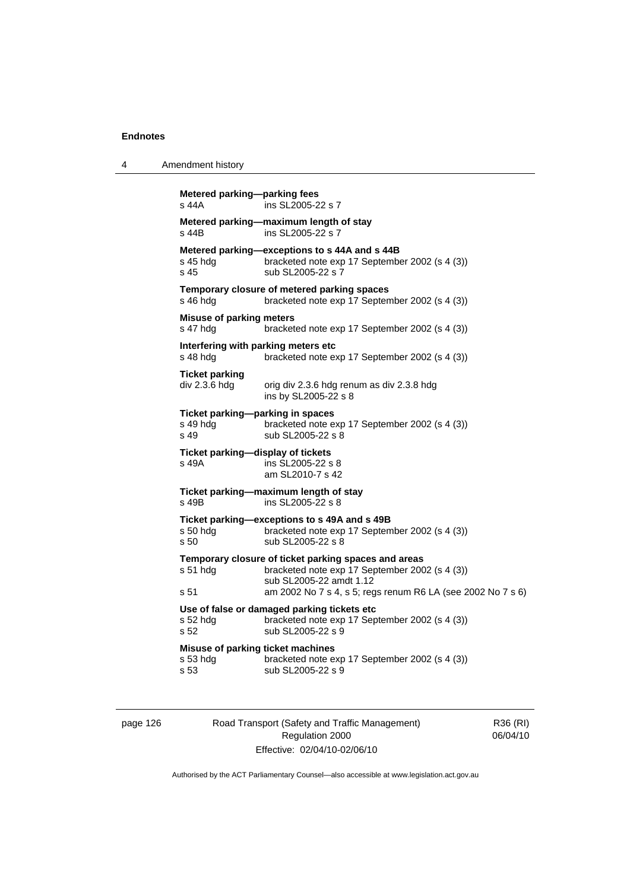```
4 Amendment history 
Metered parking—parking fees 
s 44A ins SL2005-22 s 7 
Metered parking—maximum length of stay 
                  ins SL2005-22 s 7Metered parking—exceptions to s 44A and s 44B<br>s 45 hdg bracketed note exp 17 Septembe
                   bracketed note exp 17 September 2002 (s 4 (3))
s 45 sub SL2005-22 s 7 
Temporary closure of metered parking spaces 
s 46 hdg bracketed note exp 17 September 2002 (s 4 (3))
Misuse of parking meters 
s 47 hdg bracketed note exp 17 September 2002 (s 4 (3)) 
Interfering with parking meters etc 
s 48 hdg bracketed note exp 17 September 2002 (s 4 (3))
Ticket parking 
div 2.3.6 hdg orig div 2.3.6 hdg renum as div 2.3.8 hdg
                   ins by SL2005-22 s 8 
Ticket parking—parking in spaces<br>s 49 hdg bracketed note e
s 49 hdg bracketed note exp 17 September 2002 (s 4 (3))<br>s 49 sub SL2005-22 s 8
                   sub SL2005-22 s 8
Ticket parking—display of tickets 
s 49A ins SL2005-22 s 8 
                    am SL2010-7 s 42 
Ticket parking—maximum length of stay 
                  ins SL2005 - 22 s 8Ticket parking—exceptions to s 49A and s 49B 
s 50 hdg bracketed note exp 17 September 2002 (s 4 (3)) 
s 50 sub SL2005-22 s 8 
Temporary closure of ticket parking spaces and areas 
s 51 hdg bracketed note exp 17 September 2002 (s 4 (3)) 
                    sub SL2005-22 amdt 1.12 
s 51 am 2002 No 7 s 4, s 5; regs renum R6 LA (see 2002 No 7 s 6) 
Use of false or damaged parking tickets etc 
                   bracketed note exp 17 September 2002 (s 4 (3))
s 52 sub SL2005-22 s 9
Misuse of parking ticket machines<br>s 53 hdd bracketed note e.
                   bracketed note exp 17 September 2002 (s 4 (3))
s 53 sub SL2005-22 s 9
```
page 126 Road Transport (Safety and Traffic Management) Regulation 2000 Effective: 02/04/10-02/06/10

R36 (RI) 06/04/10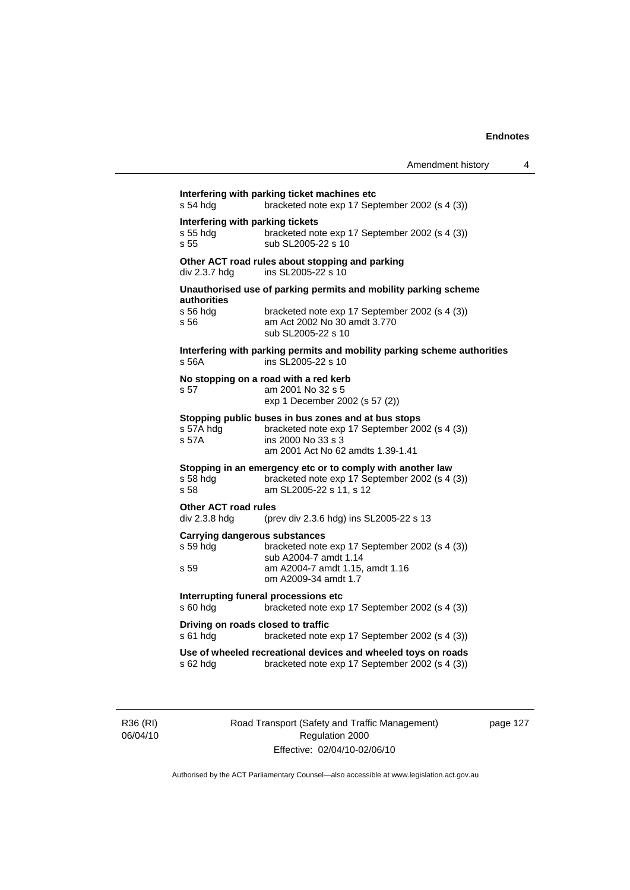| s 54 hda                                             | Interfering with parking ticket machines etc<br>bracketed note exp 17 September 2002 (s 4 (3))                                                                   |
|------------------------------------------------------|------------------------------------------------------------------------------------------------------------------------------------------------------------------|
| Interfering with parking tickets<br>s 55 hda<br>s 55 | bracketed note exp 17 September 2002 (s 4 (3))<br>sub SL2005-22 s 10                                                                                             |
| div 2.3.7 hdg                                        | Other ACT road rules about stopping and parking<br>ins SL2005-22 s 10                                                                                            |
| authorities                                          | Unauthorised use of parking permits and mobility parking scheme                                                                                                  |
| s 56 hdg<br>s 56                                     | bracketed note exp 17 September 2002 (s 4 (3))<br>am Act 2002 No 30 amdt 3.770<br>sub SL2005-22 s 10                                                             |
| s 56A                                                | Interfering with parking permits and mobility parking scheme authorities<br>ins SL2005-22 s 10                                                                   |
| s 57                                                 | No stopping on a road with a red kerb<br>am 2001 No 32 s 5<br>exp 1 December 2002 (s 57 (2))                                                                     |
| s 57A hdg<br>s 57A                                   | Stopping public buses in bus zones and at bus stops<br>bracketed note exp 17 September 2002 (s 4 (3))<br>ins 2000 No 33 s 3<br>am 2001 Act No 62 amdts 1.39-1.41 |
| s 58 hdg<br>s 58                                     | Stopping in an emergency etc or to comply with another law<br>bracketed note exp 17 September 2002 (s 4 (3))<br>am SL2005-22 s 11, s 12                          |
| <b>Other ACT road rules</b><br>div 2.3.8 hdg         | (prev div 2.3.6 hdg) ins SL2005-22 s 13                                                                                                                          |
| <b>Carrying dangerous substances</b>                 |                                                                                                                                                                  |
| s 59 hdg                                             | bracketed note exp 17 September 2002 (s 4 (3))                                                                                                                   |
| s 59                                                 | sub A2004-7 amdt 1.14<br>am A2004-7 amdt 1.15, amdt 1.16<br>om A2009-34 amdt 1.7                                                                                 |
| s 60 hdg                                             | Interrupting funeral processions etc<br>bracketed note exp 17 September 2002 (s 4 (3))                                                                           |
| Driving on roads closed to traffic<br>s 61 hdg       | bracketed note exp 17 September 2002 (s 4 (3))                                                                                                                   |
| s 62 hdg                                             | Use of wheeled recreational devices and wheeled toys on roads<br>bracketed note exp 17 September 2002 (s 4 (3))                                                  |
|                                                      |                                                                                                                                                                  |

R36 (RI) 06/04/10 Road Transport (Safety and Traffic Management) Regulation 2000 Effective: 02/04/10-02/06/10

page 127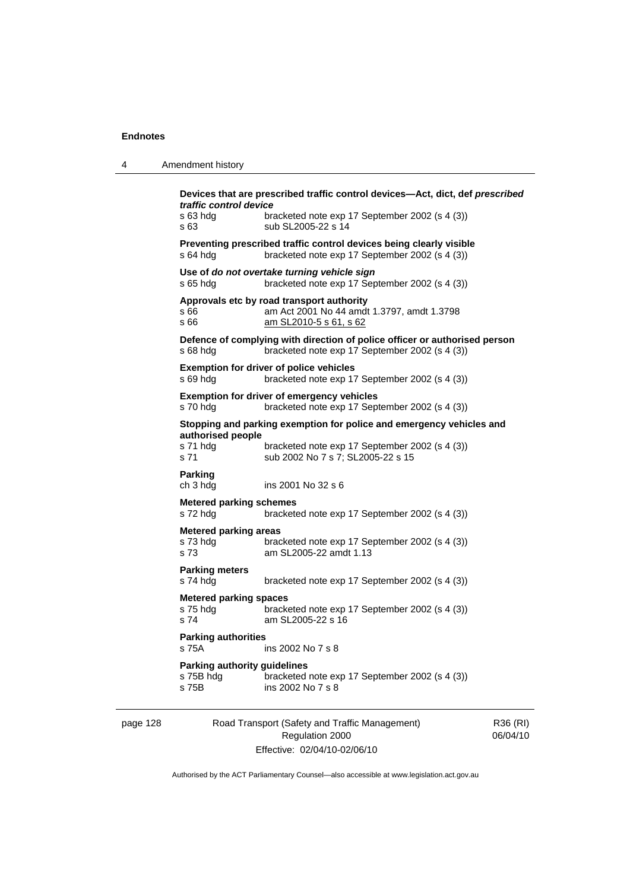| 4        | Amendment history                                         |                                                                                                                                                             |                      |
|----------|-----------------------------------------------------------|-------------------------------------------------------------------------------------------------------------------------------------------------------------|----------------------|
|          | traffic control device<br>s 63 hdg<br>s 63                | Devices that are prescribed traffic control devices-Act, dict, def prescribed<br>bracketed note exp 17 September 2002 (s 4 (3))<br>sub SL2005-22 s 14       |                      |
|          | s 64 hdg                                                  | Preventing prescribed traffic control devices being clearly visible<br>bracketed note exp 17 September 2002 (s 4 (3))                                       |                      |
|          | $s$ 65 hdg                                                | Use of do not overtake turning vehicle sign<br>bracketed note exp 17 September 2002 (s 4 (3))                                                               |                      |
|          | s 66<br>s 66                                              | Approvals etc by road transport authority<br>am Act 2001 No 44 amdt 1.3797, amdt 1.3798<br>am SL2010-5 s 61, s 62                                           |                      |
|          | $s68h$ dg                                                 | Defence of complying with direction of police officer or authorised person<br>bracketed note exp 17 September 2002 (s 4 (3))                                |                      |
|          | s 69 hdg                                                  | <b>Exemption for driver of police vehicles</b><br>bracketed note exp 17 September 2002 (s 4 (3))                                                            |                      |
|          | s 70 hda                                                  | Exemption for driver of emergency vehicles<br>bracketed note exp 17 September 2002 (s 4 (3))                                                                |                      |
|          | authorised people<br>s 71 hdg<br>s 71                     | Stopping and parking exemption for police and emergency vehicles and<br>bracketed note exp 17 September 2002 (s 4 (3))<br>sub 2002 No 7 s 7; SL2005-22 s 15 |                      |
|          | Parking<br>ch 3 hdg                                       | ins 2001 No 32 s 6                                                                                                                                          |                      |
|          | <b>Metered parking schemes</b><br>s 72 hdg                | bracketed note exp 17 September 2002 (s 4 (3))                                                                                                              |                      |
|          | <b>Metered parking areas</b><br>s 73 hdg<br>s 73          | bracketed note exp 17 September 2002 (s 4 (3))<br>am SL2005-22 amdt 1.13                                                                                    |                      |
|          | <b>Parking meters</b><br>s 74 hdg                         | bracketed note exp 17 September 2002 (s 4 (3))                                                                                                              |                      |
|          | <b>Metered parking spaces</b><br>s 75 hdg<br>s 74         | bracketed note exp 17 September 2002 (s 4 (3))<br>am SL2005-22 s 16                                                                                         |                      |
|          | <b>Parking authorities</b><br>s 75A                       | ins 2002 No 7 s 8                                                                                                                                           |                      |
|          | <b>Parking authority guidelines</b><br>s 75B hdg<br>s 75B | bracketed note exp 17 September 2002 (s 4 (3))<br>ins 2002 No 7 s 8                                                                                         |                      |
| page 128 |                                                           | Road Transport (Safety and Traffic Management)<br>Regulation 2000                                                                                           | R36 (RI)<br>06/04/10 |

Effective: 02/04/10-02/06/10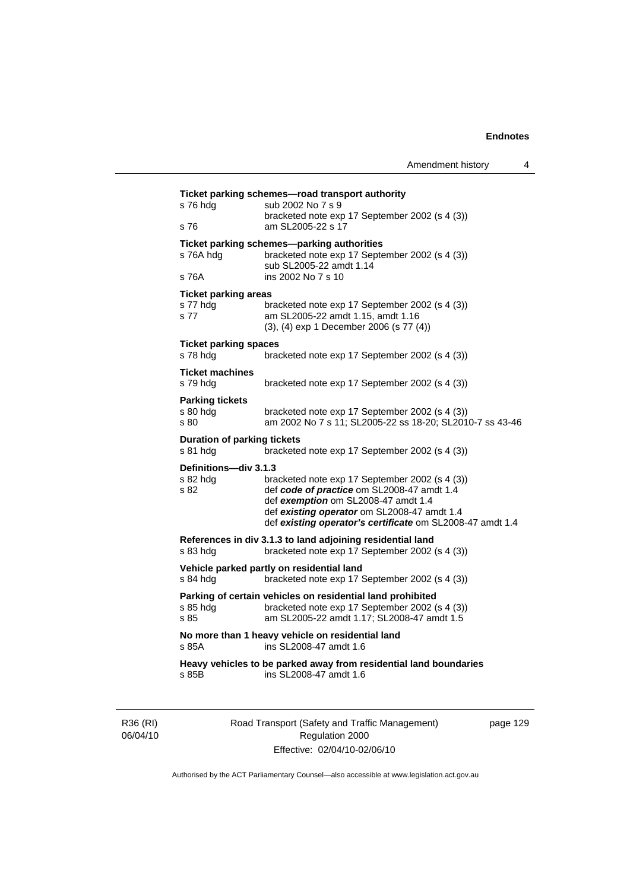| s 76 hdg                                       | sub 2002 No 7 s 9<br>bracketed note exp 17 September 2002 (s 4 (3))                                                                                        |
|------------------------------------------------|------------------------------------------------------------------------------------------------------------------------------------------------------------|
| s 76                                           | am SL2005-22 s 17                                                                                                                                          |
| s 76A hdg                                      | Ticket parking schemes-parking authorities<br>bracketed note exp 17 September 2002 (s 4 (3))                                                               |
| s 76A                                          | sub SL2005-22 amdt 1.14<br>ins 2002 No 7 s 10                                                                                                              |
| <b>Ticket parking areas</b>                    |                                                                                                                                                            |
| s 77 hdg<br>s 77                               | bracketed note exp 17 September 2002 (s 4 (3))<br>am SL2005-22 amdt 1.15, amdt 1.16<br>(3), (4) exp 1 December 2006 (s 77 (4))                             |
| <b>Ticket parking spaces</b>                   |                                                                                                                                                            |
| s 78 hdg                                       | bracketed note exp 17 September 2002 (s 4 (3))                                                                                                             |
| <b>Ticket machines</b><br>s 79 hdg             | bracketed note exp 17 September 2002 (s 4 (3))                                                                                                             |
| <b>Parking tickets</b>                         |                                                                                                                                                            |
| s 80 hdg<br>s 80                               | bracketed note exp 17 September 2002 (s 4 (3))<br>am 2002 No 7 s 11; SL2005-22 ss 18-20; SL2010-7 ss 43-46                                                 |
| <b>Duration of parking tickets</b><br>s 81 hdg | bracketed note exp 17 September 2002 (s 4 (3))                                                                                                             |
| Definitions-div 3.1.3                          |                                                                                                                                                            |
| s 82 hdg<br>s 82                               | bracketed note exp 17 September 2002 (s 4 (3))<br>def code of practice om SL2008-47 amdt 1.4<br>def exemption om SL2008-47 amdt 1.4                        |
|                                                | def existing operator om SL2008-47 amdt 1.4<br>def existing operator's certificate om SL2008-47 amdt 1.4                                                   |
| s 83 hdg                                       | References in div 3.1.3 to land adjoining residential land<br>bracketed note exp 17 September 2002 (s 4 (3))                                               |
| s 84 hdg                                       | Vehicle parked partly on residential land<br>bracketed note exp 17 September 2002 (s 4 (3))                                                                |
| s 85 hda<br>s 85                               | Parking of certain vehicles on residential land prohibited<br>bracketed note exp 17 September 2002 (s 4 (3))<br>am SL2005-22 amdt 1.17; SL2008-47 amdt 1.5 |
| s 85A                                          | No more than 1 heavy vehicle on residential land<br>ins SL2008-47 amdt 1.6                                                                                 |
| s 85B                                          | Heavy vehicles to be parked away from residential land boundaries<br>ins SL2008-47 amdt 1.6                                                                |

R36 (RI) 06/04/10 Road Transport (Safety and Traffic Management) Regulation 2000 Effective: 02/04/10-02/06/10

page 129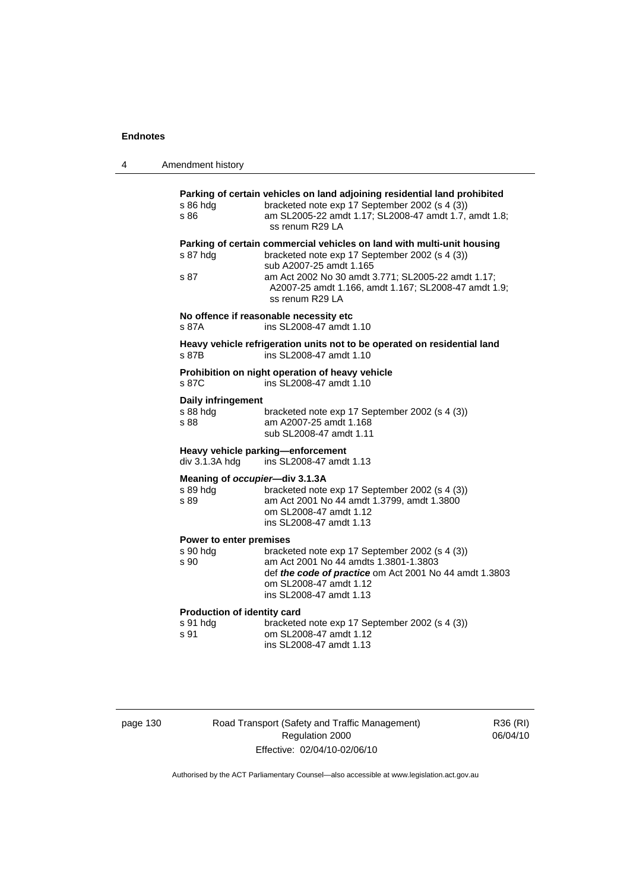| 4 | Amendment history                                                                                                                                                                                                                                                                                        |
|---|----------------------------------------------------------------------------------------------------------------------------------------------------------------------------------------------------------------------------------------------------------------------------------------------------------|
|   | Parking of certain vehicles on land adjoining residential land prohibited<br>bracketed note exp 17 September 2002 (s 4 (3))<br>s 86 hdg<br>am SL2005-22 amdt 1.17; SL2008-47 amdt 1.7, amdt 1.8;<br>s 86<br>ss renum R29 LA                                                                              |
|   | Parking of certain commercial vehicles on land with multi-unit housing<br>bracketed note exp 17 September 2002 (s 4 (3))<br>s 87 hdg<br>sub A2007-25 amdt 1.165<br>am Act 2002 No 30 amdt 3.771; SL2005-22 amdt 1.17;<br>s 87<br>A2007-25 amdt 1.166, amdt 1.167; SL2008-47 amdt 1.9;<br>ss renum R29 LA |
|   | No offence if reasonable necessity etc<br>ins SL2008-47 amdt 1.10<br>s 87A                                                                                                                                                                                                                               |
|   | Heavy vehicle refrigeration units not to be operated on residential land<br>ins SL2008-47 amdt 1.10<br>s 87B                                                                                                                                                                                             |
|   | Prohibition on night operation of heavy vehicle<br>ins SL2008-47 amdt 1.10<br>s 87C                                                                                                                                                                                                                      |
|   | Daily infringement<br>s 88 hdg<br>bracketed note exp 17 September 2002 (s 4 (3))<br>s 88<br>am A2007-25 amdt 1.168<br>sub SL2008-47 amdt 1.11                                                                                                                                                            |
|   | Heavy vehicle parking-enforcement<br>div 3.1.3A hdg<br>ins SL2008-47 amdt 1.13                                                                                                                                                                                                                           |
|   | Meaning of occupier-div 3.1.3A<br>s 89 hdg<br>bracketed note exp 17 September 2002 (s 4 (3))<br>am Act 2001 No 44 amdt 1.3799, amdt 1.3800<br>s 89<br>om SL2008-47 amdt 1.12<br>ins SL2008-47 amdt 1.13                                                                                                  |
|   | Power to enter premises<br>s 90 hdg<br>bracketed note exp 17 September 2002 (s 4 (3))<br>am Act 2001 No 44 amdts 1.3801-1.3803<br>s 90<br>def the code of practice om Act 2001 No 44 amdt 1.3803<br>om SL2008-47 amdt 1.12<br>ins SL2008-47 amdt 1.13                                                    |
|   | Production of identity card<br>s 91 hdg<br>bracketed note exp 17 September 2002 (s 4 (3))<br>s 91<br>om SL2008-47 amdt 1.12<br>ins SL2008-47 amdt 1.13                                                                                                                                                   |
|   |                                                                                                                                                                                                                                                                                                          |

page 130 Road Transport (Safety and Traffic Management) Regulation 2000 Effective: 02/04/10-02/06/10

R36 (RI) 06/04/10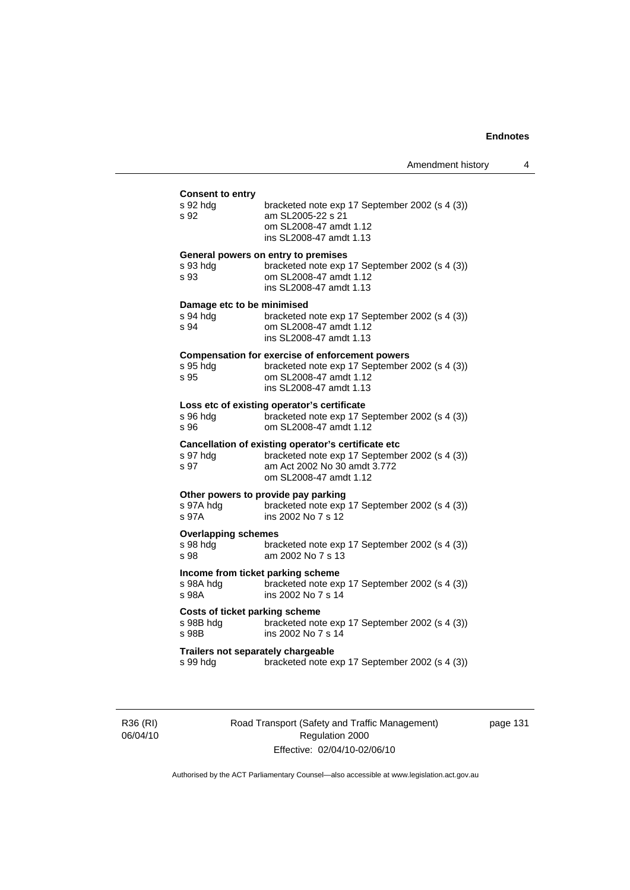| Amendment history |  |  |
|-------------------|--|--|
|-------------------|--|--|

#### **Consent to entry**

| s 92 hdg<br>s 92                                        | bracketed note exp 17 September 2002 (s 4 (3))<br>am SL2005-22 s 21<br>om SL2008-47 amdt 1.12<br>ins SL2008-47 amdt 1.13                                        |
|---------------------------------------------------------|-----------------------------------------------------------------------------------------------------------------------------------------------------------------|
| s 93 hdg<br>s 93                                        | General powers on entry to premises<br>bracketed note exp 17 September 2002 (s 4 (3))<br>om SL2008-47 amdt 1.12<br>ins SL2008-47 amdt 1.13                      |
| Damage etc to be minimised<br>s 94 hdg<br>s 94          | bracketed note exp 17 September 2002 (s 4 (3))<br>om SL2008-47 amdt 1.12<br>ins SL2008-47 amdt 1.13                                                             |
| s 95 hdg<br>s 95                                        | <b>Compensation for exercise of enforcement powers</b><br>bracketed note exp 17 September 2002 (s 4 (3))<br>om SL2008-47 amdt 1.12<br>ins SL2008-47 amdt 1.13   |
| s 96 hdg<br>s 96                                        | Loss etc of existing operator's certificate<br>bracketed note exp 17 September 2002 (s 4 (3))<br>om SL2008-47 amdt 1.12                                         |
| s 97 hdg<br>s 97                                        | Cancellation of existing operator's certificate etc<br>bracketed note exp 17 September 2002 (s 4 (3))<br>am Act 2002 No 30 amdt 3.772<br>om SL2008-47 amdt 1.12 |
| s 97A hdg<br>s 97A                                      | Other powers to provide pay parking<br>bracketed note exp 17 September 2002 (s 4 (3))<br>ins 2002 No 7 s 12                                                     |
| <b>Overlapping schemes</b><br>s 98 hdg<br>s 98          | bracketed note exp 17 September 2002 (s 4 (3))<br>am 2002 No 7 s 13                                                                                             |
| Income from ticket parking scheme<br>s 98A hdg<br>s 98A | bracketed note exp 17 September 2002 (s 4 (3))<br>ins 2002 No 7 s 14                                                                                            |
| Costs of ticket parking scheme<br>s 98B hdg<br>s 98B    | bracketed note exp 17 September 2002 (s 4 (3))<br>ins 2002 No 7 s 14                                                                                            |
| Trailers not separately chargeable<br>s 99 hdg          | bracketed note exp 17 September 2002 (s 4 (3))                                                                                                                  |
|                                                         |                                                                                                                                                                 |

R36 (RI) 06/04/10 Road Transport (Safety and Traffic Management) Regulation 2000 Effective: 02/04/10-02/06/10

page 131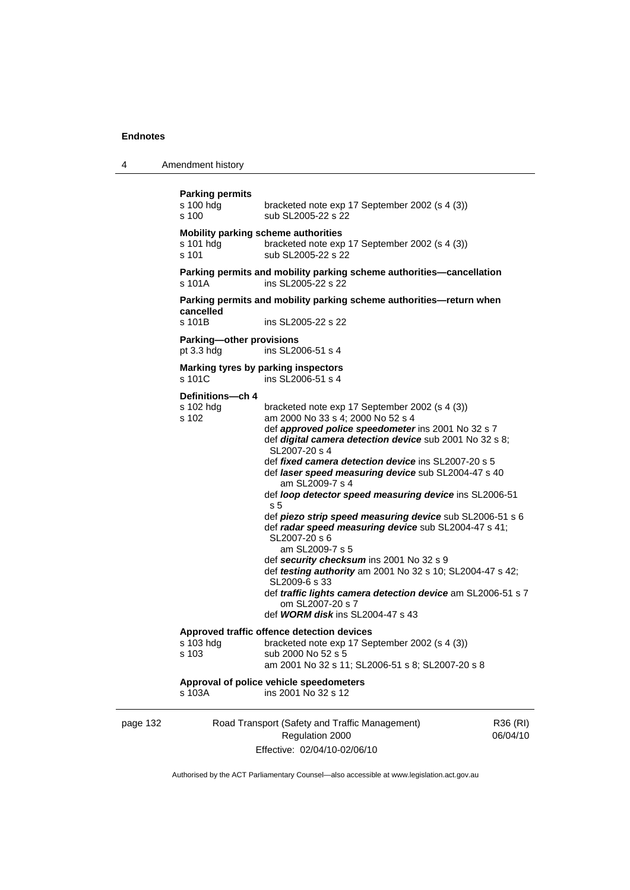4 Amendment history

```
page 132 Road Transport (Safety and Traffic Management) 
                      Regulation 2000 
                                                                   R36 (RI) 
Parking permits 
                  bracketed note exp 17 September 2002 (s 4 (3))
s 100 sub SL2005-22 s 22
Mobility parking scheme authorities 
s 101 hdg bracketed note exp 17 September 2002 (s 4 (3)) 
s 101 sub SL2005-22 s 22
Parking permits and mobility parking scheme authorities—cancellation 
s 101A ins SL2005-22 s 22 
Parking permits and mobility parking scheme authorities—return when 
cancelled 
s 101B ins SL2005-22 s 22 
Parking—other provisions 
pt 3.3 hdg ins SL2006-51 s 4 
Marking tyres by parking inspectors 
\frac{1}{2} s 101C ins SL2006-51 s 4
Definitions—ch 4 
s 102 hdg bracketed note exp 17 September 2002 (s 4 (3)) 
s 102 am 2000 No 33 s 4; 2000 No 52 s 4 
                   def approved police speedometer ins 2001 No 32 s 7 
                   def digital camera detection device sub 2001 No 32 s 8; 
                   SL2007-20 s 4 
                   def fixed camera detection device ins SL2007-20 s 5 
                   def laser speed measuring device sub SL2004-47 s 40 
                       am SL2009-7 s 4 
                   def loop detector speed measuring device ins SL2006-51 
                   s 5 
                   def piezo strip speed measuring device sub SL2006-51 s 6 
                   def radar speed measuring device sub SL2004-47 s 41; 
                   SL2007-20 s 6 
                       am SL2009-7 s 5 
                   def security checksum ins 2001 No 32 s 9 
                  def testing authority am 2001 No 32 s 10; SL2004-47 s 42; 
                   SL2009-6 s 33 
                   def traffic lights camera detection device am SL2006-51 s 7 
                       om SL2007-20 s 7 
                   def WORM disk ins SL2004-47 s 43 
Approved traffic offence detection devices 
s 103 hdg bracketed note exp 17 September 2002 (s 4 (3))<br>s 103 sub 2000 No 52 s 5
                  sub 2000 No 52 s 5
                   am 2001 No 32 s 11; SL2006-51 s 8; SL2007-20 s 8 
Approval of police vehicle speedometers 
s 103A ins 2001 No 32 s 12
```
Effective: 02/04/10-02/06/10

06/04/10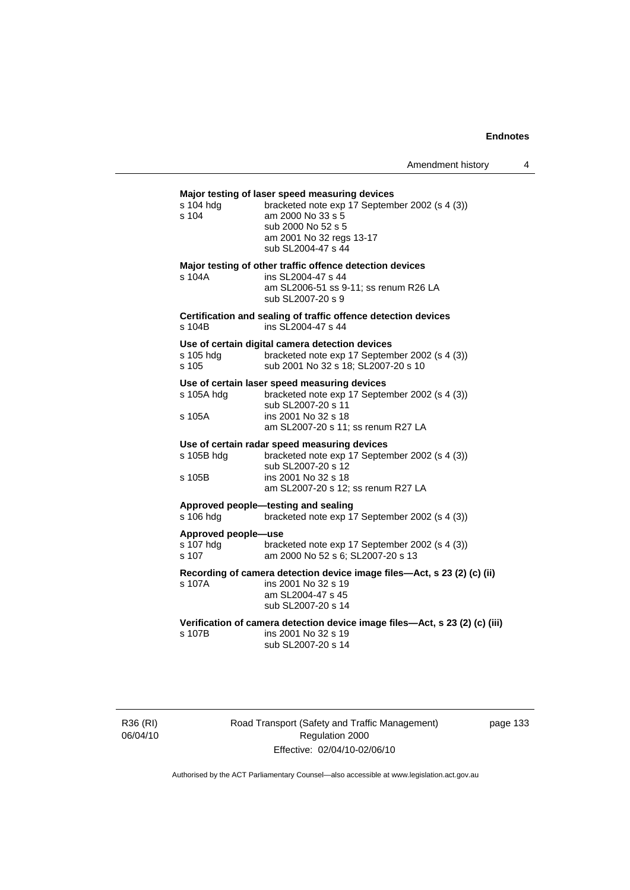#### **Major testing of laser speed measuring devices**

| s 104 hdg<br>s 104                        | major tooting or labor opoca moadaring actious<br>bracketed note exp 17 September 2002 (s 4 (3))<br>am 2000 No 33 s 5<br>sub 2000 No 52 s 5<br>am 2001 No 32 regs 13-17<br>sub SL2004-47 s 44 |
|-------------------------------------------|-----------------------------------------------------------------------------------------------------------------------------------------------------------------------------------------------|
| s 104A                                    | Major testing of other traffic offence detection devices<br>ins SL2004-47 s 44<br>am SL2006-51 ss 9-11; ss renum R26 LA<br>sub SL2007-20 s 9                                                  |
| s 104B                                    | Certification and sealing of traffic offence detection devices<br>ins SL2004-47 s 44                                                                                                          |
| s 105 hdg<br>s 105                        | Use of certain digital camera detection devices<br>bracketed note exp 17 September 2002 (s 4 (3))<br>sub 2001 No 32 s 18; SL2007-20 s 10                                                      |
| s 105A hdg                                | Use of certain laser speed measuring devices<br>bracketed note exp 17 September 2002 (s 4 (3))<br>sub SL2007-20 s 11                                                                          |
| s 105A                                    | ins 2001 No 32 s 18<br>am SL2007-20 s 11; ss renum R27 LA                                                                                                                                     |
| s 105B hdg<br>s 105B                      | Use of certain radar speed measuring devices<br>bracketed note exp 17 September 2002 (s 4 (3))<br>sub SL2007-20 s 12<br>ins 2001 No 32 s 18<br>am SL2007-20 s 12; ss renum R27 LA             |
| s 106 hdg                                 | Approved people-testing and sealing<br>bracketed note exp 17 September 2002 (s 4 (3))                                                                                                         |
| Approved people-use<br>s 107 hdg<br>s 107 | bracketed note exp 17 September 2002 (s 4 (3))<br>am 2000 No 52 s 6; SL2007-20 s 13                                                                                                           |
| s 107A                                    | Recording of camera detection device image files—Act, s 23 (2) (c) (ii)<br>ins 2001 No 32 s 19<br>am SL2004-47 s 45<br>sub SL2007-20 s 14                                                     |
| s 107B                                    | Verification of camera detection device image files—Act, s 23 (2) (c) (iii)<br>ins 2001 No 32 s 19<br>sub SL2007-20 s 14                                                                      |

R36 (RI) 06/04/10 Road Transport (Safety and Traffic Management) Regulation 2000 Effective: 02/04/10-02/06/10

page 133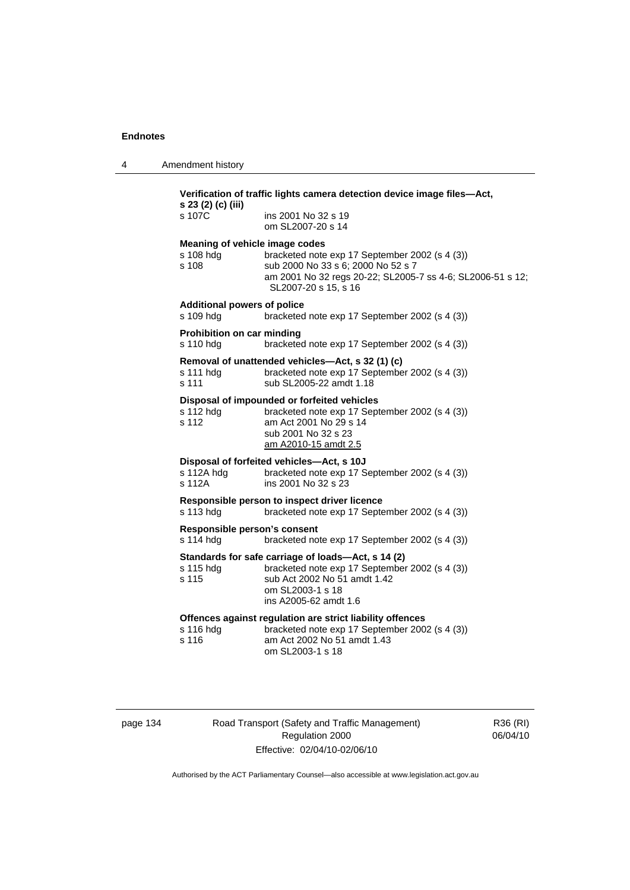4 Amendment history

|                                                      | Verification of traffic lights camera detection device image files—Act,<br>s 23 (2) (c) (iii)                                                                                     |  |
|------------------------------------------------------|-----------------------------------------------------------------------------------------------------------------------------------------------------------------------------------|--|
| s 107C                                               | ins 2001 No 32 s 19<br>om SL2007-20 s 14                                                                                                                                          |  |
| Meaning of vehicle image codes<br>s 108 hdg<br>s 108 | bracketed note exp 17 September 2002 (s 4 (3))<br>sub 2000 No 33 s 6; 2000 No 52 s 7<br>am 2001 No 32 regs 20-22; SL2005-7 ss 4-6; SL2006-51 s 12;<br>SL2007-20 s 15, s 16        |  |
| <b>Additional powers of police</b><br>s 109 hdg      | bracketed note exp 17 September 2002 (s 4 (3))                                                                                                                                    |  |
| <b>Prohibition on car minding</b><br>s 110 hdg       | bracketed note exp 17 September 2002 (s 4 (3))                                                                                                                                    |  |
| s 111 hdg<br>s 111                                   | Removal of unattended vehicles-Act, s 32 (1) (c)<br>bracketed note exp 17 September 2002 (s 4 (3))<br>sub SL2005-22 amdt 1.18                                                     |  |
| s 112 hdg<br>s 112                                   | Disposal of impounded or forfeited vehicles<br>bracketed note exp 17 September 2002 (s 4 (3))<br>am Act 2001 No 29 s 14<br>sub 2001 No 32 s 23<br>am A2010-15 amdt 2.5            |  |
| s 112A hdg<br>s 112A                                 | Disposal of forfeited vehicles-Act, s 10J<br>bracketed note exp 17 September 2002 (s 4 (3))<br>ins 2001 No 32 s 23                                                                |  |
| s 113 hdg                                            | Responsible person to inspect driver licence<br>bracketed note exp 17 September 2002 (s 4 (3))                                                                                    |  |
| Responsible person's consent<br>s 114 hdg            | bracketed note exp 17 September 2002 (s 4 (3))                                                                                                                                    |  |
| s 115 hdg<br>s 115                                   | Standards for safe carriage of loads-Act, s 14 (2)<br>bracketed note exp 17 September 2002 (s 4 (3))<br>sub Act 2002 No 51 amdt 1.42<br>om SL2003-1 s 18<br>ins A2005-62 amdt 1.6 |  |
| s 116 hdg<br>s 116                                   | Offences against regulation are strict liability offences<br>bracketed note exp 17 September 2002 (s 4 (3))<br>am Act 2002 No 51 amdt 1.43<br>om SL2003-1 s 18                    |  |

page 134 Road Transport (Safety and Traffic Management) Regulation 2000 Effective: 02/04/10-02/06/10

R36 (RI) 06/04/10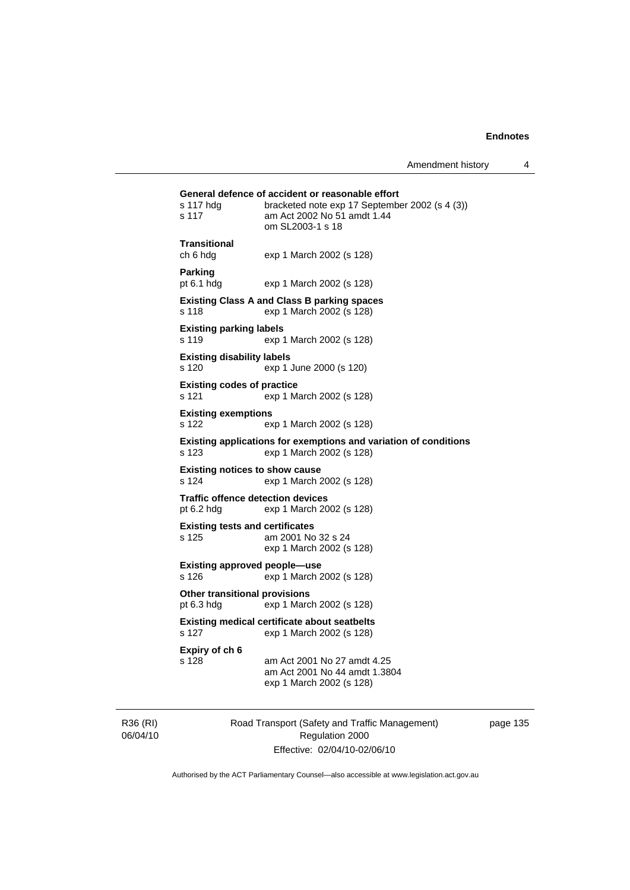|                                                      | General defence of accident or reasonable effort                                                  |
|------------------------------------------------------|---------------------------------------------------------------------------------------------------|
| s 117 hdg<br>s 117                                   | bracketed note exp 17 September 2002 (s 4 (3))<br>am Act 2002 No 51 amdt 1.44<br>om SL2003-1 s 18 |
| <b>Transitional</b><br>ch 6 hdg                      | exp 1 March 2002 (s 128)                                                                          |
| <b>Parking</b><br>pt $6.1$ hdg                       | exp 1 March 2002 (s 128)                                                                          |
| s 118                                                | <b>Existing Class A and Class B parking spaces</b><br>exp 1 March 2002 (s 128)                    |
| <b>Existing parking labels</b><br>s 119              | exp 1 March 2002 (s 128)                                                                          |
| <b>Existing disability labels</b><br>s 120           | exp 1 June 2000 (s 120)                                                                           |
| <b>Existing codes of practice</b><br>s 121           | exp 1 March 2002 (s 128)                                                                          |
| <b>Existing exemptions</b><br>s 122                  | exp 1 March 2002 (s 128)                                                                          |
| s 123                                                | Existing applications for exemptions and variation of conditions<br>exp 1 March 2002 (s 128)      |
| s 124                                                | <b>Existing notices to show cause</b><br>exp 1 March 2002 (s 128)                                 |
| pt $6.2$ hdg                                         | <b>Traffic offence detection devices</b><br>exp 1 March 2002 (s 128)                              |
| s 125                                                | <b>Existing tests and certificates</b><br>am 2001 No 32 s 24<br>exp 1 March 2002 (s 128)          |
| s 126                                                | Existing approved people—use<br>exp 1 March 2002 (s 128)                                          |
| <b>Other transitional provisions</b><br>pt $6.3$ hdg | exp 1 March 2002 (s 128)                                                                          |
| s 127                                                | <b>Existing medical certificate about seatbelts</b><br>exp 1 March 2002 (s 128)                   |
| Expiry of ch 6<br>s 128                              | am Act 2001 No 27 amdt 4.25<br>am Act 2001 No 44 amdt 1.3804<br>exp 1 March 2002 (s 128)          |

R36 (RI) 06/04/10 Road Transport (Safety and Traffic Management) Regulation 2000 Effective: 02/04/10-02/06/10

page 135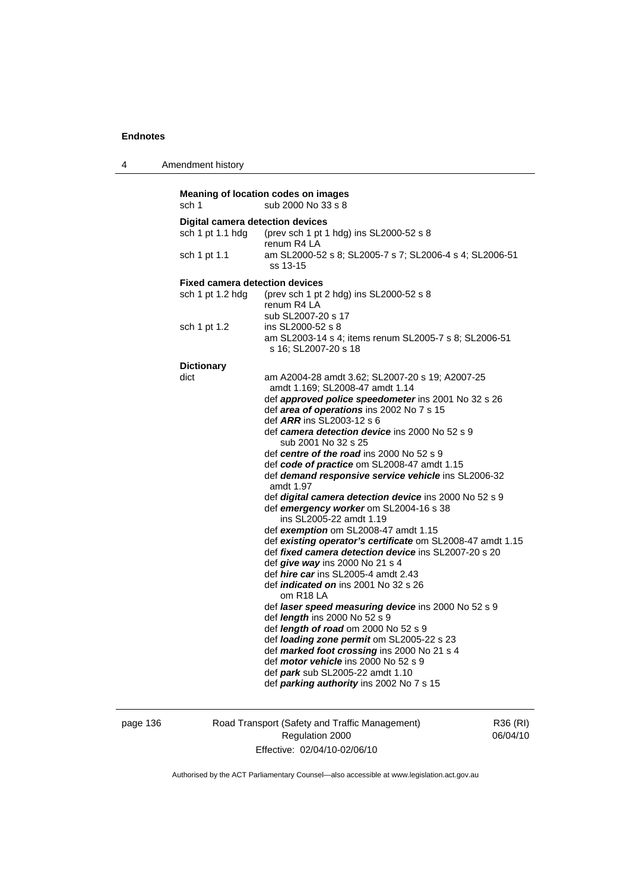4 Amendment history

**Meaning of location codes on images**  sch 1 sub 2000 No 33 s 8 **Digital camera detection devices**  sch 1 pt 1.1 hdg (prev sch 1 pt 1 hdg) ins SL2000-52 s 8 renum R4 LA sch 1 pt 1.1 am SL2000-52 s 8; SL2005-7 s 7; SL2006-4 s 4; SL2006-51 ss 13-15 **Fixed camera detection devices**  sch 1 pt 1.2 hdg (prev sch 1 pt 2 hdg) ins SL2000-52 s 8 renum R4 LA sub SL2007-20 s 17 sch 1 pt 1.2 ins SL2000-52 s 8 am SL2003-14 s 4; items renum SL2005-7 s 8; SL2006-51 s 16; SL2007-20 s 18 **Dictionary**  dict am A2004-28 amdt 3.62; SL2007-20 s 19; A2007-25 amdt 1.169; SL2008-47 amdt 1.14 def *approved police speedometer* ins 2001 No 32 s 26 def *area of operations* ins 2002 No 7 s 15 def *ARR* ins SL2003-12 s 6 def *camera detection device* ins 2000 No 52 s 9 sub 2001 No 32 s 25 def *centre of the road* ins 2000 No 52 s 9 def *code of practice* om SL2008-47 amdt 1.15 def *demand responsive service vehicle* ins SL2006-32 amdt 1.97 def *digital camera detection device* ins 2000 No 52 s 9 def *emergency worker* om SL2004-16 s 38 ins SL2005-22 amdt 1.19 def *exemption* om SL2008-47 amdt 1.15 def *existing operator's certificate* om SL2008-47 amdt 1.15 def *fixed camera detection device* ins SL2007-20 s 20 def *give way* ins 2000 No 21 s 4 def *hire car* ins SL2005-4 amdt 2.43 def *indicated on* ins 2001 No 32 s 26 om R18 LA def *laser speed measuring device* ins 2000 No 52 s 9 def *length* ins 2000 No 52 s 9 def *length of road* om 2000 No 52 s 9 def *loading zone permit* om SL2005-22 s 23 def *marked foot crossing* ins 2000 No 21 s 4 def *motor vehicle* ins 2000 No 52 s 9 def *park* sub SL2005-22 amdt 1.10 def *parking authority* ins 2002 No 7 s 15

page 136 Road Transport (Safety and Traffic Management) Regulation 2000 Effective: 02/04/10-02/06/10

R36 (RI) 06/04/10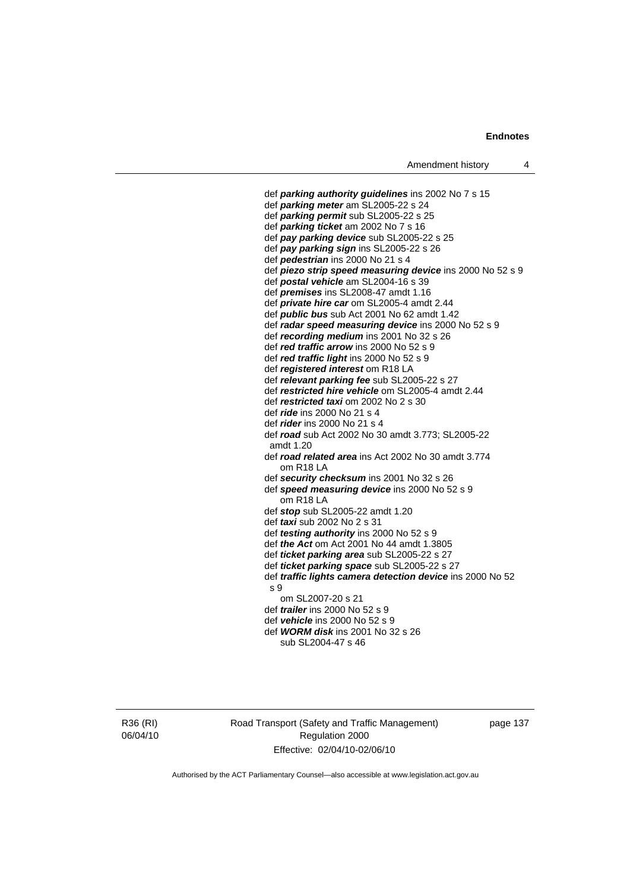def *parking authority guidelines* ins 2002 No 7 s 15 def *parking meter* am SL2005-22 s 24 def *parking permit* sub SL2005-22 s 25 def *parking ticket* am 2002 No 7 s 16 def *pay parking device* sub SL2005-22 s 25 def *pay parking sign* ins SL2005-22 s 26 def *pedestrian* ins 2000 No 21 s 4 def *piezo strip speed measuring device* ins 2000 No 52 s 9 def *postal vehicle* am SL2004-16 s 39 def *premises* ins SL2008-47 amdt 1.16 def *private hire car* om SL2005-4 amdt 2.44 def *public bus* sub Act 2001 No 62 amdt 1.42 def *radar speed measuring device* ins 2000 No 52 s 9 def *recording medium* ins 2001 No 32 s 26 def *red traffic arrow* ins 2000 No 52 s 9 def *red traffic light* ins 2000 No 52 s 9 def *registered interest* om R18 LA def *relevant parking fee* sub SL2005-22 s 27 def *restricted hire vehicle* om SL2005-4 amdt 2.44 def *restricted taxi* om 2002 No 2 s 30 def *ride* ins 2000 No 21 s 4 def *rider* ins 2000 No 21 s 4 def *road* sub Act 2002 No 30 amdt 3.773; SL2005-22 amdt 1.20 def *road related area* ins Act 2002 No 30 amdt 3.774 om R18 LA def *security checksum* ins 2001 No 32 s 26 def *speed measuring device* ins 2000 No 52 s 9 om R18 LA def *stop* sub SL2005-22 amdt 1.20 def *taxi* sub 2002 No 2 s 31 def *testing authority* ins 2000 No 52 s 9 def *the Act* om Act 2001 No 44 amdt 1.3805 def *ticket parking area* sub SL2005-22 s 27 def *ticket parking space* sub SL2005-22 s 27 def *traffic lights camera detection device* ins 2000 No 52 s 9 om SL2007-20 s 21 def *trailer* ins 2000 No 52 s 9 def *vehicle* ins 2000 No 52 s 9 def *WORM disk* ins 2001 No 32 s 26 sub SL2004-47 s 46

R36 (RI) 06/04/10 Road Transport (Safety and Traffic Management) Regulation 2000 Effective: 02/04/10-02/06/10

page 137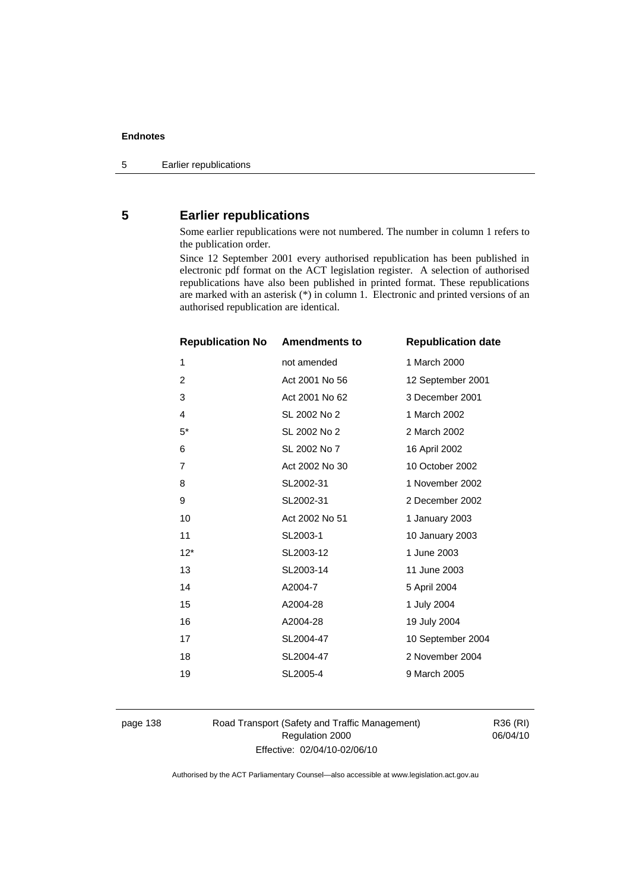# **5 Earlier republications**

Some earlier republications were not numbered. The number in column 1 refers to the publication order.

Since 12 September 2001 every authorised republication has been published in electronic pdf format on the ACT legislation register. A selection of authorised republications have also been published in printed format. These republications are marked with an asterisk (\*) in column 1. Electronic and printed versions of an authorised republication are identical.

| <b>Republication No</b> | <b>Amendments to</b> | <b>Republication date</b> |
|-------------------------|----------------------|---------------------------|
| 1                       | not amended          | 1 March 2000              |
| 2                       | Act 2001 No 56       | 12 September 2001         |
| 3                       | Act 2001 No 62       | 3 December 2001           |
| 4                       | SL 2002 No 2         | 1 March 2002              |
| $5*$                    | SL 2002 No 2         | 2 March 2002              |
| 6                       | SL 2002 No 7         | 16 April 2002             |
| $\overline{7}$          | Act 2002 No 30       | 10 October 2002           |
| 8                       | SL2002-31            | 1 November 2002           |
| 9                       | SL2002-31            | 2 December 2002           |
| 10                      | Act 2002 No 51       | 1 January 2003            |
| 11                      | SL2003-1             | 10 January 2003           |
| $12*$                   | SL2003-12            | 1 June 2003               |
| 13                      | SL2003-14            | 11 June 2003              |
| 14                      | A2004-7              | 5 April 2004              |
| 15                      | A2004-28             | 1 July 2004               |
| 16                      | A2004-28             | 19 July 2004              |
| 17                      | SL2004-47            | 10 September 2004         |
| 18                      | SL2004-47            | 2 November 2004           |
| 19                      | SL2005-4             | 9 March 2005              |
|                         |                      |                           |

page 138 Road Transport (Safety and Traffic Management) Regulation 2000 Effective: 02/04/10-02/06/10

R36 (RI) 06/04/10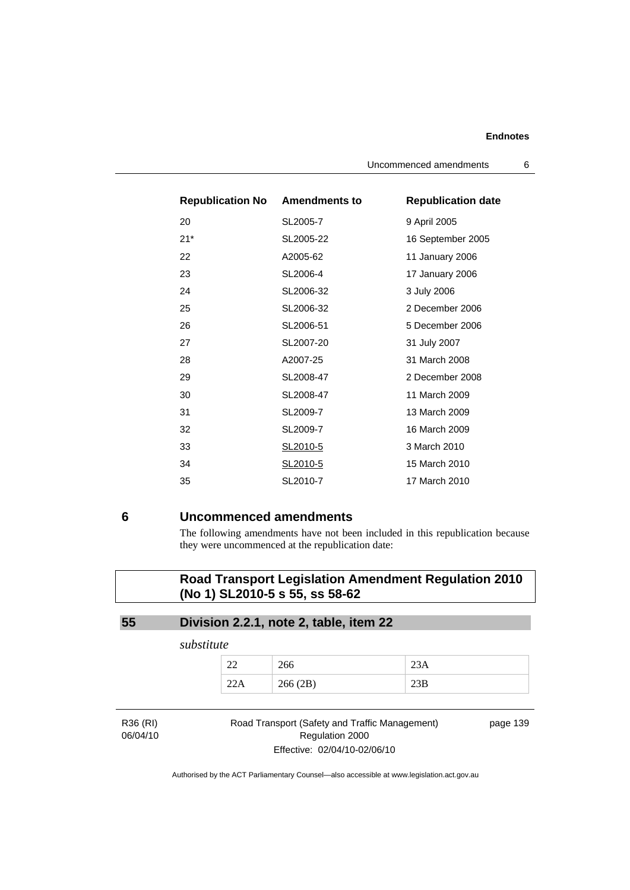| <b>Republication No Amendments to</b> |           | <b>Republication date</b> |
|---------------------------------------|-----------|---------------------------|
| 20                                    | SL2005-7  | 9 April 2005              |
| $21*$                                 | SL2005-22 | 16 September 2005         |
| 22                                    | A2005-62  | 11 January 2006           |
| 23                                    | SL2006-4  | 17 January 2006           |
| 24                                    | SL2006-32 | 3 July 2006               |
| 25                                    | SL2006-32 | 2 December 2006           |
| 26                                    | SL2006-51 | 5 December 2006           |
| 27                                    | SL2007-20 | 31 July 2007              |
| 28                                    | A2007-25  | 31 March 2008             |
| 29                                    | SL2008-47 | 2 December 2008           |
| 30                                    | SL2008-47 | 11 March 2009             |
| 31                                    | SL2009-7  | 13 March 2009             |
| 32                                    | SL2009-7  | 16 March 2009             |
| 33                                    | SL2010-5  | 3 March 2010              |
| 34                                    | SL2010-5  | 15 March 2010             |
| 35                                    | SL2010-7  | 17 March 2010             |

# **6 Uncommenced amendments**

The following amendments have not been included in this republication because they were uncommenced at the republication date:

# **Road Transport Legislation Amendment Regulation 2010 (No 1) SL2010-5 s 55, ss 58-62**

# **55 Division 2.2.1, note 2, table, item 22**

*substitute* 

|     | 266     | 23A |
|-----|---------|-----|
| 22A | 266(2B) |     |

R36 (RI) 06/04/10

## Road Transport (Safety and Traffic Management) Regulation 2000 Effective: 02/04/10-02/06/10

page 139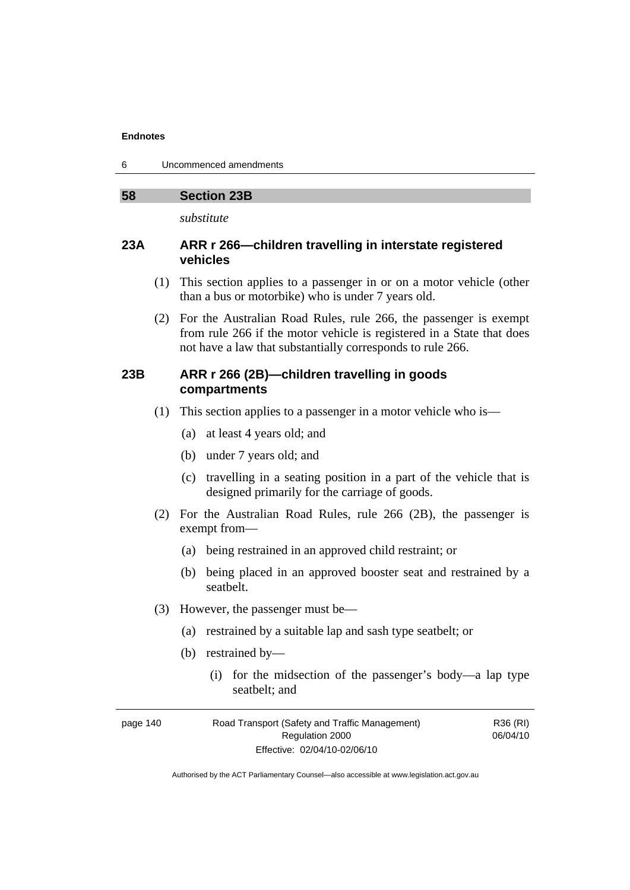6 Uncommenced amendments

# **58 Section 23B**

*substitute* 

# **23A ARR r 266—children travelling in interstate registered vehicles**

- (1) This section applies to a passenger in or on a motor vehicle (other than a bus or motorbike) who is under 7 years old.
- (2) For the Australian Road Rules, rule 266, the passenger is exempt from rule 266 if the motor vehicle is registered in a State that does not have a law that substantially corresponds to rule 266.

# **23B ARR r 266 (2B)—children travelling in goods compartments**

- (1) This section applies to a passenger in a motor vehicle who is—
	- (a) at least 4 years old; and
	- (b) under 7 years old; and
	- (c) travelling in a seating position in a part of the vehicle that is designed primarily for the carriage of goods.
- (2) For the Australian Road Rules, rule 266 (2B), the passenger is exempt from—
	- (a) being restrained in an approved child restraint; or
	- (b) being placed in an approved booster seat and restrained by a seatbelt.
- (3) However, the passenger must be—
	- (a) restrained by a suitable lap and sash type seatbelt; or
	- (b) restrained by—
		- (i) for the midsection of the passenger's body—a lap type seatbelt; and

| page 140 | Road Transport (Safety and Traffic Management) | R36 (RI) |
|----------|------------------------------------------------|----------|
|          | Regulation 2000                                | 06/04/10 |
|          | Effective: 02/04/10-02/06/10                   |          |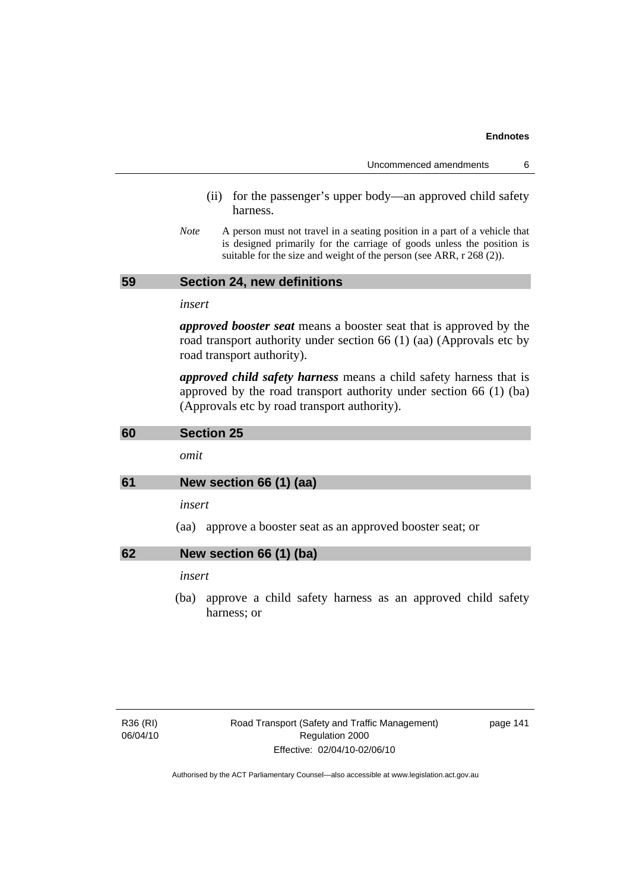| Uncommenced amendments |  |
|------------------------|--|
|------------------------|--|

- (ii) for the passenger's upper body—an approved child safety harness.
- *Note* A person must not travel in a seating position in a part of a vehicle that is designed primarily for the carriage of goods unless the position is suitable for the size and weight of the person (see ARR, r 268 (2)).

# **59 Section 24, new definitions**

*insert* 

*approved booster seat* means a booster seat that is approved by the road transport authority under section 66 (1) (aa) (Approvals etc by road transport authority).

*approved child safety harness* means a child safety harness that is approved by the road transport authority under section 66 (1) (ba) (Approvals etc by road transport authority).

| 60 | <b>Section 25</b>                                                                 |
|----|-----------------------------------------------------------------------------------|
|    | omit                                                                              |
| 61 | New section 66 (1) (aa)                                                           |
|    | insert                                                                            |
|    | approve a booster seat as an approved booster seat; or<br>(aa)                    |
| 62 | New section 66 (1) (ba)                                                           |
|    | insert                                                                            |
|    | approve a child safety harness as an approved child safety<br>(ba)<br>harness; or |
|    |                                                                                   |
|    |                                                                                   |

page 141